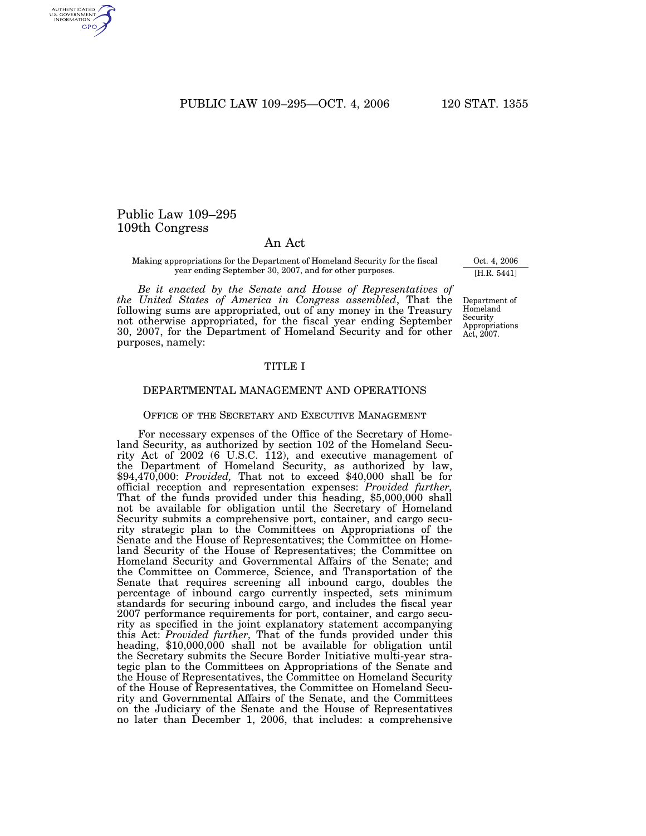PUBLIC LAW 109-295-OCT. 4, 2006 120 STAT. 1355

# Public Law 109–295 109th Congress

# An Act

Making appropriations for the Department of Homeland Security for the fiscal year ending September 30, 2007, and for other purposes.

*Be it enacted by the Senate and House of Representatives of the United States of America in Congress assembled*, That the following sums are appropriated, out of any money in the Treasury not otherwise appropriated, for the fiscal year ending September 30, 2007, for the Department of Homeland Security and for other purposes, namely:

# TITLE I

# DEPARTMENTAL MANAGEMENT AND OPERATIONS

# OFFICE OF THE SECRETARY AND EXECUTIVE MANAGEMENT

For necessary expenses of the Office of the Secretary of Homeland Security, as authorized by section 102 of the Homeland Security Act of 2002 (6 U.S.C. 112), and executive management of the Department of Homeland Security, as authorized by law, \$94,470,000: *Provided,* That not to exceed \$40,000 shall be for official reception and representation expenses: *Provided further,* That of the funds provided under this heading, \$5,000,000 shall not be available for obligation until the Secretary of Homeland Security submits a comprehensive port, container, and cargo security strategic plan to the Committees on Appropriations of the Senate and the House of Representatives; the Committee on Homeland Security of the House of Representatives; the Committee on Homeland Security and Governmental Affairs of the Senate; and the Committee on Commerce, Science, and Transportation of the Senate that requires screening all inbound cargo, doubles the percentage of inbound cargo currently inspected, sets minimum standards for securing inbound cargo, and includes the fiscal year 2007 performance requirements for port, container, and cargo security as specified in the joint explanatory statement accompanying this Act: *Provided further,* That of the funds provided under this heading, \$10,000,000 shall not be available for obligation until the Secretary submits the Secure Border Initiative multi-year strategic plan to the Committees on Appropriations of the Senate and the House of Representatives, the Committee on Homeland Security of the House of Representatives, the Committee on Homeland Security and Governmental Affairs of the Senate, and the Committees on the Judiciary of the Senate and the House of Representatives no later than December 1, 2006, that includes: a comprehensive

Oct. 4, 2006 [H.R. 5441]

Department of Homeland Security Appropriations Act, 2007.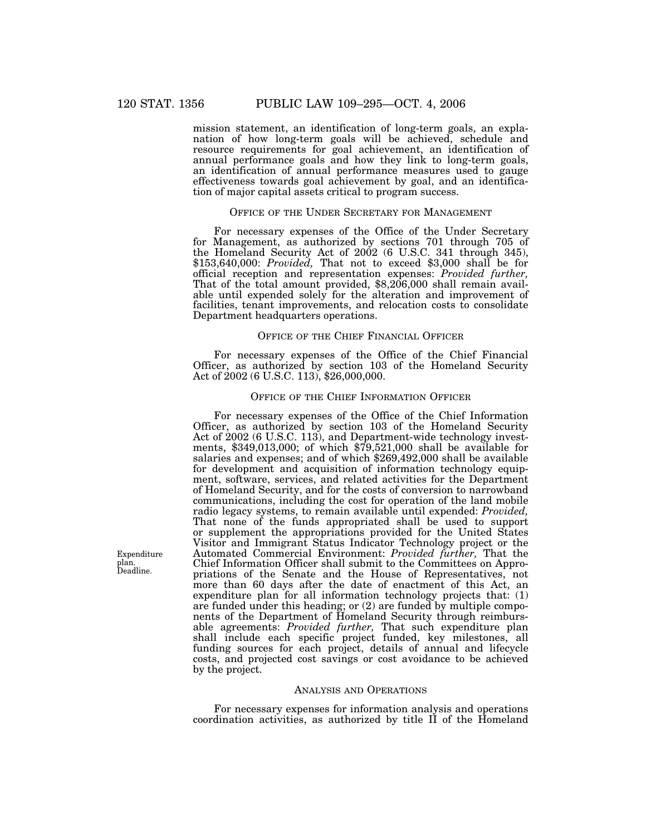mission statement, an identification of long-term goals, an explanation of how long-term goals will be achieved, schedule and resource requirements for goal achievement, an identification of annual performance goals and how they link to long-term goals, an identification of annual performance measures used to gauge effectiveness towards goal achievement by goal, and an identification of major capital assets critical to program success.

# OFFICE OF THE UNDER SECRETARY FOR MANAGEMENT

For necessary expenses of the Office of the Under Secretary for Management, as authorized by sections 701 through 705 of the Homeland Security Act of 2002 (6 U.S.C. 341 through 345), \$153,640,000: *Provided,* That not to exceed \$3,000 shall be for official reception and representation expenses: *Provided further,* That of the total amount provided, \$8,206,000 shall remain available until expended solely for the alteration and improvement of facilities, tenant improvements, and relocation costs to consolidate Department headquarters operations.

## OFFICE OF THE CHIEF FINANCIAL OFFICER

For necessary expenses of the Office of the Chief Financial Officer, as authorized by section 103 of the Homeland Security Act of 2002 (6 U.S.C. 113), \$26,000,000.

## OFFICE OF THE CHIEF INFORMATION OFFICER

For necessary expenses of the Office of the Chief Information Officer, as authorized by section 103 of the Homeland Security Act of 2002 (6 U.S.C. 113), and Department-wide technology investments, \$349,013,000; of which \$79,521,000 shall be available for salaries and expenses; and of which \$269,492,000 shall be available for development and acquisition of information technology equipment, software, services, and related activities for the Department of Homeland Security, and for the costs of conversion to narrowband communications, including the cost for operation of the land mobile radio legacy systems, to remain available until expended: *Provided,* That none of the funds appropriated shall be used to support or supplement the appropriations provided for the United States Visitor and Immigrant Status Indicator Technology project or the Automated Commercial Environment: *Provided further,* That the Chief Information Officer shall submit to the Committees on Appropriations of the Senate and the House of Representatives, not more than 60 days after the date of enactment of this Act, an expenditure plan for all information technology projects that: (1) are funded under this heading; or (2) are funded by multiple components of the Department of Homeland Security through reimbursable agreements: *Provided further,* That such expenditure plan shall include each specific project funded, key milestones, all funding sources for each project, details of annual and lifecycle costs, and projected cost savings or cost avoidance to be achieved by the project.

## ANALYSIS AND OPERATIONS

For necessary expenses for information analysis and operations coordination activities, as authorized by title II of the Homeland

Expenditure plan. Deadline.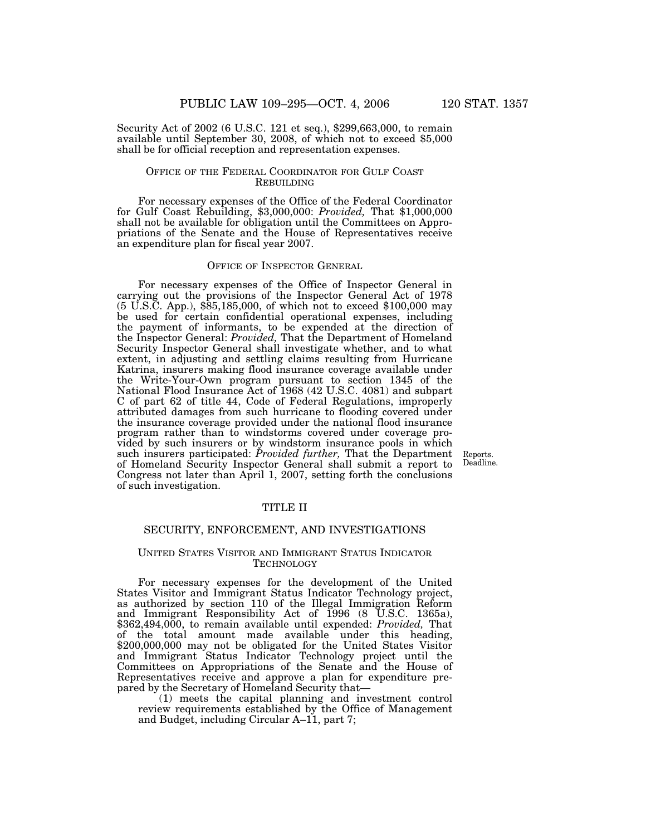Security Act of 2002 (6 U.S.C. 121 et seq.), \$299,663,000, to remain available until September 30, 2008, of which not to exceed \$5,000 shall be for official reception and representation expenses.

# OFFICE OF THE FEDERAL COORDINATOR FOR GULF COAST REBUILDING

For necessary expenses of the Office of the Federal Coordinator for Gulf Coast Rebuilding, \$3,000,000: *Provided,* That \$1,000,000 shall not be available for obligation until the Committees on Appropriations of the Senate and the House of Representatives receive an expenditure plan for fiscal year 2007.

## OFFICE OF INSPECTOR GENERAL

For necessary expenses of the Office of Inspector General in carrying out the provisions of the Inspector General Act of 1978 (5 U.S.C. App.), \$85,185,000, of which not to exceed \$100,000 may be used for certain confidential operational expenses, including the payment of informants, to be expended at the direction of the Inspector General: *Provided,* That the Department of Homeland Security Inspector General shall investigate whether, and to what extent, in adjusting and settling claims resulting from Hurricane Katrina, insurers making flood insurance coverage available under the Write-Your-Own program pursuant to section 1345 of the National Flood Insurance Act of 1968 (42 U.S.C. 4081) and subpart C of part 62 of title 44, Code of Federal Regulations, improperly attributed damages from such hurricane to flooding covered under the insurance coverage provided under the national flood insurance program rather than to windstorms covered under coverage provided by such insurers or by windstorm insurance pools in which such insurers participated: *Provided further,* That the Department of Homeland Security Inspector General shall submit a report to Congress not later than April 1, 2007, setting forth the conclusions of such investigation.

Reports. Deadline.

## TITLE II

# SECURITY, ENFORCEMENT, AND INVESTIGATIONS

## UNITED STATES VISITOR AND IMMIGRANT STATUS INDICATOR **TECHNOLOGY**

For necessary expenses for the development of the United States Visitor and Immigrant Status Indicator Technology project, as authorized by section 110 of the Illegal Immigration Reform and Immigrant Responsibility Act of 1996 (8 U.S.C. 1365a), \$362,494,000, to remain available until expended: *Provided,* That of the total amount made available under this heading, \$200,000,000 may not be obligated for the United States Visitor and Immigrant Status Indicator Technology project until the Committees on Appropriations of the Senate and the House of Representatives receive and approve a plan for expenditure prepared by the Secretary of Homeland Security that—

(1) meets the capital planning and investment control review requirements established by the Office of Management and Budget, including Circular A–11, part 7;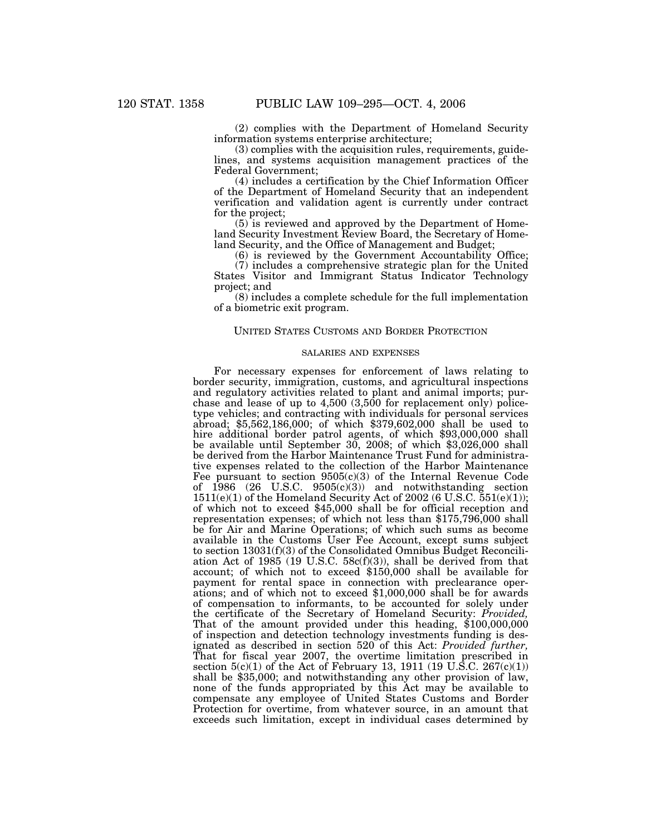(2) complies with the Department of Homeland Security information systems enterprise architecture;

(3) complies with the acquisition rules, requirements, guidelines, and systems acquisition management practices of the Federal Government;

(4) includes a certification by the Chief Information Officer of the Department of Homeland Security that an independent verification and validation agent is currently under contract for the project;

(5) is reviewed and approved by the Department of Homeland Security Investment Review Board, the Secretary of Homeland Security, and the Office of Management and Budget;

(6) is reviewed by the Government Accountability Office;

(7) includes a comprehensive strategic plan for the United States Visitor and Immigrant Status Indicator Technology project; and

(8) includes a complete schedule for the full implementation of a biometric exit program.

## UNITED STATES CUSTOMS AND BORDER PROTECTION

# SALARIES AND EXPENSES

For necessary expenses for enforcement of laws relating to border security, immigration, customs, and agricultural inspections and regulatory activities related to plant and animal imports; purchase and lease of up to 4,500 (3,500 for replacement only) policetype vehicles; and contracting with individuals for personal services abroad; \$5,562,186,000; of which \$379,602,000 shall be used to hire additional border patrol agents, of which \$93,000,000 shall be available until September 30, 2008; of which \$3,026,000 shall be derived from the Harbor Maintenance Trust Fund for administrative expenses related to the collection of the Harbor Maintenance Fee pursuant to section 9505(c)(3) of the Internal Revenue Code of 1986 (26 U.S.C. 9505(c)(3)) and notwithstanding section  $1511(e)(1)$  of the Homeland Security Act of 2002 (6 U.S.C.  $551(e)(1)$ ); of which not to exceed \$45,000 shall be for official reception and representation expenses; of which not less than \$175,796,000 shall be for Air and Marine Operations; of which such sums as become available in the Customs User Fee Account, except sums subject to section 13031(f)(3) of the Consolidated Omnibus Budget Reconciliation Act of 1985 (19 U.S.C. 58c(f)(3)), shall be derived from that account; of which not to exceed \$150,000 shall be available for payment for rental space in connection with preclearance operations; and of which not to exceed \$1,000,000 shall be for awards of compensation to informants, to be accounted for solely under the certificate of the Secretary of Homeland Security: *Provided,* That of the amount provided under this heading, \$100,000,000 of inspection and detection technology investments funding is designated as described in section 520 of this Act: *Provided further,* That for fiscal year 2007, the overtime limitation prescribed in section  $5(c)(1)$  of the Act of February 13, 1911 (19 U.S.C. 267 $(c)(1)$ ) shall be \$35,000; and notwithstanding any other provision of law, none of the funds appropriated by this Act may be available to compensate any employee of United States Customs and Border Protection for overtime, from whatever source, in an amount that exceeds such limitation, except in individual cases determined by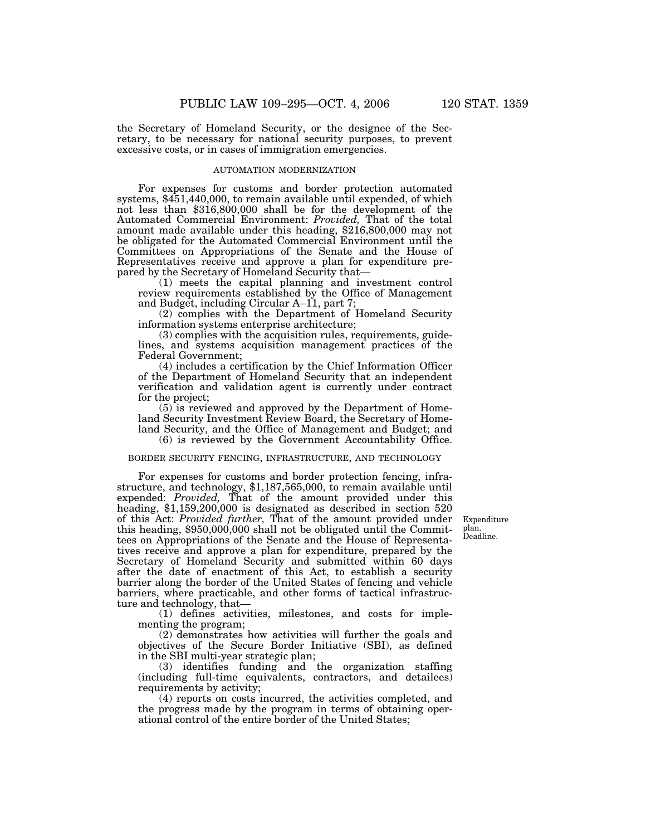the Secretary of Homeland Security, or the designee of the Secretary, to be necessary for national security purposes, to prevent excessive costs, or in cases of immigration emergencies.

#### AUTOMATION MODERNIZATION

For expenses for customs and border protection automated systems, \$451,440,000, to remain available until expended, of which not less than \$316,800,000 shall be for the development of the Automated Commercial Environment: *Provided,* That of the total amount made available under this heading, \$216,800,000 may not be obligated for the Automated Commercial Environment until the Committees on Appropriations of the Senate and the House of Representatives receive and approve a plan for expenditure prepared by the Secretary of Homeland Security that—

(1) meets the capital planning and investment control review requirements established by the Office of Management and Budget, including Circular A–11, part 7;

(2) complies with the Department of Homeland Security information systems enterprise architecture;

(3) complies with the acquisition rules, requirements, guidelines, and systems acquisition management practices of the Federal Government;

(4) includes a certification by the Chief Information Officer of the Department of Homeland Security that an independent verification and validation agent is currently under contract for the project;

(5) is reviewed and approved by the Department of Homeland Security Investment Review Board, the Secretary of Homeland Security, and the Office of Management and Budget; and (6) is reviewed by the Government Accountability Office.

# BORDER SECURITY FENCING, INFRASTRUCTURE, AND TECHNOLOGY

For expenses for customs and border protection fencing, infrastructure, and technology, \$1,187,565,000, to remain available until expended: *Provided,* That of the amount provided under this heading, \$1,159,200,000 is designated as described in section 520 of this Act: *Provided further,* That of the amount provided under this heading, \$950,000,000 shall not be obligated until the Committees on Appropriations of the Senate and the House of Representatives receive and approve a plan for expenditure, prepared by the Secretary of Homeland Security and submitted within 60 days after the date of enactment of this Act, to establish a security barrier along the border of the United States of fencing and vehicle barriers, where practicable, and other forms of tactical infrastructure and technology, that—

(1) defines activities, milestones, and costs for implementing the program;

(2) demonstrates how activities will further the goals and objectives of the Secure Border Initiative (SBI), as defined in the SBI multi-year strategic plan;

(3) identifies funding and the organization staffing (including full-time equivalents, contractors, and detailees) requirements by activity;

(4) reports on costs incurred, the activities completed, and the progress made by the program in terms of obtaining operational control of the entire border of the United States;

Expenditure plan. Deadline.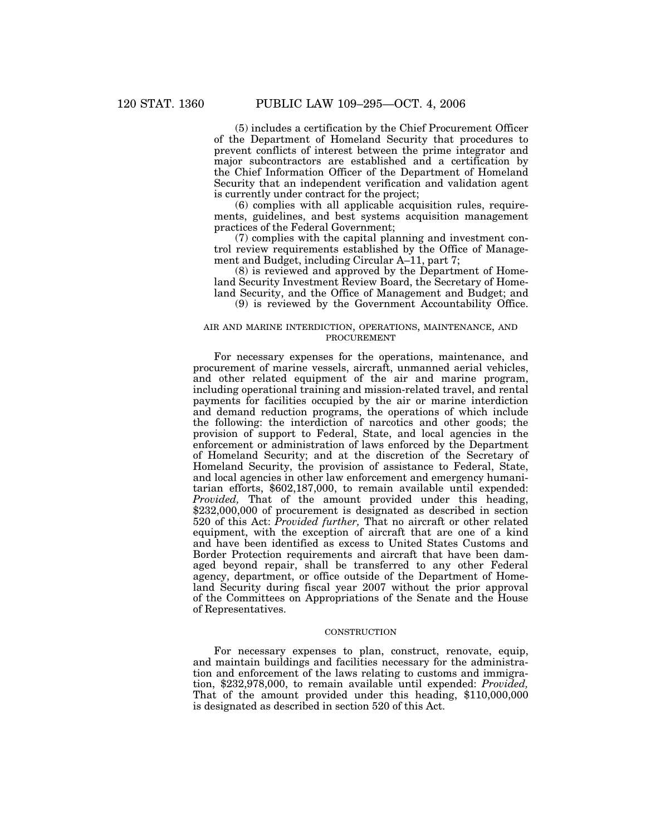(5) includes a certification by the Chief Procurement Officer of the Department of Homeland Security that procedures to prevent conflicts of interest between the prime integrator and major subcontractors are established and a certification by the Chief Information Officer of the Department of Homeland Security that an independent verification and validation agent is currently under contract for the project;

(6) complies with all applicable acquisition rules, requirements, guidelines, and best systems acquisition management practices of the Federal Government;

(7) complies with the capital planning and investment control review requirements established by the Office of Management and Budget, including Circular A–11, part 7;

(8) is reviewed and approved by the Department of Homeland Security Investment Review Board, the Secretary of Homeland Security, and the Office of Management and Budget; and (9) is reviewed by the Government Accountability Office.

# AIR AND MARINE INTERDICTION, OPERATIONS, MAINTENANCE, AND PROCUREMENT

For necessary expenses for the operations, maintenance, and procurement of marine vessels, aircraft, unmanned aerial vehicles, and other related equipment of the air and marine program, including operational training and mission-related travel, and rental payments for facilities occupied by the air or marine interdiction and demand reduction programs, the operations of which include the following: the interdiction of narcotics and other goods; the provision of support to Federal, State, and local agencies in the enforcement or administration of laws enforced by the Department of Homeland Security; and at the discretion of the Secretary of Homeland Security, the provision of assistance to Federal, State, and local agencies in other law enforcement and emergency humanitarian efforts, \$602,187,000, to remain available until expended: *Provided,* That of the amount provided under this heading, \$232,000,000 of procurement is designated as described in section 520 of this Act: *Provided further,* That no aircraft or other related equipment, with the exception of aircraft that are one of a kind and have been identified as excess to United States Customs and Border Protection requirements and aircraft that have been damaged beyond repair, shall be transferred to any other Federal agency, department, or office outside of the Department of Homeland Security during fiscal year 2007 without the prior approval of the Committees on Appropriations of the Senate and the House of Representatives.

#### **CONSTRUCTION**

For necessary expenses to plan, construct, renovate, equip, and maintain buildings and facilities necessary for the administration and enforcement of the laws relating to customs and immigration, \$232,978,000, to remain available until expended: *Provided,* That of the amount provided under this heading, \$110,000,000 is designated as described in section 520 of this Act.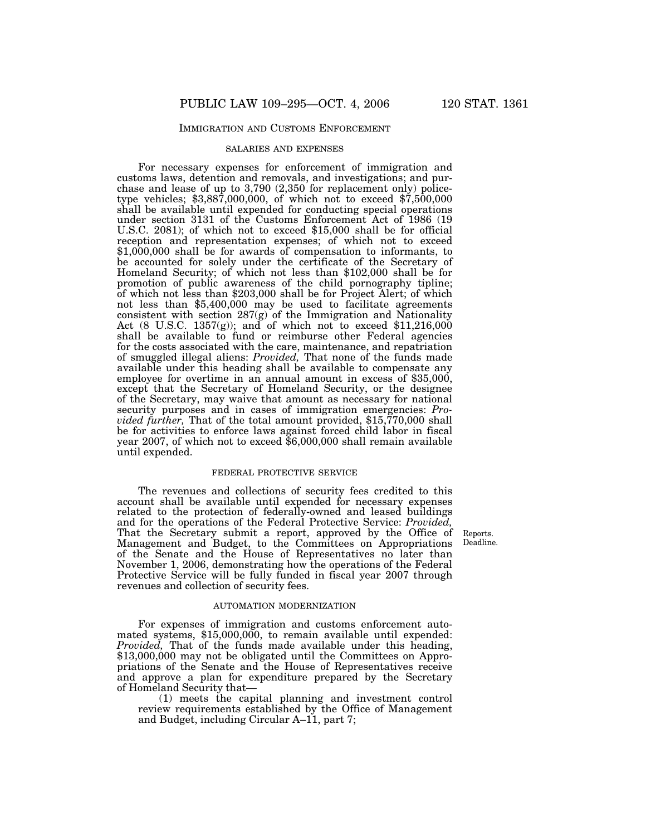# IMMIGRATION AND CUSTOMS ENFORCEMENT

#### SALARIES AND EXPENSES

For necessary expenses for enforcement of immigration and customs laws, detention and removals, and investigations; and purchase and lease of up to 3,790 (2,350 for replacement only) policetype vehicles; \$3,887,000,000, of which not to exceed \$7,500,000 shall be available until expended for conducting special operations under section 3131 of the Customs Enforcement Act of 1986 (19 U.S.C. 2081); of which not to exceed \$15,000 shall be for official reception and representation expenses; of which not to exceed \$1,000,000 shall be for awards of compensation to informants, to be accounted for solely under the certificate of the Secretary of Homeland Security; of which not less than \$102,000 shall be for promotion of public awareness of the child pornography tipline; of which not less than \$203,000 shall be for Project Alert; of which not less than \$5,400,000 may be used to facilitate agreements consistent with section  $287(g)$  of the Immigration and Nationality Act (8 U.S.C. 1357(g)); and of which not to exceed \$11,216,000 shall be available to fund or reimburse other Federal agencies for the costs associated with the care, maintenance, and repatriation of smuggled illegal aliens: *Provided,* That none of the funds made available under this heading shall be available to compensate any employee for overtime in an annual amount in excess of \$35,000, except that the Secretary of Homeland Security, or the designee of the Secretary, may waive that amount as necessary for national security purposes and in cases of immigration emergencies: *Provided further,* That of the total amount provided, \$15,770,000 shall be for activities to enforce laws against forced child labor in fiscal year 2007, of which not to exceed \$6,000,000 shall remain available until expended.

#### FEDERAL PROTECTIVE SERVICE

The revenues and collections of security fees credited to this account shall be available until expended for necessary expenses related to the protection of federally-owned and leased buildings and for the operations of the Federal Protective Service: *Provided,* That the Secretary submit a report, approved by the Office of Management and Budget, to the Committees on Appropriations of the Senate and the House of Representatives no later than November 1, 2006, demonstrating how the operations of the Federal Protective Service will be fully funded in fiscal year 2007 through revenues and collection of security fees.

#### Reports. Deadline.

#### AUTOMATION MODERNIZATION

For expenses of immigration and customs enforcement automated systems, \$15,000,000, to remain available until expended: *Provided,* That of the funds made available under this heading, \$13,000,000 may not be obligated until the Committees on Appropriations of the Senate and the House of Representatives receive and approve a plan for expenditure prepared by the Secretary of Homeland Security that—

(1) meets the capital planning and investment control review requirements established by the Office of Management and Budget, including Circular A–11, part 7;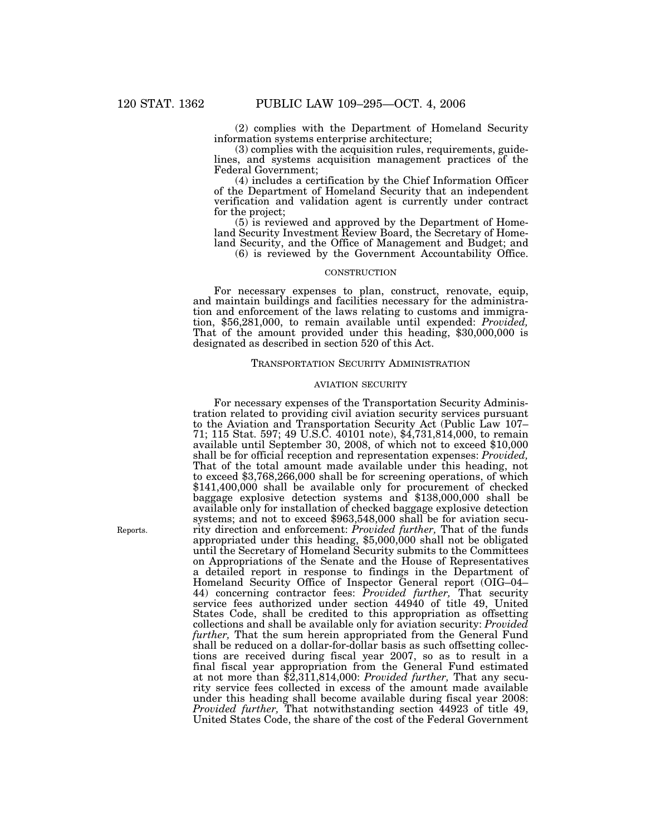(2) complies with the Department of Homeland Security information systems enterprise architecture;

(3) complies with the acquisition rules, requirements, guidelines, and systems acquisition management practices of the Federal Government;

(4) includes a certification by the Chief Information Officer of the Department of Homeland Security that an independent verification and validation agent is currently under contract for the project;

(5) is reviewed and approved by the Department of Homeland Security Investment Review Board, the Secretary of Homeland Security, and the Office of Management and Budget; and

(6) is reviewed by the Government Accountability Office.

### **CONSTRUCTION**

For necessary expenses to plan, construct, renovate, equip, and maintain buildings and facilities necessary for the administration and enforcement of the laws relating to customs and immigration, \$56,281,000, to remain available until expended: *Provided,* That of the amount provided under this heading, \$30,000,000 is designated as described in section 520 of this Act.

## TRANSPORTATION SECURITY ADMINISTRATION

## AVIATION SECURITY

For necessary expenses of the Transportation Security Administration related to providing civil aviation security services pursuant to the Aviation and Transportation Security Act (Public Law 107– 71; 115 Stat. 597; 49 U.S.C. 40101 note), \$4,731,814,000, to remain available until September 30, 2008, of which not to exceed \$10,000 shall be for official reception and representation expenses: *Provided,* That of the total amount made available under this heading, not to exceed \$3,768,266,000 shall be for screening operations, of which \$141,400,000 shall be available only for procurement of checked baggage explosive detection systems and \$138,000,000 shall be available only for installation of checked baggage explosive detection systems; and not to exceed \$963,548,000 shall be for aviation security direction and enforcement: *Provided further,* That of the funds appropriated under this heading, \$5,000,000 shall not be obligated until the Secretary of Homeland Security submits to the Committees on Appropriations of the Senate and the House of Representatives a detailed report in response to findings in the Department of Homeland Security Office of Inspector General report (OIG–04– 44) concerning contractor fees: *Provided further,* That security service fees authorized under section 44940 of title 49, United States Code, shall be credited to this appropriation as offsetting collections and shall be available only for aviation security: *Provided further,* That the sum herein appropriated from the General Fund shall be reduced on a dollar-for-dollar basis as such offsetting collections are received during fiscal year 2007, so as to result in a final fiscal year appropriation from the General Fund estimated at not more than \$2,311,814,000: *Provided further,* That any security service fees collected in excess of the amount made available under this heading shall become available during fiscal year 2008: *Provided further,* That notwithstanding section 44923 of title 49, United States Code, the share of the cost of the Federal Government

Reports.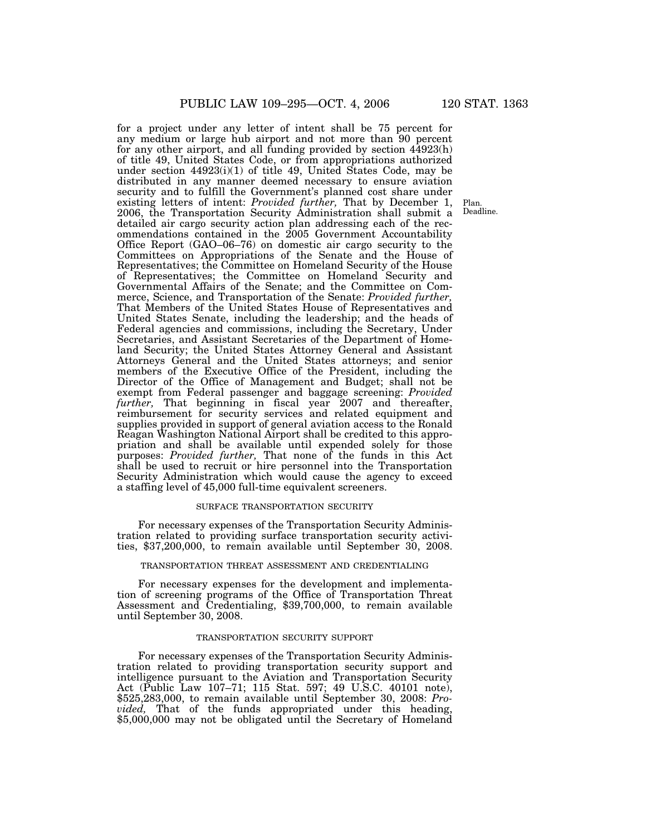for a project under any letter of intent shall be 75 percent for any medium or large hub airport and not more than 90 percent for any other airport, and all funding provided by section 44923(h) of title 49, United States Code, or from appropriations authorized under section 44923(i)(1) of title 49, United States Code, may be distributed in any manner deemed necessary to ensure aviation security and to fulfill the Government's planned cost share under existing letters of intent: *Provided further,* That by December 1, 2006, the Transportation Security Administration shall submit a detailed air cargo security action plan addressing each of the recommendations contained in the 2005 Government Accountability Office Report (GAO–06–76) on domestic air cargo security to the Committees on Appropriations of the Senate and the House of Representatives; the Committee on Homeland Security of the House of Representatives; the Committee on Homeland Security and Governmental Affairs of the Senate; and the Committee on Commerce, Science, and Transportation of the Senate: *Provided further,* That Members of the United States House of Representatives and United States Senate, including the leadership; and the heads of Federal agencies and commissions, including the Secretary, Under Secretaries, and Assistant Secretaries of the Department of Homeland Security; the United States Attorney General and Assistant Attorneys General and the United States attorneys; and senior members of the Executive Office of the President, including the Director of the Office of Management and Budget; shall not be exempt from Federal passenger and baggage screening: *Provided further,* That beginning in fiscal year 2007 and thereafter, reimbursement for security services and related equipment and supplies provided in support of general aviation access to the Ronald Reagan Washington National Airport shall be credited to this appropriation and shall be available until expended solely for those purposes: *Provided further,* That none of the funds in this Act shall be used to recruit or hire personnel into the Transportation Security Administration which would cause the agency to exceed a staffing level of 45,000 full-time equivalent screeners.

#### SURFACE TRANSPORTATION SECURITY

For necessary expenses of the Transportation Security Administration related to providing surface transportation security activities, \$37,200,000, to remain available until September 30, 2008.

### TRANSPORTATION THREAT ASSESSMENT AND CREDENTIALING

For necessary expenses for the development and implementation of screening programs of the Office of Transportation Threat Assessment and Credentialing, \$39,700,000, to remain available until September 30, 2008.

## TRANSPORTATION SECURITY SUPPORT

For necessary expenses of the Transportation Security Administration related to providing transportation security support and intelligence pursuant to the Aviation and Transportation Security Act (Public Law 107–71; 115 Stat. 597; 49 U.S.C. 40101 note), \$525,283,000, to remain available until September 30, 2008: *Provided*, That of the funds appropriated under this heading, \$5,000,000 may not be obligated until the Secretary of Homeland

Plan. Deadline.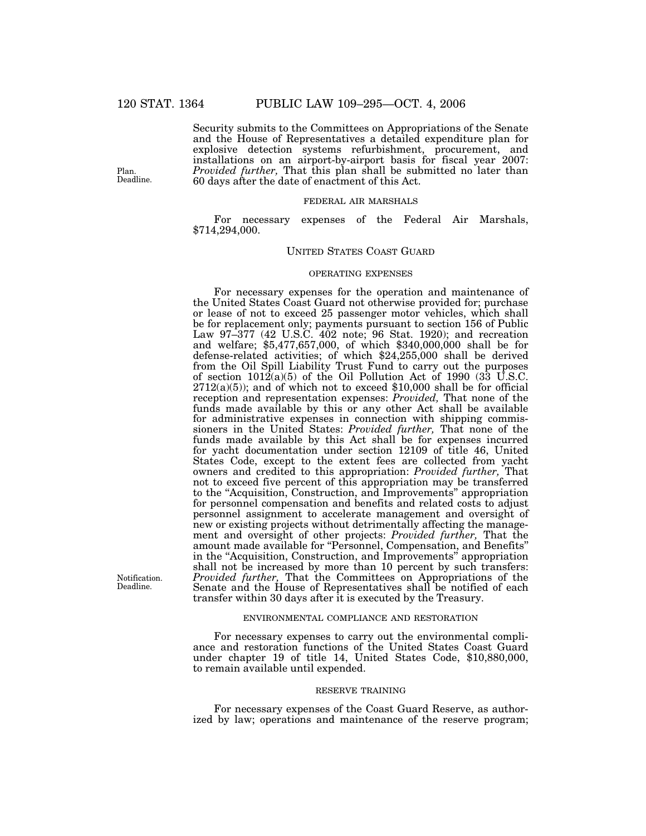Plan. Deadline.

Security submits to the Committees on Appropriations of the Senate and the House of Representatives a detailed expenditure plan for explosive detection systems refurbishment, procurement, and installations on an airport-by-airport basis for fiscal year 2007: *Provided further,* That this plan shall be submitted no later than 60 days after the date of enactment of this Act.

#### FEDERAL AIR MARSHALS

For necessary expenses of the Federal Air Marshals, \$714,294,000.

## UNITED STATES COAST GUARD

## OPERATING EXPENSES

For necessary expenses for the operation and maintenance of the United States Coast Guard not otherwise provided for; purchase or lease of not to exceed 25 passenger motor vehicles, which shall be for replacement only; payments pursuant to section 156 of Public Law 97–377 (42 U.S.C. 402 note; 96 Stat. 1920); and recreation and welfare; \$5,477,657,000, of which \$340,000,000 shall be for defense-related activities; of which \$24,255,000 shall be derived from the Oil Spill Liability Trust Fund to carry out the purposes of section  $1012(a)(5)$  of the Oil Pollution Act of 1990 (33 U.S.C.  $2712(a)(5)$ ; and of which not to exceed \$10,000 shall be for official reception and representation expenses: *Provided,* That none of the funds made available by this or any other Act shall be available for administrative expenses in connection with shipping commissioners in the United States: *Provided further,* That none of the funds made available by this Act shall be for expenses incurred for yacht documentation under section 12109 of title 46, United States Code, except to the extent fees are collected from yacht owners and credited to this appropriation: *Provided further,* That not to exceed five percent of this appropriation may be transferred to the ''Acquisition, Construction, and Improvements'' appropriation for personnel compensation and benefits and related costs to adjust personnel assignment to accelerate management and oversight of new or existing projects without detrimentally affecting the management and oversight of other projects: *Provided further,* That the amount made available for "Personnel, Compensation, and Benefits" in the ''Acquisition, Construction, and Improvements'' appropriation shall not be increased by more than 10 percent by such transfers: *Provided further,* That the Committees on Appropriations of the Senate and the House of Representatives shall be notified of each transfer within 30 days after it is executed by the Treasury.

Notification. Deadline.

#### ENVIRONMENTAL COMPLIANCE AND RESTORATION

For necessary expenses to carry out the environmental compliance and restoration functions of the United States Coast Guard under chapter 19 of title 14, United States Code, \$10,880,000, to remain available until expended.

#### RESERVE TRAINING

For necessary expenses of the Coast Guard Reserve, as authorized by law; operations and maintenance of the reserve program;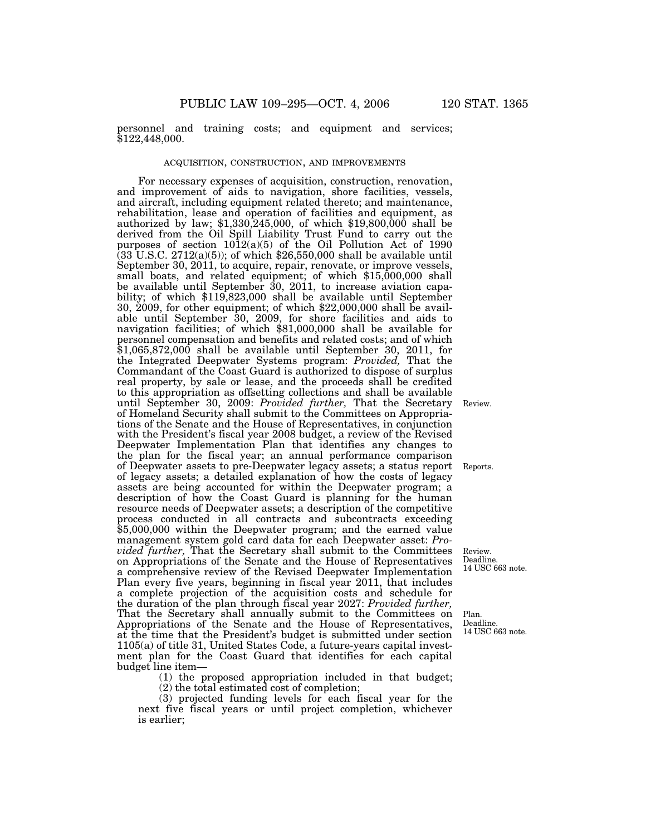personnel and training costs; and equipment and services; \$122,448,000.

# ACQUISITION, CONSTRUCTION, AND IMPROVEMENTS

For necessary expenses of acquisition, construction, renovation, and improvement of aids to navigation, shore facilities, vessels, and aircraft, including equipment related thereto; and maintenance, rehabilitation, lease and operation of facilities and equipment, as authorized by law; \$1,330,245,000, of which \$19,800,000 shall be derived from the Oil Spill Liability Trust Fund to carry out the purposes of section 1012(a)(5) of the Oil Pollution Act of 1990  $(33 \text{ U.S.C. } 2712(a)(5))$ ; of which \$26,550,000 shall be available until September 30, 2011, to acquire, repair, renovate, or improve vessels, small boats, and related equipment; of which \$15,000,000 shall be available until September 30, 2011, to increase aviation capability; of which \$119,823,000 shall be available until September 30, 2009, for other equipment; of which \$22,000,000 shall be available until September 30, 2009, for shore facilities and aids to navigation facilities; of which \$81,000,000 shall be available for personnel compensation and benefits and related costs; and of which \$1,065,872,000 shall be available until September 30, 2011, for the Integrated Deepwater Systems program: *Provided,* That the Commandant of the Coast Guard is authorized to dispose of surplus real property, by sale or lease, and the proceeds shall be credited to this appropriation as offsetting collections and shall be available until September 30, 2009: *Provided further,* That the Secretary of Homeland Security shall submit to the Committees on Appropriations of the Senate and the House of Representatives, in conjunction with the President's fiscal year 2008 budget, a review of the Revised Deepwater Implementation Plan that identifies any changes to the plan for the fiscal year; an annual performance comparison of Deepwater assets to pre-Deepwater legacy assets; a status report of legacy assets; a detailed explanation of how the costs of legacy assets are being accounted for within the Deepwater program; a description of how the Coast Guard is planning for the human resource needs of Deepwater assets; a description of the competitive process conducted in all contracts and subcontracts exceeding \$5,000,000 within the Deepwater program; and the earned value management system gold card data for each Deepwater asset: *Provided further,* That the Secretary shall submit to the Committees on Appropriations of the Senate and the House of Representatives a comprehensive review of the Revised Deepwater Implementation Plan every five years, beginning in fiscal year 2011, that includes a complete projection of the acquisition costs and schedule for the duration of the plan through fiscal year 2027: *Provided further,* That the Secretary shall annually submit to the Committees on Appropriations of the Senate and the House of Representatives, at the time that the President's budget is submitted under section 1105(a) of title 31, United States Code, a future-years capital investment plan for the Coast Guard that identifies for each capital budget line item—

(1) the proposed appropriation included in that budget; (2) the total estimated cost of completion;

(3) projected funding levels for each fiscal year for the next five fiscal years or until project completion, whichever is earlier;

Review.

Reports.

Review. Deadline. 14 USC 663 note.

Plan. Deadline. 14 USC 663 note.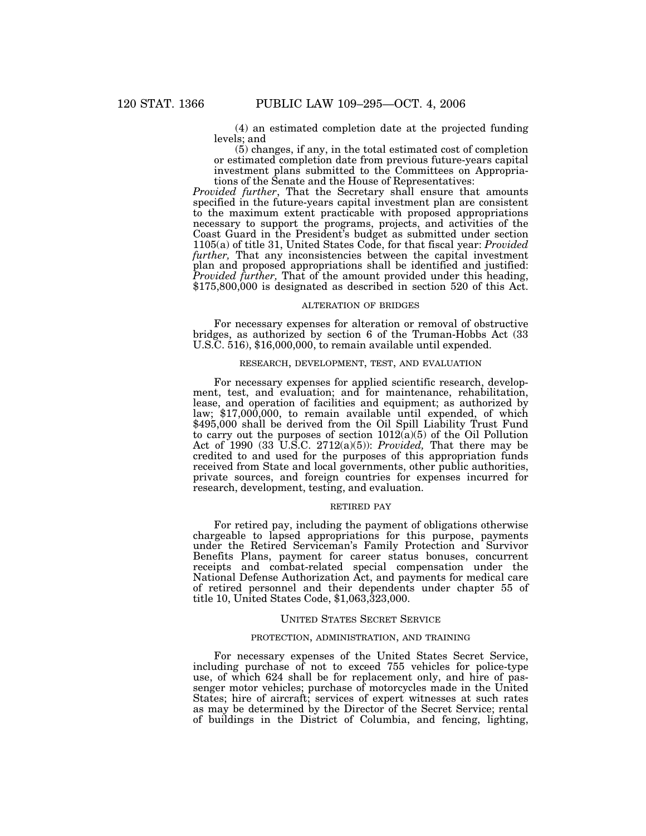(4) an estimated completion date at the projected funding levels; and

(5) changes, if any, in the total estimated cost of completion or estimated completion date from previous future-years capital investment plans submitted to the Committees on Appropriations of the Senate and the House of Representatives:

*Provided further*, That the Secretary shall ensure that amounts specified in the future-years capital investment plan are consistent to the maximum extent practicable with proposed appropriations necessary to support the programs, projects, and activities of the Coast Guard in the President's budget as submitted under section 1105(a) of title 31, United States Code, for that fiscal year: *Provided further,* That any inconsistencies between the capital investment plan and proposed appropriations shall be identified and justified: *Provided further,* That of the amount provided under this heading, \$175,800,000 is designated as described in section 520 of this Act.

#### ALTERATION OF BRIDGES

For necessary expenses for alteration or removal of obstructive bridges, as authorized by section 6 of the Truman-Hobbs Act (33 U.S.C. 516), \$16,000,000, to remain available until expended.

#### RESEARCH, DEVELOPMENT, TEST, AND EVALUATION

For necessary expenses for applied scientific research, development, test, and evaluation; and for maintenance, rehabilitation, lease, and operation of facilities and equipment; as authorized by law; \$17,000,000, to remain available until expended, of which \$495,000 shall be derived from the Oil Spill Liability Trust Fund to carry out the purposes of section 1012(a)(5) of the Oil Pollution Act of 1990 (33 U.S.C. 2712(a)(5)): *Provided,* That there may be credited to and used for the purposes of this appropriation funds received from State and local governments, other public authorities, private sources, and foreign countries for expenses incurred for research, development, testing, and evaluation.

# RETIRED PAY

For retired pay, including the payment of obligations otherwise chargeable to lapsed appropriations for this purpose, payments under the Retired Serviceman's Family Protection and Survivor Benefits Plans, payment for career status bonuses, concurrent receipts and combat-related special compensation under the National Defense Authorization Act, and payments for medical care of retired personnel and their dependents under chapter 55 of title 10, United States Code, \$1,063,323,000.

### UNITED STATES SECRET SERVICE

# PROTECTION, ADMINISTRATION, AND TRAINING

For necessary expenses of the United States Secret Service, including purchase of not to exceed 755 vehicles for police-type use, of which 624 shall be for replacement only, and hire of passenger motor vehicles; purchase of motorcycles made in the United States; hire of aircraft; services of expert witnesses at such rates as may be determined by the Director of the Secret Service; rental of buildings in the District of Columbia, and fencing, lighting,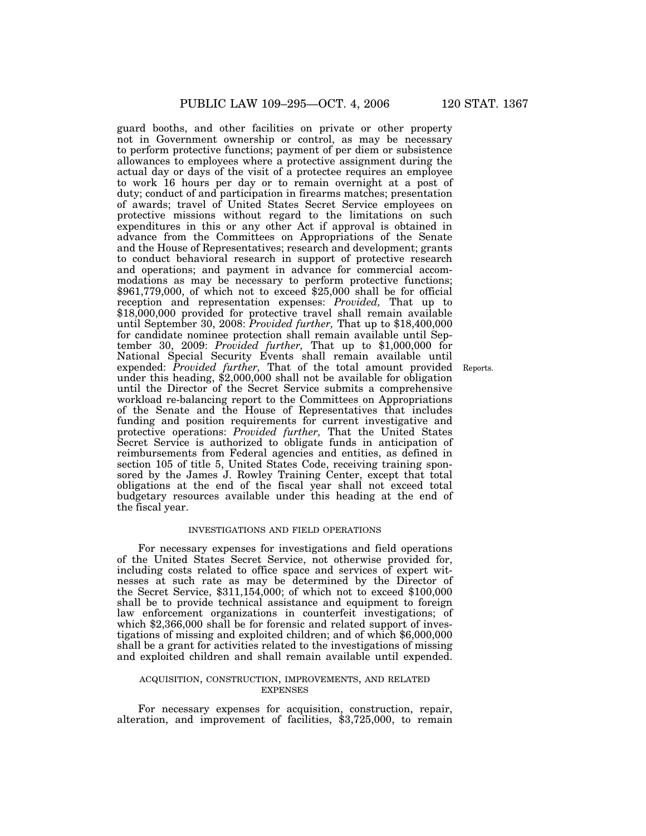guard booths, and other facilities on private or other property not in Government ownership or control, as may be necessary to perform protective functions; payment of per diem or subsistence allowances to employees where a protective assignment during the actual day or days of the visit of a protectee requires an employee to work 16 hours per day or to remain overnight at a post of duty; conduct of and participation in firearms matches; presentation of awards; travel of United States Secret Service employees on protective missions without regard to the limitations on such expenditures in this or any other Act if approval is obtained in advance from the Committees on Appropriations of the Senate and the House of Representatives; research and development; grants to conduct behavioral research in support of protective research and operations; and payment in advance for commercial accommodations as may be necessary to perform protective functions; \$961,779,000, of which not to exceed \$25,000 shall be for official reception and representation expenses: *Provided,* That up to \$18,000,000 provided for protective travel shall remain available until September 30, 2008: *Provided further,* That up to \$18,400,000 for candidate nominee protection shall remain available until September 30, 2009: *Provided further,* That up to \$1,000,000 for National Special Security Events shall remain available until expended: *Provided further,* That of the total amount provided under this heading, \$2,000,000 shall not be available for obligation until the Director of the Secret Service submits a comprehensive workload re-balancing report to the Committees on Appropriations of the Senate and the House of Representatives that includes funding and position requirements for current investigative and protective operations: *Provided further,* That the United States Secret Service is authorized to obligate funds in anticipation of reimbursements from Federal agencies and entities, as defined in section 105 of title 5, United States Code, receiving training sponsored by the James J. Rowley Training Center, except that total obligations at the end of the fiscal year shall not exceed total budgetary resources available under this heading at the end of the fiscal year.

# INVESTIGATIONS AND FIELD OPERATIONS

For necessary expenses for investigations and field operations of the United States Secret Service, not otherwise provided for, including costs related to office space and services of expert witnesses at such rate as may be determined by the Director of the Secret Service, \$311,154,000; of which not to exceed \$100,000 shall be to provide technical assistance and equipment to foreign law enforcement organizations in counterfeit investigations; of which \$2,366,000 shall be for forensic and related support of investigations of missing and exploited children; and of which \$6,000,000 shall be a grant for activities related to the investigations of missing and exploited children and shall remain available until expended.

## ACQUISITION, CONSTRUCTION, IMPROVEMENTS, AND RELATED **EXPENSES**

For necessary expenses for acquisition, construction, repair, alteration, and improvement of facilities, \$3,725,000, to remain

Reports.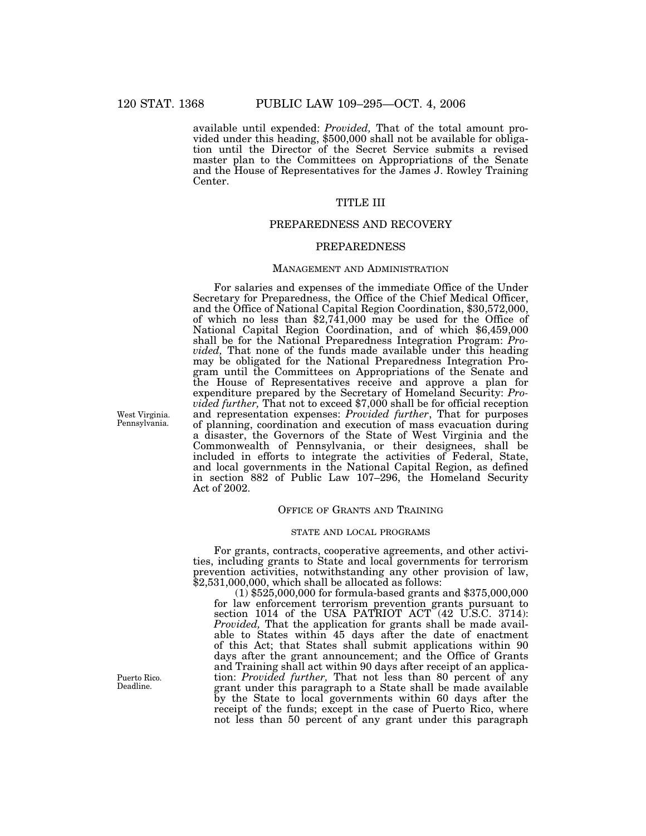available until expended: *Provided*, That of the total amount provided under this heading, \$500,000 shall not be available for obligation until the Director of the Secret Service submits a revised master plan to the Committees on Appropriations of the Senate and the House of Representatives for the James J. Rowley Training Center.

# TITLE III

# PREPAREDNESS AND RECOVERY

## PREPAREDNESS

## MANAGEMENT AND ADMINISTRATION

For salaries and expenses of the immediate Office of the Under Secretary for Preparedness, the Office of the Chief Medical Officer, and the Office of National Capital Region Coordination, \$30,572,000, of which no less than  $$2,741,000$  may be used for the Office of National Capital Region Coordination, and of which \$6,459,000 shall be for the National Preparedness Integration Program: *Provided,* That none of the funds made available under this heading may be obligated for the National Preparedness Integration Program until the Committees on Appropriations of the Senate and the House of Representatives receive and approve a plan for expenditure prepared by the Secretary of Homeland Security: *Provided further,* That not to exceed \$7,000 shall be for official reception and representation expenses: *Provided further*, That for purposes of planning, coordination and execution of mass evacuation during a disaster, the Governors of the State of West Virginia and the Commonwealth of Pennsylvania, or their designees, shall be included in efforts to integrate the activities of Federal, State, and local governments in the National Capital Region, as defined in section 882 of Public Law 107–296, the Homeland Security Act of 2002.

# OFFICE OF GRANTS AND TRAINING

## STATE AND LOCAL PROGRAMS

For grants, contracts, cooperative agreements, and other activities, including grants to State and local governments for terrorism prevention activities, notwithstanding any other provision of law, \$2,531,000,000, which shall be allocated as follows:

(1) \$525,000,000 for formula-based grants and \$375,000,000 for law enforcement terrorism prevention grants pursuant to section 1014 of the USA PATRIOT ACT (42 U.S.C. 3714): *Provided,* That the application for grants shall be made available to States within 45 days after the date of enactment of this Act; that States shall submit applications within 90 days after the grant announcement; and the Office of Grants and Training shall act within 90 days after receipt of an application: *Provided further,* That not less than 80 percent of any grant under this paragraph to a State shall be made available by the State to local governments within 60 days after the receipt of the funds; except in the case of Puerto Rico, where not less than 50 percent of any grant under this paragraph

West Virginia. Pennsylvania.

Puerto Rico. Deadline.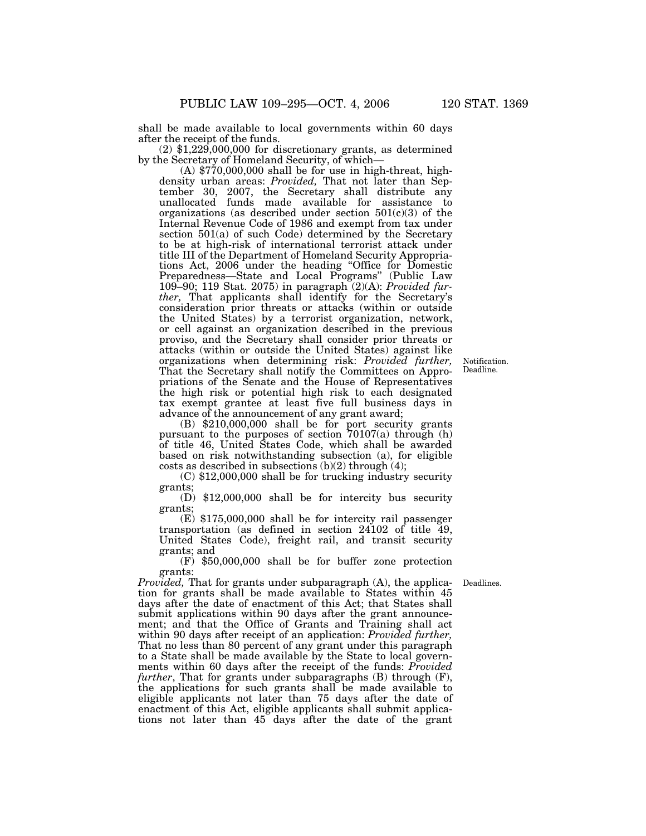shall be made available to local governments within 60 days

 $(2)$  \$1,229,000,000 for discretionary grants, as determined by the Secretary of Homeland Security, of which—

(A) \$770,000,000 shall be for use in high-threat, highdensity urban areas: *Provided*, That not later than September 30, 2007, the Secretary shall distribute any unallocated funds made available for assistance to organizations (as described under section  $501(c)(3)$  of the Internal Revenue Code of 1986 and exempt from tax under section 501(a) of such Code) determined by the Secretary to be at high-risk of international terrorist attack under title III of the Department of Homeland Security Appropriations Act, 2006 under the heading ''Office for Domestic Preparedness—State and Local Programs'' (Public Law 109–90; 119 Stat. 2075) in paragraph (2)(A): *Provided further,* That applicants shall identify for the Secretary's consideration prior threats or attacks (within or outside the United States) by a terrorist organization, network, or cell against an organization described in the previous proviso, and the Secretary shall consider prior threats or attacks (within or outside the United States) against like organizations when determining risk: *Provided further,* That the Secretary shall notify the Committees on Appropriations of the Senate and the House of Representatives the high risk or potential high risk to each designated tax exempt grantee at least five full business days in advance of the announcement of any grant award;

Notification. Deadline.

(B) \$210,000,000 shall be for port security grants pursuant to the purposes of section 70107(a) through (h) of title 46, United States Code, which shall be awarded based on risk notwithstanding subsection (a), for eligible costs as described in subsections  $(b)(2)$  through  $(4)$ ;

(C) \$12,000,000 shall be for trucking industry security grants;

(D) \$12,000,000 shall be for intercity bus security grants;

(E) \$175,000,000 shall be for intercity rail passenger transportation (as defined in section 24102 of title 49, United States Code), freight rail, and transit security grants; and

(F) \$50,000,000 shall be for buffer zone protection grants:

Deadlines.

*Provided*, That for grants under subparagraph (A), the application for grants shall be made available to States within 45 days after the date of enactment of this Act; that States shall submit applications within 90 days after the grant announcement; and that the Office of Grants and Training shall act within 90 days after receipt of an application: *Provided further,* That no less than 80 percent of any grant under this paragraph to a State shall be made available by the State to local governments within 60 days after the receipt of the funds: *Provided further*, That for grants under subparagraphs (B) through (F), the applications for such grants shall be made available to eligible applicants not later than 75 days after the date of enactment of this Act, eligible applicants shall submit applications not later than 45 days after the date of the grant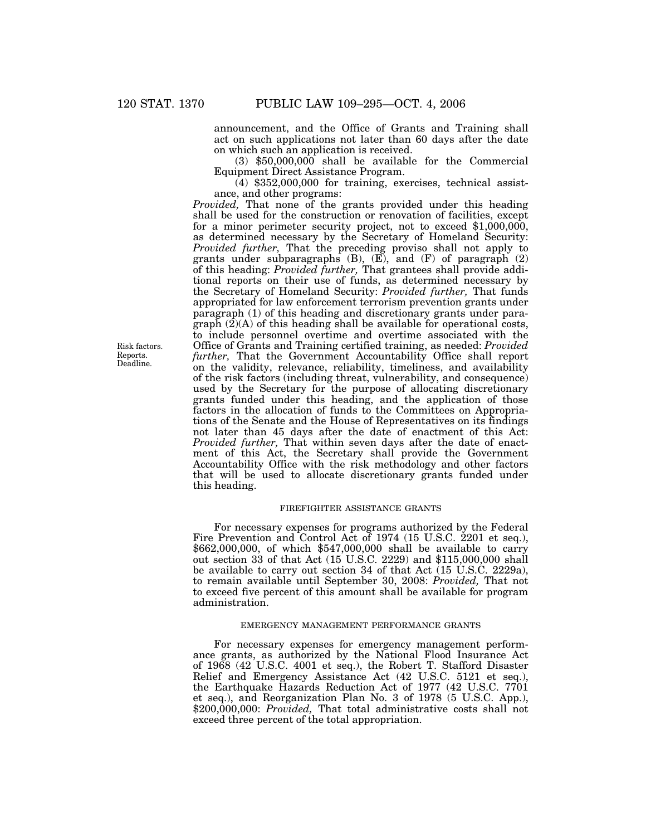announcement, and the Office of Grants and Training shall act on such applications not later than 60 days after the date on which such an application is received.

(3) \$50,000,000 shall be available for the Commercial Equipment Direct Assistance Program.

 $(4)$  \$352,000,000 for training, exercises, technical assistance, and other programs:

*Provided,* That none of the grants provided under this heading shall be used for the construction or renovation of facilities, except for a minor perimeter security project, not to exceed \$1,000,000, as determined necessary by the Secretary of Homeland Security: *Provided further,* That the preceding proviso shall not apply to grants under subparagraphs  $(B)$ ,  $(E)$ , and  $(F)$  of paragraph  $(2)$ of this heading: *Provided further,* That grantees shall provide additional reports on their use of funds, as determined necessary by the Secretary of Homeland Security: *Provided further,* That funds appropriated for law enforcement terrorism prevention grants under paragraph (1) of this heading and discretionary grants under paragraph  $(2)(A)$  of this heading shall be available for operational costs, to include personnel overtime and overtime associated with the Office of Grants and Training certified training, as needed: *Provided further,* That the Government Accountability Office shall report on the validity, relevance, reliability, timeliness, and availability of the risk factors (including threat, vulnerability, and consequence) used by the Secretary for the purpose of allocating discretionary grants funded under this heading, and the application of those factors in the allocation of funds to the Committees on Appropriations of the Senate and the House of Representatives on its findings not later than 45 days after the date of enactment of this Act: *Provided further,* That within seven days after the date of enactment of this Act, the Secretary shall provide the Government Accountability Office with the risk methodology and other factors that will be used to allocate discretionary grants funded under this heading.

# FIREFIGHTER ASSISTANCE GRANTS

For necessary expenses for programs authorized by the Federal Fire Prevention and Control Act of 1974 (15 U.S.C. 2201 et seq.), \$662,000,000, of which \$547,000,000 shall be available to carry out section 33 of that Act (15 U.S.C. 2229) and \$115,000,000 shall be available to carry out section 34 of that Act (15 U.S.C. 2229a), to remain available until September 30, 2008: *Provided,* That not to exceed five percent of this amount shall be available for program administration.

# EMERGENCY MANAGEMENT PERFORMANCE GRANTS

For necessary expenses for emergency management performance grants, as authorized by the National Flood Insurance Act of 1968 (42 U.S.C. 4001 et seq.), the Robert T. Stafford Disaster Relief and Emergency Assistance Act (42 U.S.C. 5121 et seq.), the Earthquake Hazards Reduction Act of 1977 (42 U.S.C. 7701 et seq.), and Reorganization Plan No. 3 of 1978 (5 U.S.C. App.), \$200,000,000: *Provided*, That total administrative costs shall not exceed three percent of the total appropriation.

Risk factors. Reports. Deadline.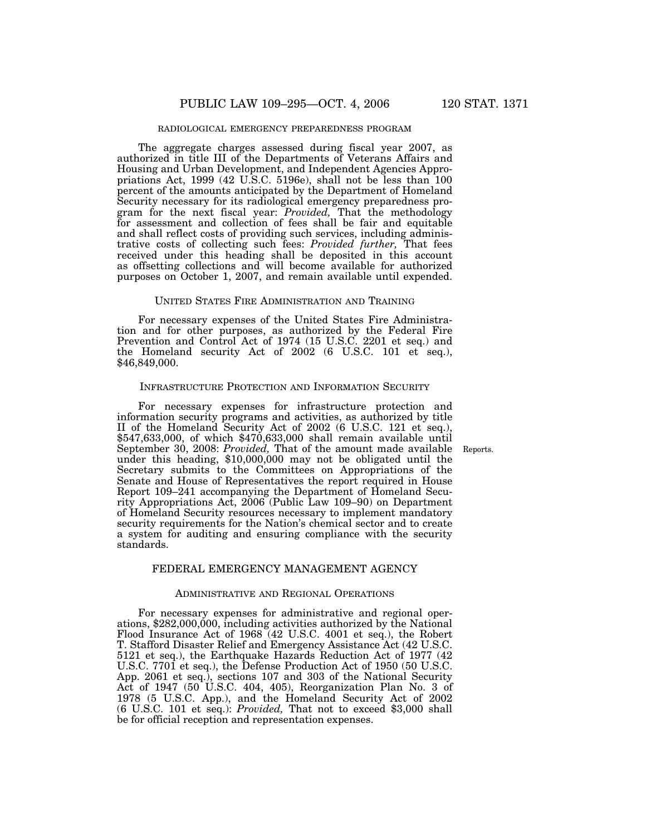## RADIOLOGICAL EMERGENCY PREPAREDNESS PROGRAM

The aggregate charges assessed during fiscal year 2007, as authorized in title III of the Departments of Veterans Affairs and Housing and Urban Development, and Independent Agencies Appropriations Act, 1999 (42 U.S.C. 5196e), shall not be less than 100 percent of the amounts anticipated by the Department of Homeland Security necessary for its radiological emergency preparedness program for the next fiscal year: *Provided,* That the methodology for assessment and collection of fees shall be fair and equitable and shall reflect costs of providing such services, including administrative costs of collecting such fees: *Provided further,* That fees received under this heading shall be deposited in this account as offsetting collections and will become available for authorized purposes on October 1, 2007, and remain available until expended.

#### UNITED STATES FIRE ADMINISTRATION AND TRAINING

For necessary expenses of the United States Fire Administration and for other purposes, as authorized by the Federal Fire Prevention and Control Act of 1974 (15 U.S.C. 2201 et seq.) and the Homeland security Act of 2002 (6 U.S.C. 101 et seq.), \$46,849,000.

#### INFRASTRUCTURE PROTECTION AND INFORMATION SECURITY

For necessary expenses for infrastructure protection and information security programs and activities, as authorized by title II of the Homeland Security Act of 2002 (6 U.S.C. 121 et seq.), \$547,633,000, of which \$470,633,000 shall remain available until September 30, 2008: *Provided,* That of the amount made available under this heading, \$10,000,000 may not be obligated until the Secretary submits to the Committees on Appropriations of the Senate and House of Representatives the report required in House Report 109–241 accompanying the Department of Homeland Security Appropriations Act, 2006 (Public Law 109–90) on Department of Homeland Security resources necessary to implement mandatory security requirements for the Nation's chemical sector and to create a system for auditing and ensuring compliance with the security standards.

# FEDERAL EMERGENCY MANAGEMENT AGENCY

### ADMINISTRATIVE AND REGIONAL OPERATIONS

For necessary expenses for administrative and regional operations, \$282,000,000, including activities authorized by the National Flood Insurance Act of 1968 (42 U.S.C. 4001 et seq.), the Robert T. Stafford Disaster Relief and Emergency Assistance Act (42 U.S.C. 5121 et seq.), the Earthquake Hazards Reduction Act of 1977 (42 U.S.C. 7701 et seq.), the Defense Production Act of 1950 (50 U.S.C. App. 2061 et seq.), sections 107 and 303 of the National Security Act of 1947 (50 U.S.C. 404, 405), Reorganization Plan No. 3 of 1978 (5 U.S.C. App.), and the Homeland Security Act of 2002 (6 U.S.C. 101 et seq.): *Provided,* That not to exceed \$3,000 shall be for official reception and representation expenses.

Reports.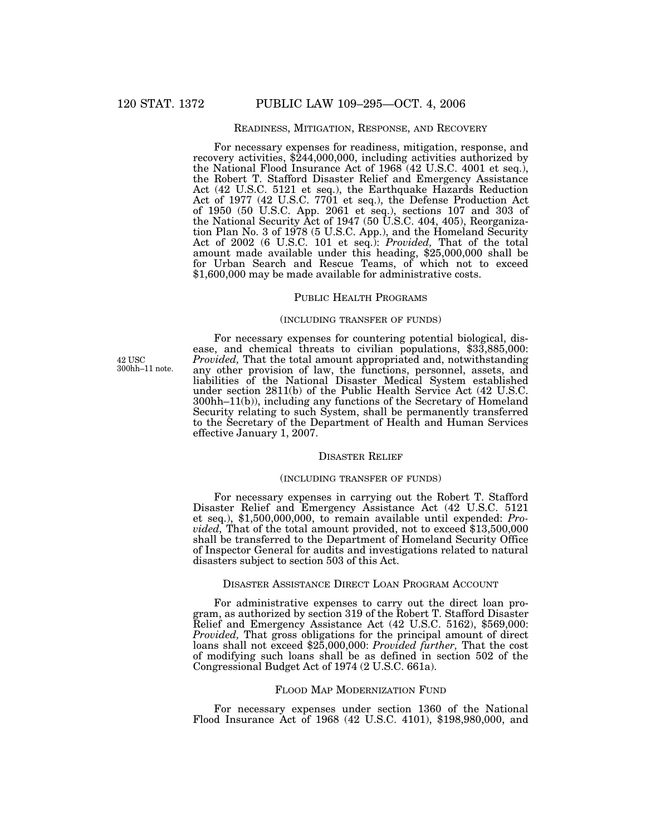# READINESS, MITIGATION, RESPONSE, AND RECOVERY

For necessary expenses for readiness, mitigation, response, and recovery activities, \$244,000,000, including activities authorized by the National Flood Insurance Act of 1968 (42 U.S.C. 4001 et seq.), the Robert T. Stafford Disaster Relief and Emergency Assistance Act (42 U.S.C. 5121 et seq.), the Earthquake Hazards Reduction Act of 1977 (42 U.S.C. 7701 et seq.), the Defense Production Act of 1950 (50 U.S.C. App. 2061 et seq.), sections 107 and 303 of the National Security Act of 1947 (50 U.S.C. 404, 405), Reorganization Plan No. 3 of 1978 (5 U.S.C. App.), and the Homeland Security Act of 2002 (6 U.S.C. 101 et seq.): *Provided,* That of the total amount made available under this heading, \$25,000,000 shall be for Urban Search and Rescue Teams, of which not to exceed \$1,600,000 may be made available for administrative costs.

# PUBLIC HEALTH PROGRAMS

### (INCLUDING TRANSFER OF FUNDS)

42 USC 300hh–11 note. For necessary expenses for countering potential biological, dis- ease, and chemical threats to civilian populations, \$33,885,000: *Provided,* That the total amount appropriated and, notwithstanding any other provision of law, the functions, personnel, assets, and liabilities of the National Disaster Medical System established under section 2811(b) of the Public Health Service Act (42 U.S.C. 300hh–11(b)), including any functions of the Secretary of Homeland Security relating to such System, shall be permanently transferred to the Secretary of the Department of Health and Human Services effective January 1, 2007.

#### DISASTER RELIEF

#### (INCLUDING TRANSFER OF FUNDS)

For necessary expenses in carrying out the Robert T. Stafford Disaster Relief and Emergency Assistance Act (42 U.S.C. 5121 et seq.), \$1,500,000,000, to remain available until expended: *Provided,* That of the total amount provided, not to exceed \$13,500,000 shall be transferred to the Department of Homeland Security Office of Inspector General for audits and investigations related to natural disasters subject to section 503 of this Act.

# DISASTER ASSISTANCE DIRECT LOAN PROGRAM ACCOUNT

For administrative expenses to carry out the direct loan program, as authorized by section 319 of the Robert T. Stafford Disaster Relief and Emergency Assistance Act (42 U.S.C. 5162), \$569,000: *Provided,* That gross obligations for the principal amount of direct loans shall not exceed \$25,000,000: *Provided further,* That the cost of modifying such loans shall be as defined in section 502 of the Congressional Budget Act of 1974 (2 U.S.C. 661a).

## FLOOD MAP MODERNIZATION FUND

For necessary expenses under section 1360 of the National Flood Insurance Act of 1968 (42 U.S.C. 4101), \$198,980,000, and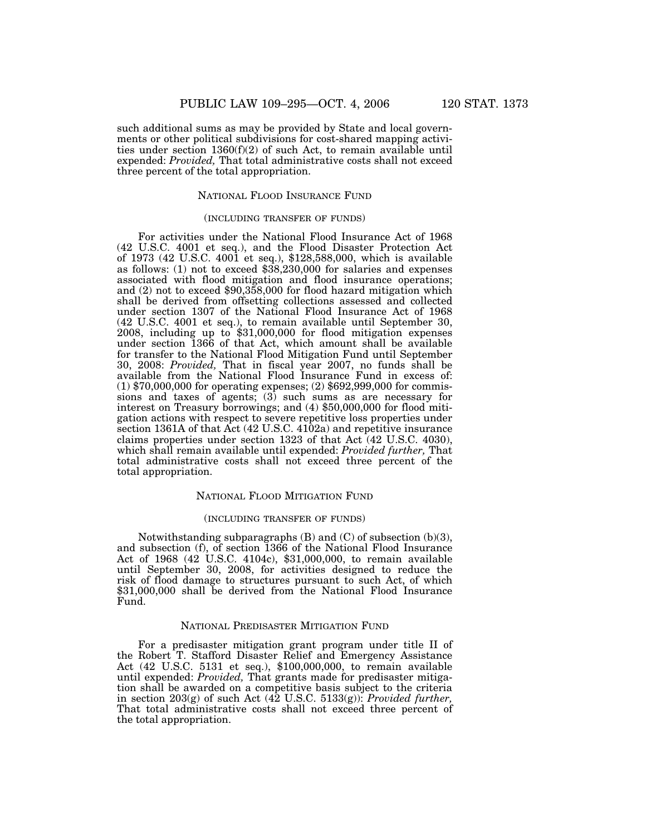such additional sums as may be provided by State and local governments or other political subdivisions for cost-shared mapping activities under section 1360(f)(2) of such Act, to remain available until expended: *Provided,* That total administrative costs shall not exceed three percent of the total appropriation.

# NATIONAL FLOOD INSURANCE FUND

# (INCLUDING TRANSFER OF FUNDS)

For activities under the National Flood Insurance Act of 1968 (42 U.S.C. 4001 et seq.), and the Flood Disaster Protection Act of 1973 (42 U.S.C. 4001 et seq.), \$128,588,000, which is available as follows: (1) not to exceed \$38,230,000 for salaries and expenses associated with flood mitigation and flood insurance operations; and (2) not to exceed \$90,358,000 for flood hazard mitigation which shall be derived from offsetting collections assessed and collected under section 1307 of the National Flood Insurance Act of 1968 (42 U.S.C. 4001 et seq.), to remain available until September 30, 2008, including up to \$31,000,000 for flood mitigation expenses under section 1366 of that Act, which amount shall be available for transfer to the National Flood Mitigation Fund until September 30, 2008: *Provided,* That in fiscal year 2007, no funds shall be available from the National Flood Insurance Fund in excess of: (1) \$70,000,000 for operating expenses; (2) \$692,999,000 for commissions and taxes of agents; (3) such sums as are necessary for interest on Treasury borrowings; and (4) \$50,000,000 for flood mitigation actions with respect to severe repetitive loss properties under section 1361A of that Act (42 U.S.C. 4102a) and repetitive insurance claims properties under section 1323 of that Act (42 U.S.C. 4030), which shall remain available until expended: *Provided further,* That total administrative costs shall not exceed three percent of the total appropriation.

# NATIONAL FLOOD MITIGATION FUND

# (INCLUDING TRANSFER OF FUNDS)

Notwithstanding subparagraphs  $(B)$  and  $(C)$  of subsection  $(b)(3)$ , and subsection (f), of section 1366 of the National Flood Insurance Act of 1968 (42 U.S.C. 4104c), \$31,000,000, to remain available until September 30, 2008, for activities designed to reduce the risk of flood damage to structures pursuant to such Act, of which \$31,000,000 shall be derived from the National Flood Insurance Fund.

## NATIONAL PREDISASTER MITIGATION FUND

For a predisaster mitigation grant program under title II of the Robert T. Stafford Disaster Relief and Emergency Assistance Act (42 U.S.C. 5131 et seq.), \$100,000,000, to remain available until expended: *Provided,* That grants made for predisaster mitigation shall be awarded on a competitive basis subject to the criteria in section 203(g) of such Act (42 U.S.C. 5133(g)): *Provided further,* That total administrative costs shall not exceed three percent of the total appropriation.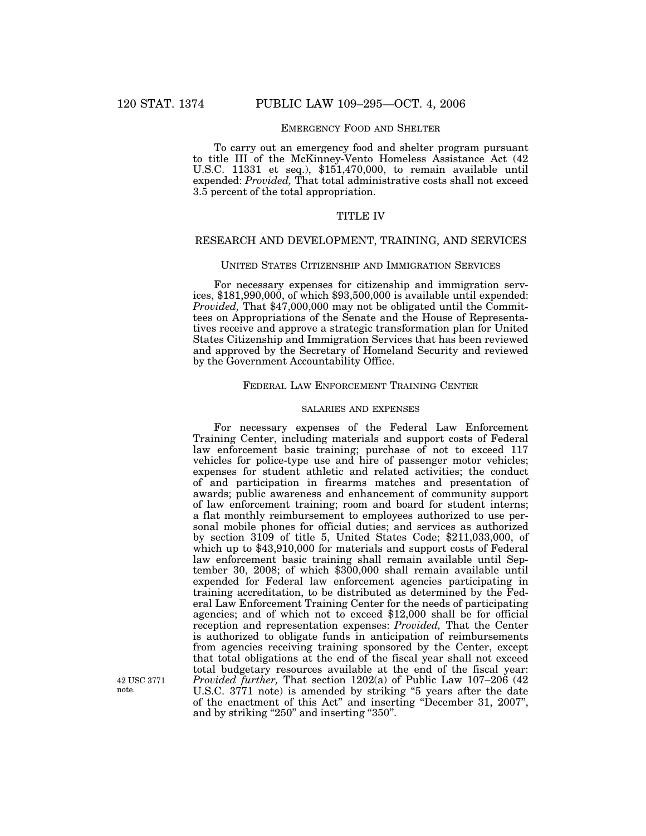# EMERGENCY FOOD AND SHELTER

To carry out an emergency food and shelter program pursuant to title III of the McKinney-Vento Homeless Assistance Act (42 U.S.C. 11331 et seq.), \$151,470,000, to remain available until expended: *Provided,* That total administrative costs shall not exceed 3.5 percent of the total appropriation.

# TITLE IV

# RESEARCH AND DEVELOPMENT, TRAINING, AND SERVICES

## UNITED STATES CITIZENSHIP AND IMMIGRATION SERVICES

For necessary expenses for citizenship and immigration services, \$181,990,000, of which \$93,500,000 is available until expended: *Provided,* That \$47,000,000 may not be obligated until the Committees on Appropriations of the Senate and the House of Representatives receive and approve a strategic transformation plan for United States Citizenship and Immigration Services that has been reviewed and approved by the Secretary of Homeland Security and reviewed by the Government Accountability Office.

# FEDERAL LAW ENFORCEMENT TRAINING CENTER

# SALARIES AND EXPENSES

For necessary expenses of the Federal Law Enforcement Training Center, including materials and support costs of Federal law enforcement basic training; purchase of not to exceed 117 vehicles for police-type use and hire of passenger motor vehicles; expenses for student athletic and related activities; the conduct of and participation in firearms matches and presentation of awards; public awareness and enhancement of community support of law enforcement training; room and board for student interns; a flat monthly reimbursement to employees authorized to use personal mobile phones for official duties; and services as authorized by section 3109 of title 5, United States Code; \$211,033,000, of which up to \$43,910,000 for materials and support costs of Federal law enforcement basic training shall remain available until September 30, 2008; of which \$300,000 shall remain available until expended for Federal law enforcement agencies participating in training accreditation, to be distributed as determined by the Federal Law Enforcement Training Center for the needs of participating agencies; and of which not to exceed \$12,000 shall be for official reception and representation expenses: *Provided,* That the Center is authorized to obligate funds in anticipation of reimbursements from agencies receiving training sponsored by the Center, except that total obligations at the end of the fiscal year shall not exceed total budgetary resources available at the end of the fiscal year: *Provided further,* That section 1202(a) of Public Law 107–206 (42 U.S.C. 3771 note) is amended by striking ''5 years after the date of the enactment of this Act'' and inserting ''December 31, 2007'', and by striking "250" and inserting "350".

42 USC 3771 note.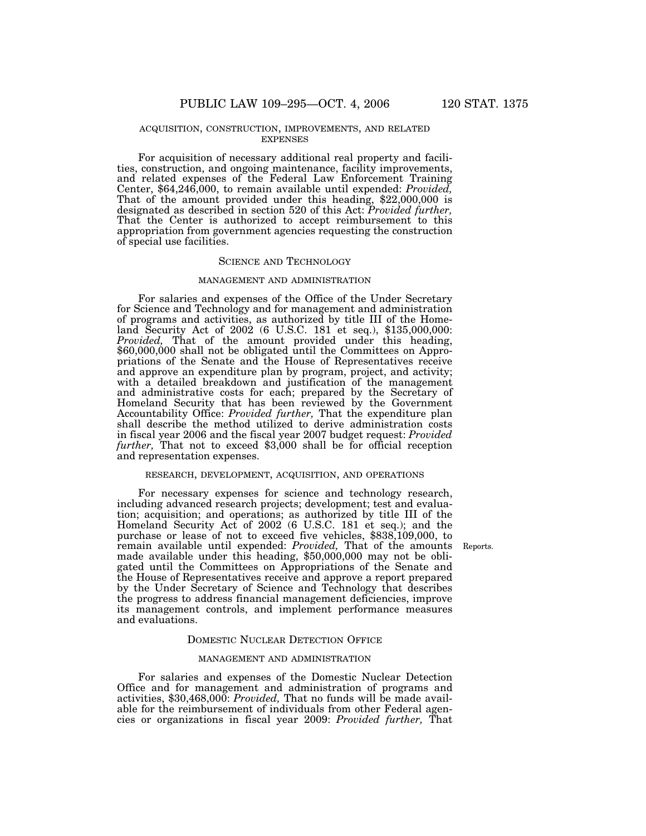### ACQUISITION, CONSTRUCTION, IMPROVEMENTS, AND RELATED EXPENSES

For acquisition of necessary additional real property and facilities, construction, and ongoing maintenance, facility improvements, and related expenses of the Federal Law Enforcement Training Center, \$64,246,000, to remain available until expended: *Provided,* That of the amount provided under this heading, \$22,000,000 is designated as described in section 520 of this Act: *Provided further,* That the Center is authorized to accept reimbursement to this appropriation from government agencies requesting the construction of special use facilities.

#### SCIENCE AND TECHNOLOGY

### MANAGEMENT AND ADMINISTRATION

For salaries and expenses of the Office of the Under Secretary for Science and Technology and for management and administration of programs and activities, as authorized by title III of the Homeland Security Act of 2002 (6 U.S.C. 181 et seq.), \$135,000,000: *Provided,* That of the amount provided under this heading, \$60,000,000 shall not be obligated until the Committees on Appropriations of the Senate and the House of Representatives receive and approve an expenditure plan by program, project, and activity; with a detailed breakdown and justification of the management and administrative costs for each; prepared by the Secretary of Homeland Security that has been reviewed by the Government Accountability Office: *Provided further,* That the expenditure plan shall describe the method utilized to derive administration costs in fiscal year 2006 and the fiscal year 2007 budget request: *Provided further,* That not to exceed \$3,000 shall be for official reception and representation expenses.

#### RESEARCH, DEVELOPMENT, ACQUISITION, AND OPERATIONS

For necessary expenses for science and technology research, including advanced research projects; development; test and evaluation; acquisition; and operations; as authorized by title III of the Homeland Security Act of 2002 (6 U.S.C. 181 et seq.); and the purchase or lease of not to exceed five vehicles, \$838,109,000, to remain available until expended: *Provided,* That of the amounts made available under this heading, \$50,000,000 may not be obligated until the Committees on Appropriations of the Senate and the House of Representatives receive and approve a report prepared by the Under Secretary of Science and Technology that describes the progress to address financial management deficiencies, improve its management controls, and implement performance measures and evaluations.

#### DOMESTIC NUCLEAR DETECTION OFFICE

### MANAGEMENT AND ADMINISTRATION

For salaries and expenses of the Domestic Nuclear Detection Office and for management and administration of programs and activities, \$30,468,000: *Provided,* That no funds will be made available for the reimbursement of individuals from other Federal agencies or organizations in fiscal year 2009: *Provided further,* That

Reports.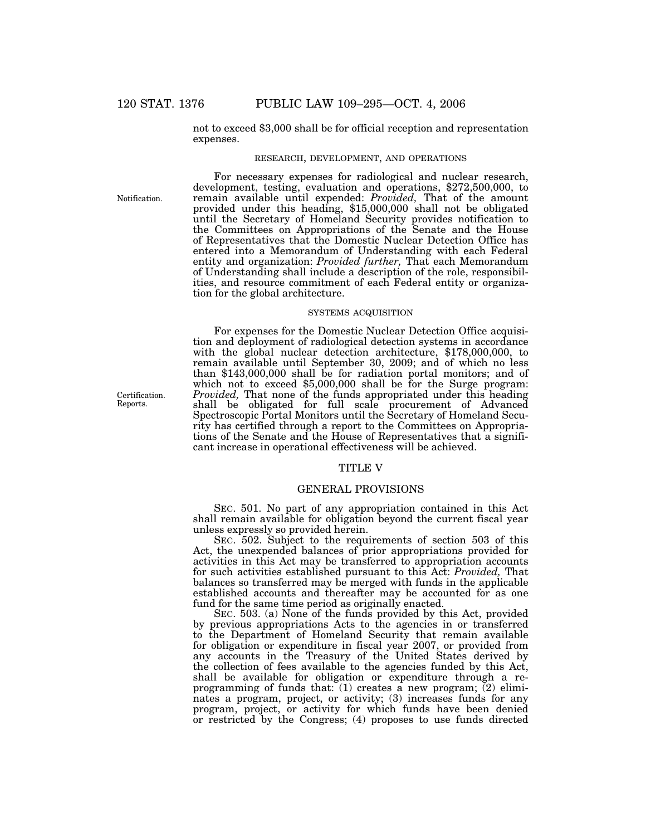not to exceed \$3,000 shall be for official reception and representation expenses.

# RESEARCH, DEVELOPMENT, AND OPERATIONS

For necessary expenses for radiological and nuclear research, development, testing, evaluation and operations, \$272,500,000, to remain available until expended: *Provided,* That of the amount provided under this heading, \$15,000,000 shall not be obligated

Notification.

until the Secretary of Homeland Security provides notification to the Committees on Appropriations of the Senate and the House of Representatives that the Domestic Nuclear Detection Office has entered into a Memorandum of Understanding with each Federal entity and organization: *Provided further,* That each Memorandum of Understanding shall include a description of the role, responsibilities, and resource commitment of each Federal entity or organization for the global architecture. SYSTEMS ACQUISITION

For expenses for the Domestic Nuclear Detection Office acquisition and deployment of radiological detection systems in accordance with the global nuclear detection architecture, \$178,000,000, to remain available until September 30, 2009; and of which no less than \$143,000,000 shall be for radiation portal monitors; and of which not to exceed \$5,000,000 shall be for the Surge program: *Provided,* That none of the funds appropriated under this heading shall be obligated for full scale procurement of Advanced Spectroscopic Portal Monitors until the Secretary of Homeland Security has certified through a report to the Committees on Appropriations of the Senate and the House of Representatives that a significant increase in operational effectiveness will be achieved.

### TITLE V

# GENERAL PROVISIONS

SEC. 501. No part of any appropriation contained in this Act shall remain available for obligation beyond the current fiscal year unless expressly so provided herein.

SEC. 502. Subject to the requirements of section 503 of this Act, the unexpended balances of prior appropriations provided for activities in this Act may be transferred to appropriation accounts for such activities established pursuant to this Act: *Provided,* That balances so transferred may be merged with funds in the applicable established accounts and thereafter may be accounted for as one fund for the same time period as originally enacted.

SEC. 503. (a) None of the funds provided by this Act, provided by previous appropriations Acts to the agencies in or transferred to the Department of Homeland Security that remain available for obligation or expenditure in fiscal year 2007, or provided from any accounts in the Treasury of the United States derived by the collection of fees available to the agencies funded by this Act, shall be available for obligation or expenditure through a reprogramming of funds that:  $(1)$  creates a new program;  $(2)$  eliminates a program, project, or activity; (3) increases funds for any program, project, or activity for which funds have been denied or restricted by the Congress; (4) proposes to use funds directed

Certification. Reports.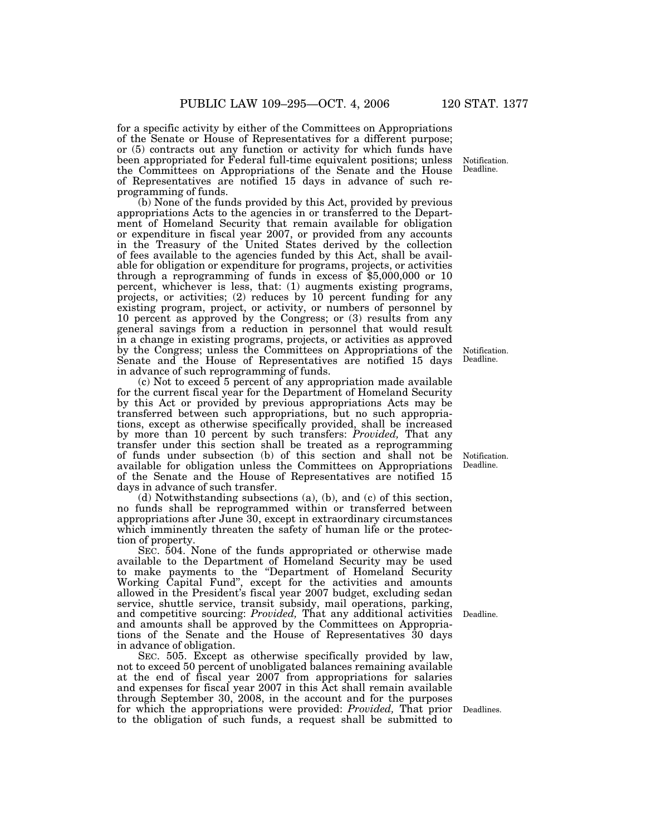for a specific activity by either of the Committees on Appropriations of the Senate or House of Representatives for a different purpose; or (5) contracts out any function or activity for which funds have been appropriated for Federal full-time equivalent positions; unless the Committees on Appropriations of the Senate and the House of Representatives are notified 15 days in advance of such reprogramming of funds.

(b) None of the funds provided by this Act, provided by previous appropriations Acts to the agencies in or transferred to the Department of Homeland Security that remain available for obligation or expenditure in fiscal year 2007, or provided from any accounts in the Treasury of the United States derived by the collection of fees available to the agencies funded by this Act, shall be available for obligation or expenditure for programs, projects, or activities through a reprogramming of funds in excess of \$5,000,000 or 10 percent, whichever is less, that: (1) augments existing programs, projects, or activities; (2) reduces by 10 percent funding for any existing program, project, or activity, or numbers of personnel by 10 percent as approved by the Congress; or (3) results from any general savings from a reduction in personnel that would result in a change in existing programs, projects, or activities as approved by the Congress; unless the Committees on Appropriations of the Senate and the House of Representatives are notified 15 days in advance of such reprogramming of funds.

(c) Not to exceed 5 percent of any appropriation made available for the current fiscal year for the Department of Homeland Security by this Act or provided by previous appropriations Acts may be transferred between such appropriations, but no such appropriations, except as otherwise specifically provided, shall be increased by more than 10 percent by such transfers: *Provided,* That any transfer under this section shall be treated as a reprogramming of funds under subsection (b) of this section and shall not be available for obligation unless the Committees on Appropriations of the Senate and the House of Representatives are notified 15 days in advance of such transfer.

(d) Notwithstanding subsections (a), (b), and (c) of this section, no funds shall be reprogrammed within or transferred between appropriations after June 30, except in extraordinary circumstances which imminently threaten the safety of human life or the protection of property.

SEC. 504. None of the funds appropriated or otherwise made available to the Department of Homeland Security may be used to make payments to the "Department of Homeland Security Working Capital Fund'', except for the activities and amounts allowed in the President's fiscal year 2007 budget, excluding sedan service, shuttle service, transit subsidy, mail operations, parking, and competitive sourcing: *Provided,* That any additional activities and amounts shall be approved by the Committees on Appropriations of the Senate and the House of Representatives 30 days in advance of obligation.

SEC. 505. Except as otherwise specifically provided by law, not to exceed 50 percent of unobligated balances remaining available at the end of fiscal year 2007 from appropriations for salaries and expenses for fiscal year 2007 in this Act shall remain available through September 30, 2008, in the account and for the purposes for which the appropriations were provided: *Provided,* That prior to the obligation of such funds, a request shall be submitted to

Notification. Deadline.

Notification. Deadline.

Notification. Deadline.

Deadline.

Deadlines.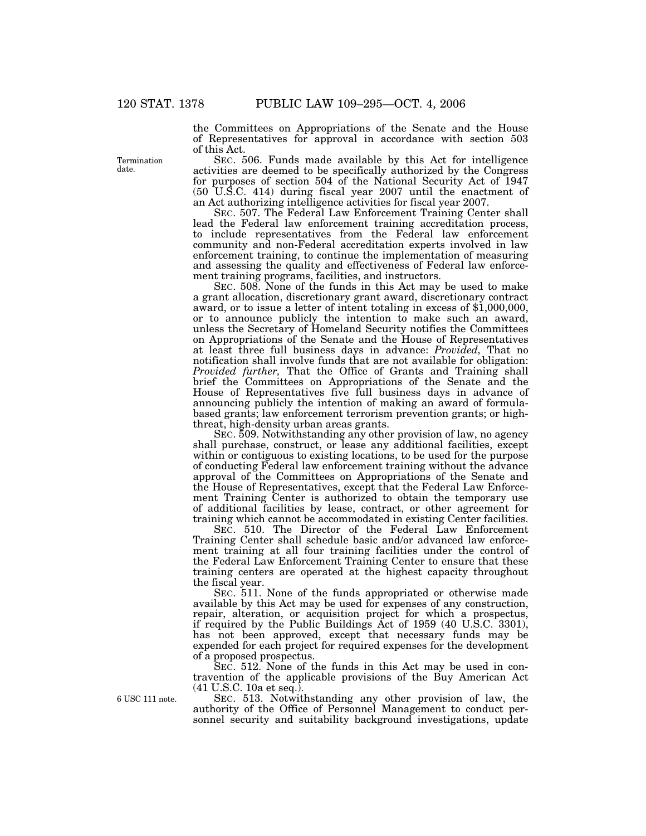the Committees on Appropriations of the Senate and the House of Representatives for approval in accordance with section 503 of this Act.

SEC. 506. Funds made available by this Act for intelligence activities are deemed to be specifically authorized by the Congress for purposes of section 504 of the National Security Act of 1947 (50 U.S.C. 414) during fiscal year 2007 until the enactment of an Act authorizing intelligence activities for fiscal year 2007.

SEC. 507. The Federal Law Enforcement Training Center shall lead the Federal law enforcement training accreditation process, to include representatives from the Federal law enforcement community and non-Federal accreditation experts involved in law enforcement training, to continue the implementation of measuring and assessing the quality and effectiveness of Federal law enforcement training programs, facilities, and instructors.

SEC. 508. None of the funds in this Act may be used to make a grant allocation, discretionary grant award, discretionary contract award, or to issue a letter of intent totaling in excess of \$1,000,000, or to announce publicly the intention to make such an award, unless the Secretary of Homeland Security notifies the Committees on Appropriations of the Senate and the House of Representatives at least three full business days in advance: *Provided,* That no notification shall involve funds that are not available for obligation: *Provided further,* That the Office of Grants and Training shall brief the Committees on Appropriations of the Senate and the House of Representatives five full business days in advance of announcing publicly the intention of making an award of formulabased grants; law enforcement terrorism prevention grants; or highthreat, high-density urban areas grants.

SEC. 509. Notwithstanding any other provision of law, no agency shall purchase, construct, or lease any additional facilities, except within or contiguous to existing locations, to be used for the purpose of conducting Federal law enforcement training without the advance approval of the Committees on Appropriations of the Senate and the House of Representatives, except that the Federal Law Enforcement Training Center is authorized to obtain the temporary use of additional facilities by lease, contract, or other agreement for training which cannot be accommodated in existing Center facilities.

SEC. 510. The Director of the Federal Law Enforcement Training Center shall schedule basic and/or advanced law enforcement training at all four training facilities under the control of the Federal Law Enforcement Training Center to ensure that these training centers are operated at the highest capacity throughout the fiscal year.

SEC. 511. None of the funds appropriated or otherwise made available by this Act may be used for expenses of any construction, repair, alteration, or acquisition project for which a prospectus, if required by the Public Buildings Act of 1959 (40 U.S.C. 3301), has not been approved, except that necessary funds may be expended for each project for required expenses for the development of a proposed prospectus.

SEC. 512. None of the funds in this Act may be used in contravention of the applicable provisions of the Buy American Act (41 U.S.C. 10a et seq.).

SEC. 513. Notwithstanding any other provision of law, the authority of the Office of Personnel Management to conduct personnel security and suitability background investigations, update

Termination date.

6 USC 111 note.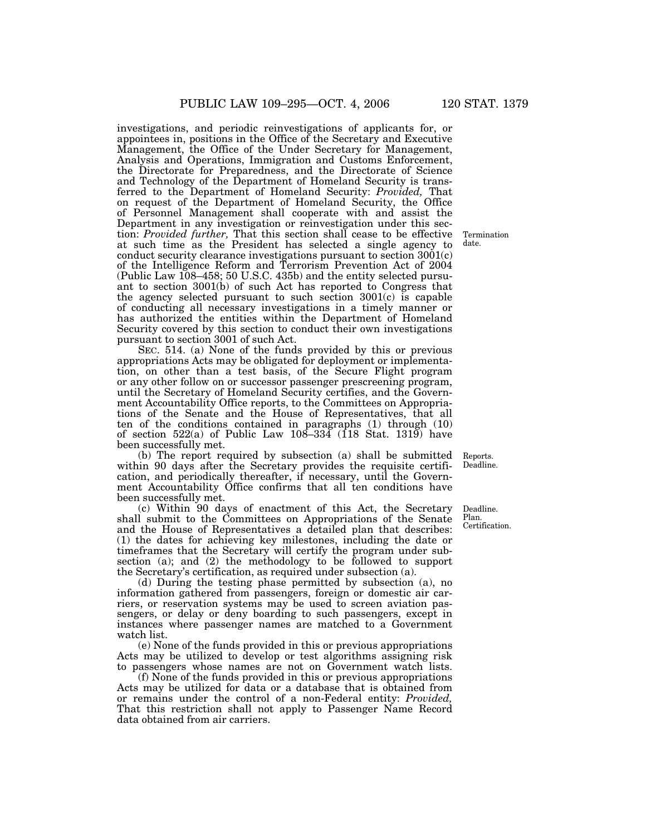investigations, and periodic reinvestigations of applicants for, or appointees in, positions in the Office of the Secretary and Executive Management, the Office of the Under Secretary for Management, Analysis and Operations, Immigration and Customs Enforcement, the Directorate for Preparedness, and the Directorate of Science and Technology of the Department of Homeland Security is transferred to the Department of Homeland Security: *Provided,* That on request of the Department of Homeland Security, the Office of Personnel Management shall cooperate with and assist the Department in any investigation or reinvestigation under this section: *Provided further,* That this section shall cease to be effective at such time as the President has selected a single agency to conduct security clearance investigations pursuant to section 3001(c) of the Intelligence Reform and Terrorism Prevention Act of 2004 (Public Law 108–458; 50 U.S.C. 435b) and the entity selected pursuant to section 3001(b) of such Act has reported to Congress that the agency selected pursuant to such section  $3001(c)$  is capable of conducting all necessary investigations in a timely manner or has authorized the entities within the Department of Homeland Security covered by this section to conduct their own investigations pursuant to section 3001 of such Act.

SEC. 514. (a) None of the funds provided by this or previous appropriations Acts may be obligated for deployment or implementation, on other than a test basis, of the Secure Flight program or any other follow on or successor passenger prescreening program, until the Secretary of Homeland Security certifies, and the Government Accountability Office reports, to the Committees on Appropriations of the Senate and the House of Representatives, that all ten of the conditions contained in paragraphs (1) through (10) of section  $522(a)$  of Public Law  $108-334$  (118 Stat. 1319) have been successfully met.

(b) The report required by subsection (a) shall be submitted within 90 days after the Secretary provides the requisite certification, and periodically thereafter, if necessary, until the Government Accountability Office confirms that all ten conditions have been successfully met.

(c) Within 90 days of enactment of this Act, the Secretary shall submit to the Committees on Appropriations of the Senate and the House of Representatives a detailed plan that describes: (1) the dates for achieving key milestones, including the date or timeframes that the Secretary will certify the program under subsection (a); and (2) the methodology to be followed to support the Secretary's certification, as required under subsection (a).

(d) During the testing phase permitted by subsection (a), no information gathered from passengers, foreign or domestic air carriers, or reservation systems may be used to screen aviation passengers, or delay or deny boarding to such passengers, except in instances where passenger names are matched to a Government watch list.

(e) None of the funds provided in this or previous appropriations Acts may be utilized to develop or test algorithms assigning risk to passengers whose names are not on Government watch lists.

(f) None of the funds provided in this or previous appropriations Acts may be utilized for data or a database that is obtained from or remains under the control of a non-Federal entity: *Provided,* That this restriction shall not apply to Passenger Name Record data obtained from air carriers.

Termination date.

Reports. Deadline.

Deadline. Plan. Certification.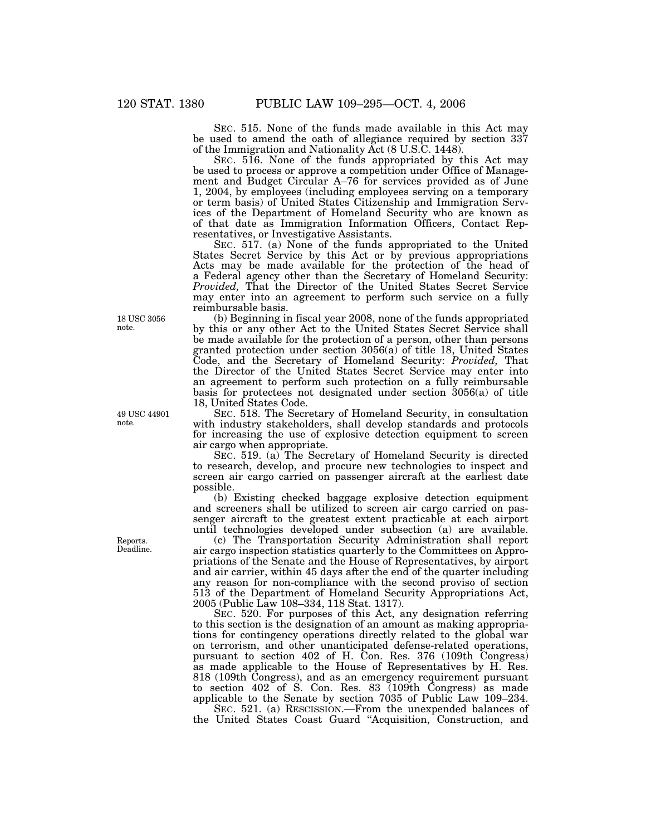SEC. 515. None of the funds made available in this Act may be used to amend the oath of allegiance required by section 337 of the Immigration and Nationality Act (8 U.S.C. 1448).

SEC. 516. None of the funds appropriated by this Act may be used to process or approve a competition under Office of Management and Budget Circular A–76 for services provided as of June 1, 2004, by employees (including employees serving on a temporary or term basis) of United States Citizenship and Immigration Services of the Department of Homeland Security who are known as of that date as Immigration Information Officers, Contact Representatives, or Investigative Assistants.

SEC. 517. (a) None of the funds appropriated to the United States Secret Service by this Act or by previous appropriations Acts may be made available for the protection of the head of a Federal agency other than the Secretary of Homeland Security: *Provided,* That the Director of the United States Secret Service may enter into an agreement to perform such service on a fully reimbursable basis.

(b) Beginning in fiscal year 2008, none of the funds appropriated by this or any other Act to the United States Secret Service shall be made available for the protection of a person, other than persons granted protection under section 3056(a) of title 18, United States Code, and the Secretary of Homeland Security: *Provided,* That the Director of the United States Secret Service may enter into an agreement to perform such protection on a fully reimbursable basis for protectees not designated under section 3056(a) of title 18, United States Code.

SEC. 518. The Secretary of Homeland Security, in consultation with industry stakeholders, shall develop standards and protocols for increasing the use of explosive detection equipment to screen air cargo when appropriate.

SEC. 519. (a) The Secretary of Homeland Security is directed to research, develop, and procure new technologies to inspect and screen air cargo carried on passenger aircraft at the earliest date possible.

(b) Existing checked baggage explosive detection equipment and screeners shall be utilized to screen air cargo carried on passenger aircraft to the greatest extent practicable at each airport until technologies developed under subsection (a) are available.

(c) The Transportation Security Administration shall report air cargo inspection statistics quarterly to the Committees on Appropriations of the Senate and the House of Representatives, by airport and air carrier, within 45 days after the end of the quarter including any reason for non-compliance with the second proviso of section 513 of the Department of Homeland Security Appropriations Act, 2005 (Public Law 108–334, 118 Stat. 1317).

SEC. 520. For purposes of this Act, any designation referring to this section is the designation of an amount as making appropriations for contingency operations directly related to the global war on terrorism, and other unanticipated defense-related operations, pursuant to section 402 of H. Con. Res. 376 (109th Congress) as made applicable to the House of Representatives by H. Res. 818 (109th Congress), and as an emergency requirement pursuant to section 402 of S. Con. Res. 83 (109th Congress) as made applicable to the Senate by section 7035 of Public Law 109–234.

SEC. 521. (a) RESCISSION.—From the unexpended balances of the United States Coast Guard ''Acquisition, Construction, and

18 USC 3056 note.

49 USC 44901 note.

Reports. Deadline.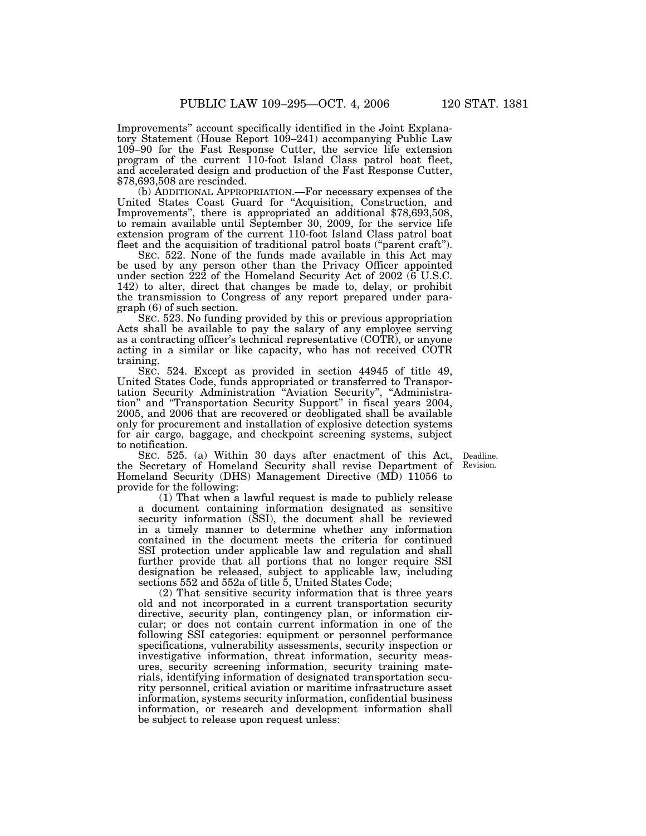Improvements'' account specifically identified in the Joint Explanatory Statement (House Report 109–241) accompanying Public Law 109–90 for the Fast Response Cutter, the service life extension program of the current 110-foot Island Class patrol boat fleet, and accelerated design and production of the Fast Response Cutter, \$78,693,508 are rescinded.

(b) ADDITIONAL APPROPRIATION.—For necessary expenses of the United States Coast Guard for "Acquisition, Construction, and Improvements'', there is appropriated an additional \$78,693,508, to remain available until September 30, 2009, for the service life extension program of the current 110-foot Island Class patrol boat fleet and the acquisition of traditional patrol boats ("parent craft").

SEC. 522. None of the funds made available in this Act may be used by any person other than the Privacy Officer appointed under section 222 of the Homeland Security Act of 2002 (6 U.S.C. 142) to alter, direct that changes be made to, delay, or prohibit the transmission to Congress of any report prepared under paragraph (6) of such section.

SEC. 523. No funding provided by this or previous appropriation Acts shall be available to pay the salary of any employee serving as a contracting officer's technical representative (COTR), or anyone acting in a similar or like capacity, who has not received COTR training.

SEC. 524. Except as provided in section 44945 of title 49, United States Code, funds appropriated or transferred to Transportation Security Administration "Aviation Security", "Administration'' and ''Transportation Security Support'' in fiscal years 2004, 2005, and 2006 that are recovered or deobligated shall be available only for procurement and installation of explosive detection systems for air cargo, baggage, and checkpoint screening systems, subject to notification.

SEC. 525. (a) Within 30 days after enactment of this Act, the Secretary of Homeland Security shall revise Department of Homeland Security (DHS) Management Directive (MD) 11056 to provide for the following:

(1) That when a lawful request is made to publicly release a document containing information designated as sensitive security information (SSI), the document shall be reviewed in a timely manner to determine whether any information contained in the document meets the criteria for continued SSI protection under applicable law and regulation and shall further provide that all portions that no longer require SSI designation be released, subject to applicable law, including sections 552 and 552a of title 5, United States Code;

(2) That sensitive security information that is three years old and not incorporated in a current transportation security directive, security plan, contingency plan, or information circular; or does not contain current information in one of the following SSI categories: equipment or personnel performance specifications, vulnerability assessments, security inspection or investigative information, threat information, security measures, security screening information, security training materials, identifying information of designated transportation security personnel, critical aviation or maritime infrastructure asset information, systems security information, confidential business information, or research and development information shall be subject to release upon request unless:

Deadline. Revision.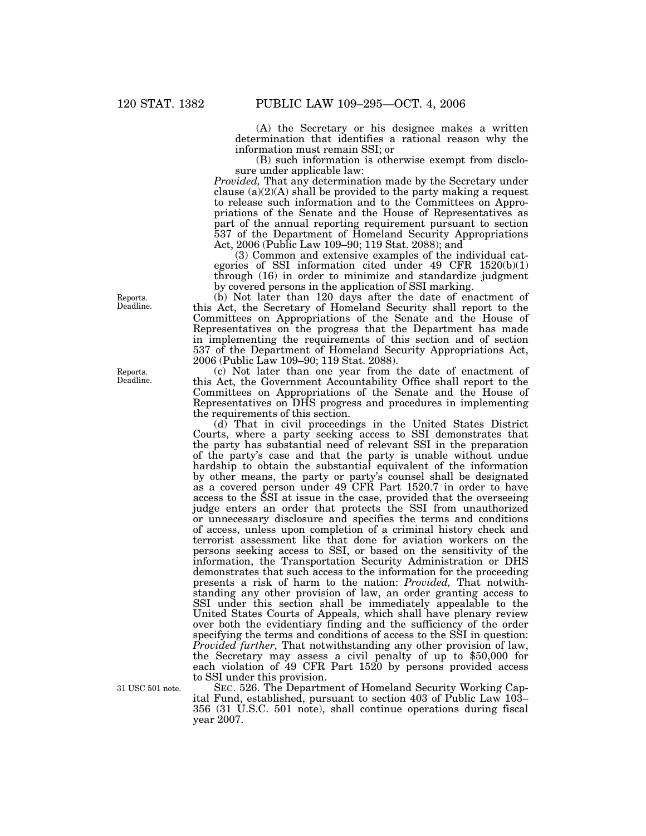(A) the Secretary or his designee makes a written determination that identifies a rational reason why the information must remain SSI; or

(B) such information is otherwise exempt from disclosure under applicable law:

*Provided*, That any determination made by the Secretary under clause  $(a)(2)(A)$  shall be provided to the party making a request to release such information and to the Committees on Appropriations of the Senate and the House of Representatives as part of the annual reporting requirement pursuant to section 537 of the Department of Homeland Security Appropriations Act, 2006 (Public Law 109–90; 119 Stat. 2088); and

(3) Common and extensive examples of the individual categories of SSI information cited under 49 CFR 1520(b)(1) through (16) in order to minimize and standardize judgment by covered persons in the application of SSI marking.

(b) Not later than 120 days after the date of enactment of this Act, the Secretary of Homeland Security shall report to the Committees on Appropriations of the Senate and the House of Representatives on the progress that the Department has made in implementing the requirements of this section and of section 537 of the Department of Homeland Security Appropriations Act, 2006 (Public Law 109–90; 119 Stat. 2088).

(c) Not later than one year from the date of enactment of this Act, the Government Accountability Office shall report to the Committees on Appropriations of the Senate and the House of Representatives on DHS progress and procedures in implementing the requirements of this section.

(d) That in civil proceedings in the United States District Courts, where a party seeking access to SSI demonstrates that the party has substantial need of relevant SSI in the preparation of the party's case and that the party is unable without undue hardship to obtain the substantial equivalent of the information by other means, the party or party's counsel shall be designated as a covered person under 49 CFR Part 1520.7 in order to have access to the SSI at issue in the case, provided that the overseeing judge enters an order that protects the SSI from unauthorized or unnecessary disclosure and specifies the terms and conditions of access, unless upon completion of a criminal history check and terrorist assessment like that done for aviation workers on the persons seeking access to SSI, or based on the sensitivity of the information, the Transportation Security Administration or DHS demonstrates that such access to the information for the proceeding presents a risk of harm to the nation: *Provided,* That notwithstanding any other provision of law, an order granting access to SSI under this section shall be immediately appealable to the United States Courts of Appeals, which shall have plenary review over both the evidentiary finding and the sufficiency of the order specifying the terms and conditions of access to the SSI in question: *Provided further,* That notwithstanding any other provision of law, the Secretary may assess a civil penalty of up to \$50,000 for each violation of 49 CFR Part 1520 by persons provided access to SSI under this provision.

SEC. 526. The Department of Homeland Security Working Capital Fund, established, pursuant to section 403 of Public Law 103– 356 (31 U.S.C. 501 note), shall continue operations during fiscal year 2007.

Reports. Deadline.

Reports. Deadline.

31 USC 501 note.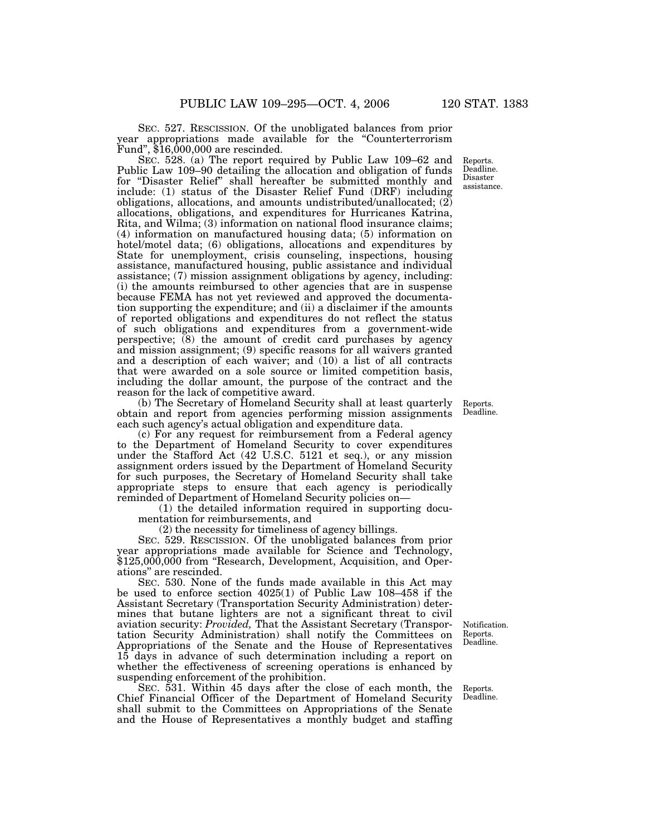SEC. 527. RESCISSION. Of the unobligated balances from prior year appropriations made available for the ''Counterterrorism Fund'', \$16,000,000 are rescinded.

SEC. 528. (a) The report required by Public Law 109–62 and Public Law 109–90 detailing the allocation and obligation of funds for ''Disaster Relief'' shall hereafter be submitted monthly and include: (1) status of the Disaster Relief Fund (DRF) including obligations, allocations, and amounts undistributed/unallocated; (2) allocations, obligations, and expenditures for Hurricanes Katrina, Rita, and Wilma; (3) information on national flood insurance claims; (4) information on manufactured housing data; (5) information on hotel/motel data; (6) obligations, allocations and expenditures by State for unemployment, crisis counseling, inspections, housing assistance, manufactured housing, public assistance and individual assistance; (7) mission assignment obligations by agency, including: (i) the amounts reimbursed to other agencies that are in suspense because FEMA has not yet reviewed and approved the documentation supporting the expenditure; and (ii) a disclaimer if the amounts of reported obligations and expenditures do not reflect the status of such obligations and expenditures from a government-wide perspective; (8) the amount of credit card purchases by agency and mission assignment; (9) specific reasons for all waivers granted and a description of each waiver; and (10) a list of all contracts that were awarded on a sole source or limited competition basis, including the dollar amount, the purpose of the contract and the reason for the lack of competitive award.

(b) The Secretary of Homeland Security shall at least quarterly obtain and report from agencies performing mission assignments each such agency's actual obligation and expenditure data.

(c) For any request for reimbursement from a Federal agency to the Department of Homeland Security to cover expenditures under the Stafford Act (42 U.S.C. 5121 et seq.), or any mission assignment orders issued by the Department of Homeland Security for such purposes, the Secretary of Homeland Security shall take appropriate steps to ensure that each agency is periodically reminded of Department of Homeland Security policies on—

(1) the detailed information required in supporting documentation for reimbursements, and

(2) the necessity for timeliness of agency billings.

SEC. 529. RESCISSION. Of the unobligated balances from prior year appropriations made available for Science and Technology, \$125,000,000 from "Research, Development, Acquisition, and Operations'' are rescinded.

SEC. 530. None of the funds made available in this Act may be used to enforce section 4025(1) of Public Law 108–458 if the Assistant Secretary (Transportation Security Administration) determines that butane lighters are not a significant threat to civil aviation security: *Provided,* That the Assistant Secretary (Transportation Security Administration) shall notify the Committees on Appropriations of the Senate and the House of Representatives 15 days in advance of such determination including a report on whether the effectiveness of screening operations is enhanced by suspending enforcement of the prohibition.

SEC. 531. Within 45 days after the close of each month, the Chief Financial Officer of the Department of Homeland Security shall submit to the Committees on Appropriations of the Senate and the House of Representatives a monthly budget and staffing

Notification. Reports. Deadline.

Reports. Deadline.

Reports. Deadline. Disaster assistance.

Reports. Deadline.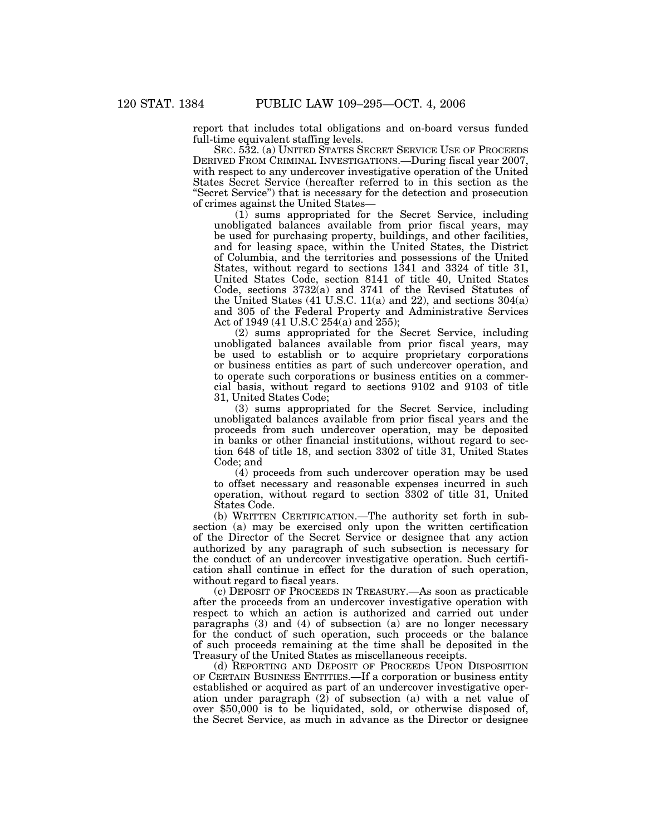report that includes total obligations and on-board versus funded full-time equivalent staffing levels.

SEC. 532. (a) UNITED STATES SECRET SERVICE USE OF PROCEEDS DERIVED FROM CRIMINAL INVESTIGATIONS.—During fiscal year 2007, with respect to any undercover investigative operation of the United States Secret Service (hereafter referred to in this section as the ''Secret Service'') that is necessary for the detection and prosecution of crimes against the United States—

(1) sums appropriated for the Secret Service, including unobligated balances available from prior fiscal years, may be used for purchasing property, buildings, and other facilities, and for leasing space, within the United States, the District of Columbia, and the territories and possessions of the United States, without regard to sections 1341 and 3324 of title 31, United States Code, section 8141 of title 40, United States Code, sections 3732(a) and 3741 of the Revised Statutes of the United States (41 U.S.C. 11(a) and 22), and sections 304(a) and 305 of the Federal Property and Administrative Services Act of 1949 (41 U.S.C 254(a) and 255);

(2) sums appropriated for the Secret Service, including unobligated balances available from prior fiscal years, may be used to establish or to acquire proprietary corporations or business entities as part of such undercover operation, and to operate such corporations or business entities on a commercial basis, without regard to sections 9102 and 9103 of title 31, United States Code;

(3) sums appropriated for the Secret Service, including unobligated balances available from prior fiscal years and the proceeds from such undercover operation, may be deposited in banks or other financial institutions, without regard to section 648 of title 18, and section 3302 of title 31, United States Code; and

(4) proceeds from such undercover operation may be used to offset necessary and reasonable expenses incurred in such operation, without regard to section 3302 of title 31, United States Code.

(b) WRITTEN CERTIFICATION.—The authority set forth in subsection (a) may be exercised only upon the written certification of the Director of the Secret Service or designee that any action authorized by any paragraph of such subsection is necessary for the conduct of an undercover investigative operation. Such certification shall continue in effect for the duration of such operation, without regard to fiscal years.

(c) DEPOSIT OF PROCEEDS IN TREASURY.—As soon as practicable after the proceeds from an undercover investigative operation with respect to which an action is authorized and carried out under paragraphs (3) and (4) of subsection (a) are no longer necessary for the conduct of such operation, such proceeds or the balance of such proceeds remaining at the time shall be deposited in the Treasury of the United States as miscellaneous receipts.

(d) REPORTING AND DEPOSIT OF PROCEEDS UPON DISPOSITION OF CERTAIN BUSINESS ENTITIES.—If a corporation or business entity established or acquired as part of an undercover investigative operation under paragraph (2) of subsection (a) with a net value of over \$50,000 is to be liquidated, sold, or otherwise disposed of, the Secret Service, as much in advance as the Director or designee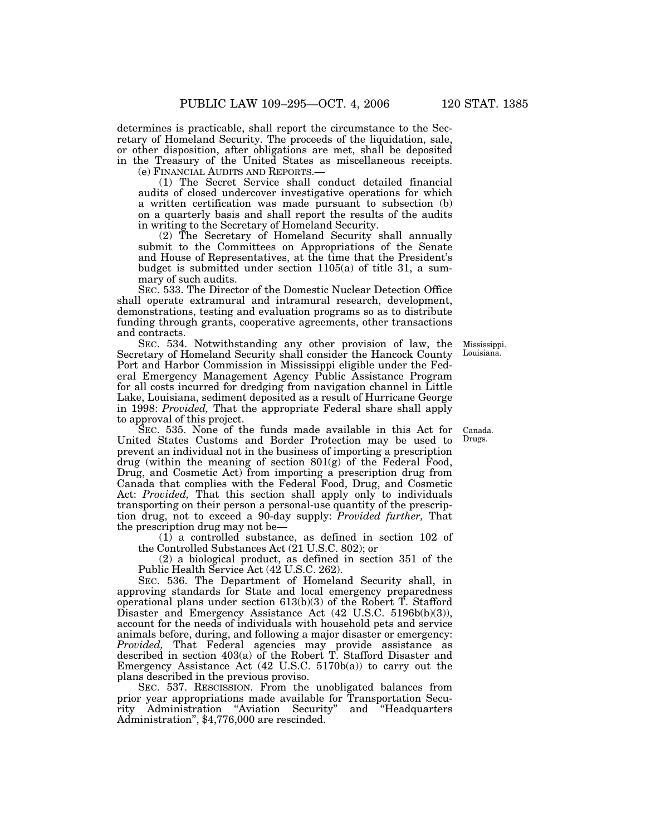determines is practicable, shall report the circumstance to the Secretary of Homeland Security. The proceeds of the liquidation, sale, or other disposition, after obligations are met, shall be deposited in the Treasury of the United States as miscellaneous receipts.

(e) FINANCIAL AUDITS AND REPORTS.—

(1) The Secret Service shall conduct detailed financial audits of closed undercover investigative operations for which a written certification was made pursuant to subsection (b) on a quarterly basis and shall report the results of the audits in writing to the Secretary of Homeland Security.

(2) The Secretary of Homeland Security shall annually submit to the Committees on Appropriations of the Senate and House of Representatives, at the time that the President's budget is submitted under section 1105(a) of title 31, a summary of such audits.

SEC. 533. The Director of the Domestic Nuclear Detection Office shall operate extramural and intramural research, development, demonstrations, testing and evaluation programs so as to distribute funding through grants, cooperative agreements, other transactions and contracts.

SEC. 534. Notwithstanding any other provision of law, the Secretary of Homeland Security shall consider the Hancock County Port and Harbor Commission in Mississippi eligible under the Federal Emergency Management Agency Public Assistance Program for all costs incurred for dredging from navigation channel in Little Lake, Louisiana, sediment deposited as a result of Hurricane George in 1998: *Provided,* That the appropriate Federal share shall apply to approval of this project.

SEC. 535. None of the funds made available in this Act for United States Customs and Border Protection may be used to prevent an individual not in the business of importing a prescription drug (within the meaning of section 801(g) of the Federal Food, Drug, and Cosmetic Act) from importing a prescription drug from Canada that complies with the Federal Food, Drug, and Cosmetic Act: *Provided,* That this section shall apply only to individuals transporting on their person a personal-use quantity of the prescription drug, not to exceed a 90-day supply: *Provided further,* That the prescription drug may not be—

(1) a controlled substance, as defined in section 102 of the Controlled Substances Act (21 U.S.C. 802); or

(2) a biological product, as defined in section 351 of the Public Health Service Act (42 U.S.C. 262).

SEC. 536. The Department of Homeland Security shall, in approving standards for State and local emergency preparedness operational plans under section 613(b)(3) of the Robert T. Stafford Disaster and Emergency Assistance Act (42 U.S.C. 5196b(b)(3)), account for the needs of individuals with household pets and service animals before, during, and following a major disaster or emergency: *Provided,* That Federal agencies may provide assistance as described in section 403(a) of the Robert T. Stafford Disaster and Emergency Assistance Act  $(42 \text{ U.S.C. } 5170b(a))$  to carry out the plans described in the previous proviso.

SEC. 537. RESCISSION. From the unobligated balances from prior year appropriations made available for Transportation Security Administration "Aviation Security" and "Headquarters Administration'', \$4,776,000 are rescinded.

Mississippi. Louisiana.

Canada. Drugs.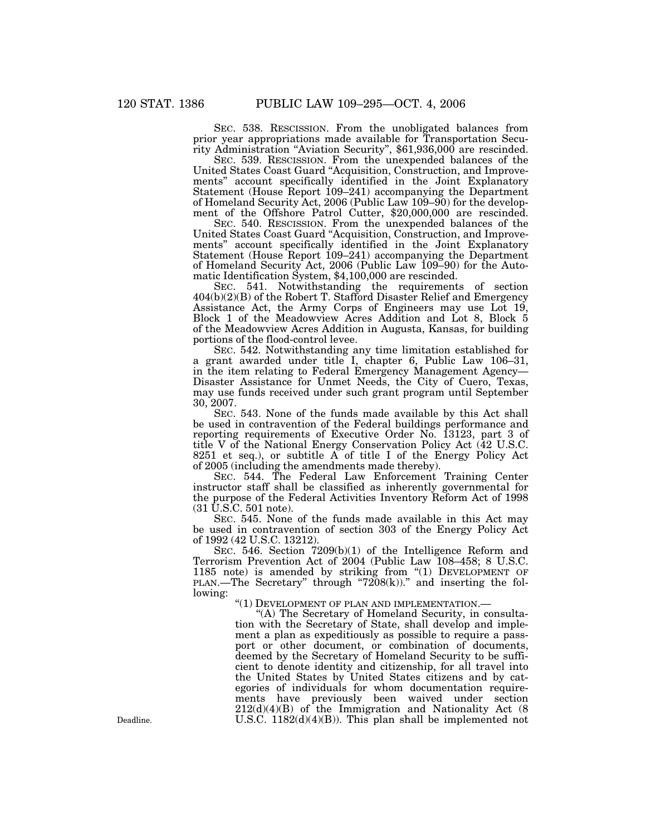SEC. 538. RESCISSION. From the unobligated balances from prior year appropriations made available for Transportation Security Administration ''Aviation Security'', \$61,936,000 are rescinded.

SEC. 539. RESCISSION. From the unexpended balances of the United States Coast Guard ''Acquisition, Construction, and Improvements'' account specifically identified in the Joint Explanatory Statement (House Report 109–241) accompanying the Department of Homeland Security Act, 2006 (Public Law 109–90) for the development of the Offshore Patrol Cutter, \$20,000,000 are rescinded.

SEC. 540. RESCISSION. From the unexpended balances of the United States Coast Guard ''Acquisition, Construction, and Improvements'' account specifically identified in the Joint Explanatory Statement (House Report 109–241) accompanying the Department of Homeland Security Act, 2006 (Public Law 109–90) for the Automatic Identification System, \$4,100,000 are rescinded.

SEC. 541. Notwithstanding the requirements of section  $404(b)(2)(B)$  of the Robert T. Stafford Disaster Relief and Emergency Assistance Act, the Army Corps of Engineers may use Lot 19, Block 1 of the Meadowview Acres Addition and Lot 8, Block 5 of the Meadowview Acres Addition in Augusta, Kansas, for building portions of the flood-control levee.

SEC. 542. Notwithstanding any time limitation established for a grant awarded under title I, chapter 6, Public Law 106–31, in the item relating to Federal Emergency Management Agency— Disaster Assistance for Unmet Needs, the City of Cuero, Texas, may use funds received under such grant program until September 30, 2007.

SEC. 543. None of the funds made available by this Act shall be used in contravention of the Federal buildings performance and reporting requirements of Executive Order No. 13123, part 3 of title V of the National Energy Conservation Policy Act (42 U.S.C. 8251 et seq.), or subtitle  $A$  of title I of the Energy Policy Act of 2005 (including the amendments made thereby).

SEC. 544. The Federal Law Enforcement Training Center instructor staff shall be classified as inherently governmental for the purpose of the Federal Activities Inventory Reform Act of 1998 (31 U.S.C. 501 note).

SEC. 545. None of the funds made available in this Act may be used in contravention of section 303 of the Energy Policy Act of 1992 (42 U.S.C. 13212).

SEC. 546. Section 7209(b)(1) of the Intelligence Reform and Terrorism Prevention Act of 2004 (Public Law 108–458; 8 U.S.C. 1185 note) is amended by striking from "(1) DEVELOPMENT OF PLAN.—The Secretary" through "7208(k))." and inserting the following:

''(1) DEVELOPMENT OF PLAN AND IMPLEMENTATION.—

"(A) The Secretary of Homeland Security, in consultation with the Secretary of State, shall develop and implement a plan as expeditiously as possible to require a passport or other document, or combination of documents, deemed by the Secretary of Homeland Security to be sufficient to denote identity and citizenship, for all travel into the United States by United States citizens and by categories of individuals for whom documentation requirements have previously been waived under section 212(d)(4)(B) of the Immigration and Nationality Act (8 Deadline.  $U.S.C. 1182(d)(4)(B)$ . This plan shall be implemented not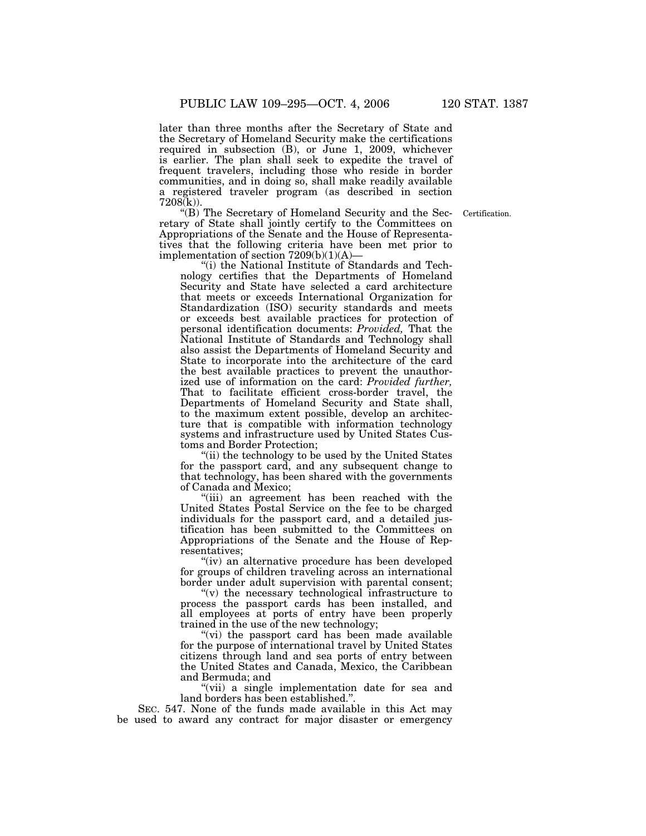later than three months after the Secretary of State and the Secretary of Homeland Security make the certifications required in subsection (B), or June 1, 2009, whichever is earlier. The plan shall seek to expedite the travel of frequent travelers, including those who reside in border communities, and in doing so, shall make readily available a registered traveler program (as described in section 7208(k)).

Certification.

''(B) The Secretary of Homeland Security and the Secretary of State shall jointly certify to the Committees on Appropriations of the Senate and the House of Representatives that the following criteria have been met prior to implementation of section 7209(b)(1)(A)—

''(i) the National Institute of Standards and Technology certifies that the Departments of Homeland Security and State have selected a card architecture that meets or exceeds International Organization for Standardization (ISO) security standards and meets or exceeds best available practices for protection of personal identification documents: *Provided,* That the National Institute of Standards and Technology shall also assist the Departments of Homeland Security and State to incorporate into the architecture of the card the best available practices to prevent the unauthorized use of information on the card: *Provided further,* That to facilitate efficient cross-border travel, the Departments of Homeland Security and State shall, to the maximum extent possible, develop an architecture that is compatible with information technology systems and infrastructure used by United States Customs and Border Protection;

"(ii) the technology to be used by the United States for the passport card, and any subsequent change to that technology, has been shared with the governments of Canada and Mexico;

''(iii) an agreement has been reached with the United States Postal Service on the fee to be charged individuals for the passport card, and a detailed justification has been submitted to the Committees on Appropriations of the Senate and the House of Representatives;

''(iv) an alternative procedure has been developed for groups of children traveling across an international border under adult supervision with parental consent;

 $f(v)$  the necessary technological infrastructure to process the passport cards has been installed, and all employees at ports of entry have been properly trained in the use of the new technology;

"(vi) the passport card has been made available for the purpose of international travel by United States citizens through land and sea ports of entry between the United States and Canada, Mexico, the Caribbean and Bermuda; and

''(vii) a single implementation date for sea and land borders has been established.''.

SEC. 547. None of the funds made available in this Act may be used to award any contract for major disaster or emergency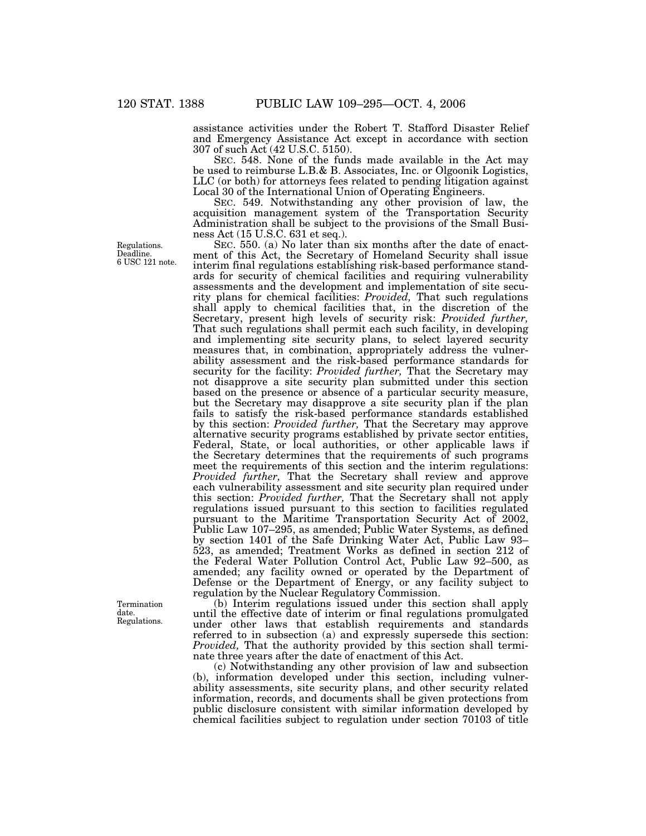assistance activities under the Robert T. Stafford Disaster Relief and Emergency Assistance Act except in accordance with section 307 of such Act (42 U.S.C. 5150).

SEC. 548. None of the funds made available in the Act may be used to reimburse L.B.& B. Associates, Inc. or Olgoonik Logistics, LLC (or both) for attorneys fees related to pending litigation against Local 30 of the International Union of Operating Engineers.

SEC. 549. Notwithstanding any other provision of law, the acquisition management system of the Transportation Security Administration shall be subject to the provisions of the Small Business Act (15 U.S.C. 631 et seq.).

SEC. 550. (a) No later than six months after the date of enactment of this Act, the Secretary of Homeland Security shall issue interim final regulations establishing risk-based performance standards for security of chemical facilities and requiring vulnerability assessments and the development and implementation of site security plans for chemical facilities: *Provided,* That such regulations shall apply to chemical facilities that, in the discretion of the Secretary, present high levels of security risk: *Provided further,* That such regulations shall permit each such facility, in developing and implementing site security plans, to select layered security measures that, in combination, appropriately address the vulnerability assessment and the risk-based performance standards for security for the facility: *Provided further,* That the Secretary may not disapprove a site security plan submitted under this section based on the presence or absence of a particular security measure, but the Secretary may disapprove a site security plan if the plan fails to satisfy the risk-based performance standards established by this section: *Provided further,* That the Secretary may approve alternative security programs established by private sector entities, Federal, State, or local authorities, or other applicable laws if the Secretary determines that the requirements of such programs meet the requirements of this section and the interim regulations: *Provided further,* That the Secretary shall review and approve each vulnerability assessment and site security plan required under this section: *Provided further,* That the Secretary shall not apply regulations issued pursuant to this section to facilities regulated pursuant to the Maritime Transportation Security Act of 2002, Public Law 107–295, as amended; Public Water Systems, as defined by section 1401 of the Safe Drinking Water Act, Public Law 93– 523, as amended; Treatment Works as defined in section 212 of the Federal Water Pollution Control Act, Public Law 92–500, as amended; any facility owned or operated by the Department of Defense or the Department of Energy, or any facility subject to regulation by the Nuclear Regulatory Commission.

(b) Interim regulations issued under this section shall apply until the effective date of interim or final regulations promulgated under other laws that establish requirements and standards referred to in subsection (a) and expressly supersede this section: *Provided,* That the authority provided by this section shall terminate three years after the date of enactment of this Act.

(c) Notwithstanding any other provision of law and subsection (b), information developed under this section, including vulnerability assessments, site security plans, and other security related information, records, and documents shall be given protections from public disclosure consistent with similar information developed by chemical facilities subject to regulation under section 70103 of title

Regulations. Deadline. 6 USC 121 note.

Termination date. Regulations.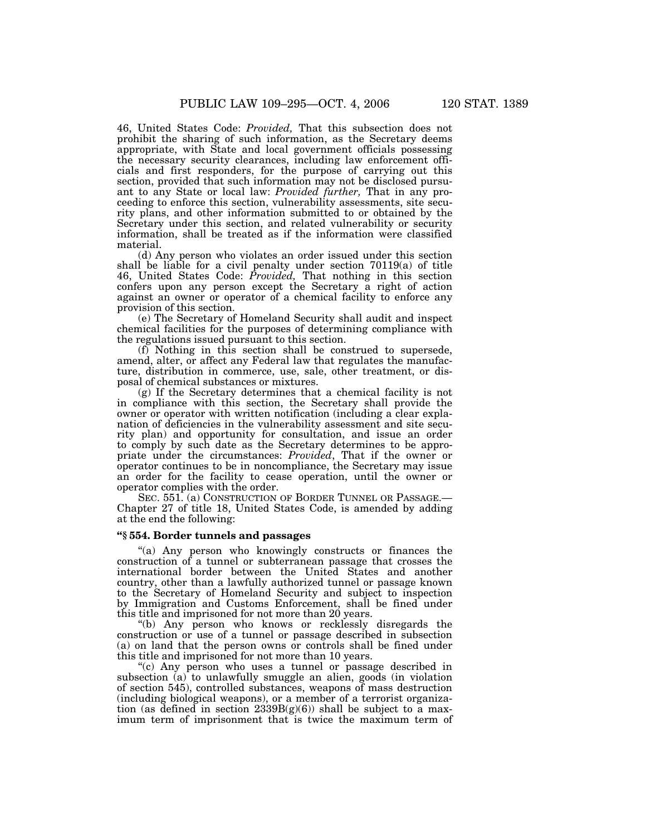46, United States Code: *Provided,* That this subsection does not prohibit the sharing of such information, as the Secretary deems appropriate, with State and local government officials possessing the necessary security clearances, including law enforcement officials and first responders, for the purpose of carrying out this section, provided that such information may not be disclosed pursuant to any State or local law: *Provided further,* That in any proceeding to enforce this section, vulnerability assessments, site security plans, and other information submitted to or obtained by the Secretary under this section, and related vulnerability or security information, shall be treated as if the information were classified material.

(d) Any person who violates an order issued under this section shall be liable for a civil penalty under section 70119(a) of title 46, United States Code: *Provided,* That nothing in this section confers upon any person except the Secretary a right of action against an owner or operator of a chemical facility to enforce any provision of this section.

(e) The Secretary of Homeland Security shall audit and inspect chemical facilities for the purposes of determining compliance with the regulations issued pursuant to this section.

(f) Nothing in this section shall be construed to supersede, amend, alter, or affect any Federal law that regulates the manufacture, distribution in commerce, use, sale, other treatment, or disposal of chemical substances or mixtures.

(g) If the Secretary determines that a chemical facility is not in compliance with this section, the Secretary shall provide the owner or operator with written notification (including a clear explanation of deficiencies in the vulnerability assessment and site security plan) and opportunity for consultation, and issue an order to comply by such date as the Secretary determines to be appropriate under the circumstances: *Provided*, That if the owner or operator continues to be in noncompliance, the Secretary may issue an order for the facility to cease operation, until the owner or operator complies with the order.

SEC. 551. (a) CONSTRUCTION OF BORDER TUNNEL OR PASSAGE.-Chapter 27 of title 18, United States Code, is amended by adding at the end the following:

# **''§ 554. Border tunnels and passages**

"(a) Any person who knowingly constructs or finances the construction of a tunnel or subterranean passage that crosses the international border between the United States and another country, other than a lawfully authorized tunnel or passage known to the Secretary of Homeland Security and subject to inspection by Immigration and Customs Enforcement, shall be fined under this title and imprisoned for not more than 20 years.

''(b) Any person who knows or recklessly disregards the construction or use of a tunnel or passage described in subsection (a) on land that the person owns or controls shall be fined under this title and imprisoned for not more than 10 years.

"(c) Any person who uses a tunnel or passage described in subsection (a) to unlawfully smuggle an alien, goods (in violation of section 545), controlled substances, weapons of mass destruction (including biological weapons), or a member of a terrorist organization (as defined in section  $2339B(g)(6)$ ) shall be subject to a maximum term of imprisonment that is twice the maximum term of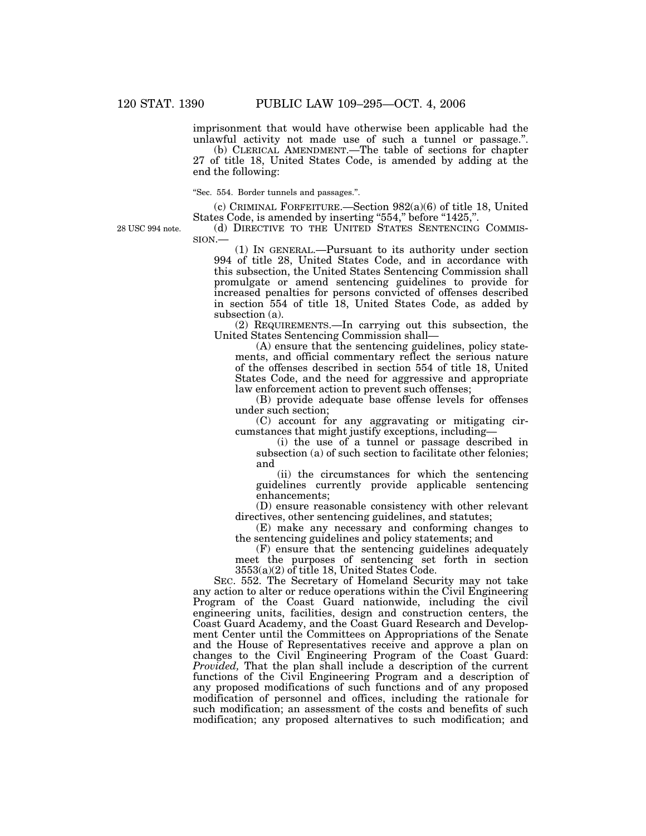imprisonment that would have otherwise been applicable had the unlawful activity not made use of such a tunnel or passage.''.

(b) CLERICAL AMENDMENT.—The table of sections for chapter 27 of title 18, United States Code, is amended by adding at the end the following:

''Sec. 554. Border tunnels and passages.''.

(c) CRIMINAL FORFEITURE.—Section 982(a)(6) of title 18, United States Code, is amended by inserting "554," before "1425,".

28 USC 994 note.

SION.— (1) IN GENERAL.—Pursuant to its authority under section 994 of title 28, United States Code, and in accordance with this subsection, the United States Sentencing Commission shall

(d) DIRECTIVE TO THE UNITED STATES SENTENCING COMMIS-

promulgate or amend sentencing guidelines to provide for increased penalties for persons convicted of offenses described in section 554 of title 18, United States Code, as added by subsection (a).

(2) REQUIREMENTS.—In carrying out this subsection, the United States Sentencing Commission shall—

(A) ensure that the sentencing guidelines, policy statements, and official commentary reflect the serious nature of the offenses described in section 554 of title 18, United States Code, and the need for aggressive and appropriate law enforcement action to prevent such offenses;

(B) provide adequate base offense levels for offenses under such section;

(C) account for any aggravating or mitigating circumstances that might justify exceptions, including—

(i) the use of a tunnel or passage described in subsection (a) of such section to facilitate other felonies; and

(ii) the circumstances for which the sentencing guidelines currently provide applicable sentencing enhancements;

(D) ensure reasonable consistency with other relevant directives, other sentencing guidelines, and statutes;

(E) make any necessary and conforming changes to the sentencing guidelines and policy statements; and

(F) ensure that the sentencing guidelines adequately meet the purposes of sentencing set forth in section 3553(a)(2) of title 18, United States Code.

SEC. 552. The Secretary of Homeland Security may not take any action to alter or reduce operations within the Civil Engineering Program of the Coast Guard nationwide, including the civil engineering units, facilities, design and construction centers, the Coast Guard Academy, and the Coast Guard Research and Development Center until the Committees on Appropriations of the Senate and the House of Representatives receive and approve a plan on changes to the Civil Engineering Program of the Coast Guard: *Provided,* That the plan shall include a description of the current functions of the Civil Engineering Program and a description of any proposed modifications of such functions and of any proposed modification of personnel and offices, including the rationale for such modification; an assessment of the costs and benefits of such modification; any proposed alternatives to such modification; and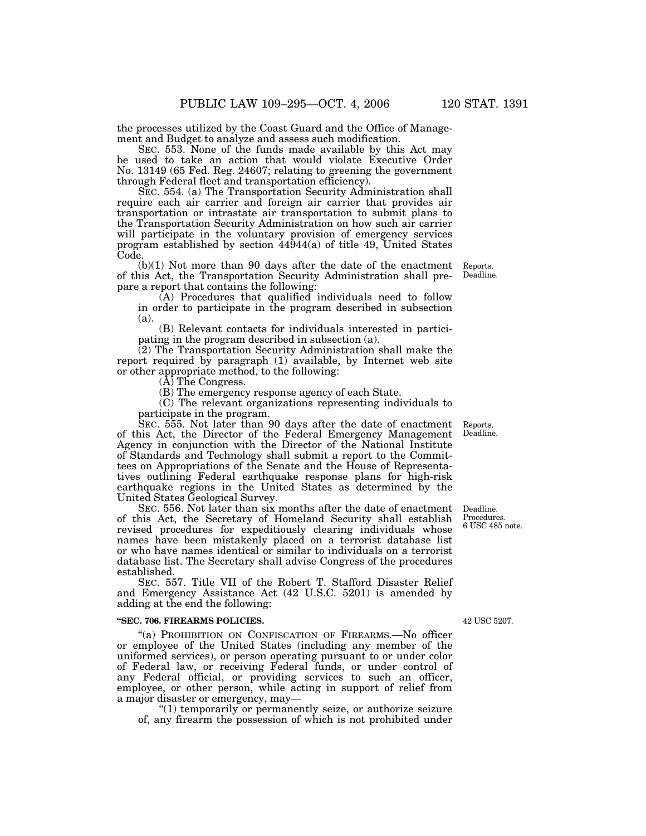the processes utilized by the Coast Guard and the Office of Management and Budget to analyze and assess such modification.

SEC. 553. None of the funds made available by this Act may be used to take an action that would violate Executive Order No. 13149 (65 Fed. Reg. 24607; relating to greening the government through Federal fleet and transportation efficiency).

SEC. 554. (a) The Transportation Security Administration shall require each air carrier and foreign air carrier that provides air transportation or intrastate air transportation to submit plans to the Transportation Security Administration on how such air carrier will participate in the voluntary provision of emergency services program established by section 44944(a) of title 49, United States Code.

(b)(1) Not more than 90 days after the date of the enactment of this Act, the Transportation Security Administration shall prepare a report that contains the following:

(A) Procedures that qualified individuals need to follow in order to participate in the program described in subsection (a).

(B) Relevant contacts for individuals interested in participating in the program described in subsection (a).

(2) The Transportation Security Administration shall make the report required by paragraph (1) available, by Internet web site or other appropriate method, to the following:

(A) The Congress.

(B) The emergency response agency of each State.

(C) The relevant organizations representing individuals to participate in the program.

SEC. 555. Not later than 90 days after the date of enactment of this Act, the Director of the Federal Emergency Management Agency in conjunction with the Director of the National Institute of Standards and Technology shall submit a report to the Committees on Appropriations of the Senate and the House of Representatives outlining Federal earthquake response plans for high-risk earthquake regions in the United States as determined by the United States Geological Survey.

SEC. 556. Not later than six months after the date of enactment of this Act, the Secretary of Homeland Security shall establish revised procedures for expeditiously clearing individuals whose names have been mistakenly placed on a terrorist database list or who have names identical or similar to individuals on a terrorist database list. The Secretary shall advise Congress of the procedures established.

SEC. 557. Title VII of the Robert T. Stafford Disaster Relief and Emergency Assistance Act (42 U.S.C. 5201) is amended by adding at the end the following:

#### **''SEC. 706. FIREARMS POLICIES.**

''(a) PROHIBITION ON CONFISCATION OF FIREARMS.—No officer or employee of the United States (including any member of the uniformed services), or person operating pursuant to or under color of Federal law, or receiving Federal funds, or under control of any Federal official, or providing services to such an officer, employee, or other person, while acting in support of relief from a major disaster or emergency, may—

''(1) temporarily or permanently seize, or authorize seizure of, any firearm the possession of which is not prohibited under

Deadline. Procedures. 6 USC 485 note.

42 USC 5207.

Reports. Deadline.

Reports. Deadline.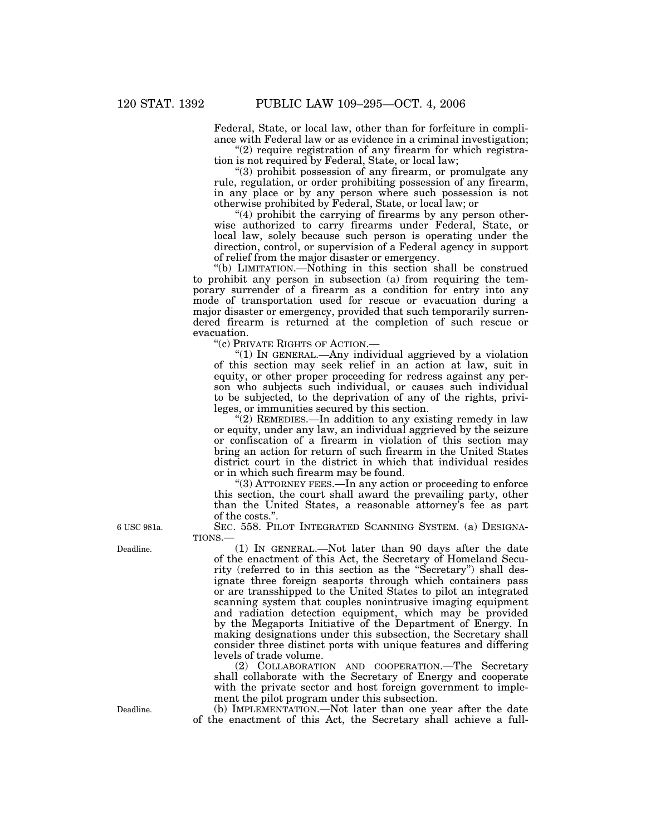Federal, State, or local law, other than for forfeiture in compliance with Federal law or as evidence in a criminal investigation;

" $(2)$  require registration of any firearm for which registration is not required by Federal, State, or local law;

''(3) prohibit possession of any firearm, or promulgate any rule, regulation, or order prohibiting possession of any firearm, in any place or by any person where such possession is not otherwise prohibited by Federal, State, or local law; or

" $(4)$  prohibit the carrying of firearms by any person otherwise authorized to carry firearms under Federal, State, or local law, solely because such person is operating under the direction, control, or supervision of a Federal agency in support of relief from the major disaster or emergency.

''(b) LIMITATION.—Nothing in this section shall be construed to prohibit any person in subsection (a) from requiring the temporary surrender of a firearm as a condition for entry into any mode of transportation used for rescue or evacuation during a major disaster or emergency, provided that such temporarily surrendered firearm is returned at the completion of such rescue or evacuation.

''(c) PRIVATE RIGHTS OF ACTION.—

''(1) IN GENERAL.—Any individual aggrieved by a violation of this section may seek relief in an action at law, suit in equity, or other proper proceeding for redress against any person who subjects such individual, or causes such individual to be subjected, to the deprivation of any of the rights, privileges, or immunities secured by this section.

''(2) REMEDIES.—In addition to any existing remedy in law or equity, under any law, an individual aggrieved by the seizure or confiscation of a firearm in violation of this section may bring an action for return of such firearm in the United States district court in the district in which that individual resides or in which such firearm may be found.

''(3) ATTORNEY FEES.—In any action or proceeding to enforce this section, the court shall award the prevailing party, other than the United States, a reasonable attorney's fee as part of the costs.''.

SEC. 558. PILOT INTEGRATED SCANNING SYSTEM. (a) DESIGNA-TIONS.—

(1) IN GENERAL.—Not later than 90 days after the date of the enactment of this Act, the Secretary of Homeland Security (referred to in this section as the "Secretary") shall designate three foreign seaports through which containers pass or are transshipped to the United States to pilot an integrated scanning system that couples nonintrusive imaging equipment and radiation detection equipment, which may be provided by the Megaports Initiative of the Department of Energy. In making designations under this subsection, the Secretary shall consider three distinct ports with unique features and differing levels of trade volume.

(2) COLLABORATION AND COOPERATION.—The Secretary shall collaborate with the Secretary of Energy and cooperate with the private sector and host foreign government to implement the pilot program under this subsection.

(b) IMPLEMENTATION.—Not later than one year after the date of the enactment of this Act, the Secretary shall achieve a full-

6 USC 981a.

Deadline.

Deadline.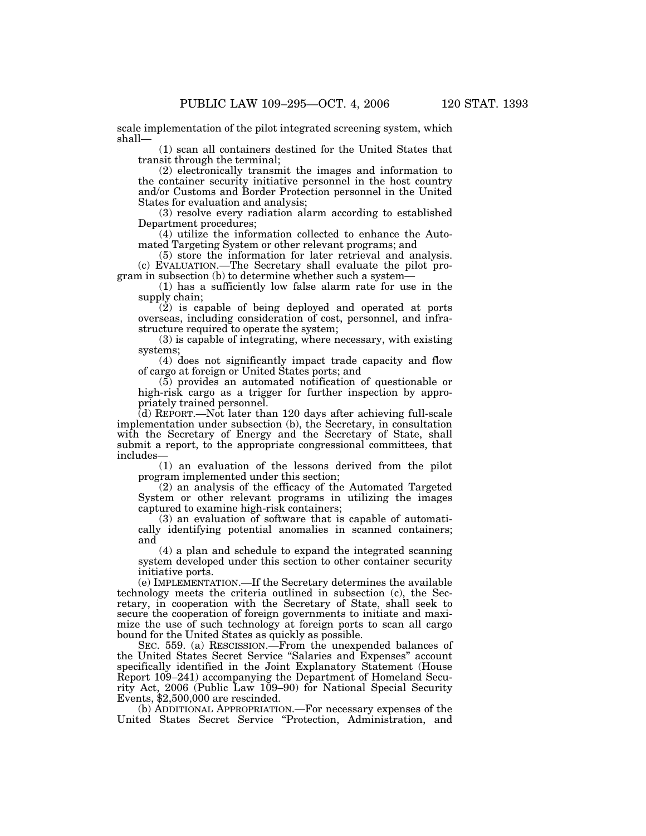scale implementation of the pilot integrated screening system, which shall—

(1) scan all containers destined for the United States that transit through the terminal;

(2) electronically transmit the images and information to the container security initiative personnel in the host country and/or Customs and Border Protection personnel in the United States for evaluation and analysis;

(3) resolve every radiation alarm according to established Department procedures;

(4) utilize the information collected to enhance the Automated Targeting System or other relevant programs; and

(5) store the information for later retrieval and analysis. (c) EVALUATION.—The Secretary shall evaluate the pilot program in subsection (b) to determine whether such a system—

(1) has a sufficiently low false alarm rate for use in the supply chain;

 $(2)$  is capable of being deployed and operated at ports overseas, including consideration of cost, personnel, and infrastructure required to operate the system;

(3) is capable of integrating, where necessary, with existing systems;

(4) does not significantly impact trade capacity and flow of cargo at foreign or United States ports; and

(5) provides an automated notification of questionable or high-risk cargo as a trigger for further inspection by appropriately trained personnel.

(d) REPORT.—Not later than 120 days after achieving full-scale implementation under subsection (b), the Secretary, in consultation with the Secretary of Energy and the Secretary of State, shall submit a report, to the appropriate congressional committees, that includes—

(1) an evaluation of the lessons derived from the pilot program implemented under this section;

(2) an analysis of the efficacy of the Automated Targeted System or other relevant programs in utilizing the images captured to examine high-risk containers;

(3) an evaluation of software that is capable of automatically identifying potential anomalies in scanned containers; and

(4) a plan and schedule to expand the integrated scanning system developed under this section to other container security initiative ports.

(e) IMPLEMENTATION.—If the Secretary determines the available technology meets the criteria outlined in subsection (c), the Secretary, in cooperation with the Secretary of State, shall seek to secure the cooperation of foreign governments to initiate and maximize the use of such technology at foreign ports to scan all cargo bound for the United States as quickly as possible.

SEC. 559. (a) RESCISSION.—From the unexpended balances of the United States Secret Service ''Salaries and Expenses'' account specifically identified in the Joint Explanatory Statement (House Report 109–241) accompanying the Department of Homeland Security Act, 2006 (Public Law 109–90) for National Special Security Events, \$2,500,000 are rescinded.

(b) ADDITIONAL APPROPRIATION.—For necessary expenses of the United States Secret Service ''Protection, Administration, and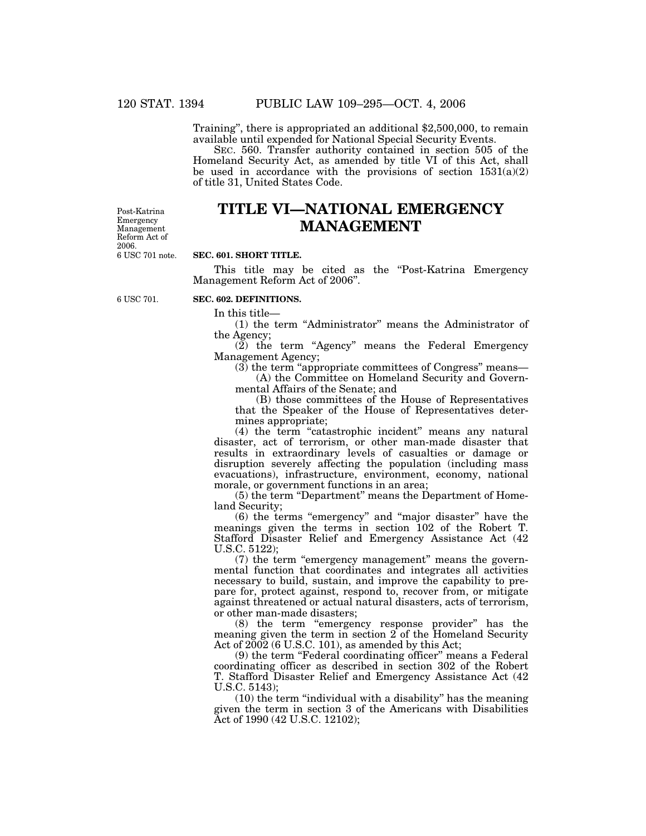Training'', there is appropriated an additional \$2,500,000, to remain available until expended for National Special Security Events.

SEC. 560. Transfer authority contained in section 505 of the Homeland Security Act, as amended by title VI of this Act, shall be used in accordance with the provisions of section  $1531(a)(2)$ of title 31, United States Code.

6 USC 701 note. Post-Katrina Emergency Management Reform Act of 2006.

# **TITLE VI—NATIONAL EMERGENCY MANAGEMENT**

#### **SEC. 601. SHORT TITLE.**

This title may be cited as the "Post-Katrina Emergency" Management Reform Act of 2006''.

6 USC 701.

# **SEC. 602. DEFINITIONS.**

In this title—

(1) the term ''Administrator'' means the Administrator of the Agency;

 $(2)$  the term "Agency" means the Federal Emergency Management Agency;

(3) the term ''appropriate committees of Congress'' means—

(A) the Committee on Homeland Security and Governmental Affairs of the Senate; and

(B) those committees of the House of Representatives that the Speaker of the House of Representatives determines appropriate;

(4) the term "catastrophic incident" means any natural disaster, act of terrorism, or other man-made disaster that results in extraordinary levels of casualties or damage or disruption severely affecting the population (including mass evacuations), infrastructure, environment, economy, national morale, or government functions in an area;

(5) the term ''Department'' means the Department of Homeland Security;

(6) the terms ''emergency'' and ''major disaster'' have the meanings given the terms in section 102 of the Robert T. Stafford Disaster Relief and Emergency Assistance Act (42 U.S.C. 5122);

(7) the term ''emergency management'' means the governmental function that coordinates and integrates all activities necessary to build, sustain, and improve the capability to prepare for, protect against, respond to, recover from, or mitigate against threatened or actual natural disasters, acts of terrorism, or other man-made disasters;

(8) the term ''emergency response provider'' has the meaning given the term in section 2 of the Homeland Security Act of  $2002$  (6 U.S.C. 101), as amended by this Act;

(9) the term ''Federal coordinating officer'' means a Federal coordinating officer as described in section 302 of the Robert T. Stafford Disaster Relief and Emergency Assistance Act (42 U.S.C. 5143);

(10) the term ''individual with a disability'' has the meaning given the term in section 3 of the Americans with Disabilities Act of 1990 (42 U.S.C. 12102);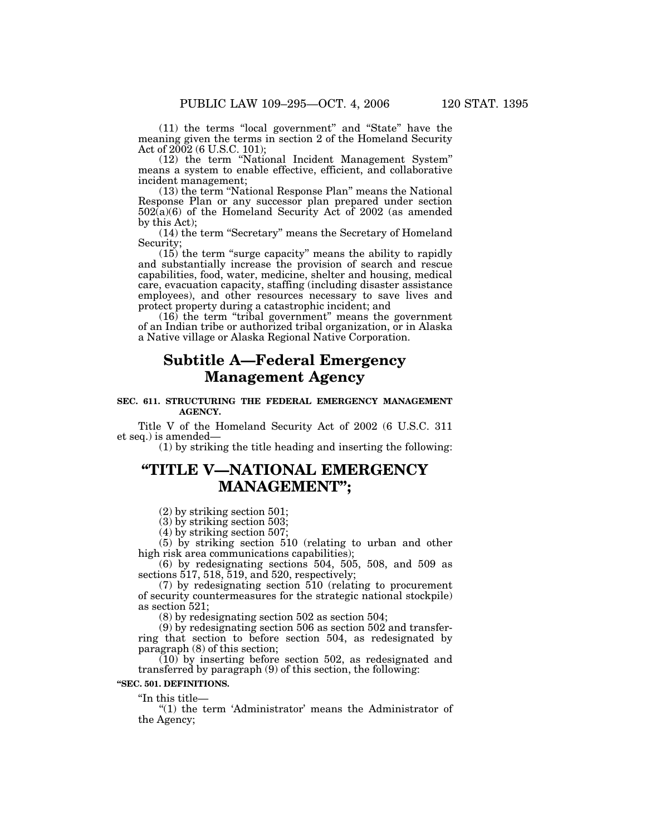(11) the terms ''local government'' and ''State'' have the meaning given the terms in section 2 of the Homeland Security Act of 2002 (6 U.S.C. 101);

(12) the term ''National Incident Management System'' means a system to enable effective, efficient, and collaborative incident management;

(13) the term ''National Response Plan'' means the National Response Plan or any successor plan prepared under section  $502(a)(6)$  of the Homeland Security Act of 2002 (as amended by this Act);

(14) the term ''Secretary'' means the Secretary of Homeland Security;

(15) the term ''surge capacity'' means the ability to rapidly and substantially increase the provision of search and rescue capabilities, food, water, medicine, shelter and housing, medical care, evacuation capacity, staffing (including disaster assistance employees), and other resources necessary to save lives and protect property during a catastrophic incident; and

 $(16)$  the term "tribal government" means the government of an Indian tribe or authorized tribal organization, or in Alaska a Native village or Alaska Regional Native Corporation.

# **Subtitle A—Federal Emergency Management Agency**

## **SEC. 611. STRUCTURING THE FEDERAL EMERGENCY MANAGEMENT AGENCY.**

Title V of the Homeland Security Act of 2002 (6 U.S.C. 311 et seq.) is amended—

(1) by striking the title heading and inserting the following:

# **''TITLE V—NATIONAL EMERGENCY MANAGEMENT'';**

(2) by striking section 501;

 $(3)$  by striking section 503;

(4) by striking section 507;

(5) by striking section 510 (relating to urban and other high risk area communications capabilities);

(6) by redesignating sections 504, 505, 508, and 509 as sections 517, 518, 519, and 520, respectively;

(7) by redesignating section 510 (relating to procurement of security countermeasures for the strategic national stockpile) as section 521;

(8) by redesignating section 502 as section 504;

(9) by redesignating section 506 as section 502 and transferring that section to before section 504, as redesignated by paragraph (8) of this section;

(10) by inserting before section 502, as redesignated and transferred by paragraph (9) of this section, the following:

## **''SEC. 501. DEFINITIONS.**

 $\mathrm{``In~this~title}$ —

"(1) the term 'Administrator' means the Administrator of the Agency;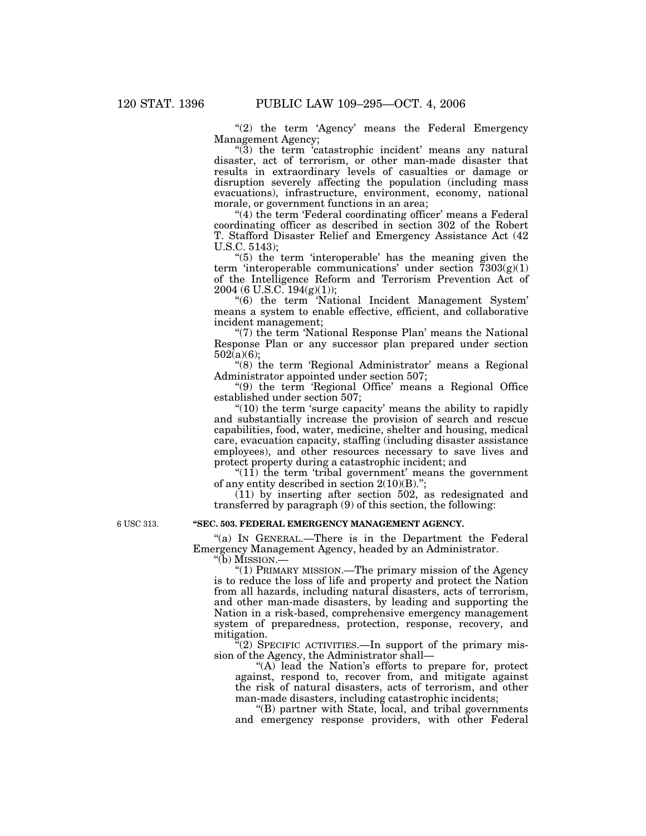"(2) the term 'Agency' means the Federal Emergency Management Agency;

"(3) the term 'catastrophic incident' means any natural disaster, act of terrorism, or other man-made disaster that results in extraordinary levels of casualties or damage or disruption severely affecting the population (including mass evacuations), infrastructure, environment, economy, national morale, or government functions in an area;

 $''(4)$  the term 'Federal coordinating officer' means a Federal coordinating officer as described in section 302 of the Robert T. Stafford Disaster Relief and Emergency Assistance Act (42 U.S.C. 5143);

"(5) the term 'interoperable' has the meaning given the term 'interoperable communications' under section  $\overline{7}303(g)(1)$ of the Intelligence Reform and Terrorism Prevention Act of 2004 (6 U.S.C. 194(g)(1));

''(6) the term 'National Incident Management System' means a system to enable effective, efficient, and collaborative incident management;

"(7) the term 'National Response Plan' means the National Response Plan or any successor plan prepared under section 502(a)(6);

"(8) the term 'Regional Administrator' means a Regional Administrator appointed under section 507;

''(9) the term 'Regional Office' means a Regional Office established under section 507;

 $\degree$ (10) the term 'surge capacity' means the ability to rapidly and substantially increase the provision of search and rescue capabilities, food, water, medicine, shelter and housing, medical care, evacuation capacity, staffing (including disaster assistance employees), and other resources necessary to save lives and protect property during a catastrophic incident; and

" $(11)$  the term 'tribal government' means the government of any entity described in section 2(10)(B).'';

(11) by inserting after section 502, as redesignated and transferred by paragraph (9) of this section, the following:

**''SEC. 503. FEDERAL EMERGENCY MANAGEMENT AGENCY.**

''(a) IN GENERAL.—There is in the Department the Federal Emergency Management Agency, headed by an Administrator.

''(b) MISSION.—

''(1) PRIMARY MISSION.—The primary mission of the Agency is to reduce the loss of life and property and protect the Nation from all hazards, including natural disasters, acts of terrorism, and other man-made disasters, by leading and supporting the Nation in a risk-based, comprehensive emergency management system of preparedness, protection, response, recovery, and mitigation.

 $\mathcal{F}(2)$  SPECIFIC ACTIVITIES.—In support of the primary mission of the Agency, the Administrator shall—

"(A) lead the Nation's efforts to prepare for, protect against, respond to, recover from, and mitigate against the risk of natural disasters, acts of terrorism, and other man-made disasters, including catastrophic incidents;

''(B) partner with State, local, and tribal governments and emergency response providers, with other Federal

6 USC 313.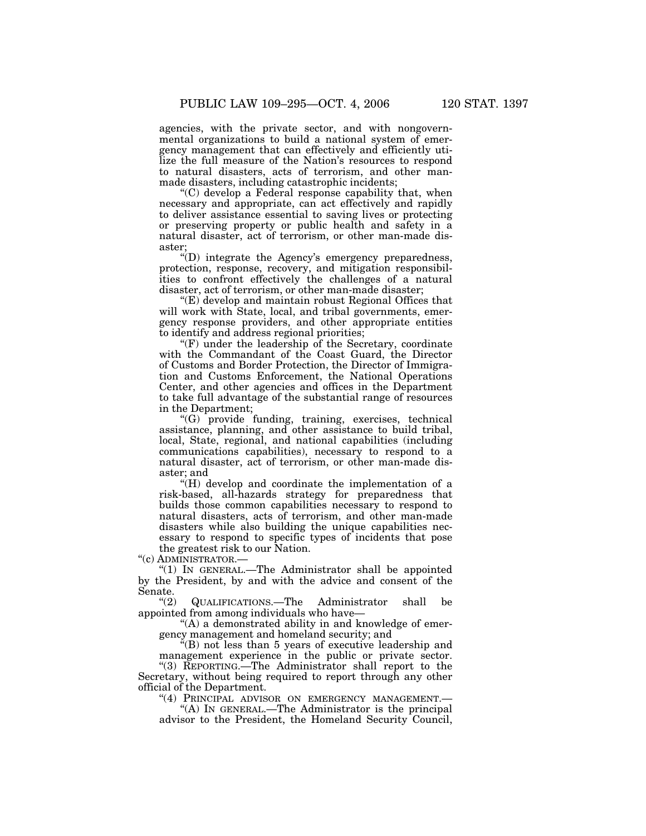agencies, with the private sector, and with nongovernmental organizations to build a national system of emergency management that can effectively and efficiently utilize the full measure of the Nation's resources to respond to natural disasters, acts of terrorism, and other manmade disasters, including catastrophic incidents;

''(C) develop a Federal response capability that, when necessary and appropriate, can act effectively and rapidly to deliver assistance essential to saving lives or protecting or preserving property or public health and safety in a natural disaster, act of terrorism, or other man-made disaster;

 $'(D)$  integrate the Agency's emergency preparedness, protection, response, recovery, and mitigation responsibilities to confront effectively the challenges of a natural disaster, act of terrorism, or other man-made disaster;

''(E) develop and maintain robust Regional Offices that will work with State, local, and tribal governments, emergency response providers, and other appropriate entities to identify and address regional priorities;

''(F) under the leadership of the Secretary, coordinate with the Commandant of the Coast Guard, the Director of Customs and Border Protection, the Director of Immigration and Customs Enforcement, the National Operations Center, and other agencies and offices in the Department to take full advantage of the substantial range of resources in the Department;

''(G) provide funding, training, exercises, technical assistance, planning, and other assistance to build tribal, local, State, regional, and national capabilities (including communications capabilities), necessary to respond to a natural disaster, act of terrorism, or other man-made disaster; and

"(H) develop and coordinate the implementation of a risk-based, all-hazards strategy for preparedness that builds those common capabilities necessary to respond to natural disasters, acts of terrorism, and other man-made disasters while also building the unique capabilities necessary to respond to specific types of incidents that pose the greatest risk to our Nation.

''(c) ADMINISTRATOR.—

" $(1)$  In GENERAL.—The Administrator shall be appointed by the President, by and with the advice and consent of the Senate.<br> $\frac{a(2)}{2}$ 

''(2) QUALIFICATIONS.—The Administrator shall be appointed from among individuals who have—

"(A) a demonstrated ability in and knowledge of emergency management and homeland security; and

''(B) not less than 5 years of executive leadership and management experience in the public or private sector. ''(3) REPORTING.—The Administrator shall report to the Secretary, without being required to report through any other official of the Department.

"(4) PRINCIPAL ADVISOR ON EMERGENCY MANAGEMENT.-

''(A) IN GENERAL.—The Administrator is the principal advisor to the President, the Homeland Security Council,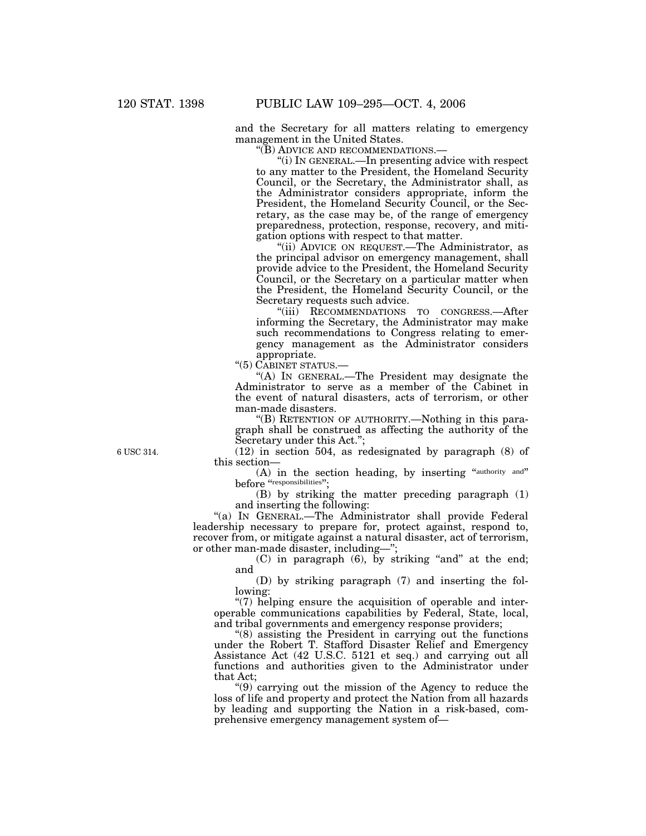and the Secretary for all matters relating to emergency management in the United States.

''(B) ADVICE AND RECOMMENDATIONS.—

''(i) IN GENERAL.—In presenting advice with respect to any matter to the President, the Homeland Security Council, or the Secretary, the Administrator shall, as the Administrator considers appropriate, inform the President, the Homeland Security Council, or the Secretary, as the case may be, of the range of emergency preparedness, protection, response, recovery, and mitigation options with respect to that matter.

''(ii) ADVICE ON REQUEST.—The Administrator, as the principal advisor on emergency management, shall provide advice to the President, the Homeland Security Council, or the Secretary on a particular matter when the President, the Homeland Security Council, or the Secretary requests such advice.

"(iii) RECOMMENDATIONS TO CONGRESS.—After informing the Secretary, the Administrator may make such recommendations to Congress relating to emergency management as the Administrator considers appropriate.

''(5) CABINET STATUS.—

''(A) IN GENERAL.—The President may designate the Administrator to serve as a member of the Cabinet in the event of natural disasters, acts of terrorism, or other man-made disasters.

''(B) RETENTION OF AUTHORITY.—Nothing in this paragraph shall be construed as affecting the authority of the Secretary under this Act.'';

(12) in section 504, as redesignated by paragraph (8) of this section—

(A) in the section heading, by inserting "authority and" before "responsibilities".

(B) by striking the matter preceding paragraph (1) and inserting the following:

"(a) IN GENERAL.—The Administrator shall provide Federal leadership necessary to prepare for, protect against, respond to, recover from, or mitigate against a natural disaster, act of terrorism, or other man-made disaster, including—'';

> $(C)$  in paragraph  $(6)$ , by striking "and" at the end; and

> (D) by striking paragraph (7) and inserting the following:

"(7) helping ensure the acquisition of operable and interoperable communications capabilities by Federal, State, local, and tribal governments and emergency response providers;

''(8) assisting the President in carrying out the functions under the Robert T. Stafford Disaster Relief and Emergency Assistance Act (42 U.S.C. 5121 et seq.) and carrying out all functions and authorities given to the Administrator under that Act;

''(9) carrying out the mission of the Agency to reduce the loss of life and property and protect the Nation from all hazards by leading and supporting the Nation in a risk-based, comprehensive emergency management system of—

6 USC 314.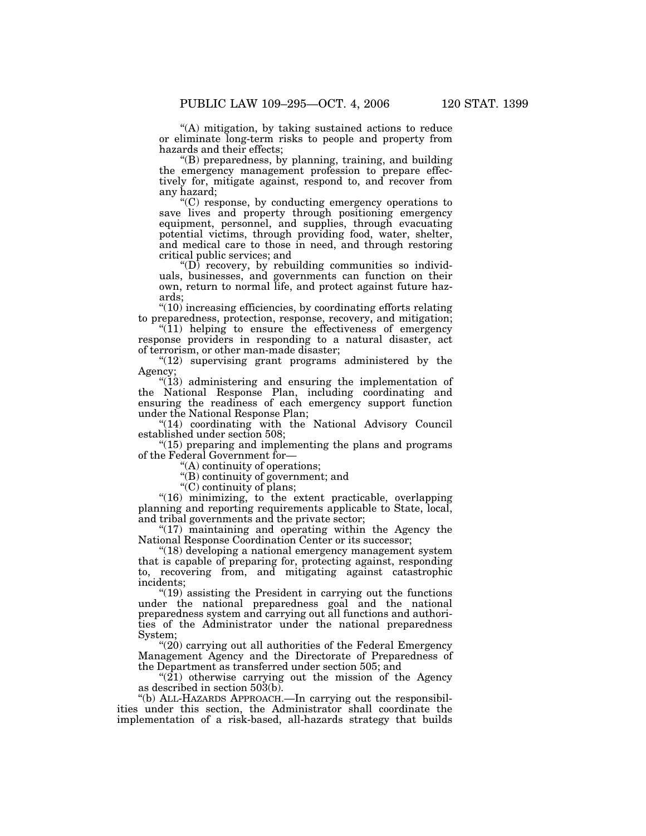''(A) mitigation, by taking sustained actions to reduce or eliminate long-term risks to people and property from hazards and their effects;

''(B) preparedness, by planning, training, and building the emergency management profession to prepare effectively for, mitigate against, respond to, and recover from any hazard;

''(C) response, by conducting emergency operations to save lives and property through positioning emergency equipment, personnel, and supplies, through evacuating potential victims, through providing food, water, shelter, and medical care to those in need, and through restoring critical public services; and

" $(D)$  recovery, by rebuilding communities so individuals, businesses, and governments can function on their own, return to normal life, and protect against future hazards;

''(10) increasing efficiencies, by coordinating efforts relating to preparedness, protection, response, recovery, and mitigation;

 $(11)$  helping to ensure the effectiveness of emergency response providers in responding to a natural disaster, act of terrorism, or other man-made disaster;

" $(12)$  supervising grant programs administered by the Agency;

"(13) administering and ensuring the implementation of the National Response Plan, including coordinating and ensuring the readiness of each emergency support function under the National Response Plan;

''(14) coordinating with the National Advisory Council established under section 508;

 $(15)$  preparing and implementing the plans and programs of the Federal Government for—

''(A) continuity of operations;

''(B) continuity of government; and

"(C) continuity of plans;

"(16) minimizing, to the extent practicable, overlapping planning and reporting requirements applicable to State, local, and tribal governments and the private sector;

 $*(17)$  maintaining and operating within the Agency the National Response Coordination Center or its successor;

"(18) developing a national emergency management system that is capable of preparing for, protecting against, responding to, recovering from, and mitigating against catastrophic incidents;

 $(19)$  assisting the President in carrying out the functions under the national preparedness goal and the national preparedness system and carrying out all functions and authorities of the Administrator under the national preparedness System;

 $(20)$  carrying out all authorities of the Federal Emergency Management Agency and the Directorate of Preparedness of the Department as transferred under section 505; and

" $(21)$  otherwise carrying out the mission of the Agency as described in section 503(b).

''(b) ALL-HAZARDS APPROACH.—In carrying out the responsibilities under this section, the Administrator shall coordinate the implementation of a risk-based, all-hazards strategy that builds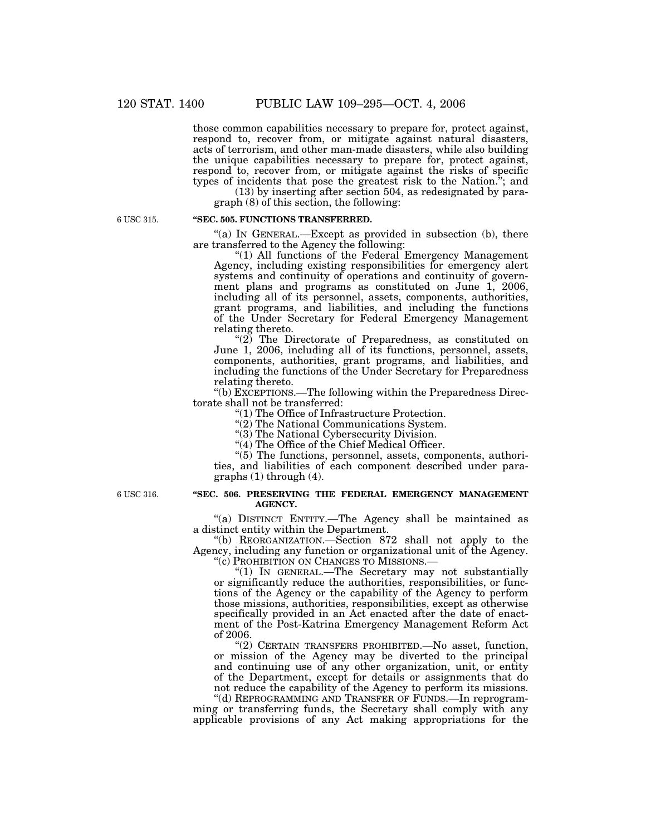those common capabilities necessary to prepare for, protect against, respond to, recover from, or mitigate against natural disasters, acts of terrorism, and other man-made disasters, while also building the unique capabilities necessary to prepare for, protect against, respond to, recover from, or mitigate against the risks of specific types of incidents that pose the greatest risk to the Nation.''; and

(13) by inserting after section 504, as redesignated by paragraph (8) of this section, the following:

6 USC 315.

## **''SEC. 505. FUNCTIONS TRANSFERRED.**

 $(a)$  In GENERAL.—Except as provided in subsection (b), there are transferred to the Agency the following:

"(1) All functions of the Federal Emergency Management Agency, including existing responsibilities for emergency alert systems and continuity of operations and continuity of government plans and programs as constituted on June 1, 2006, including all of its personnel, assets, components, authorities, grant programs, and liabilities, and including the functions of the Under Secretary for Federal Emergency Management relating thereto.

" $(2)$  The Directorate of Preparedness, as constituted on June 1, 2006, including all of its functions, personnel, assets, components, authorities, grant programs, and liabilities, and including the functions of the Under Secretary for Preparedness relating thereto.

''(b) EXCEPTIONS.—The following within the Preparedness Directorate shall not be transferred:

''(1) The Office of Infrastructure Protection.

''(2) The National Communications System.

"(3) The National Cybersecurity Division.

"(4) The Office of the Chief Medical Officer.

''(5) The functions, personnel, assets, components, authorities, and liabilities of each component described under para $graphs(1)$  through  $(4)$ .

6 USC 316.

#### **''SEC. 506. PRESERVING THE FEDERAL EMERGENCY MANAGEMENT AGENCY.**

''(a) DISTINCT ENTITY.—The Agency shall be maintained as a distinct entity within the Department.

''(b) REORGANIZATION.—Section 872 shall not apply to the Agency, including any function or organizational unit of the Agency. ''(c) PROHIBITION ON CHANGES TO MISSIONS.—

''(1) IN GENERAL.—The Secretary may not substantially or significantly reduce the authorities, responsibilities, or functions of the Agency or the capability of the Agency to perform those missions, authorities, responsibilities, except as otherwise specifically provided in an Act enacted after the date of enactment of the Post-Katrina Emergency Management Reform Act of 2006.

''(2) CERTAIN TRANSFERS PROHIBITED.—No asset, function, or mission of the Agency may be diverted to the principal and continuing use of any other organization, unit, or entity of the Department, except for details or assignments that do not reduce the capability of the Agency to perform its missions.

''(d) REPROGRAMMING AND TRANSFER OF FUNDS.—In reprogramming or transferring funds, the Secretary shall comply with any applicable provisions of any Act making appropriations for the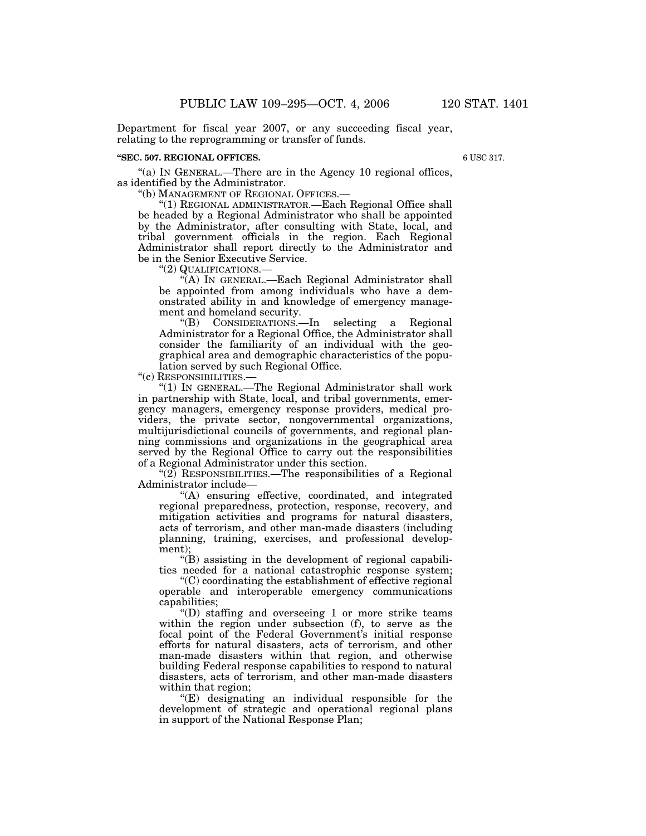Department for fiscal year 2007, or any succeeding fiscal year, relating to the reprogramming or transfer of funds.

#### **''SEC. 507. REGIONAL OFFICES.**

6 USC 317.

"(a) IN GENERAL.—There are in the Agency 10 regional offices, as identified by the Administrator.

''(b) MANAGEMENT OF REGIONAL OFFICES.—

"(1) REGIONAL ADMINISTRATOR.—Each Regional Office shall be headed by a Regional Administrator who shall be appointed by the Administrator, after consulting with State, local, and tribal government officials in the region. Each Regional Administrator shall report directly to the Administrator and be in the Senior Executive Service.

''(2) QUALIFICATIONS.—

''(A) IN GENERAL.—Each Regional Administrator shall be appointed from among individuals who have a demonstrated ability in and knowledge of emergency management and homeland security.

''(B) CONSIDERATIONS.—In selecting a Regional Administrator for a Regional Office, the Administrator shall consider the familiarity of an individual with the geographical area and demographic characteristics of the population served by such Regional Office.

''(c) RESPONSIBILITIES.—

''(1) IN GENERAL.—The Regional Administrator shall work in partnership with State, local, and tribal governments, emergency managers, emergency response providers, medical providers, the private sector, nongovernmental organizations, multijurisdictional councils of governments, and regional planning commissions and organizations in the geographical area served by the Regional Office to carry out the responsibilities of a Regional Administrator under this section.

 $\mathcal{L}(2)$  RESPONSIBILITIES.—The responsibilities of a Regional Administrator include—

''(A) ensuring effective, coordinated, and integrated regional preparedness, protection, response, recovery, and mitigation activities and programs for natural disasters, acts of terrorism, and other man-made disasters (including planning, training, exercises, and professional development);

''(B) assisting in the development of regional capabilities needed for a national catastrophic response system;

''(C) coordinating the establishment of effective regional operable and interoperable emergency communications capabilities;

''(D) staffing and overseeing 1 or more strike teams within the region under subsection (f), to serve as the focal point of the Federal Government's initial response efforts for natural disasters, acts of terrorism, and other man-made disasters within that region, and otherwise building Federal response capabilities to respond to natural disasters, acts of terrorism, and other man-made disasters within that region;

 $E$ ) designating an individual responsible for the development of strategic and operational regional plans in support of the National Response Plan;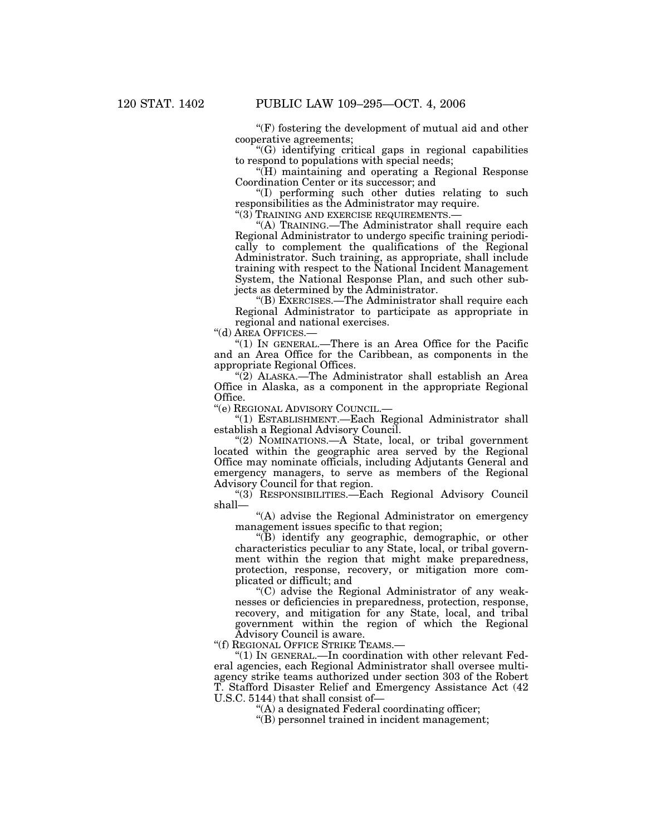$F(F)$  fostering the development of mutual aid and other cooperative agreements;

''(G) identifying critical gaps in regional capabilities to respond to populations with special needs;

''(H) maintaining and operating a Regional Response Coordination Center or its successor; and

''(I) performing such other duties relating to such responsibilities as the Administrator may require.

"(3) TRAINING AND EXERCISE REQUIREMENTS.

''(A) TRAINING.—The Administrator shall require each Regional Administrator to undergo specific training periodically to complement the qualifications of the Regional Administrator. Such training, as appropriate, shall include training with respect to the National Incident Management System, the National Response Plan, and such other subjects as determined by the Administrator.

 $\cdot$ "(B) EXERCISES.—The Administrator shall require each Regional Administrator to participate as appropriate in regional and national exercises.

''(d) AREA OFFICES.—

" $(1)$  In GENERAL.—There is an Area Office for the Pacific and an Area Office for the Caribbean, as components in the appropriate Regional Offices.

" $(2)$  ALASKA.—The Administrator shall establish an Area Office in Alaska, as a component in the appropriate Regional Office.

''(e) REGIONAL ADVISORY COUNCIL.—

''(1) ESTABLISHMENT.—Each Regional Administrator shall establish a Regional Advisory Council.

"(2) NOMINATIONS.—A State, local, or tribal government located within the geographic area served by the Regional Office may nominate officials, including Adjutants General and emergency managers, to serve as members of the Regional Advisory Council for that region.

''(3) RESPONSIBILITIES.—Each Regional Advisory Council shall—

"(A) advise the Regional Administrator on emergency management issues specific to that region;

''(B) identify any geographic, demographic, or other characteristics peculiar to any State, local, or tribal government within the region that might make preparedness, protection, response, recovery, or mitigation more complicated or difficult; and

''(C) advise the Regional Administrator of any weaknesses or deficiencies in preparedness, protection, response, recovery, and mitigation for any State, local, and tribal government within the region of which the Regional Advisory Council is aware.

''(f) REGIONAL OFFICE STRIKE TEAMS.—

''(1) IN GENERAL.—In coordination with other relevant Federal agencies, each Regional Administrator shall oversee multiagency strike teams authorized under section 303 of the Robert T. Stafford Disaster Relief and Emergency Assistance Act (42 U.S.C. 5144) that shall consist of—

''(A) a designated Federal coordinating officer;

''(B) personnel trained in incident management;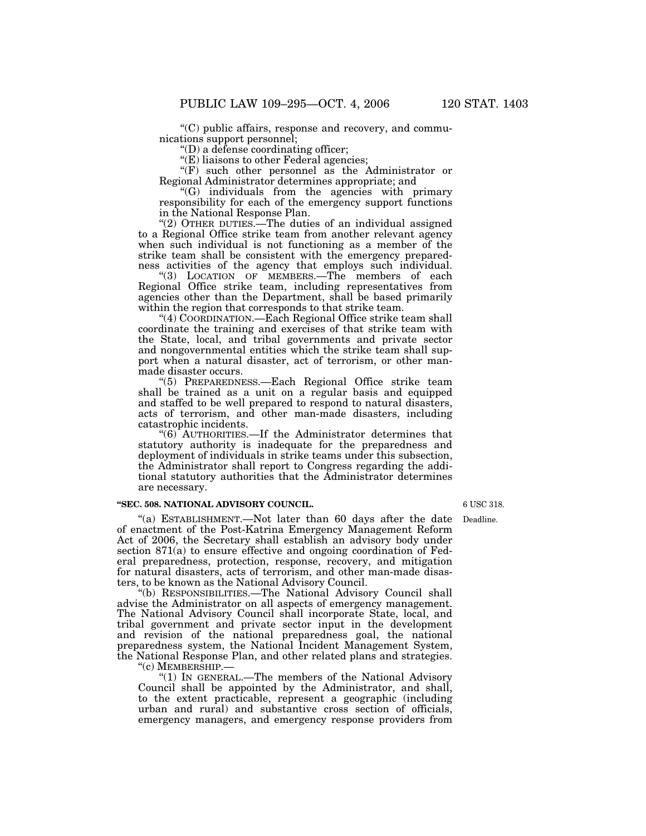''(C) public affairs, response and recovery, and communications support personnel;

''(D) a defense coordinating officer;

"(E) liaisons to other Federal agencies;

"(F) such other personnel as the Administrator or Regional Administrator determines appropriate; and

''(G) individuals from the agencies with primary responsibility for each of the emergency support functions in the National Response Plan.

"(2) OTHER DUTIES.—The duties of an individual assigned to a Regional Office strike team from another relevant agency when such individual is not functioning as a member of the strike team shall be consistent with the emergency preparedness activities of the agency that employs such individual.

"(3) LOCATION OF MEMBERS.—The members of each Regional Office strike team, including representatives from agencies other than the Department, shall be based primarily within the region that corresponds to that strike team.

"(4) COORDINATION.—Each Regional Office strike team shall coordinate the training and exercises of that strike team with the State, local, and tribal governments and private sector and nongovernmental entities which the strike team shall support when a natural disaster, act of terrorism, or other manmade disaster occurs.

''(5) PREPAREDNESS.—Each Regional Office strike team shall be trained as a unit on a regular basis and equipped and staffed to be well prepared to respond to natural disasters, acts of terrorism, and other man-made disasters, including catastrophic incidents.

''(6) AUTHORITIES.—If the Administrator determines that statutory authority is inadequate for the preparedness and deployment of individuals in strike teams under this subsection, the Administrator shall report to Congress regarding the additional statutory authorities that the Administrator determines are necessary.

### **''SEC. 508. NATIONAL ADVISORY COUNCIL.**

"(a) ESTABLISHMENT.—Not later than 60 days after the date of enactment of the Post-Katrina Emergency Management Reform Act of 2006, the Secretary shall establish an advisory body under section 871(a) to ensure effective and ongoing coordination of Federal preparedness, protection, response, recovery, and mitigation for natural disasters, acts of terrorism, and other man-made disasters, to be known as the National Advisory Council.

''(b) RESPONSIBILITIES.—The National Advisory Council shall advise the Administrator on all aspects of emergency management. The National Advisory Council shall incorporate State, local, and tribal government and private sector input in the development and revision of the national preparedness goal, the national preparedness system, the National Incident Management System, the National Response Plan, and other related plans and strategies. "(c) MEMBERSHIP.-

''(1) IN GENERAL.—The members of the National Advisory Council shall be appointed by the Administrator, and shall, to the extent practicable, represent a geographic (including urban and rural) and substantive cross section of officials, emergency managers, and emergency response providers from 6 USC 318.

Deadline.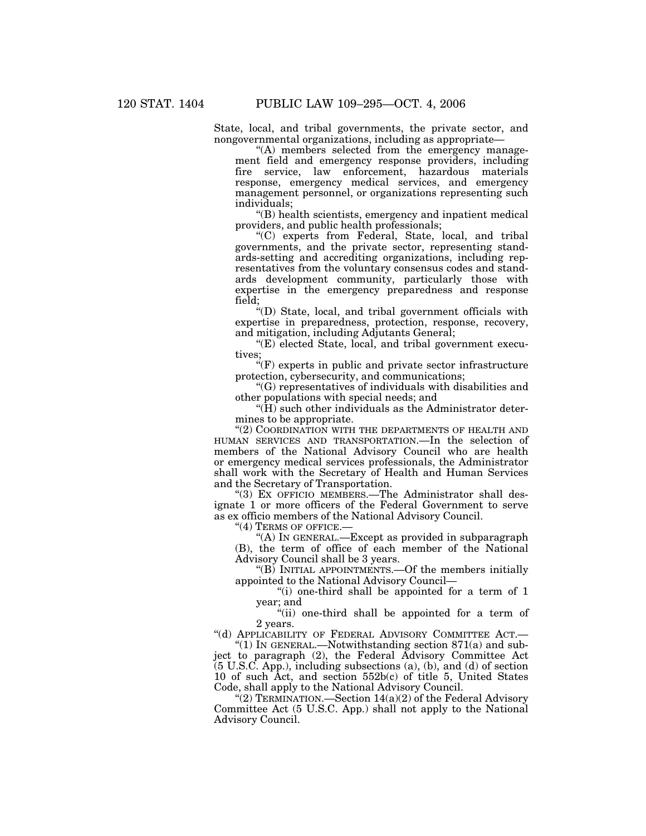State, local, and tribal governments, the private sector, and nongovernmental organizations, including as appropriate—

''(A) members selected from the emergency management field and emergency response providers, including fire service, law enforcement, hazardous materials response, emergency medical services, and emergency management personnel, or organizations representing such individuals;

''(B) health scientists, emergency and inpatient medical providers, and public health professionals;

''(C) experts from Federal, State, local, and tribal governments, and the private sector, representing standards-setting and accrediting organizations, including representatives from the voluntary consensus codes and standards development community, particularly those with expertise in the emergency preparedness and response field;

''(D) State, local, and tribal government officials with expertise in preparedness, protection, response, recovery, and mitigation, including Adjutants General;

 $E$ ) elected State, local, and tribal government executives;

 $\mathcal{C}(F)$  experts in public and private sector infrastructure protection, cybersecurity, and communications;

''(G) representatives of individuals with disabilities and other populations with special needs; and

" $(\hat{H})$  such other individuals as the Administrator determines to be appropriate.

"(2) COORDINATION WITH THE DEPARTMENTS OF HEALTH AND HUMAN SERVICES AND TRANSPORTATION.—In the selection of members of the National Advisory Council who are health or emergency medical services professionals, the Administrator shall work with the Secretary of Health and Human Services and the Secretary of Transportation.

"(3) EX OFFICIO MEMBERS.—The Administrator shall designate 1 or more officers of the Federal Government to serve as ex officio members of the National Advisory Council.

"(4) TERMS OF OFFICE.-

"(A) IN GENERAL.—Except as provided in subparagraph (B), the term of office of each member of the National Advisory Council shall be 3 years.

''(B) INITIAL APPOINTMENTS.—Of the members initially appointed to the National Advisory Council—

"(i) one-third shall be appointed for a term of 1 year; and

"(ii) one-third shall be appointed for a term of 2 years.

"(d) APPLICABILITY OF FEDERAL ADVISORY COMMITTEE ACT.—

" $(1)$  In GENERAL.—Notwithstanding section 871 $(a)$  and subject to paragraph (2), the Federal Advisory Committee Act (5 U.S.C. App.), including subsections (a), (b), and (d) of section 10 of such Act, and section 552b(c) of title 5, United States Code, shall apply to the National Advisory Council.

 $\mathcal{C}(2)$  TERMINATION.—Section 14(a)(2) of the Federal Advisory Committee Act (5 U.S.C. App.) shall not apply to the National Advisory Council.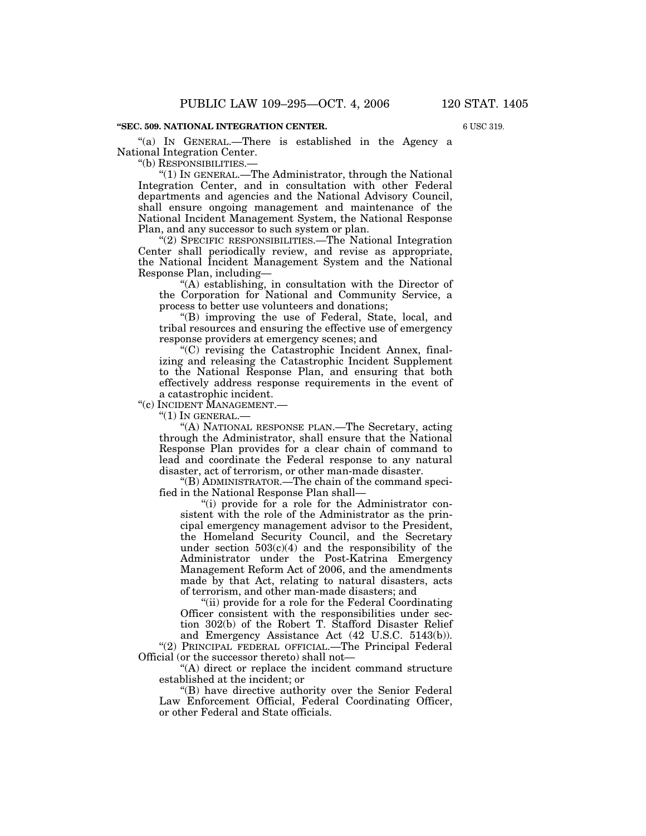6 USC 319.

"(a) IN GENERAL.—There is established in the Agency a National Integration Center.

''(b) RESPONSIBILITIES.—

''(1) IN GENERAL.—The Administrator, through the National Integration Center, and in consultation with other Federal departments and agencies and the National Advisory Council, shall ensure ongoing management and maintenance of the National Incident Management System, the National Response Plan, and any successor to such system or plan.

''(2) SPECIFIC RESPONSIBILITIES.—The National Integration Center shall periodically review, and revise as appropriate, the National Incident Management System and the National Response Plan, including—

''(A) establishing, in consultation with the Director of the Corporation for National and Community Service, a process to better use volunteers and donations;

''(B) improving the use of Federal, State, local, and tribal resources and ensuring the effective use of emergency response providers at emergency scenes; and

''(C) revising the Catastrophic Incident Annex, finalizing and releasing the Catastrophic Incident Supplement to the National Response Plan, and ensuring that both effectively address response requirements in the event of a catastrophic incident.

''(c) INCIDENT MANAGEMENT.—

 $''(1)$  In GENERAL. $-$ 

''(A) NATIONAL RESPONSE PLAN.—The Secretary, acting through the Administrator, shall ensure that the National Response Plan provides for a clear chain of command to lead and coordinate the Federal response to any natural disaster, act of terrorism, or other man-made disaster.

''(B) ADMINISTRATOR.—The chain of the command specified in the National Response Plan shall—

''(i) provide for a role for the Administrator consistent with the role of the Administrator as the principal emergency management advisor to the President, the Homeland Security Council, and the Secretary under section  $503(c)(4)$  and the responsibility of the Administrator under the Post-Katrina Emergency Management Reform Act of 2006, and the amendments made by that Act, relating to natural disasters, acts of terrorism, and other man-made disasters; and

"(ii) provide for a role for the Federal Coordinating Officer consistent with the responsibilities under section 302(b) of the Robert T. Stafford Disaster Relief and Emergency Assistance Act (42 U.S.C. 5143(b)).

"(2) PRINCIPAL FEDERAL OFFICIAL.-The Principal Federal Official (or the successor thereto) shall not—

''(A) direct or replace the incident command structure established at the incident; or

''(B) have directive authority over the Senior Federal Law Enforcement Official, Federal Coordinating Officer, or other Federal and State officials.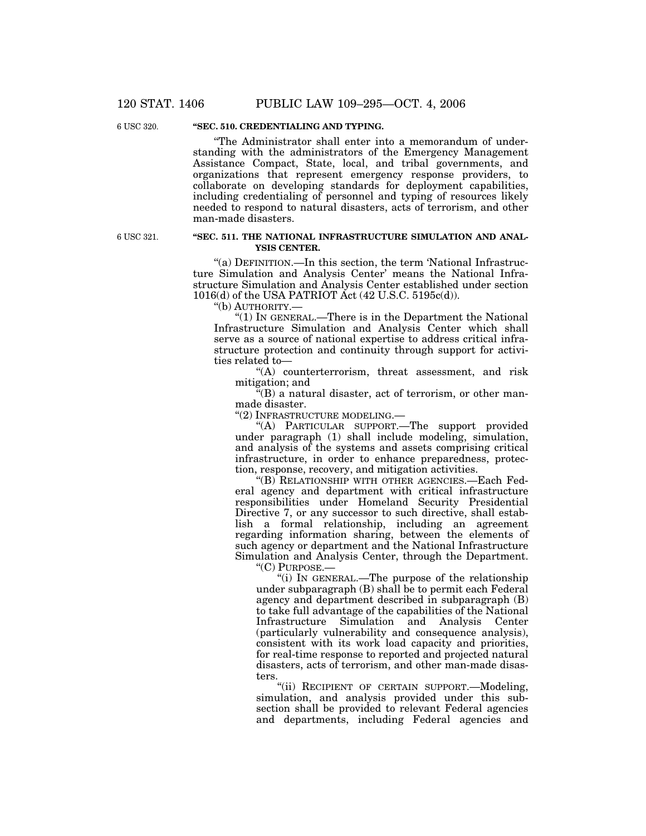6 USC 320.

# **''SEC. 510. CREDENTIALING AND TYPING.**

''The Administrator shall enter into a memorandum of understanding with the administrators of the Emergency Management Assistance Compact, State, local, and tribal governments, and organizations that represent emergency response providers, to collaborate on developing standards for deployment capabilities, including credentialing of personnel and typing of resources likely needed to respond to natural disasters, acts of terrorism, and other man-made disasters.

6 USC 321.

### **''SEC. 511. THE NATIONAL INFRASTRUCTURE SIMULATION AND ANAL-YSIS CENTER.**

''(a) DEFINITION.—In this section, the term 'National Infrastructure Simulation and Analysis Center' means the National Infrastructure Simulation and Analysis Center established under section 1016(d) of the USA PATRIOT Act (42 U.S.C. 5195c(d)).

''(b) AUTHORITY.—

" $(1)$  In GENERAL.—There is in the Department the National Infrastructure Simulation and Analysis Center which shall serve as a source of national expertise to address critical infrastructure protection and continuity through support for activities related to—

''(A) counterterrorism, threat assessment, and risk mitigation; and

 $\mathbf{F}(\mathbf{B})$  a natural disaster, act of terrorism, or other manmade disaster.

''(2) INFRASTRUCTURE MODELING.—

''(A) PARTICULAR SUPPORT.—The support provided under paragraph (1) shall include modeling, simulation, and analysis of the systems and assets comprising critical infrastructure, in order to enhance preparedness, protection, response, recovery, and mitigation activities.

''(B) RELATIONSHIP WITH OTHER AGENCIES.—Each Federal agency and department with critical infrastructure responsibilities under Homeland Security Presidential Directive 7, or any successor to such directive, shall establish a formal relationship, including an agreement regarding information sharing, between the elements of such agency or department and the National Infrastructure Simulation and Analysis Center, through the Department.

''(C) PURPOSE.—

''(i) IN GENERAL.—The purpose of the relationship under subparagraph (B) shall be to permit each Federal agency and department described in subparagraph (B) to take full advantage of the capabilities of the National Infrastructure Simulation and Analysis Center (particularly vulnerability and consequence analysis), consistent with its work load capacity and priorities, for real-time response to reported and projected natural disasters, acts of terrorism, and other man-made disasters.

''(ii) RECIPIENT OF CERTAIN SUPPORT.—Modeling, simulation, and analysis provided under this subsection shall be provided to relevant Federal agencies and departments, including Federal agencies and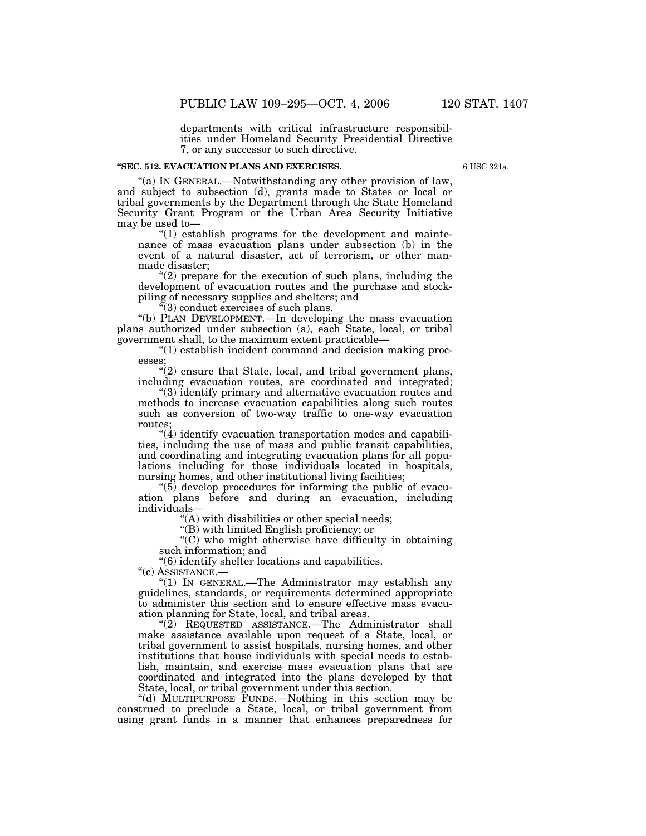departments with critical infrastructure responsibilities under Homeland Security Presidential Directive 7, or any successor to such directive.

## **''SEC. 512. EVACUATION PLANS AND EXERCISES.**

6 USC 321a.

''(a) IN GENERAL.—Notwithstanding any other provision of law, and subject to subsection (d), grants made to States or local or tribal governments by the Department through the State Homeland Security Grant Program or the Urban Area Security Initiative may be used to—

 $(1)$  establish programs for the development and maintenance of mass evacuation plans under subsection (b) in the event of a natural disaster, act of terrorism, or other manmade disaster;

" $(2)$  prepare for the execution of such plans, including the development of evacuation routes and the purchase and stockpiling of necessary supplies and shelters; and

 $\tilde{f}(3)$  conduct exercises of such plans.

''(b) PLAN DEVELOPMENT.—In developing the mass evacuation plans authorized under subsection (a), each State, local, or tribal government shall, to the maximum extent practicable—

''(1) establish incident command and decision making processes;

"(2) ensure that State, local, and tribal government plans, including evacuation routes, are coordinated and integrated;

''(3) identify primary and alternative evacuation routes and methods to increase evacuation capabilities along such routes such as conversion of two-way traffic to one-way evacuation routes;

 $\cdot$ (4) identify evacuation transportation modes and capabilities, including the use of mass and public transit capabilities, and coordinating and integrating evacuation plans for all populations including for those individuals located in hospitals, nursing homes, and other institutional living facilities;

 $\degree$ (5) develop procedures for informing the public of evacuation plans before and during an evacuation, including individuals—

 $(A)$  with disabilities or other special needs;

''(B) with limited English proficiency; or

''(C) who might otherwise have difficulty in obtaining such information; and

''(6) identify shelter locations and capabilities.

''(c) ASSISTANCE.—

''(1) IN GENERAL.—The Administrator may establish any guidelines, standards, or requirements determined appropriate to administer this section and to ensure effective mass evacuation planning for State, local, and tribal areas.

'(2) REQUESTED ASSISTANCE.—The Administrator shall make assistance available upon request of a State, local, or tribal government to assist hospitals, nursing homes, and other institutions that house individuals with special needs to establish, maintain, and exercise mass evacuation plans that are coordinated and integrated into the plans developed by that State, local, or tribal government under this section.

''(d) MULTIPURPOSE FUNDS.—Nothing in this section may be construed to preclude a State, local, or tribal government from using grant funds in a manner that enhances preparedness for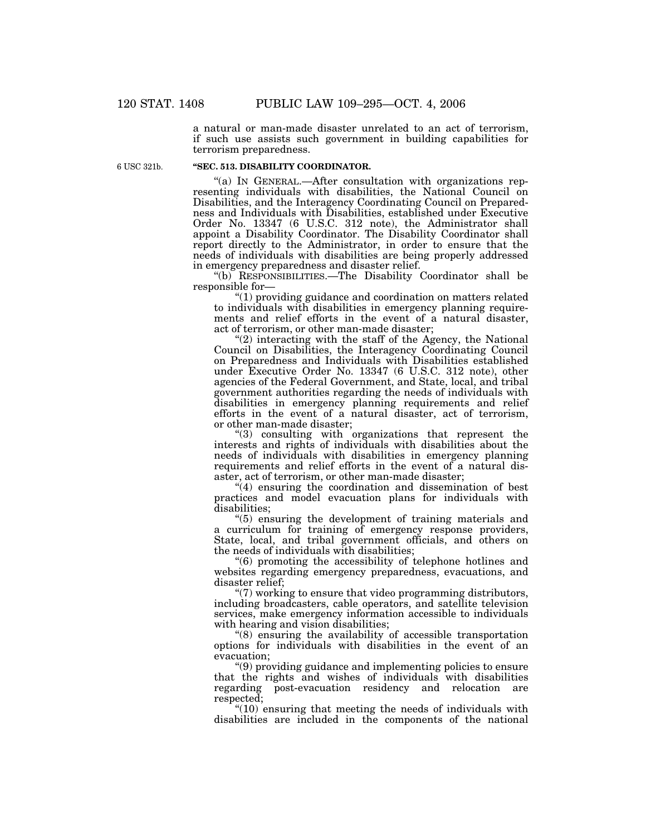a natural or man-made disaster unrelated to an act of terrorism, if such use assists such government in building capabilities for terrorism preparedness.

6 USC 321b.

## **''SEC. 513. DISABILITY COORDINATOR.**

''(a) IN GENERAL.—After consultation with organizations representing individuals with disabilities, the National Council on Disabilities, and the Interagency Coordinating Council on Preparedness and Individuals with Disabilities, established under Executive Order No. 13347 (6 U.S.C. 312 note), the Administrator shall appoint a Disability Coordinator. The Disability Coordinator shall report directly to the Administrator, in order to ensure that the needs of individuals with disabilities are being properly addressed in emergency preparedness and disaster relief.

''(b) RESPONSIBILITIES.—The Disability Coordinator shall be responsible for—

''(1) providing guidance and coordination on matters related to individuals with disabilities in emergency planning requirements and relief efforts in the event of a natural disaster, act of terrorism, or other man-made disaster;

 $(2)$  interacting with the staff of the Agency, the National Council on Disabilities, the Interagency Coordinating Council on Preparedness and Individuals with Disabilities established under Executive Order No. 13347 (6 U.S.C. 312 note), other agencies of the Federal Government, and State, local, and tribal government authorities regarding the needs of individuals with disabilities in emergency planning requirements and relief efforts in the event of a natural disaster, act of terrorism, or other man-made disaster;

''(3) consulting with organizations that represent the interests and rights of individuals with disabilities about the needs of individuals with disabilities in emergency planning requirements and relief efforts in the event of a natural disaster, act of terrorism, or other man-made disaster;

''(4) ensuring the coordination and dissemination of best practices and model evacuation plans for individuals with disabilities;

''(5) ensuring the development of training materials and a curriculum for training of emergency response providers, State, local, and tribal government officials, and others on the needs of individuals with disabilities;

''(6) promoting the accessibility of telephone hotlines and websites regarding emergency preparedness, evacuations, and disaster relief;

''(7) working to ensure that video programming distributors, including broadcasters, cable operators, and satellite television services, make emergency information accessible to individuals with hearing and vision disabilities;

''(8) ensuring the availability of accessible transportation options for individuals with disabilities in the event of an evacuation;

''(9) providing guidance and implementing policies to ensure that the rights and wishes of individuals with disabilities regarding post-evacuation residency and relocation are respected;

 $*(10)$  ensuring that meeting the needs of individuals with disabilities are included in the components of the national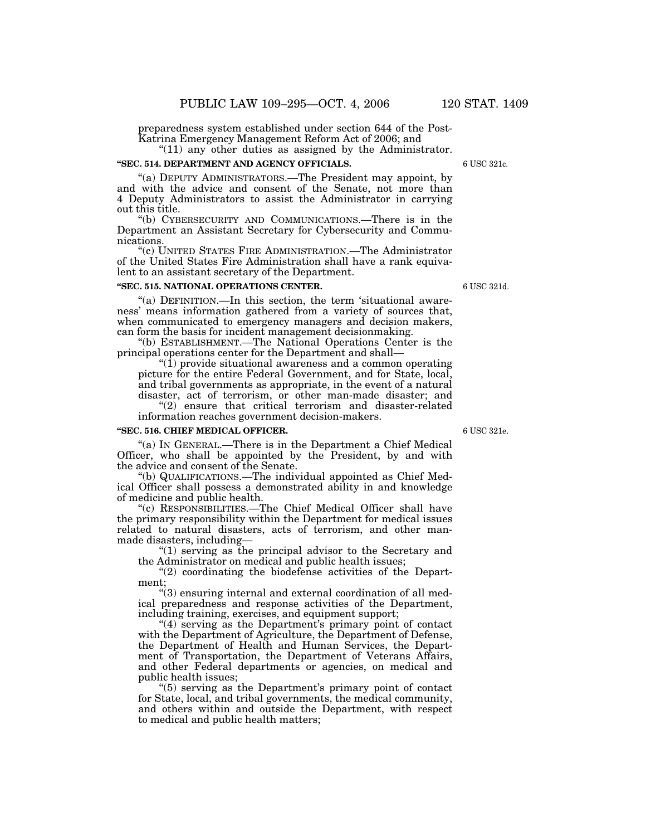preparedness system established under section 644 of the Post-Katrina Emergency Management Reform Act of 2006; and

" $(11)$  any other duties as assigned by the Administrator.

#### **''SEC. 514. DEPARTMENT AND AGENCY OFFICIALS.**

''(a) DEPUTY ADMINISTRATORS.—The President may appoint, by and with the advice and consent of the Senate, not more than 4 Deputy Administrators to assist the Administrator in carrying out this title.

''(b) CYBERSECURITY AND COMMUNICATIONS.—There is in the Department an Assistant Secretary for Cybersecurity and Communications.

"(c) UNITED STATES FIRE ADMINISTRATION.—The Administrator of the United States Fire Administration shall have a rank equivalent to an assistant secretary of the Department.

#### **''SEC. 515. NATIONAL OPERATIONS CENTER.**

"(a) DEFINITION.—In this section, the term 'situational awareness' means information gathered from a variety of sources that, when communicated to emergency managers and decision makers, can form the basis for incident management decisionmaking.

''(b) ESTABLISHMENT.—The National Operations Center is the principal operations center for the Department and shall—

 $\degree$ (1) provide situational awareness and a common operating picture for the entire Federal Government, and for State, local, and tribal governments as appropriate, in the event of a natural disaster, act of terrorism, or other man-made disaster; and "(2) ensure that critical terrorism and disaster-related

information reaches government decision-makers.

#### **''SEC. 516. CHIEF MEDICAL OFFICER.**

"(a) In GENERAL.—There is in the Department a Chief Medical Officer, who shall be appointed by the President, by and with the advice and consent of the Senate.

''(b) QUALIFICATIONS.—The individual appointed as Chief Medical Officer shall possess a demonstrated ability in and knowledge of medicine and public health.

''(c) RESPONSIBILITIES.—The Chief Medical Officer shall have the primary responsibility within the Department for medical issues related to natural disasters, acts of terrorism, and other manmade disasters, including—

''(1) serving as the principal advisor to the Secretary and the Administrator on medical and public health issues;

"(2) coordinating the biodefense activities of the Department;

''(3) ensuring internal and external coordination of all medical preparedness and response activities of the Department, including training, exercises, and equipment support;

"(4) serving as the Department's primary point of contact with the Department of Agriculture, the Department of Defense, the Department of Health and Human Services, the Department of Transportation, the Department of Veterans Affairs, and other Federal departments or agencies, on medical and public health issues;

''(5) serving as the Department's primary point of contact for State, local, and tribal governments, the medical community, and others within and outside the Department, with respect to medical and public health matters;

6 USC 321e.

6 USC 321d.

6 USC 321c.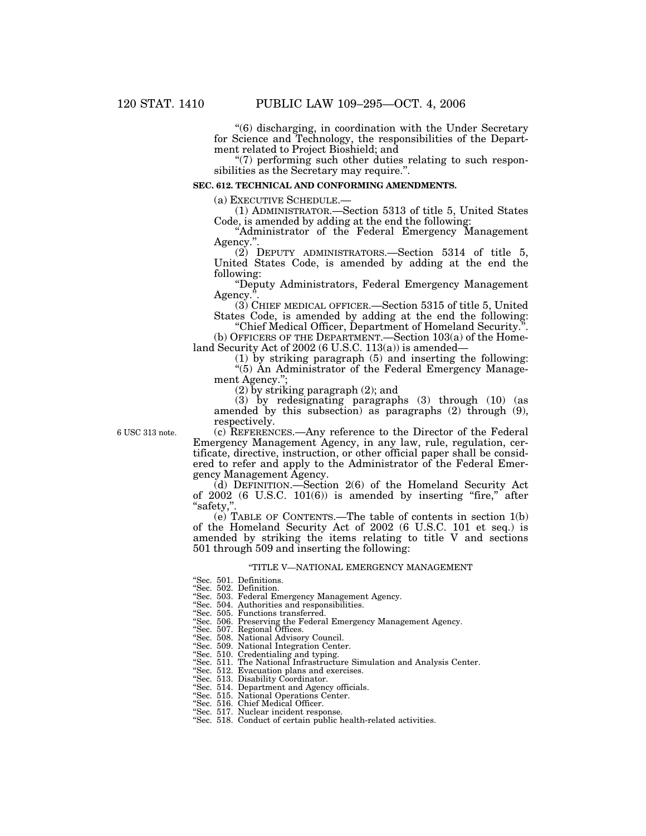''(6) discharging, in coordination with the Under Secretary for Science and Technology, the responsibilities of the Department related to Project Bioshield; and

"(7) performing such other duties relating to such responsibilities as the Secretary may require.''.

#### **SEC. 612. TECHNICAL AND CONFORMING AMENDMENTS.**

(a) EXECUTIVE SCHEDULE.—

(1) ADMINISTRATOR.—Section 5313 of title 5, United States Code, is amended by adding at the end the following:

''Administrator of the Federal Emergency Management Agency."

(2) DEPUTY ADMINISTRATORS.—Section 5314 of title 5, United States Code, is amended by adding at the end the following:

''Deputy Administrators, Federal Emergency Management Agency.

(3) CHIEF MEDICAL OFFICER.—Section 5315 of title 5, United States Code, is amended by adding at the end the following:

''Chief Medical Officer, Department of Homeland Security.''. (b) OFFICERS OF THE DEPARTMENT.—Section 103(a) of the Homeland Security Act of 2002 (6 U.S.C. 113(a)) is amended—

(1) by striking paragraph (5) and inserting the following: ''(5) An Administrator of the Federal Emergency Management Agency.'';

(2) by striking paragraph (2); and

(3) by redesignating paragraphs (3) through (10) (as amended by this subsection) as paragraphs (2) through (9), respectively.

6 USC 313 note.

(c) REFERENCES.—Any reference to the Director of the Federal Emergency Management Agency, in any law, rule, regulation, certificate, directive, instruction, or other official paper shall be considered to refer and apply to the Administrator of the Federal Emergency Management Agency.

(d) DEFINITION.—Section 2(6) of the Homeland Security Act of 2002 (6 U.S.C. 101(6)) is amended by inserting "fire," after ''safety,''.

(e) TABLE OF CONTENTS.—The table of contents in section 1(b) of the Homeland Security Act of 2002 (6 U.S.C. 101 et seq.) is amended by striking the items relating to title V and sections 501 through 509 and inserting the following:

#### ''TITLE V—NATIONAL EMERGENCY MANAGEMENT

''Sec. 501. Definitions. ''Sec. 502. Definition.

''Sec. 503. Federal Emergency Management Agency.

''Sec. 504. Authorities and responsibilities. ''Sec. 505. Functions transferred.

''Sec. 506. Preserving the Federal Emergency Management Agency. ''Sec. 507. Regional Offices. ''Sec. 508. National Advisory Council.

''Sec. 509. National Integration Center. ''Sec. 510. Credentialing and typing.

''Sec. 511. The National Infrastructure Simulation and Analysis Center.

''Sec. 512. Evacuation plans and exercises. ''Sec. 513. Disability Coordinator.

''Sec. 514. Department and Agency officials. ''Sec. 515. National Operations Center.

''Sec. 516. Chief Medical Officer.

''Sec. 517. Nuclear incident response.

"Sec. 518. Conduct of certain public health-related activities.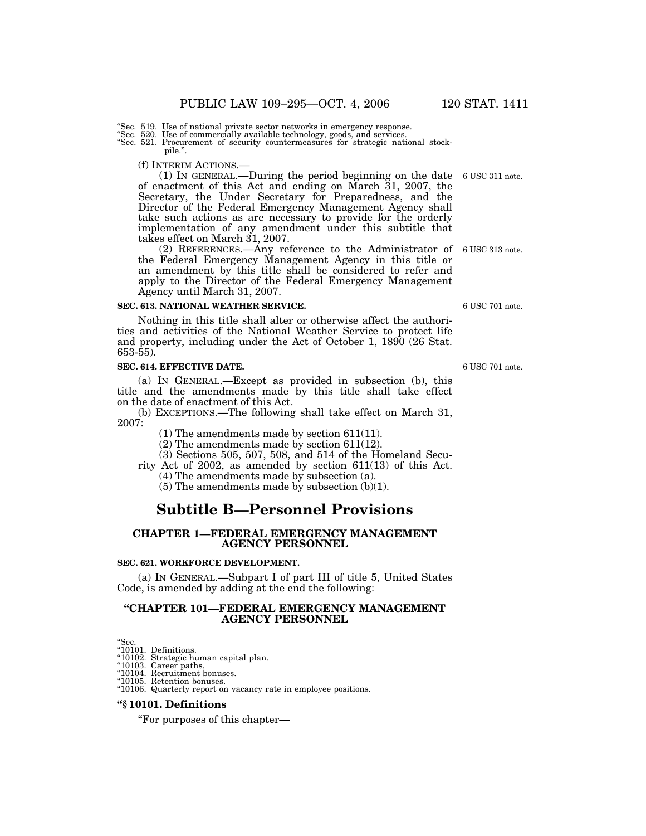Sec. 519. Use of national private sector networks in emergency response.

''Sec. 520. Use of commercially available technology, goods, and services. ''Sec. 521. Procurement of security countermeasures for strategic national stockpile.''.

(f) INTERIM ACTIONS.—

(1) IN GENERAL.—During the period beginning on the date 6 USC 311 note. of enactment of this Act and ending on March 31, 2007, the Secretary, the Under Secretary for Preparedness, and the Director of the Federal Emergency Management Agency shall take such actions as are necessary to provide for the orderly implementation of any amendment under this subtitle that takes effect on March 31, 2007.

(2) REFERENCES.—Any reference to the Administrator of 6 USC 313 note. the Federal Emergency Management Agency in this title or an amendment by this title shall be considered to refer and apply to the Director of the Federal Emergency Management Agency until March 31, 2007.

#### **SEC. 613. NATIONAL WEATHER SERVICE.**

Nothing in this title shall alter or otherwise affect the authorities and activities of the National Weather Service to protect life and property, including under the Act of October 1, 1890 (26 Stat. 653-55).

#### **SEC. 614. EFFECTIVE DATE.**

(a) IN GENERAL.—Except as provided in subsection (b), this title and the amendments made by this title shall take effect on the date of enactment of this Act.

(b) EXCEPTIONS.—The following shall take effect on March 31, 2007:

(1) The amendments made by section 611(11).

(2) The amendments made by section 611(12).

(3) Sections 505, 507, 508, and 514 of the Homeland Secu-

rity Act of 2002, as amended by section 611(13) of this Act.

(4) The amendments made by subsection (a).

(5) The amendments made by subsection (b)(1).

# **Subtitle B—Personnel Provisions**

## **CHAPTER 1—FEDERAL EMERGENCY MANAGEMENT AGENCY PERSONNEL**

#### **SEC. 621. WORKFORCE DEVELOPMENT.**

(a) IN GENERAL.—Subpart I of part III of title 5, United States Code, is amended by adding at the end the following:

## **''CHAPTER 101—FEDERAL EMERGENCY MANAGEMENT AGENCY PERSONNEL**

"Sec.<br>"10101. Definitions.<br>"10102. Strategic human capital plan.<br>"10103. Career paths.<br>"10104. Recruitment bonuses.

''10105. Retention bonuses. ''10106. Quarterly report on vacancy rate in employee positions.

#### **''§ 10101. Definitions**

''For purposes of this chapter—

6 USC 701 note.

6 USC 701 note.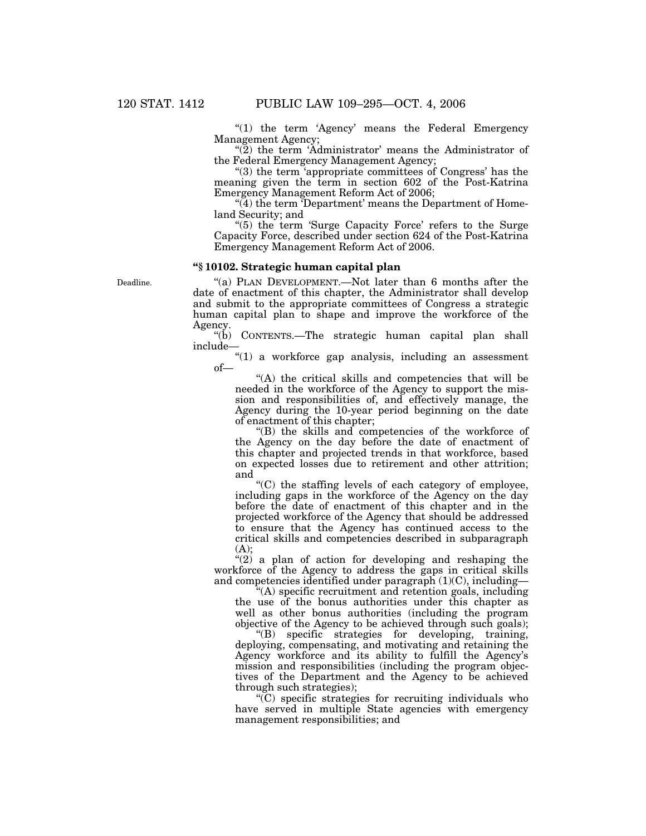" $(1)$  the term 'Agency' means the Federal Emergency Management Agency;

" $(2)$  the term 'Administrator' means the Administrator of the Federal Emergency Management Agency;

''(3) the term 'appropriate committees of Congress' has the meaning given the term in section 602 of the Post-Katrina Emergency Management Reform Act of 2006;

 $\widetilde{H}(4)$  the term Department' means the Department of Homeland Security; and

''(5) the term 'Surge Capacity Force' refers to the Surge Capacity Force, described under section 624 of the Post-Katrina Emergency Management Reform Act of 2006.

# **''§ 10102. Strategic human capital plan**

Deadline.

"(a) PLAN DEVELOPMENT.—Not later than 6 months after the date of enactment of this chapter, the Administrator shall develop and submit to the appropriate committees of Congress a strategic human capital plan to shape and improve the workforce of the Agency.

''(b) CONTENTS.—The strategic human capital plan shall include—

''(1) a workforce gap analysis, including an assessment of—

"(A) the critical skills and competencies that will be needed in the workforce of the Agency to support the mission and responsibilities of, and effectively manage, the Agency during the 10-year period beginning on the date of enactment of this chapter;

''(B) the skills and competencies of the workforce of the Agency on the day before the date of enactment of this chapter and projected trends in that workforce, based on expected losses due to retirement and other attrition; and

''(C) the staffing levels of each category of employee, including gaps in the workforce of the Agency on the day before the date of enactment of this chapter and in the projected workforce of the Agency that should be addressed to ensure that the Agency has continued access to the critical skills and competencies described in subparagraph  $(A)$ :

 $\cdot$  (2) a plan of action for developing and reshaping the workforce of the Agency to address the gaps in critical skills and competencies identified under paragraph  $(1)(C)$ , including—

''(A) specific recruitment and retention goals, including the use of the bonus authorities under this chapter as well as other bonus authorities (including the program objective of the Agency to be achieved through such goals);

''(B) specific strategies for developing, training, deploying, compensating, and motivating and retaining the Agency workforce and its ability to fulfill the Agency's mission and responsibilities (including the program objectives of the Department and the Agency to be achieved through such strategies);

 $\mathcal{C}(\mathcal{C})$  specific strategies for recruiting individuals who have served in multiple State agencies with emergency management responsibilities; and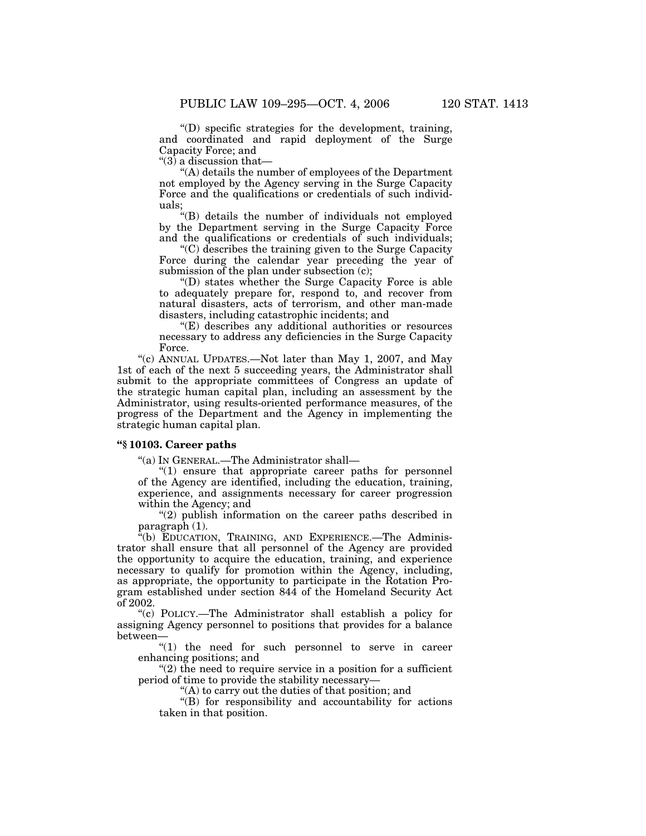''(D) specific strategies for the development, training, and coordinated and rapid deployment of the Surge Capacity Force; and

" $(3)$  a discussion that-

''(A) details the number of employees of the Department not employed by the Agency serving in the Surge Capacity Force and the qualifications or credentials of such individuals;

''(B) details the number of individuals not employed by the Department serving in the Surge Capacity Force and the qualifications or credentials of such individuals;

''(C) describes the training given to the Surge Capacity Force during the calendar year preceding the year of submission of the plan under subsection (c);

''(D) states whether the Surge Capacity Force is able to adequately prepare for, respond to, and recover from natural disasters, acts of terrorism, and other man-made disasters, including catastrophic incidents; and

''(E) describes any additional authorities or resources necessary to address any deficiencies in the Surge Capacity Force.

''(c) ANNUAL UPDATES.—Not later than May 1, 2007, and May 1st of each of the next 5 succeeding years, the Administrator shall submit to the appropriate committees of Congress an update of the strategic human capital plan, including an assessment by the Administrator, using results-oriented performance measures, of the progress of the Department and the Agency in implementing the strategic human capital plan.

### **''§ 10103. Career paths**

''(a) IN GENERAL.—The Administrator shall—

"(1) ensure that appropriate career paths for personnel of the Agency are identified, including the education, training, experience, and assignments necessary for career progression within the Agency; and

''(2) publish information on the career paths described in paragraph (1).

''(b) EDUCATION, TRAINING, AND EXPERIENCE.—The Administrator shall ensure that all personnel of the Agency are provided the opportunity to acquire the education, training, and experience necessary to qualify for promotion within the Agency, including, as appropriate, the opportunity to participate in the Rotation Program established under section 844 of the Homeland Security Act of 2002.

''(c) POLICY.—The Administrator shall establish a policy for assigning Agency personnel to positions that provides for a balance between—

"(1) the need for such personnel to serve in career enhancing positions; and

 $''(2)$  the need to require service in a position for a sufficient period of time to provide the stability necessary—

''(A) to carry out the duties of that position; and

''(B) for responsibility and accountability for actions taken in that position.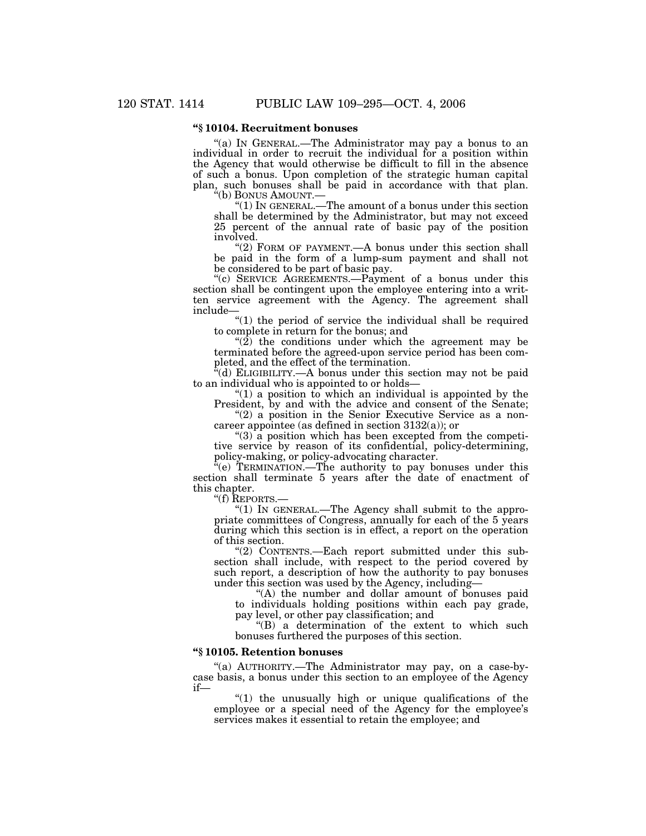## **''§ 10104. Recruitment bonuses**

"(a) IN GENERAL.—The Administrator may pay a bonus to an individual in order to recruit the individual for a position within the Agency that would otherwise be difficult to fill in the absence of such a bonus. Upon completion of the strategic human capital plan, such bonuses shall be paid in accordance with that plan.

''(b) BONUS AMOUNT.— ''(1) IN GENERAL.—The amount of a bonus under this section shall be determined by the Administrator, but may not exceed 25 percent of the annual rate of basic pay of the position involved.

"(2) FORM OF PAYMENT.—A bonus under this section shall be paid in the form of a lump-sum payment and shall not be considered to be part of basic pay.

"(c) SERVICE AGREEMENTS.—Payment of a bonus under this section shall be contingent upon the employee entering into a written service agreement with the Agency. The agreement shall include—

"(1) the period of service the individual shall be required to complete in return for the bonus; and

" $(2)$  the conditions under which the agreement may be terminated before the agreed-upon service period has been completed, and the effect of the termination.

 $\mathbf{H}^{\mathsf{r}}(\mathbf{d})$  ELIGIBILITY.—A bonus under this section may not be paid to an individual who is appointed to or holds—

" $(1)$  a position to which an individual is appointed by the President, by and with the advice and consent of the Senate;

 $''(2)$  a position in the Senior Executive Service as a noncareer appointee (as defined in section 3132(a)); or

 $(3)$  a position which has been excepted from the competitive service by reason of its confidential, policy-determining, policy-making, or policy-advocating character.

 $\mathbf{F}^{\mathsf{r}}(\mathbf{e})$  TERMINATION.—The authority to pay bonuses under this section shall terminate 5 years after the date of enactment of this chapter.

''(f) REPORTS.—

"(1) IN GENERAL.—The Agency shall submit to the appropriate committees of Congress, annually for each of the 5 years during which this section is in effect, a report on the operation of this section.

''(2) CONTENTS.—Each report submitted under this subsection shall include, with respect to the period covered by such report, a description of how the authority to pay bonuses under this section was used by the Agency, including—

''(A) the number and dollar amount of bonuses paid to individuals holding positions within each pay grade, pay level, or other pay classification; and

''(B) a determination of the extent to which such bonuses furthered the purposes of this section.

#### **''§ 10105. Retention bonuses**

"(a) AUTHORITY.-The Administrator may pay, on a case-bycase basis, a bonus under this section to an employee of the Agency if—

 $''(1)$  the unusually high or unique qualifications of the employee or a special need of the Agency for the employee's services makes it essential to retain the employee; and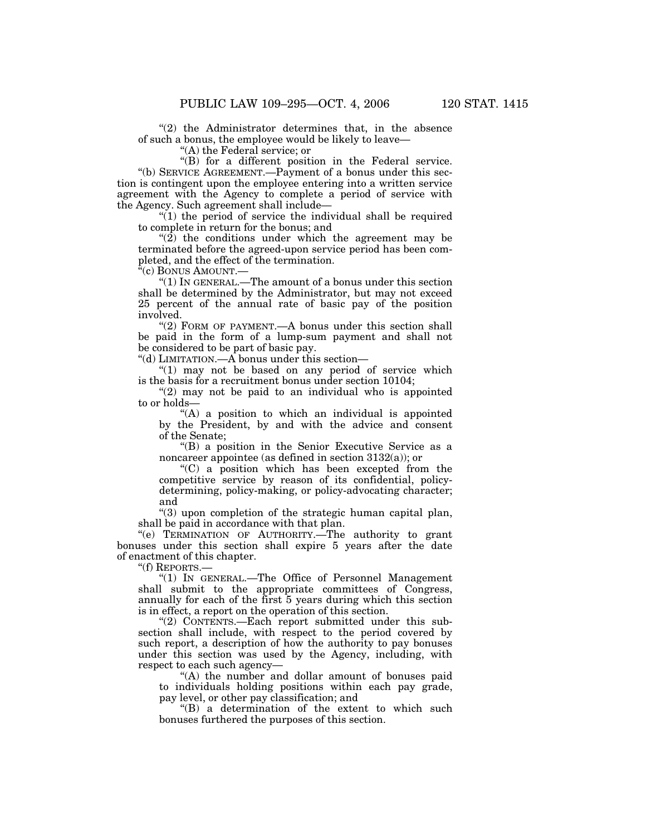$(2)$  the Administrator determines that, in the absence of such a bonus, the employee would be likely to leave—

''(A) the Federal service; or

''(B) for a different position in the Federal service. ''(b) SERVICE AGREEMENT.—Payment of a bonus under this section is contingent upon the employee entering into a written service agreement with the Agency to complete a period of service with the Agency. Such agreement shall include—

 $''(1)$  the period of service the individual shall be required to complete in return for the bonus; and

" $(2)$  the conditions under which the agreement may be terminated before the agreed-upon service period has been completed, and the effect of the termination.

''(c) BONUS AMOUNT.—

 $"(1)$  IN GENERAL.—The amount of a bonus under this section shall be determined by the Administrator, but may not exceed 25 percent of the annual rate of basic pay of the position involved.

"(2) FORM OF PAYMENT.—A bonus under this section shall be paid in the form of a lump-sum payment and shall not be considered to be part of basic pay.

''(d) LIMITATION.—A bonus under this section—

" $(1)$  may not be based on any period of service which is the basis for a recruitment bonus under section 10104;

 $''(2)$  may not be paid to an individual who is appointed to or holds—

 $(A)$  a position to which an individual is appointed by the President, by and with the advice and consent of the Senate;

''(B) a position in the Senior Executive Service as a noncareer appointee (as defined in section 3132(a)); or

''(C) a position which has been excepted from the competitive service by reason of its confidential, policydetermining, policy-making, or policy-advocating character; and

''(3) upon completion of the strategic human capital plan, shall be paid in accordance with that plan.

''(e) TERMINATION OF AUTHORITY.—The authority to grant bonuses under this section shall expire 5 years after the date of enactment of this chapter.

"(f) REPORTS.-

''(1) IN GENERAL.—The Office of Personnel Management shall submit to the appropriate committees of Congress, annually for each of the first 5 years during which this section is in effect, a report on the operation of this section.

"(2) CONTENTS.—Each report submitted under this subsection shall include, with respect to the period covered by such report, a description of how the authority to pay bonuses under this section was used by the Agency, including, with respect to each such agency—

''(A) the number and dollar amount of bonuses paid to individuals holding positions within each pay grade, pay level, or other pay classification; and

''(B) a determination of the extent to which such bonuses furthered the purposes of this section.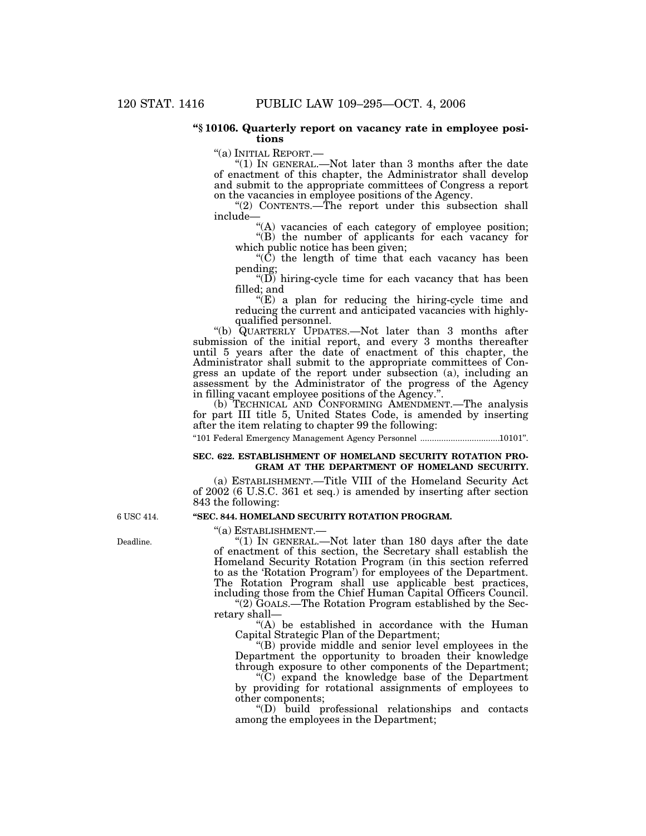### **''§ 10106. Quarterly report on vacancy rate in employee positions**

''(a) INITIAL REPORT.— ''(1) IN GENERAL.—Not later than 3 months after the date of enactment of this chapter, the Administrator shall develop and submit to the appropriate committees of Congress a report on the vacancies in employee positions of the Agency.

"(2) CONTENTS.—The report under this subsection shall include—

"(A) vacancies of each category of employee position; ''(B) the number of applicants for each vacancy for

which public notice has been given;

" $(\tilde{C})$  the length of time that each vacancy has been pending;

" $(D)$  hiring-cycle time for each vacancy that has been filled; and

 $f(E)$  a plan for reducing the hiring-cycle time and reducing the current and anticipated vacancies with highlyqualified personnel.

''(b) QUARTERLY UPDATES.—Not later than 3 months after submission of the initial report, and every 3 months thereafter until 5 years after the date of enactment of this chapter, the Administrator shall submit to the appropriate committees of Congress an update of the report under subsection (a), including an assessment by the Administrator of the progress of the Agency in filling vacant employee positions of the Agency.''.

(b) TECHNICAL AND CONFORMING AMENDMENT.—The analysis for part III title 5, United States Code, is amended by inserting after the item relating to chapter 99 the following:

''101 Federal Emergency Management Agency Personnel ..................................10101''.

#### **SEC. 622. ESTABLISHMENT OF HOMELAND SECURITY ROTATION PRO-GRAM AT THE DEPARTMENT OF HOMELAND SECURITY.**

(a) ESTABLISHMENT.—Title VIII of the Homeland Security Act of 2002 (6 U.S.C. 361 et seq.) is amended by inserting after section 843 the following:

#### **''SEC. 844. HOMELAND SECURITY ROTATION PROGRAM.**

''(a) ESTABLISHMENT.— ''(1) IN GENERAL.—Not later than 180 days after the date of enactment of this section, the Secretary shall establish the Homeland Security Rotation Program (in this section referred to as the 'Rotation Program') for employees of the Department. The Rotation Program shall use applicable best practices, including those from the Chief Human Capital Officers Council. ''(2) GOALS.—The Rotation Program established by the Sec-

retary shall—

''(A) be established in accordance with the Human Capital Strategic Plan of the Department;

''(B) provide middle and senior level employees in the Department the opportunity to broaden their knowledge through exposure to other components of the Department;

 $(C)$  expand the knowledge base of the Department by providing for rotational assignments of employees to other components;

''(D) build professional relationships and contacts among the employees in the Department;

6 USC 414.

Deadline.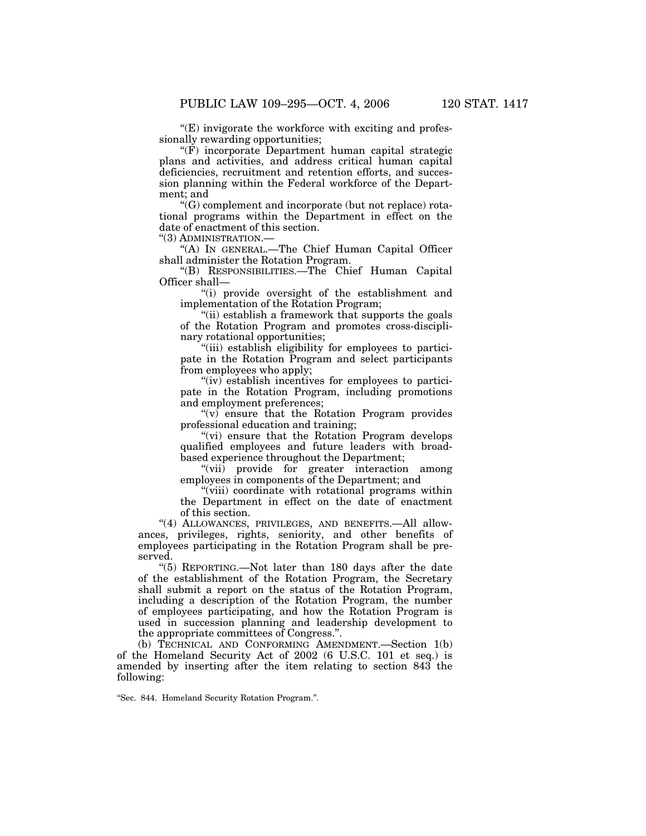$E$ ) invigorate the workforce with exciting and professionally rewarding opportunities;

''(F) incorporate Department human capital strategic plans and activities, and address critical human capital deficiencies, recruitment and retention efforts, and succession planning within the Federal workforce of the Department; and

''(G) complement and incorporate (but not replace) rotational programs within the Department in effect on the date of enactment of this section.

''(3) ADMINISTRATION.—

''(A) IN GENERAL.—The Chief Human Capital Officer shall administer the Rotation Program.

''(B) RESPONSIBILITIES.—The Chief Human Capital Officer shall—

''(i) provide oversight of the establishment and implementation of the Rotation Program;

''(ii) establish a framework that supports the goals of the Rotation Program and promotes cross-disciplinary rotational opportunities;

"(iii) establish eligibility for employees to participate in the Rotation Program and select participants from employees who apply;

"(iv) establish incentives for employees to participate in the Rotation Program, including promotions and employment preferences;

 $(v)$  ensure that the Rotation Program provides professional education and training;

"(vi) ensure that the Rotation Program develops qualified employees and future leaders with broadbased experience throughout the Department;

"(vii) provide for greater interaction among employees in components of the Department; and

"(viii) coordinate with rotational programs within the Department in effect on the date of enactment of this section.

"(4) ALLOWANCES, PRIVILEGES, AND BENEFITS. All allowances, privileges, rights, seniority, and other benefits of employees participating in the Rotation Program shall be preserved.

''(5) REPORTING.—Not later than 180 days after the date of the establishment of the Rotation Program, the Secretary shall submit a report on the status of the Rotation Program, including a description of the Rotation Program, the number of employees participating, and how the Rotation Program is used in succession planning and leadership development to the appropriate committees of Congress.''.

(b) TECHNICAL AND CONFORMING AMENDMENT.—Section 1(b) of the Homeland Security Act of 2002 (6 U.S.C. 101 et seq.) is amended by inserting after the item relating to section 843 the following:

''Sec. 844. Homeland Security Rotation Program.''.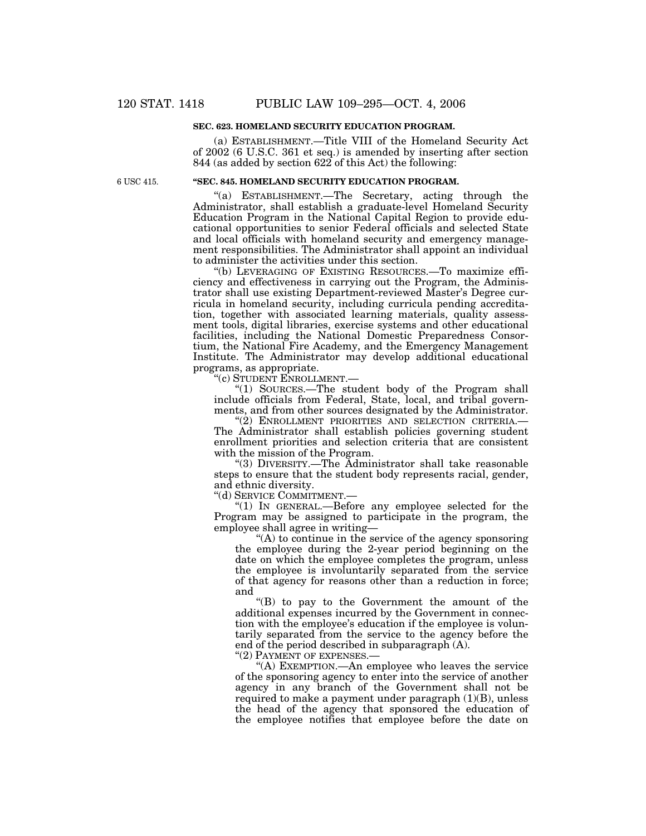## **SEC. 623. HOMELAND SECURITY EDUCATION PROGRAM.**

(a) ESTABLISHMENT.—Title VIII of the Homeland Security Act of 2002 (6 U.S.C. 361 et seq.) is amended by inserting after section 844 (as added by section 622 of this Act) the following:

6 USC 415.

## **''SEC. 845. HOMELAND SECURITY EDUCATION PROGRAM.**

''(a) ESTABLISHMENT.—The Secretary, acting through the Administrator, shall establish a graduate-level Homeland Security Education Program in the National Capital Region to provide educational opportunities to senior Federal officials and selected State and local officials with homeland security and emergency management responsibilities. The Administrator shall appoint an individual to administer the activities under this section.

''(b) LEVERAGING OF EXISTING RESOURCES.—To maximize efficiency and effectiveness in carrying out the Program, the Administrator shall use existing Department-reviewed Master's Degree curricula in homeland security, including curricula pending accreditation, together with associated learning materials, quality assessment tools, digital libraries, exercise systems and other educational facilities, including the National Domestic Preparedness Consortium, the National Fire Academy, and the Emergency Management Institute. The Administrator may develop additional educational programs, as appropriate.

'(c) STUDENT ENROLLMENT.-

''(1) SOURCES.—The student body of the Program shall include officials from Federal, State, local, and tribal governments, and from other sources designated by the Administrator.

"(2) ENROLLMENT PRIORITIES AND SELECTION CRITERIA.-The Administrator shall establish policies governing student enrollment priorities and selection criteria that are consistent with the mission of the Program.

''(3) DIVERSITY.—The Administrator shall take reasonable steps to ensure that the student body represents racial, gender, and ethnic diversity.

''(d) SERVICE COMMITMENT.—

" $(1)$  In GENERAL.—Before any employee selected for the Program may be assigned to participate in the program, the employee shall agree in writing—

 $(A)$  to continue in the service of the agency sponsoring the employee during the 2-year period beginning on the date on which the employee completes the program, unless the employee is involuntarily separated from the service of that agency for reasons other than a reduction in force; and

''(B) to pay to the Government the amount of the additional expenses incurred by the Government in connection with the employee's education if the employee is voluntarily separated from the service to the agency before the end of the period described in subparagraph (A).

''(2) PAYMENT OF EXPENSES.—

''(A) EXEMPTION.—An employee who leaves the service of the sponsoring agency to enter into the service of another agency in any branch of the Government shall not be required to make a payment under paragraph (1)(B), unless the head of the agency that sponsored the education of the employee notifies that employee before the date on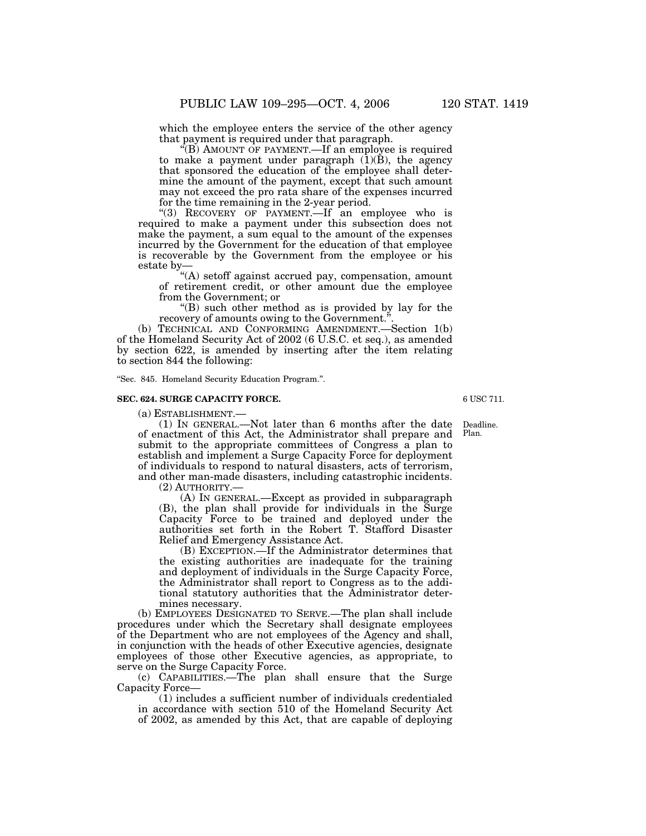which the employee enters the service of the other agency that payment is required under that paragraph.

 $\overline{f(B)}$  AMOUNT OF PAYMENT.—If an employee is required to make a payment under paragraph  $(1)(B)$ , the agency that sponsored the education of the employee shall determine the amount of the payment, except that such amount may not exceed the pro rata share of the expenses incurred for the time remaining in the 2-year period.

''(3) RECOVERY OF PAYMENT.—If an employee who is required to make a payment under this subsection does not make the payment, a sum equal to the amount of the expenses incurred by the Government for the education of that employee is recoverable by the Government from the employee or his estate by—

''(A) setoff against accrued pay, compensation, amount of retirement credit, or other amount due the employee from the Government; or

''(B) such other method as is provided by lay for the recovery of amounts owing to the Government.''.

(b) TECHNICAL AND CONFORMING AMENDMENT.—Section 1(b) of the Homeland Security Act of 2002 (6 U.S.C. et seq.), as amended by section 622, is amended by inserting after the item relating to section 844 the following:

''Sec. 845. Homeland Security Education Program.''.

#### **SEC. 624. SURGE CAPACITY FORCE.**

(a) ESTABLISHMENT.—

(1) IN GENERAL.—Not later than 6 months after the date of enactment of this Act, the Administrator shall prepare and submit to the appropriate committees of Congress a plan to establish and implement a Surge Capacity Force for deployment of individuals to respond to natural disasters, acts of terrorism, and other man-made disasters, including catastrophic incidents. Deadline. Plan.

(2) AUTHORITY.—

(A) IN GENERAL.—Except as provided in subparagraph (B), the plan shall provide for individuals in the Surge Capacity Force to be trained and deployed under the authorities set forth in the Robert T. Stafford Disaster Relief and Emergency Assistance Act.

(B) EXCEPTION.—If the Administrator determines that the existing authorities are inadequate for the training and deployment of individuals in the Surge Capacity Force, the Administrator shall report to Congress as to the additional statutory authorities that the Administrator determines necessary.

(b) EMPLOYEES DESIGNATED TO SERVE.—The plan shall include procedures under which the Secretary shall designate employees of the Department who are not employees of the Agency and shall, in conjunction with the heads of other Executive agencies, designate employees of those other Executive agencies, as appropriate, to serve on the Surge Capacity Force.

(c) CAPABILITIES.—The plan shall ensure that the Surge Capacity Force—

(1) includes a sufficient number of individuals credentialed in accordance with section 510 of the Homeland Security Act of 2002, as amended by this Act, that are capable of deploying

6 USC 711.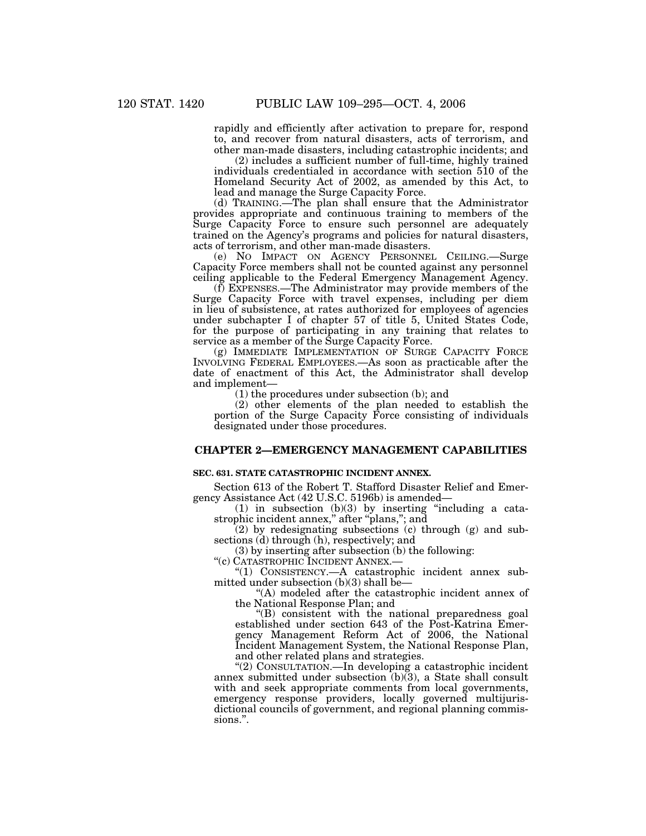rapidly and efficiently after activation to prepare for, respond to, and recover from natural disasters, acts of terrorism, and other man-made disasters, including catastrophic incidents; and

(2) includes a sufficient number of full-time, highly trained individuals credentialed in accordance with section 510 of the Homeland Security Act of 2002, as amended by this Act, to lead and manage the Surge Capacity Force.

(d) TRAINING.—The plan shall ensure that the Administrator provides appropriate and continuous training to members of the Surge Capacity Force to ensure such personnel are adequately trained on the Agency's programs and policies for natural disasters, acts of terrorism, and other man-made disasters.

(e) NO IMPACT ON AGENCY PERSONNEL CEILING.—Surge Capacity Force members shall not be counted against any personnel ceiling applicable to the Federal Emergency Management Agency.

(f) EXPENSES.—The Administrator may provide members of the Surge Capacity Force with travel expenses, including per diem in lieu of subsistence, at rates authorized for employees of agencies under subchapter I of chapter 57 of title 5, United States Code, for the purpose of participating in any training that relates to service as a member of the Surge Capacity Force.

(g) IMMEDIATE IMPLEMENTATION OF SURGE CAPACITY FORCE INVOLVING FEDERAL EMPLOYEES.—As soon as practicable after the date of enactment of this Act, the Administrator shall develop and implement—

(1) the procedures under subsection (b); and

(2) other elements of the plan needed to establish the portion of the Surge Capacity Force consisting of individuals designated under those procedures.

## **CHAPTER 2—EMERGENCY MANAGEMENT CAPABILITIES**

#### **SEC. 631. STATE CATASTROPHIC INCIDENT ANNEX.**

Section 613 of the Robert T. Stafford Disaster Relief and Emergency Assistance Act (42 U.S.C. 5196b) is amended—

 $(1)$  in subsection  $(b)(3)$  by inserting "including a catastrophic incident annex,'' after ''plans,''; and

(2) by redesignating subsections (c) through (g) and subsections (d) through (h), respectively; and

(3) by inserting after subsection (b) the following:

''(c) CATASTROPHIC INCIDENT ANNEX.—

''(1) CONSISTENCY.—A catastrophic incident annex submitted under subsection (b)(3) shall be—

''(A) modeled after the catastrophic incident annex of the National Response Plan; and

''(B) consistent with the national preparedness goal established under section 643 of the Post-Katrina Emergency Management Reform Act of 2006, the National Incident Management System, the National Response Plan, and other related plans and strategies.

"(2) CONSULTATION.—In developing a catastrophic incident annex submitted under subsection (b)(3), a State shall consult with and seek appropriate comments from local governments, emergency response providers, locally governed multijurisdictional councils of government, and regional planning commissions.".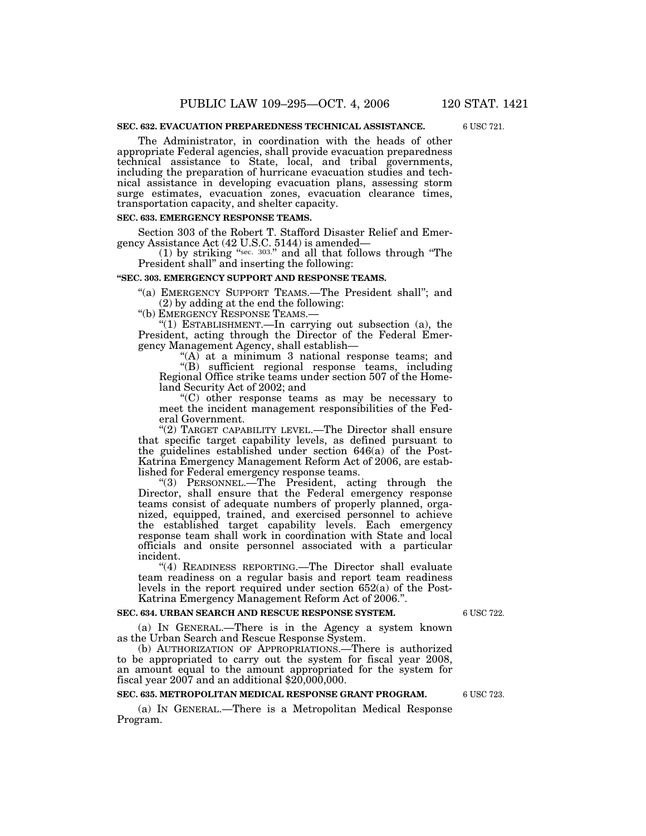### **SEC. 632. EVACUATION PREPAREDNESS TECHNICAL ASSISTANCE.**

The Administrator, in coordination with the heads of other appropriate Federal agencies, shall provide evacuation preparedness technical assistance to State, local, and tribal governments, including the preparation of hurricane evacuation studies and technical assistance in developing evacuation plans, assessing storm surge estimates, evacuation zones, evacuation clearance times,

#### **SEC. 633. EMERGENCY RESPONSE TEAMS.**

transportation capacity, and shelter capacity.

Section 303 of the Robert T. Stafford Disaster Relief and Emergency Assistance Act (42 U.S.C. 5144) is amended—

(1) by striking "sec.  $303."$  and all that follows through "The President shall'' and inserting the following:

#### **''SEC. 303. EMERGENCY SUPPORT AND RESPONSE TEAMS.**

''(a) EMERGENCY SUPPORT TEAMS.—The President shall''; and (2) by adding at the end the following:

''(b) EMERGENCY RESPONSE TEAMS.—

''(1) ESTABLISHMENT.—In carrying out subsection (a), the President, acting through the Director of the Federal Emergency Management Agency, shall establish—

"(A) at a minimum 3 national response teams; and ''(B) sufficient regional response teams, including Regional Office strike teams under section 507 of the Homeland Security Act of 2002; and

 $(C)$  other response teams as may be necessary to meet the incident management responsibilities of the Federal Government.

"(2) TARGET CAPABILITY LEVEL.—The Director shall ensure that specific target capability levels, as defined pursuant to the guidelines established under section 646(a) of the Post-Katrina Emergency Management Reform Act of 2006, are established for Federal emergency response teams.

''(3) PERSONNEL.—The President, acting through the Director, shall ensure that the Federal emergency response teams consist of adequate numbers of properly planned, organized, equipped, trained, and exercised personnel to achieve the established target capability levels. Each emergency response team shall work in coordination with State and local officials and onsite personnel associated with a particular incident.

"(4) READINESS REPORTING.—The Director shall evaluate team readiness on a regular basis and report team readiness levels in the report required under section 652(a) of the Post-Katrina Emergency Management Reform Act of 2006.''.

#### **SEC. 634. URBAN SEARCH AND RESCUE RESPONSE SYSTEM.**

(a) IN GENERAL.—There is in the Agency a system known as the Urban Search and Rescue Response System.

(b) AUTHORIZATION OF APPROPRIATIONS.—There is authorized to be appropriated to carry out the system for fiscal year 2008, an amount equal to the amount appropriated for the system for fiscal year 2007 and an additional \$20,000,000.

## **SEC. 635. METROPOLITAN MEDICAL RESPONSE GRANT PROGRAM.**

(a) IN GENERAL.—There is a Metropolitan Medical Response Program.

6 USC 723.

6 USC 722.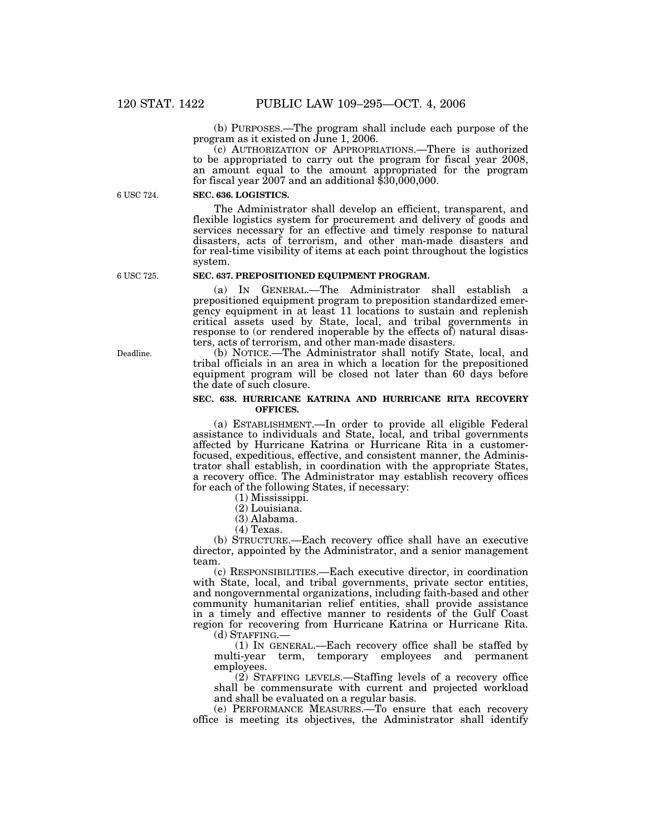(b) PURPOSES.—The program shall include each purpose of the program as it existed on June 1, 2006.

(c) AUTHORIZATION OF APPROPRIATIONS.—There is authorized to be appropriated to carry out the program for fiscal year 2008, an amount equal to the amount appropriated for the program for fiscal year  $2007$  and an additional  $$30,000,000$ .

6 USC 724.

#### **SEC. 636. LOGISTICS.**

The Administrator shall develop an efficient, transparent, and flexible logistics system for procurement and delivery of goods and services necessary for an effective and timely response to natural disasters, acts of terrorism, and other man-made disasters and for real-time visibility of items at each point throughout the logistics system.

6 USC 725.

## **SEC. 637. PREPOSITIONED EQUIPMENT PROGRAM.**

(a) IN GENERAL.—The Administrator shall establish a prepositioned equipment program to preposition standardized emergency equipment in at least 11 locations to sustain and replenish critical assets used by State, local, and tribal governments in response to (or rendered inoperable by the effects of) natural disasters, acts of terrorism, and other man-made disasters.

(b) NOTICE.—The Administrator shall notify State, local, and tribal officials in an area in which a location for the prepositioned equipment program will be closed not later than 60 days before the date of such closure.

### **SEC. 638. HURRICANE KATRINA AND HURRICANE RITA RECOVERY OFFICES.**

(a) ESTABLISHMENT.—In order to provide all eligible Federal assistance to individuals and State, local, and tribal governments affected by Hurricane Katrina or Hurricane Rita in a customerfocused, expeditious, effective, and consistent manner, the Administrator shall establish, in coordination with the appropriate States, a recovery office. The Administrator may establish recovery offices for each of the following States, if necessary:

(1) Mississippi.

(2) Louisiana.

(3) Alabama.

(4) Texas.

(b) STRUCTURE.—Each recovery office shall have an executive director, appointed by the Administrator, and a senior management team.

(c) RESPONSIBILITIES.—Each executive director, in coordination with State, local, and tribal governments, private sector entities, and nongovernmental organizations, including faith-based and other community humanitarian relief entities, shall provide assistance in a timely and effective manner to residents of the Gulf Coast region for recovering from Hurricane Katrina or Hurricane Rita.

(d) STAFFING.—

(1) IN GENERAL.—Each recovery office shall be staffed by multi-year term, temporary employees and permanent employees.

(2) STAFFING LEVELS.—Staffing levels of a recovery office shall be commensurate with current and projected workload and shall be evaluated on a regular basis.

(e) PERFORMANCE MEASURES.—To ensure that each recovery office is meeting its objectives, the Administrator shall identify

Deadline.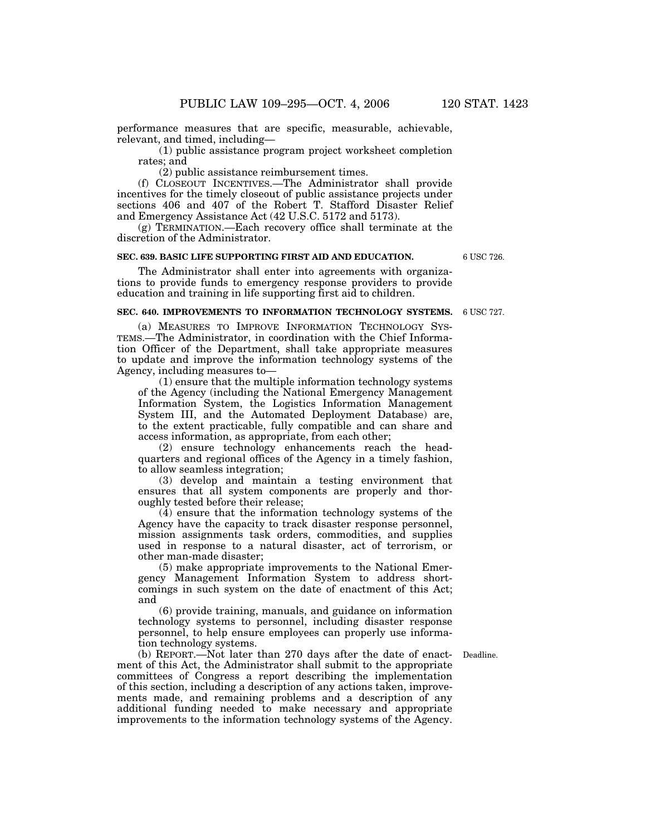performance measures that are specific, measurable, achievable, relevant, and timed, including—

(1) public assistance program project worksheet completion rates; and

(2) public assistance reimbursement times.

(f) CLOSEOUT INCENTIVES.—The Administrator shall provide incentives for the timely closeout of public assistance projects under sections 406 and 407 of the Robert T. Stafford Disaster Relief and Emergency Assistance Act (42 U.S.C. 5172 and 5173).

(g) TERMINATION.—Each recovery office shall terminate at the discretion of the Administrator.

## **SEC. 639. BASIC LIFE SUPPORTING FIRST AID AND EDUCATION.**

The Administrator shall enter into agreements with organizations to provide funds to emergency response providers to provide education and training in life supporting first aid to children.

## **SEC. 640. IMPROVEMENTS TO INFORMATION TECHNOLOGY SYSTEMS.**

(a) MEASURES TO IMPROVE INFORMATION TECHNOLOGY SYS-TEMS.—The Administrator, in coordination with the Chief Information Officer of the Department, shall take appropriate measures to update and improve the information technology systems of the Agency, including measures to—

(1) ensure that the multiple information technology systems of the Agency (including the National Emergency Management Information System, the Logistics Information Management System III, and the Automated Deployment Database) are, to the extent practicable, fully compatible and can share and access information, as appropriate, from each other;

(2) ensure technology enhancements reach the headquarters and regional offices of the Agency in a timely fashion, to allow seamless integration;

(3) develop and maintain a testing environment that ensures that all system components are properly and thoroughly tested before their release;

(4) ensure that the information technology systems of the Agency have the capacity to track disaster response personnel, mission assignments task orders, commodities, and supplies used in response to a natural disaster, act of terrorism, or other man-made disaster;

(5) make appropriate improvements to the National Emergency Management Information System to address shortcomings in such system on the date of enactment of this Act; and

(6) provide training, manuals, and guidance on information technology systems to personnel, including disaster response personnel, to help ensure employees can properly use information technology systems.

Deadline.

(b) REPORT.—Not later than 270 days after the date of enactment of this Act, the Administrator shall submit to the appropriate committees of Congress a report describing the implementation of this section, including a description of any actions taken, improvements made, and remaining problems and a description of any additional funding needed to make necessary and appropriate improvements to the information technology systems of the Agency.

6 USC 726.

6 USC 727.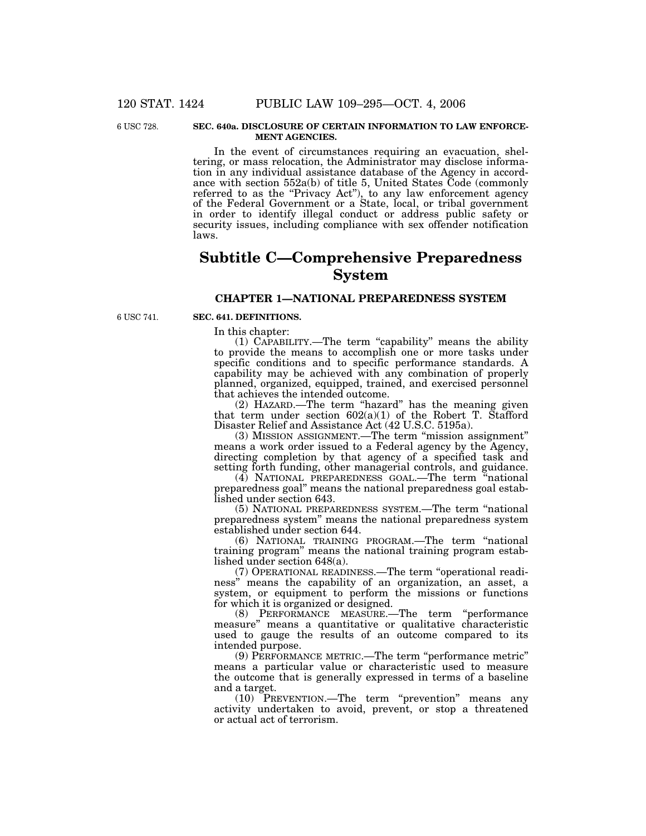6 USC 728

#### **SEC. 640a. DISCLOSURE OF CERTAIN INFORMATION TO LAW ENFORCE-MENT AGENCIES.**

In the event of circumstances requiring an evacuation, sheltering, or mass relocation, the Administrator may disclose information in any individual assistance database of the Agency in accordance with section 552a(b) of title 5, United States Code (commonly referred to as the "Privacy Act"), to any law enforcement agency of the Federal Government or a State, local, or tribal government in order to identify illegal conduct or address public safety or security issues, including compliance with sex offender notification laws.

# **Subtitle C—Comprehensive Preparedness System**

# **CHAPTER 1—NATIONAL PREPAREDNESS SYSTEM**

6 USC 741.

## **SEC. 641. DEFINITIONS.**

In this chapter:

(1) CAPABILITY.—The term ''capability'' means the ability to provide the means to accomplish one or more tasks under specific conditions and to specific performance standards. A capability may be achieved with any combination of properly planned, organized, equipped, trained, and exercised personnel that achieves the intended outcome.

(2) HAZARD.—The term ''hazard'' has the meaning given that term under section  $602(a)(1)$  of the Robert T. Stafford Disaster Relief and Assistance Act (42 U.S.C. 5195a).

(3) MISSION ASSIGNMENT.—The term ''mission assignment'' means a work order issued to a Federal agency by the Agency, directing completion by that agency of a specified task and setting forth funding, other managerial controls, and guidance.

(4) NATIONAL PREPAREDNESS GOAL.—The term ''national preparedness goal'' means the national preparedness goal established under section 643.

(5) NATIONAL PREPAREDNESS SYSTEM.—The term ''national preparedness system'' means the national preparedness system established under section 644.

(6) NATIONAL TRAINING PROGRAM.—The term ''national training program'' means the national training program established under section 648(a).

(7) OPERATIONAL READINESS.—The term ''operational readiness'' means the capability of an organization, an asset, a system, or equipment to perform the missions or functions for which it is organized or designed.

(8) PERFORMANCE MEASURE.—The term ''performance measure'' means a quantitative or qualitative characteristic used to gauge the results of an outcome compared to its intended purpose.

(9) PERFORMANCE METRIC.—The term ''performance metric'' means a particular value or characteristic used to measure the outcome that is generally expressed in terms of a baseline and a target.

(10) PREVENTION.—The term ''prevention'' means any activity undertaken to avoid, prevent, or stop a threatened or actual act of terrorism.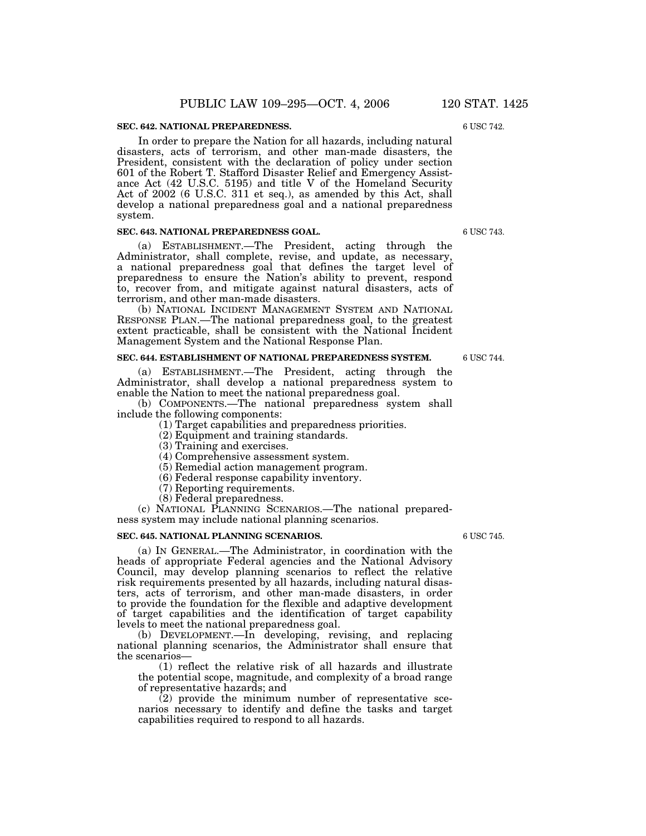#### **SEC. 642. NATIONAL PREPAREDNESS.**

In order to prepare the Nation for all hazards, including natural disasters, acts of terrorism, and other man-made disasters, the President, consistent with the declaration of policy under section 601 of the Robert T. Stafford Disaster Relief and Emergency Assistance Act (42 U.S.C. 5195) and title V of the Homeland Security Act of 2002 (6 U.S.C. 311 et seq.), as amended by this Act, shall develop a national preparedness goal and a national preparedness system.

## **SEC. 643. NATIONAL PREPAREDNESS GOAL.**

(a) ESTABLISHMENT.—The President, acting through the Administrator, shall complete, revise, and update, as necessary, a national preparedness goal that defines the target level of preparedness to ensure the Nation's ability to prevent, respond to, recover from, and mitigate against natural disasters, acts of terrorism, and other man-made disasters.

(b) NATIONAL INCIDENT MANAGEMENT SYSTEM AND NATIONAL RESPONSE PLAN.—The national preparedness goal, to the greatest extent practicable, shall be consistent with the National Incident Management System and the National Response Plan.

#### **SEC. 644. ESTABLISHMENT OF NATIONAL PREPAREDNESS SYSTEM.**

(a) ESTABLISHMENT.—The President, acting through the Administrator, shall develop a national preparedness system to enable the Nation to meet the national preparedness goal.

(b) COMPONENTS.—The national preparedness system shall include the following components:

(1) Target capabilities and preparedness priorities.

- (2) Equipment and training standards.
- (3) Training and exercises.
- (4) Comprehensive assessment system.
- (5) Remedial action management program.
- (6) Federal response capability inventory.
- (7) Reporting requirements.
- (8) Federal preparedness.

(c) NATIONAL PLANNING SCENARIOS.—The national preparedness system may include national planning scenarios.

#### **SEC. 645. NATIONAL PLANNING SCENARIOS.**

(a) IN GENERAL.—The Administrator, in coordination with the heads of appropriate Federal agencies and the National Advisory Council, may develop planning scenarios to reflect the relative risk requirements presented by all hazards, including natural disasters, acts of terrorism, and other man-made disasters, in order to provide the foundation for the flexible and adaptive development of target capabilities and the identification of target capability levels to meet the national preparedness goal.

(b) DEVELOPMENT.—In developing, revising, and replacing national planning scenarios, the Administrator shall ensure that the scenarios—

(1) reflect the relative risk of all hazards and illustrate the potential scope, magnitude, and complexity of a broad range of representative hazards; and

 $(2)$  provide the minimum number of representative scenarios necessary to identify and define the tasks and target capabilities required to respond to all hazards.

6 USC 745.

6 USC 743.

6 USC 744.

6 USC 742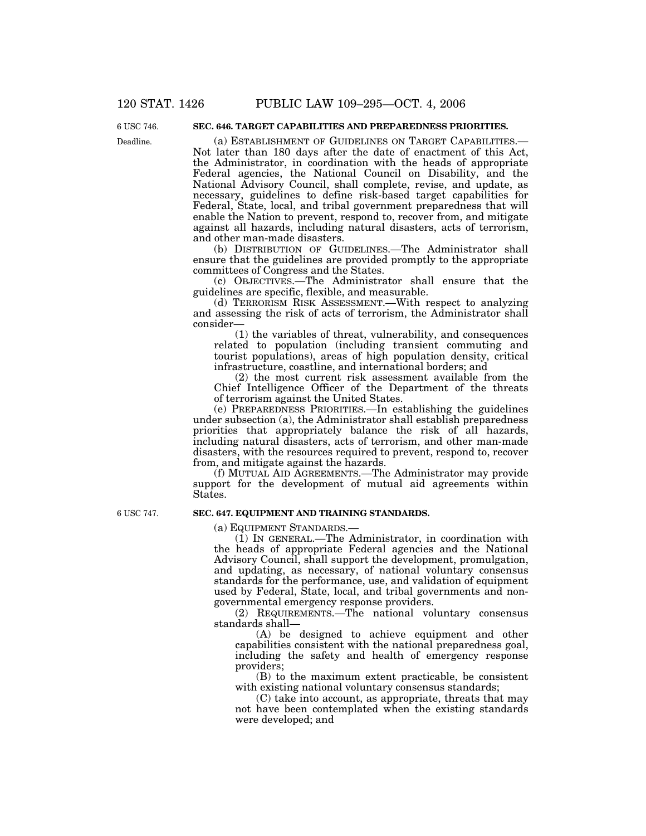Deadline. 6 USC 746

# **SEC. 646. TARGET CAPABILITIES AND PREPAREDNESS PRIORITIES.**

(a) ESTABLISHMENT OF GUIDELINES ON TARGET CAPABILITIES.— Not later than 180 days after the date of enactment of this Act, the Administrator, in coordination with the heads of appropriate Federal agencies, the National Council on Disability, and the National Advisory Council, shall complete, revise, and update, as necessary, guidelines to define risk-based target capabilities for Federal, State, local, and tribal government preparedness that will enable the Nation to prevent, respond to, recover from, and mitigate against all hazards, including natural disasters, acts of terrorism, and other man-made disasters.

(b) DISTRIBUTION OF GUIDELINES.—The Administrator shall ensure that the guidelines are provided promptly to the appropriate committees of Congress and the States.

(c) OBJECTIVES.—The Administrator shall ensure that the guidelines are specific, flexible, and measurable.

(d) TERRORISM RISK ASSESSMENT.—With respect to analyzing and assessing the risk of acts of terrorism, the Administrator shall consider—

(1) the variables of threat, vulnerability, and consequences related to population (including transient commuting and tourist populations), areas of high population density, critical infrastructure, coastline, and international borders; and

(2) the most current risk assessment available from the Chief Intelligence Officer of the Department of the threats of terrorism against the United States.

(e) PREPAREDNESS PRIORITIES.—In establishing the guidelines under subsection (a), the Administrator shall establish preparedness priorities that appropriately balance the risk of all hazards, including natural disasters, acts of terrorism, and other man-made disasters, with the resources required to prevent, respond to, recover from, and mitigate against the hazards.

(f) MUTUAL AID AGREEMENTS.—The Administrator may provide support for the development of mutual aid agreements within States.

6 USC 747.

## **SEC. 647. EQUIPMENT AND TRAINING STANDARDS.**

(a) EQUIPMENT STANDARDS.—

(1) IN GENERAL.—The Administrator, in coordination with the heads of appropriate Federal agencies and the National Advisory Council, shall support the development, promulgation, and updating, as necessary, of national voluntary consensus standards for the performance, use, and validation of equipment used by Federal, State, local, and tribal governments and nongovernmental emergency response providers.

(2) REQUIREMENTS.—The national voluntary consensus standards shall—

(A) be designed to achieve equipment and other capabilities consistent with the national preparedness goal, including the safety and health of emergency response providers;

(B) to the maximum extent practicable, be consistent with existing national voluntary consensus standards;

(C) take into account, as appropriate, threats that may not have been contemplated when the existing standards were developed; and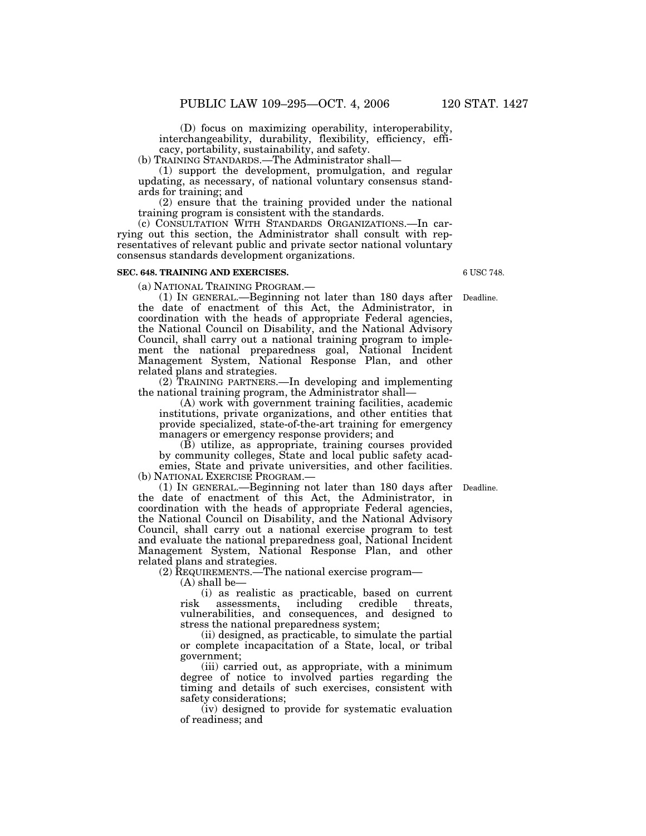(D) focus on maximizing operability, interoperability, interchangeability, durability, flexibility, efficiency, efficacy, portability, sustainability, and safety.

(b) TRAINING STANDARDS.—The Administrator shall—

(1) support the development, promulgation, and regular updating, as necessary, of national voluntary consensus standards for training; and

(2) ensure that the training provided under the national training program is consistent with the standards.

(c) CONSULTATION WITH STANDARDS ORGANIZATIONS.—In carrying out this section, the Administrator shall consult with representatives of relevant public and private sector national voluntary consensus standards development organizations.

## **SEC. 648. TRAINING AND EXERCISES.**

(a) NATIONAL TRAINING PROGRAM.— (1) IN GENERAL.—Beginning not later than 180 days after Deadline. the date of enactment of this Act, the Administrator, in coordination with the heads of appropriate Federal agencies, the National Council on Disability, and the National Advisory Council, shall carry out a national training program to implement the national preparedness goal, National Incident Management System, National Response Plan, and other related plans and strategies.

(2) TRAINING PARTNERS.—In developing and implementing the national training program, the Administrator shall—

(A) work with government training facilities, academic institutions, private organizations, and other entities that provide specialized, state-of-the-art training for emergency managers or emergency response providers; and

(B) utilize, as appropriate, training courses provided by community colleges, State and local public safety academies, State and private universities, and other facilities. (b) NATIONAL EXERCISE PROGRAM.—

(1) IN GENERAL.—Beginning not later than 180 days after Deadline. the date of enactment of this Act, the Administrator, in coordination with the heads of appropriate Federal agencies, the National Council on Disability, and the National Advisory Council, shall carry out a national exercise program to test and evaluate the national preparedness goal, National Incident Management System, National Response Plan, and other related plans and strategies.

(2) REQUIREMENTS.—The national exercise program—

(A) shall be—

(i) as realistic as practicable, based on current risk assessments, including credible threats, vulnerabilities, and consequences, and designed to stress the national preparedness system;

(ii) designed, as practicable, to simulate the partial or complete incapacitation of a State, local, or tribal government;

(iii) carried out, as appropriate, with a minimum degree of notice to involved parties regarding the timing and details of such exercises, consistent with safety considerations;

(iv) designed to provide for systematic evaluation of readiness; and

6 USC 748.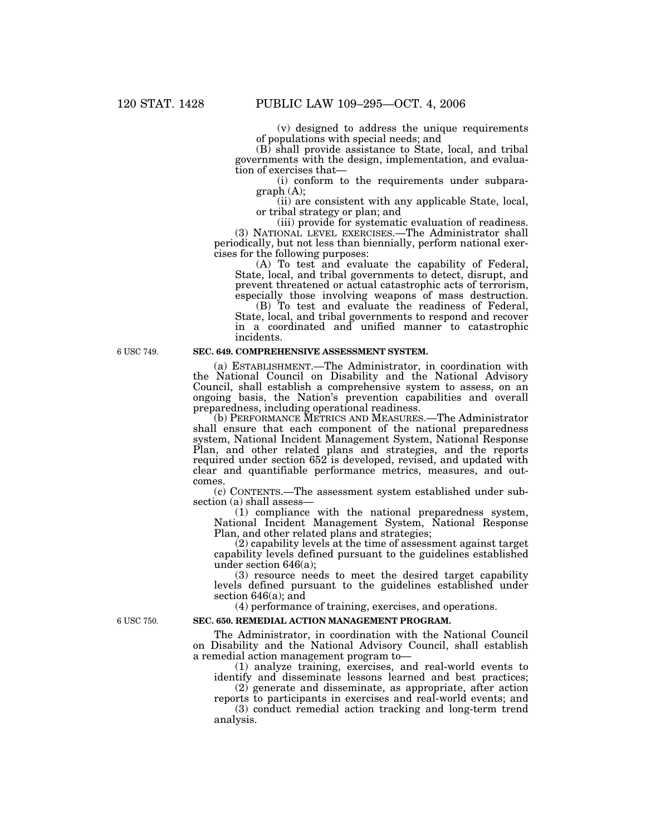(v) designed to address the unique requirements of populations with special needs; and

(B) shall provide assistance to State, local, and tribal governments with the design, implementation, and evaluation of exercises that—

(i) conform to the requirements under subparagraph (A);

(ii) are consistent with any applicable State, local, or tribal strategy or plan; and

(iii) provide for systematic evaluation of readiness.

(3) NATIONAL LEVEL EXERCISES.—The Administrator shall periodically, but not less than biennially, perform national exercises for the following purposes:

(A) To test and evaluate the capability of Federal, State, local, and tribal governments to detect, disrupt, and prevent threatened or actual catastrophic acts of terrorism, especially those involving weapons of mass destruction.

(B) To test and evaluate the readiness of Federal, State, local, and tribal governments to respond and recover in a coordinated and unified manner to catastrophic incidents.

#### 6 USC 749.

# **SEC. 649. COMPREHENSIVE ASSESSMENT SYSTEM.**

(a) ESTABLISHMENT.—The Administrator, in coordination with the National Council on Disability and the National Advisory Council, shall establish a comprehensive system to assess, on an ongoing basis, the Nation's prevention capabilities and overall preparedness, including operational readiness.

(b) PERFORMANCE METRICS AND MEASURES.—The Administrator shall ensure that each component of the national preparedness system, National Incident Management System, National Response Plan, and other related plans and strategies, and the reports required under section 652 is developed, revised, and updated with clear and quantifiable performance metrics, measures, and outcomes.

(c) CONTENTS.—The assessment system established under subsection (a) shall assess—

(1) compliance with the national preparedness system, National Incident Management System, National Response Plan, and other related plans and strategies;

(2) capability levels at the time of assessment against target capability levels defined pursuant to the guidelines established under section 646(a);

(3) resource needs to meet the desired target capability levels defined pursuant to the guidelines established under section 646(a); and

(4) performance of training, exercises, and operations.

6 USC 750.

# **SEC. 650. REMEDIAL ACTION MANAGEMENT PROGRAM.**

The Administrator, in coordination with the National Council on Disability and the National Advisory Council, shall establish a remedial action management program to—

(1) analyze training, exercises, and real-world events to identify and disseminate lessons learned and best practices;

(2) generate and disseminate, as appropriate, after action reports to participants in exercises and real-world events; and

(3) conduct remedial action tracking and long-term trend analysis.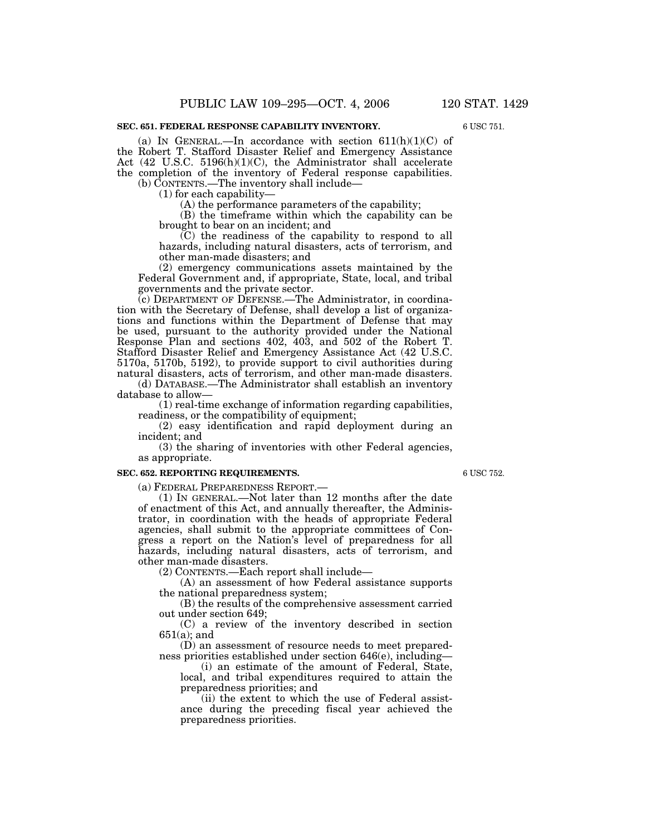## **SEC. 651. FEDERAL RESPONSE CAPABILITY INVENTORY.**

(a) IN GENERAL.—In accordance with section  $611(h)(1)(C)$  of the Robert T. Stafford Disaster Relief and Emergency Assistance Act (42 U.S.C. 5196(h)(1)(C), the Administrator shall accelerate the completion of the inventory of Federal response capabilities. (b) CONTENTS.—The inventory shall include—

(1) for each capability—

(A) the performance parameters of the capability;

(B) the timeframe within which the capability can be brought to bear on an incident; and

(C) the readiness of the capability to respond to all hazards, including natural disasters, acts of terrorism, and other man-made disasters; and

(2) emergency communications assets maintained by the Federal Government and, if appropriate, State, local, and tribal governments and the private sector.

(c) DEPARTMENT OF DEFENSE.—The Administrator, in coordination with the Secretary of Defense, shall develop a list of organizations and functions within the Department of Defense that may be used, pursuant to the authority provided under the National Response Plan and sections 402, 403, and 502 of the Robert T. Stafford Disaster Relief and Emergency Assistance Act (42 U.S.C. 5170a, 5170b, 5192), to provide support to civil authorities during natural disasters, acts of terrorism, and other man-made disasters.

(d) DATABASE.—The Administrator shall establish an inventory database to allow—

(1) real-time exchange of information regarding capabilities, readiness, or the compatibility of equipment;

(2) easy identification and rapid deployment during an incident; and

(3) the sharing of inventories with other Federal agencies, as appropriate.

#### **SEC. 652. REPORTING REQUIREMENTS.**

(a) FEDERAL PREPAREDNESS REPORT.— (1) IN GENERAL.—Not later than 12 months after the date of enactment of this Act, and annually thereafter, the Administrator, in coordination with the heads of appropriate Federal agencies, shall submit to the appropriate committees of Congress a report on the Nation's level of preparedness for all hazards, including natural disasters, acts of terrorism, and other man-made disasters.

(2) CONTENTS.—Each report shall include—

(A) an assessment of how Federal assistance supports the national preparedness system;

(B) the results of the comprehensive assessment carried out under section 649;

(C) a review of the inventory described in section 651(a); and

(D) an assessment of resource needs to meet preparedness priorities established under section 646(e), including—

(i) an estimate of the amount of Federal, State, local, and tribal expenditures required to attain the preparedness priorities; and

(ii) the extent to which the use of Federal assistance during the preceding fiscal year achieved the preparedness priorities.

6 USC 752.

6 USC 751.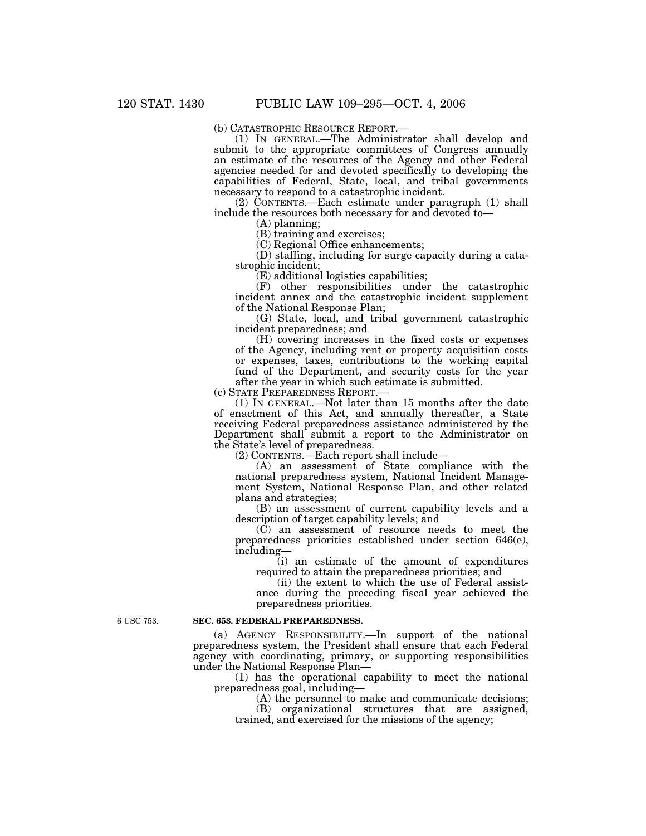(b) CATASTROPHIC RESOURCE REPORT.— (1) IN GENERAL.—The Administrator shall develop and submit to the appropriate committees of Congress annually an estimate of the resources of the Agency and other Federal agencies needed for and devoted specifically to developing the capabilities of Federal, State, local, and tribal governments necessary to respond to a catastrophic incident.

(2) CONTENTS.—Each estimate under paragraph (1) shall include the resources both necessary for and devoted to—

(A) planning;

(B) training and exercises;

(C) Regional Office enhancements;

(D) staffing, including for surge capacity during a catastrophic incident;

(E) additional logistics capabilities;

(F) other responsibilities under the catastrophic incident annex and the catastrophic incident supplement of the National Response Plan;

(G) State, local, and tribal government catastrophic incident preparedness; and

(H) covering increases in the fixed costs or expenses of the Agency, including rent or property acquisition costs or expenses, taxes, contributions to the working capital fund of the Department, and security costs for the year after the year in which such estimate is submitted.

(c) STATE PREPAREDNESS REPORT.—

(1) IN GENERAL.—Not later than 15 months after the date of enactment of this Act, and annually thereafter, a State receiving Federal preparedness assistance administered by the Department shall submit a report to the Administrator on the State's level of preparedness.

(2) CONTENTS.—Each report shall include—

(A) an assessment of State compliance with the national preparedness system, National Incident Management System, National Response Plan, and other related plans and strategies;

(B) an assessment of current capability levels and a description of target capability levels; and

(C) an assessment of resource needs to meet the preparedness priorities established under section 646(e), including—

(i) an estimate of the amount of expenditures required to attain the preparedness priorities; and

(ii) the extent to which the use of Federal assist-

ance during the preceding fiscal year achieved the preparedness priorities.

6 USC 753.

## **SEC. 653. FEDERAL PREPAREDNESS.**

(a) AGENCY RESPONSIBILITY.—In support of the national preparedness system, the President shall ensure that each Federal agency with coordinating, primary, or supporting responsibilities under the National Response Plan—

(1) has the operational capability to meet the national preparedness goal, including—

(A) the personnel to make and communicate decisions;

(B) organizational structures that are assigned, trained, and exercised for the missions of the agency;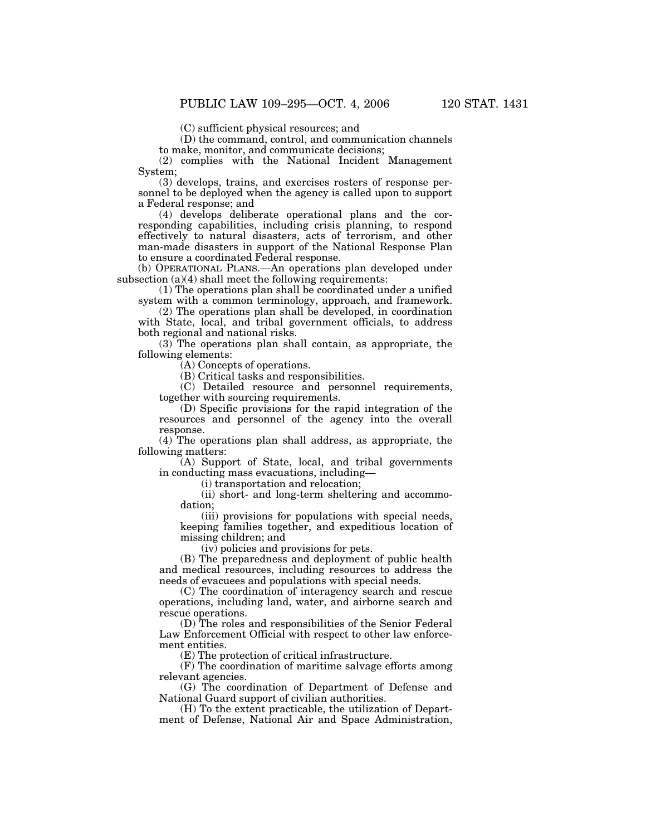(C) sufficient physical resources; and

(D) the command, control, and communication channels to make, monitor, and communicate decisions;

(2) complies with the National Incident Management System;

(3) develops, trains, and exercises rosters of response personnel to be deployed when the agency is called upon to support a Federal response; and

(4) develops deliberate operational plans and the corresponding capabilities, including crisis planning, to respond effectively to natural disasters, acts of terrorism, and other man-made disasters in support of the National Response Plan to ensure a coordinated Federal response.

(b) OPERATIONAL PLANS.—An operations plan developed under subsection (a)(4) shall meet the following requirements:

(1) The operations plan shall be coordinated under a unified system with a common terminology, approach, and framework.

(2) The operations plan shall be developed, in coordination with State, local, and tribal government officials, to address both regional and national risks.

(3) The operations plan shall contain, as appropriate, the following elements:

(A) Concepts of operations.

(B) Critical tasks and responsibilities.

(C) Detailed resource and personnel requirements, together with sourcing requirements.

(D) Specific provisions for the rapid integration of the resources and personnel of the agency into the overall response.

(4) The operations plan shall address, as appropriate, the following matters:

(A) Support of State, local, and tribal governments in conducting mass evacuations, including—

(i) transportation and relocation;

(ii) short- and long-term sheltering and accommodation;

(iii) provisions for populations with special needs, keeping families together, and expeditious location of missing children; and

(iv) policies and provisions for pets.

(B) The preparedness and deployment of public health and medical resources, including resources to address the needs of evacuees and populations with special needs.

(C) The coordination of interagency search and rescue operations, including land, water, and airborne search and rescue operations.

(D) The roles and responsibilities of the Senior Federal Law Enforcement Official with respect to other law enforcement entities.

(E) The protection of critical infrastructure.

(F) The coordination of maritime salvage efforts among relevant agencies.

(G) The coordination of Department of Defense and National Guard support of civilian authorities.

(H) To the extent practicable, the utilization of Department of Defense, National Air and Space Administration,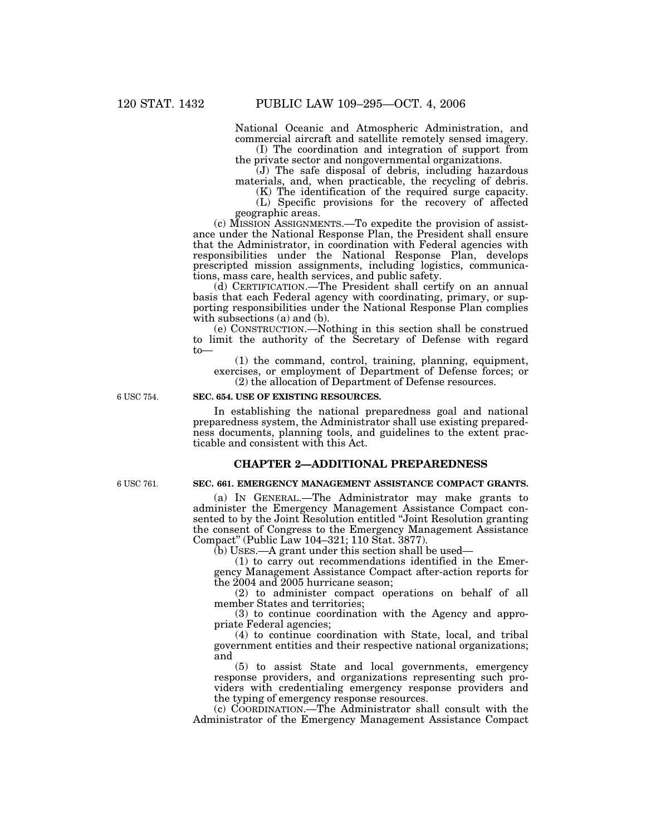National Oceanic and Atmospheric Administration, and commercial aircraft and satellite remotely sensed imagery. (I) The coordination and integration of support from

the private sector and nongovernmental organizations.

(J) The safe disposal of debris, including hazardous materials, and, when practicable, the recycling of debris.

(K) The identification of the required surge capacity. (L) Specific provisions for the recovery of affected geographic areas.

(c) MISSION ASSIGNMENTS.—To expedite the provision of assistance under the National Response Plan, the President shall ensure that the Administrator, in coordination with Federal agencies with responsibilities under the National Response Plan, develops prescripted mission assignments, including logistics, communications, mass care, health services, and public safety.

(d) CERTIFICATION.—The President shall certify on an annual basis that each Federal agency with coordinating, primary, or supporting responsibilities under the National Response Plan complies with subsections (a) and (b).

(e) CONSTRUCTION.—Nothing in this section shall be construed to limit the authority of the Secretary of Defense with regard to—

(1) the command, control, training, planning, equipment, exercises, or employment of Department of Defense forces; or (2) the allocation of Department of Defense resources.

6 USC 754.

# **SEC. 654. USE OF EXISTING RESOURCES.**

In establishing the national preparedness goal and national preparedness system, the Administrator shall use existing preparedness documents, planning tools, and guidelines to the extent practicable and consistent with this Act.

# **CHAPTER 2—ADDITIONAL PREPAREDNESS**

6 USC 761.

#### **SEC. 661. EMERGENCY MANAGEMENT ASSISTANCE COMPACT GRANTS.**

(a) IN GENERAL.—The Administrator may make grants to administer the Emergency Management Assistance Compact consented to by the Joint Resolution entitled ''Joint Resolution granting the consent of Congress to the Emergency Management Assistance Compact'' (Public Law 104–321; 110 Stat. 3877).

(b) USES.—A grant under this section shall be used—

(1) to carry out recommendations identified in the Emergency Management Assistance Compact after-action reports for the 2004 and 2005 hurricane season;

(2) to administer compact operations on behalf of all member States and territories;

(3) to continue coordination with the Agency and appropriate Federal agencies;

(4) to continue coordination with State, local, and tribal government entities and their respective national organizations; and

(5) to assist State and local governments, emergency response providers, and organizations representing such providers with credentialing emergency response providers and the typing of emergency response resources.

(c) COORDINATION.—The Administrator shall consult with the Administrator of the Emergency Management Assistance Compact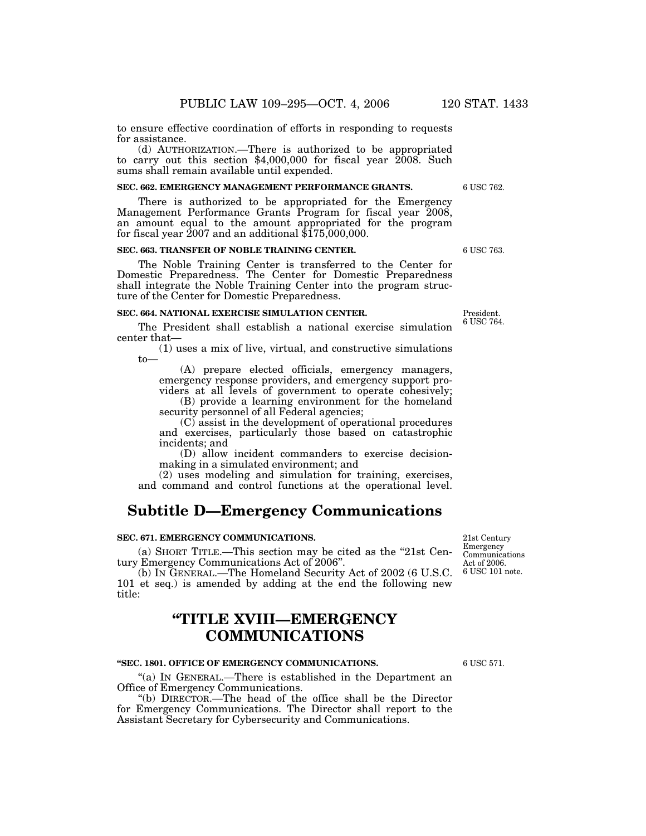to ensure effective coordination of efforts in responding to requests for assistance.

(d) AUTHORIZATION.—There is authorized to be appropriated to carry out this section \$4,000,000 for fiscal year 2008. Such sums shall remain available until expended.

#### **SEC. 662. EMERGENCY MANAGEMENT PERFORMANCE GRANTS.**

There is authorized to be appropriated for the Emergency Management Performance Grants Program for fiscal year 2008, an amount equal to the amount appropriated for the program for fiscal year  $\overline{2007}$  and an additional  $\overline{\$175,000,000}$ .

### **SEC. 663. TRANSFER OF NOBLE TRAINING CENTER.**

The Noble Training Center is transferred to the Center for Domestic Preparedness. The Center for Domestic Preparedness shall integrate the Noble Training Center into the program structure of the Center for Domestic Preparedness.

## **SEC. 664. NATIONAL EXERCISE SIMULATION CENTER.**

The President shall establish a national exercise simulation center that—

(1) uses a mix of live, virtual, and constructive simulations to—

(A) prepare elected officials, emergency managers, emergency response providers, and emergency support providers at all levels of government to operate cohesively;

(B) provide a learning environment for the homeland security personnel of all Federal agencies;

(C) assist in the development of operational procedures and exercises, particularly those based on catastrophic incidents; and

(D) allow incident commanders to exercise decisionmaking in a simulated environment; and

(2) uses modeling and simulation for training, exercises, and command and control functions at the operational level.

# **Subtitle D—Emergency Communications**

#### **SEC. 671. EMERGENCY COMMUNICATIONS.**

(a) SHORT TITLE.—This section may be cited as the ''21st Century Emergency Communications Act of 2006''.

(b) IN GENERAL.—The Homeland Security Act of 2002 (6 U.S.C. 101 et seq.) is amended by adding at the end the following new title:

# **''TITLE XVIII—EMERGENCY COMMUNICATIONS**

## **''SEC. 1801. OFFICE OF EMERGENCY COMMUNICATIONS.**

"(a) IN GENERAL.—There is established in the Department an Office of Emergency Communications.

''(b) DIRECTOR.—The head of the office shall be the Director for Emergency Communications. The Director shall report to the Assistant Secretary for Cybersecurity and Communications.

6 USC 101 note. 21st Century Emergency Communications Act of 2006.

6 USC 571.

6 USC 763.

President. 6 USC 764.

6 USC 762.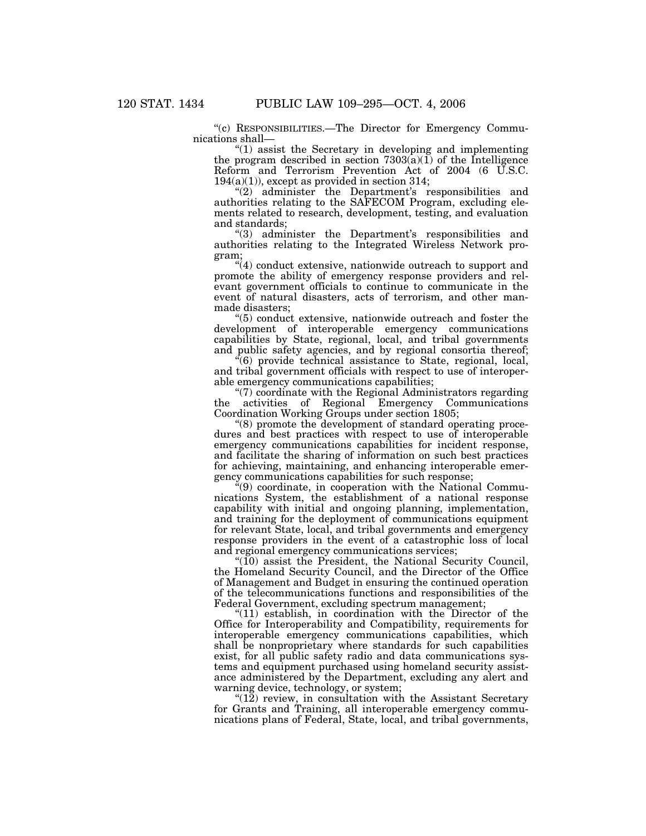''(c) RESPONSIBILITIES.—The Director for Emergency Communications shall—

''(1) assist the Secretary in developing and implementing the program described in section  $7303(a)(1)$  of the Intelligence Reform and Terrorism Prevention Act of 2004 (6 U.S.C.  $194(a)(1)$ , except as provided in section 314;

"(2) administer the Department's responsibilities and authorities relating to the SAFECOM Program, excluding elements related to research, development, testing, and evaluation and standards;

''(3) administer the Department's responsibilities and authorities relating to the Integrated Wireless Network program;

 $\mathcal{H}(4)$  conduct extensive, nationwide outreach to support and promote the ability of emergency response providers and relevant government officials to continue to communicate in the event of natural disasters, acts of terrorism, and other manmade disasters;

''(5) conduct extensive, nationwide outreach and foster the development of interoperable emergency communications capabilities by State, regional, local, and tribal governments and public safety agencies, and by regional consortia thereof;

 $\epsilon$ <sup>(6)</sup> provide technical assistance to State, regional, local, and tribal government officials with respect to use of interoperable emergency communications capabilities;

''(7) coordinate with the Regional Administrators regarding the activities of Regional Emergency Communications Coordination Working Groups under section 1805;

''(8) promote the development of standard operating procedures and best practices with respect to use of interoperable emergency communications capabilities for incident response, and facilitate the sharing of information on such best practices for achieving, maintaining, and enhancing interoperable emergency communications capabilities for such response;

''(9) coordinate, in cooperation with the National Communications System, the establishment of a national response capability with initial and ongoing planning, implementation, and training for the deployment of communications equipment for relevant State, local, and tribal governments and emergency response providers in the event of a catastrophic loss of local and regional emergency communications services;

 $\sqrt[4]{(10)}$  assist the President, the National Security Council, the Homeland Security Council, and the Director of the Office of Management and Budget in ensuring the continued operation of the telecommunications functions and responsibilities of the Federal Government, excluding spectrum management;

"(11) establish, in coordination with the Director of the Office for Interoperability and Compatibility, requirements for interoperable emergency communications capabilities, which shall be nonproprietary where standards for such capabilities exist, for all public safety radio and data communications systems and equipment purchased using homeland security assistance administered by the Department, excluding any alert and warning device, technology, or system;

 $\degree$ (12) review, in consultation with the Assistant Secretary for Grants and Training, all interoperable emergency communications plans of Federal, State, local, and tribal governments,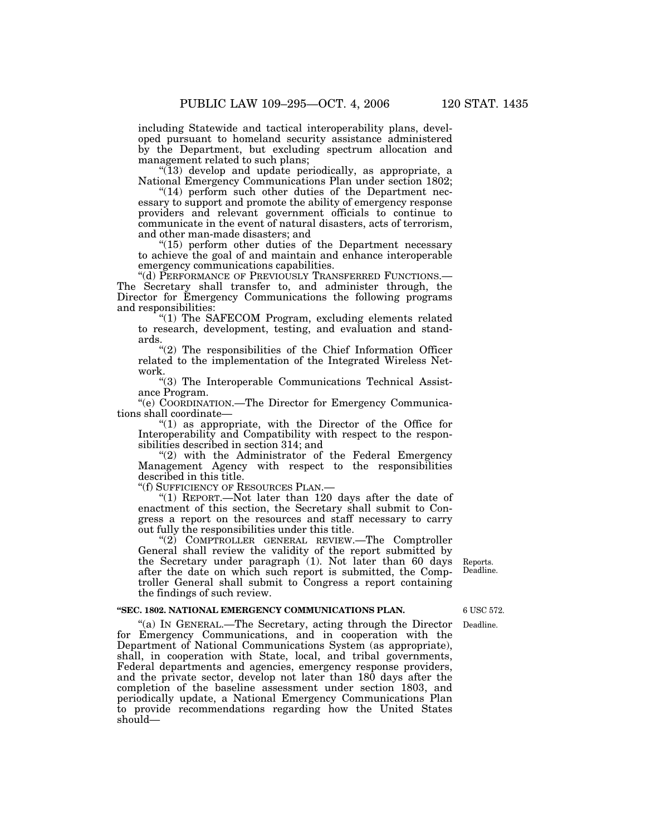including Statewide and tactical interoperability plans, developed pursuant to homeland security assistance administered by the Department, but excluding spectrum allocation and management related to such plans;

"(13) develop and update periodically, as appropriate, a National Emergency Communications Plan under section 1802;

" $(14)$  perform such other duties of the Department necessary to support and promote the ability of emergency response providers and relevant government officials to continue to communicate in the event of natural disasters, acts of terrorism, and other man-made disasters; and

 $"(15)$  perform other duties of the Department necessary to achieve the goal of and maintain and enhance interoperable emergency communications capabilities.<br>"(d) PERFORMANCE OF PREVIOUSLY TRANSFERRED FUNCTIONS.—

The Secretary shall transfer to, and administer through, the Director for Emergency Communications the following programs and responsibilities:

"(1) The SAFECOM Program, excluding elements related to research, development, testing, and evaluation and standards.

"(2) The responsibilities of the Chief Information Officer related to the implementation of the Integrated Wireless Network.

''(3) The Interoperable Communications Technical Assistance Program.

''(e) COORDINATION.—The Director for Emergency Communications shall coordinate—

" $(1)$  as appropriate, with the Director of the Office for Interoperability and Compatibility with respect to the responsibilities described in section 314; and

"(2) with the Administrator of the Federal Emergency Management Agency with respect to the responsibilities described in this title.<br>"(f) SUFFICIENCY OF RESOURCES PLAN.—

"(1) REPORT.—Not later than 120 days after the date of enactment of this section, the Secretary shall submit to Congress a report on the resources and staff necessary to carry out fully the responsibilities under this title.

''(2) COMPTROLLER GENERAL REVIEW.—The Comptroller General shall review the validity of the report submitted by the Secretary under paragraph  $(1)$ . Not later than 60 days after the date on which such report is submitted, the Comptroller General shall submit to Congress a report containing the findings of such review.

## **''SEC. 1802. NATIONAL EMERGENCY COMMUNICATIONS PLAN.**

''(a) IN GENERAL.—The Secretary, acting through the Director for Emergency Communications, and in cooperation with the Department of National Communications System (as appropriate), shall, in cooperation with State, local, and tribal governments, Federal departments and agencies, emergency response providers, and the private sector, develop not later than 180 days after the completion of the baseline assessment under section 1803, and periodically update, a National Emergency Communications Plan to provide recommendations regarding how the United States should—

Reports. Deadline.

6 USC 572.

Deadline.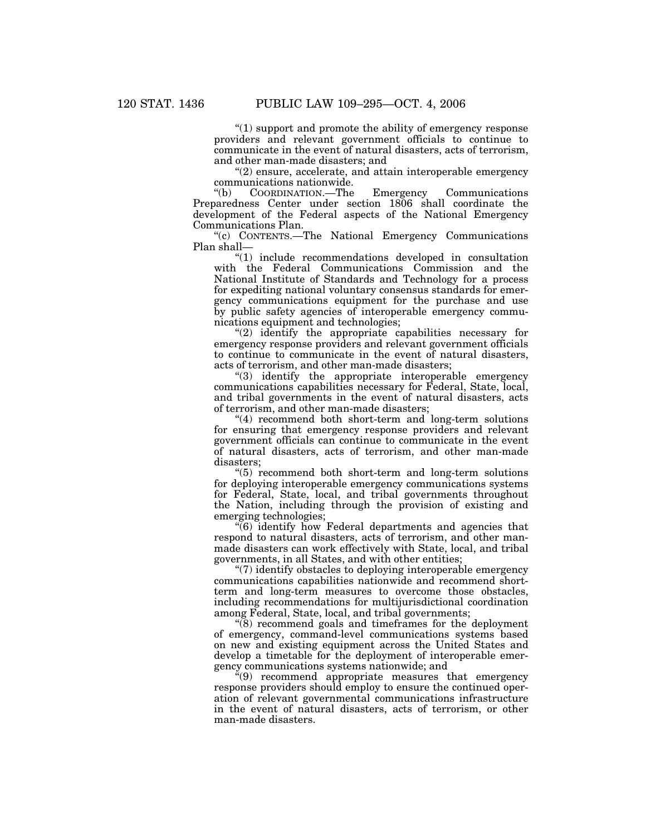''(1) support and promote the ability of emergency response providers and relevant government officials to continue to communicate in the event of natural disasters, acts of terrorism, and other man-made disasters; and

"(2) ensure, accelerate, and attain interoperable emergency communications nationwide.<br>
"(b) COORDINATION.—The

''(b) COORDINATION.—The Emergency Communications Preparedness Center under section 1806 shall coordinate the development of the Federal aspects of the National Emergency Communications Plan.

''(c) CONTENTS.—The National Emergency Communications Plan shall—

''(1) include recommendations developed in consultation with the Federal Communications Commission and the National Institute of Standards and Technology for a process for expediting national voluntary consensus standards for emergency communications equipment for the purchase and use by public safety agencies of interoperable emergency communications equipment and technologies;

''(2) identify the appropriate capabilities necessary for emergency response providers and relevant government officials to continue to communicate in the event of natural disasters, acts of terrorism, and other man-made disasters;

''(3) identify the appropriate interoperable emergency communications capabilities necessary for Federal, State, local, and tribal governments in the event of natural disasters, acts of terrorism, and other man-made disasters;

''(4) recommend both short-term and long-term solutions for ensuring that emergency response providers and relevant government officials can continue to communicate in the event of natural disasters, acts of terrorism, and other man-made disasters;

''(5) recommend both short-term and long-term solutions for deploying interoperable emergency communications systems for Federal, State, local, and tribal governments throughout the Nation, including through the provision of existing and emerging technologies;

''(6) identify how Federal departments and agencies that respond to natural disasters, acts of terrorism, and other manmade disasters can work effectively with State, local, and tribal governments, in all States, and with other entities;

''(7) identify obstacles to deploying interoperable emergency communications capabilities nationwide and recommend shortterm and long-term measures to overcome those obstacles, including recommendations for multijurisdictional coordination among Federal, State, local, and tribal governments;

 $\degree$ (8) recommend goals and timeframes for the deployment of emergency, command-level communications systems based on new and existing equipment across the United States and develop a timetable for the deployment of interoperable emergency communications systems nationwide; and

 $x''(9)$  recommend appropriate measures that emergency response providers should employ to ensure the continued operation of relevant governmental communications infrastructure in the event of natural disasters, acts of terrorism, or other man-made disasters.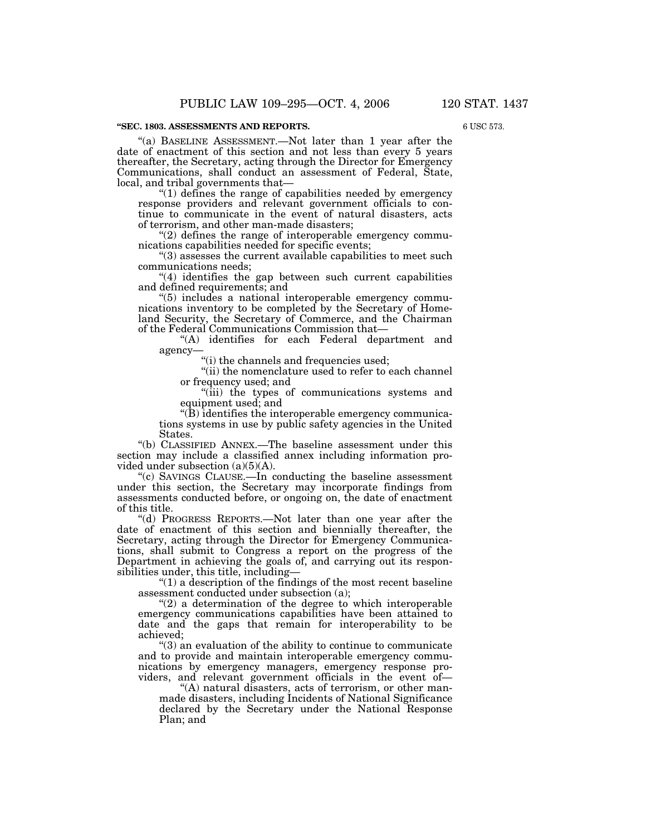#### **''SEC. 1803. ASSESSMENTS AND REPORTS.**

''(a) BASELINE ASSESSMENT.—Not later than 1 year after the date of enactment of this section and not less than every 5 years thereafter, the Secretary, acting through the Director for Emergency Communications, shall conduct an assessment of Federal, State, local, and tribal governments that—

''(1) defines the range of capabilities needed by emergency response providers and relevant government officials to continue to communicate in the event of natural disasters, acts of terrorism, and other man-made disasters;

"(2) defines the range of interoperable emergency communications capabilities needed for specific events;

''(3) assesses the current available capabilities to meet such communications needs;

 $''(4)$  identifies the gap between such current capabilities and defined requirements; and

''(5) includes a national interoperable emergency communications inventory to be completed by the Secretary of Homeland Security, the Secretary of Commerce, and the Chairman of the Federal Communications Commission that—

''(A) identifies for each Federal department and agency—

''(i) the channels and frequencies used;

''(ii) the nomenclature used to refer to each channel or frequency used; and

''(iii) the types of communications systems and equipment used; and

''(B) identifies the interoperable emergency communications systems in use by public safety agencies in the United States.

''(b) CLASSIFIED ANNEX.—The baseline assessment under this section may include a classified annex including information provided under subsection (a)(5)(A).

''(c) SAVINGS CLAUSE.—In conducting the baseline assessment under this section, the Secretary may incorporate findings from assessments conducted before, or ongoing on, the date of enactment of this title.

''(d) PROGRESS REPORTS.—Not later than one year after the date of enactment of this section and biennially thereafter, the Secretary, acting through the Director for Emergency Communications, shall submit to Congress a report on the progress of the Department in achieving the goals of, and carrying out its responsibilities under, this title, including—

''(1) a description of the findings of the most recent baseline assessment conducted under subsection (a);

 $(2)$  a determination of the degree to which interoperable emergency communications capabilities have been attained to date and the gaps that remain for interoperability to be achieved;

''(3) an evaluation of the ability to continue to communicate and to provide and maintain interoperable emergency communications by emergency managers, emergency response providers, and relevant government officials in the event of—

''(A) natural disasters, acts of terrorism, or other manmade disasters, including Incidents of National Significance declared by the Secretary under the National Response Plan; and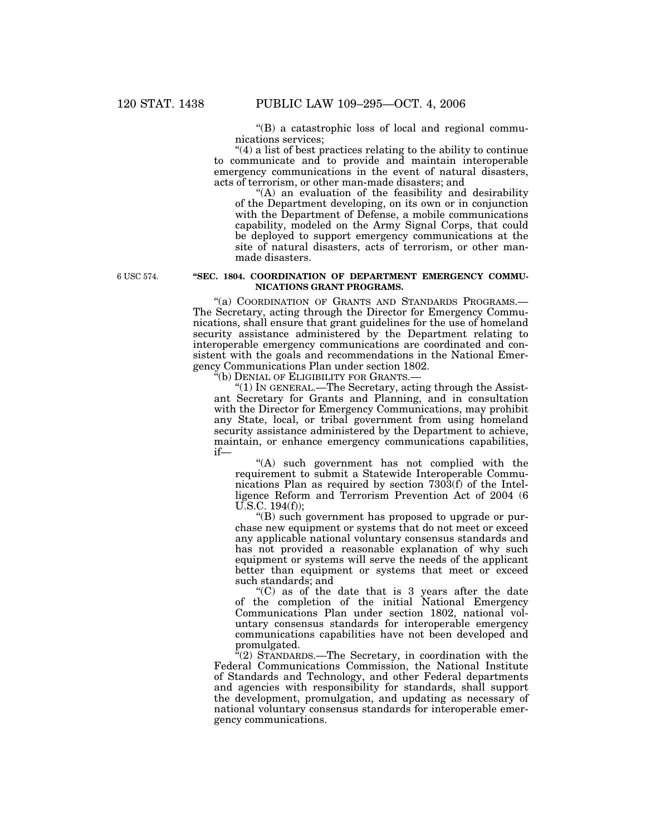''(B) a catastrophic loss of local and regional communications services;

''(4) a list of best practices relating to the ability to continue to communicate and to provide and maintain interoperable emergency communications in the event of natural disasters, acts of terrorism, or other man-made disasters; and

"(A) an evaluation of the feasibility and desirability of the Department developing, on its own or in conjunction with the Department of Defense, a mobile communications capability, modeled on the Army Signal Corps, that could be deployed to support emergency communications at the site of natural disasters, acts of terrorism, or other manmade disasters.

6 USC 574.

## **''SEC. 1804. COORDINATION OF DEPARTMENT EMERGENCY COMMU-NICATIONS GRANT PROGRAMS.**

"(a) COORDINATION OF GRANTS AND STANDARDS PROGRAMS.-The Secretary, acting through the Director for Emergency Communications, shall ensure that grant guidelines for the use of homeland security assistance administered by the Department relating to interoperable emergency communications are coordinated and consistent with the goals and recommendations in the National Emergency Communications Plan under section 1802.

''(b) DENIAL OF ELIGIBILITY FOR GRANTS.—

''(1) IN GENERAL.—The Secretary, acting through the Assistant Secretary for Grants and Planning, and in consultation with the Director for Emergency Communications, may prohibit any State, local, or tribal government from using homeland security assistance administered by the Department to achieve, maintain, or enhance emergency communications capabilities, if—

''(A) such government has not complied with the requirement to submit a Statewide Interoperable Communications Plan as required by section 7303(f) of the Intelligence Reform and Terrorism Prevention Act of 2004 (6 U.S.C. 194(f));

''(B) such government has proposed to upgrade or purchase new equipment or systems that do not meet or exceed any applicable national voluntary consensus standards and has not provided a reasonable explanation of why such equipment or systems will serve the needs of the applicant better than equipment or systems that meet or exceed such standards; and

''(C) as of the date that is 3 years after the date of the completion of the initial National Emergency Communications Plan under section 1802, national voluntary consensus standards for interoperable emergency communications capabilities have not been developed and promulgated.

''(2) STANDARDS.—The Secretary, in coordination with the Federal Communications Commission, the National Institute of Standards and Technology, and other Federal departments and agencies with responsibility for standards, shall support the development, promulgation, and updating as necessary of national voluntary consensus standards for interoperable emergency communications.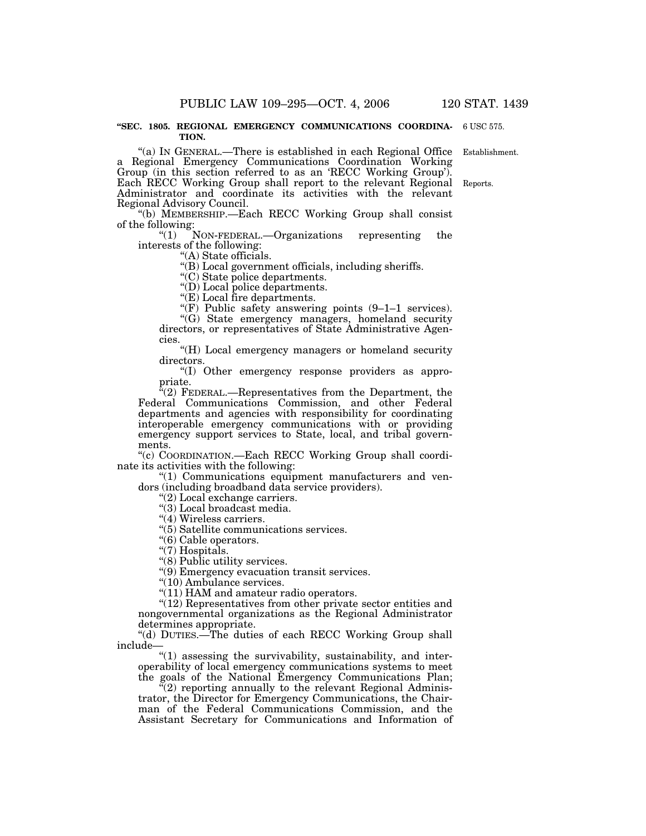#### **''SEC. 1805. REGIONAL EMERGENCY COMMUNICATIONS COORDINA-**6 USC 575. **TION.**

"(a) IN GENERAL.—There is established in each Regional Office Establishment. a Regional Emergency Communications Coordination Working Group (in this section referred to as an 'RECC Working Group'). Each RECC Working Group shall report to the relevant Regional Reports. Administrator and coordinate its activities with the relevant Regional Advisory Council.

''(b) MEMBERSHIP.—Each RECC Working Group shall consist of the following:<br> $(1)$ 

NON-FEDERAL.—Organizations representing the interests of the following:

''(A) State officials.

''(B) Local government officials, including sheriffs.

''(C) State police departments.

"(D) Local police departments.

"(E) Local fire departments.

"(F) Public safety answering points  $(9-1-1)$  services).

"(G) State emergency managers, homeland security directors, or representatives of State Administrative Agencies.

"(H) Local emergency managers or homeland security directors.

''(I) Other emergency response providers as appropriate.

"(2) FEDERAL.—Representatives from the Department, the Federal Communications Commission, and other Federal departments and agencies with responsibility for coordinating interoperable emergency communications with or providing emergency support services to State, local, and tribal governments.

''(c) COORDINATION.—Each RECC Working Group shall coordinate its activities with the following:

''(1) Communications equipment manufacturers and vendors (including broadband data service providers).

''(2) Local exchange carriers.

''(3) Local broadcast media.

"(4) Wireless carriers.

''(5) Satellite communications services.

"(6) Cable operators.

"(7) Hospitals.

''(8) Public utility services.

''(9) Emergency evacuation transit services.

''(10) Ambulance services.

 $''(11)$  HAM and amateur radio operators.

"(12) Representatives from other private sector entities and nongovernmental organizations as the Regional Administrator determines appropriate.

''(d) DUTIES.—The duties of each RECC Working Group shall include—

''(1) assessing the survivability, sustainability, and interoperability of local emergency communications systems to meet the goals of the National Emergency Communications Plan;

 $\tilde{f}(2)$  reporting annually to the relevant Regional Administrator, the Director for Emergency Communications, the Chairman of the Federal Communications Commission, and the Assistant Secretary for Communications and Information of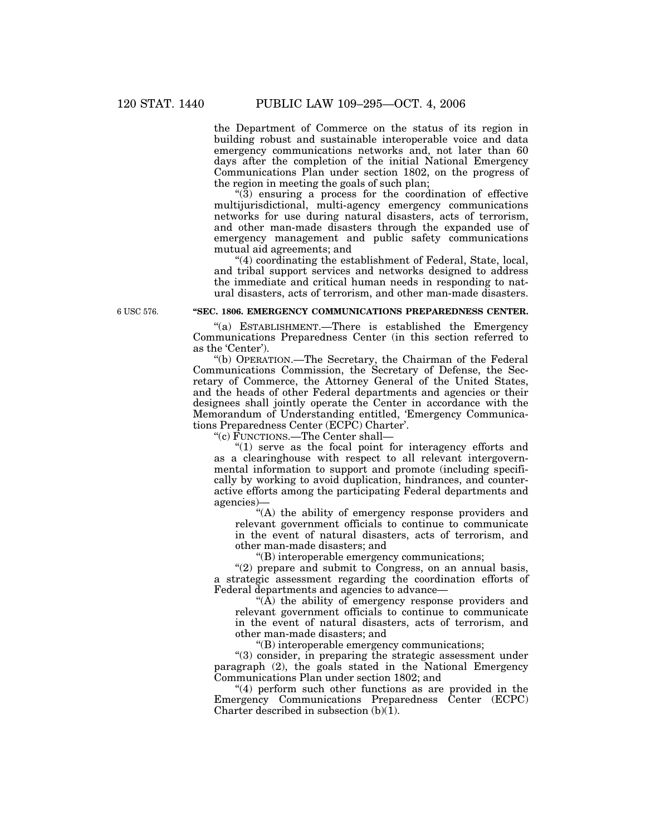the Department of Commerce on the status of its region in building robust and sustainable interoperable voice and data emergency communications networks and, not later than 60 days after the completion of the initial National Emergency Communications Plan under section 1802, on the progress of the region in meeting the goals of such plan;

''(3) ensuring a process for the coordination of effective multijurisdictional, multi-agency emergency communications networks for use during natural disasters, acts of terrorism, and other man-made disasters through the expanded use of emergency management and public safety communications mutual aid agreements; and

"(4) coordinating the establishment of Federal, State, local, and tribal support services and networks designed to address the immediate and critical human needs in responding to natural disasters, acts of terrorism, and other man-made disasters.

6 USC 576.

# **''SEC. 1806. EMERGENCY COMMUNICATIONS PREPAREDNESS CENTER.**

''(a) ESTABLISHMENT.—There is established the Emergency Communications Preparedness Center (in this section referred to as the 'Center').

''(b) OPERATION.—The Secretary, the Chairman of the Federal Communications Commission, the Secretary of Defense, the Secretary of Commerce, the Attorney General of the United States, and the heads of other Federal departments and agencies or their designees shall jointly operate the Center in accordance with the Memorandum of Understanding entitled, 'Emergency Communications Preparedness Center (ECPC) Charter'.

''(c) FUNCTIONS.—The Center shall—

"(1) serve as the focal point for interagency efforts and as a clearinghouse with respect to all relevant intergovernmental information to support and promote (including specifically by working to avoid duplication, hindrances, and counteractive efforts among the participating Federal departments and agencies)—

"(A) the ability of emergency response providers and relevant government officials to continue to communicate in the event of natural disasters, acts of terrorism, and other man-made disasters; and

''(B) interoperable emergency communications;

"(2) prepare and submit to Congress, on an annual basis, a strategic assessment regarding the coordination efforts of Federal departments and agencies to advance—

"( $\overline{A}$ ) the ability of emergency response providers and relevant government officials to continue to communicate in the event of natural disasters, acts of terrorism, and other man-made disasters; and

''(B) interoperable emergency communications;

''(3) consider, in preparing the strategic assessment under paragraph (2), the goals stated in the National Emergency Communications Plan under section 1802; and

 $(4)$  perform such other functions as are provided in the Emergency Communications Preparedness Center (ECPC) Charter described in subsection  $(b)(1)$ .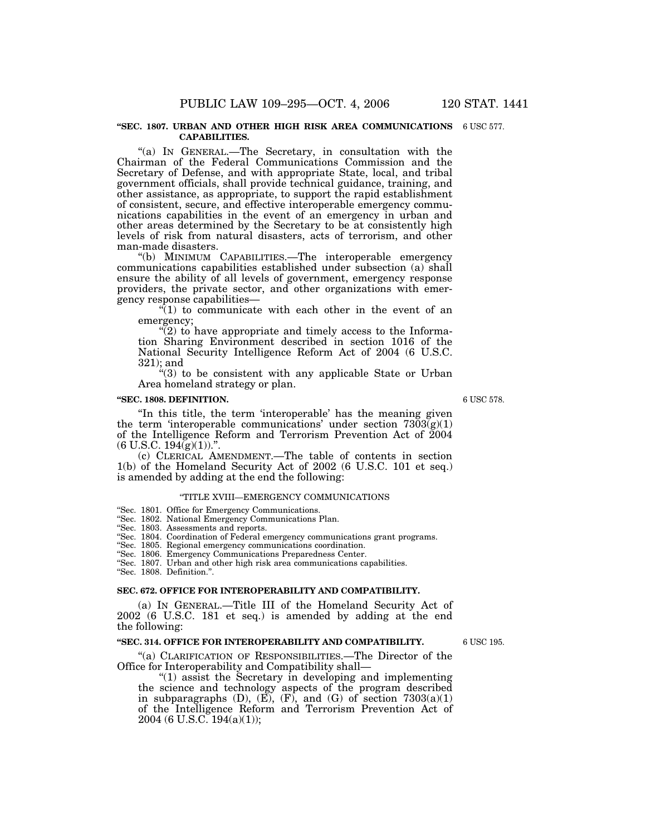#### **''SEC. 1807. URBAN AND OTHER HIGH RISK AREA COMMUNICATIONS** 6 USC 577. **CAPABILITIES.**

''(a) IN GENERAL.—The Secretary, in consultation with the Chairman of the Federal Communications Commission and the Secretary of Defense, and with appropriate State, local, and tribal government officials, shall provide technical guidance, training, and other assistance, as appropriate, to support the rapid establishment of consistent, secure, and effective interoperable emergency communications capabilities in the event of an emergency in urban and other areas determined by the Secretary to be at consistently high levels of risk from natural disasters, acts of terrorism, and other man-made disasters.

''(b) MINIMUM CAPABILITIES.—The interoperable emergency communications capabilities established under subsection (a) shall ensure the ability of all levels of government, emergency response providers, the private sector, and other organizations with emergency response capabilities—

 $\sqrt[n]{(1)}$  to communicate with each other in the event of an emergency;

 $\mathcal{L}(2)$  to have appropriate and timely access to the Information Sharing Environment described in section 1016 of the National Security Intelligence Reform Act of 2004 (6 U.S.C. 321); and

 $(3)$  to be consistent with any applicable State or Urban Area homeland strategy or plan.

## **''SEC. 1808. DEFINITION.**

''In this title, the term 'interoperable' has the meaning given the term 'interoperable communications' under section  $7303(g)(1)$ of the Intelligence Reform and Terrorism Prevention Act of 2004  $(6 \text{ U.S.C. } 194\text{ (g)}(1))$ .".

(c) CLERICAL AMENDMENT.—The table of contents in section 1(b) of the Homeland Security Act of 2002 (6 U.S.C. 101 et seq.) is amended by adding at the end the following:

#### ''TITLE XVIII—EMERGENCY COMMUNICATIONS

''Sec. 1801. Office for Emergency Communications.

''Sec. 1802. National Emergency Communications Plan.

''Sec. 1803. Assessments and reports.

''Sec. 1804. Coordination of Federal emergency communications grant programs.

''Sec. 1805. Regional emergency communications coordination.

''Sec. 1806. Emergency Communications Preparedness Center.

''Sec. 1807. Urban and other high risk area communications capabilities.

''Sec. 1808. Definition.''.

## **SEC. 672. OFFICE FOR INTEROPERABILITY AND COMPATIBILITY.**

(a) IN GENERAL.—Title III of the Homeland Security Act of 2002 (6 U.S.C. 181 et seq.) is amended by adding at the end the following:

#### **''SEC. 314. OFFICE FOR INTEROPERABILITY AND COMPATIBILITY.**

6 USC 195.

"(a) CLARIFICATION OF RESPONSIBILITIES.—The Director of the Office for Interoperability and Compatibility shall—

" $(1)$  assist the Secretary in developing and implementing the science and technology aspects of the program described in subparagraphs  $(D)$ ,  $(E)$ ,  $(F)$ , and  $(G)$  of section  $7303(a)(1)$ of the Intelligence Reform and Terrorism Prevention Act of 2004 (6 U.S.C. 194(a)(1));

6 USC 578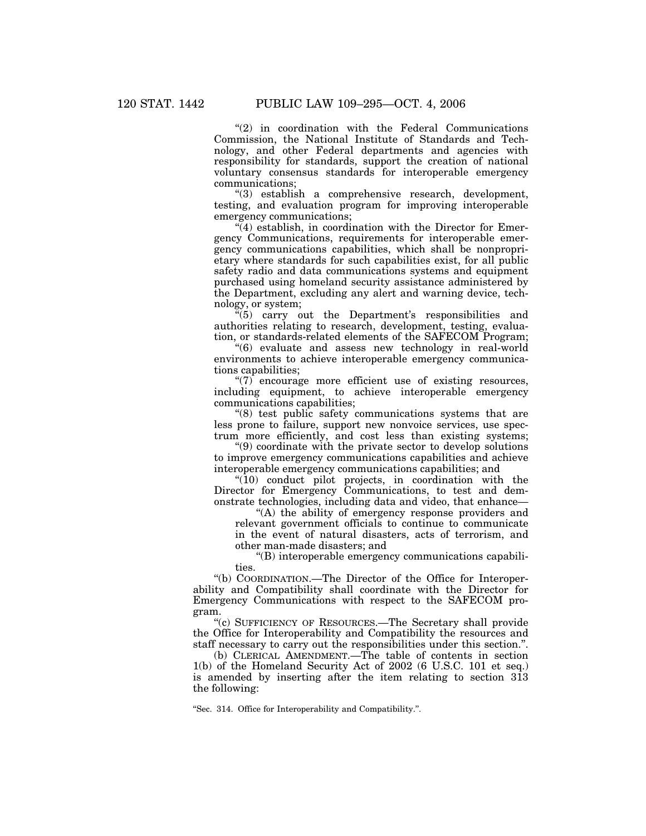$''(2)$  in coordination with the Federal Communications Commission, the National Institute of Standards and Technology, and other Federal departments and agencies with responsibility for standards, support the creation of national voluntary consensus standards for interoperable emergency communications;

''(3) establish a comprehensive research, development, testing, and evaluation program for improving interoperable emergency communications;

 $\tilde{H}(4)$  establish, in coordination with the Director for Emergency Communications, requirements for interoperable emergency communications capabilities, which shall be nonproprietary where standards for such capabilities exist, for all public safety radio and data communications systems and equipment purchased using homeland security assistance administered by the Department, excluding any alert and warning device, technology, or system;

''(5) carry out the Department's responsibilities and authorities relating to research, development, testing, evaluation, or standards-related elements of the SAFECOM Program;

''(6) evaluate and assess new technology in real-world environments to achieve interoperable emergency communications capabilities;

''(7) encourage more efficient use of existing resources, including equipment, to achieve interoperable emergency communications capabilities;

''(8) test public safety communications systems that are less prone to failure, support new nonvoice services, use spectrum more efficiently, and cost less than existing systems;

''(9) coordinate with the private sector to develop solutions to improve emergency communications capabilities and achieve interoperable emergency communications capabilities; and

"(10) conduct pilot projects, in coordination with the Director for Emergency Communications, to test and demonstrate technologies, including data and video, that enhance—

''(A) the ability of emergency response providers and relevant government officials to continue to communicate in the event of natural disasters, acts of terrorism, and other man-made disasters; and

''(B) interoperable emergency communications capabilities.

''(b) COORDINATION.—The Director of the Office for Interoperability and Compatibility shall coordinate with the Director for Emergency Communications with respect to the SAFECOM program.

''(c) SUFFICIENCY OF RESOURCES.—The Secretary shall provide the Office for Interoperability and Compatibility the resources and staff necessary to carry out the responsibilities under this section.''.

(b) CLERICAL AMENDMENT.—The table of contents in section 1(b) of the Homeland Security Act of 2002 (6 U.S.C. 101 et seq.) is amended by inserting after the item relating to section 313 the following:

''Sec. 314. Office for Interoperability and Compatibility.''.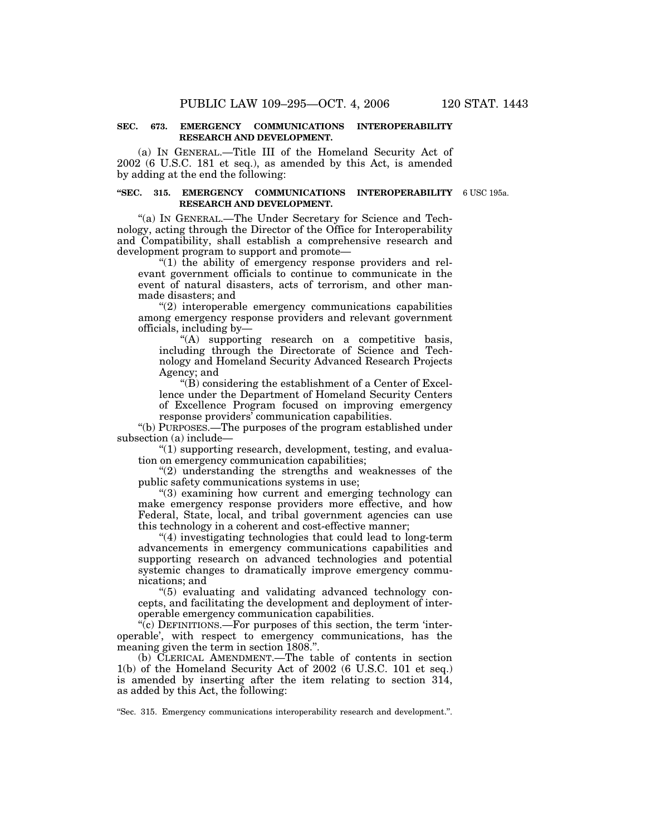## **SEC. 673. EMERGENCY COMMUNICATIONS INTEROPERABILITY RESEARCH AND DEVELOPMENT.**

(a) IN GENERAL.—Title III of the Homeland Security Act of 2002 (6 U.S.C. 181 et seq.), as amended by this Act, is amended by adding at the end the following:

#### **''SEC. 315. EMERGENCY COMMUNICATIONS INTEROPERABILITY** 6 USC 195a. **RESEARCH AND DEVELOPMENT.**

''(a) IN GENERAL.—The Under Secretary for Science and Technology, acting through the Director of the Office for Interoperability and Compatibility, shall establish a comprehensive research and development program to support and promote—

 $''(1)$  the ability of emergency response providers and relevant government officials to continue to communicate in the event of natural disasters, acts of terrorism, and other manmade disasters; and

"(2) interoperable emergency communications capabilities among emergency response providers and relevant government officials, including by—

"(A) supporting research on a competitive basis, including through the Directorate of Science and Technology and Homeland Security Advanced Research Projects Agency; and

 $\mathrm{``(B)}$  considering the establishment of a Center of Excellence under the Department of Homeland Security Centers of Excellence Program focused on improving emergency response providers' communication capabilities.

''(b) PURPOSES.—The purposes of the program established under subsection (a) include—

''(1) supporting research, development, testing, and evaluation on emergency communication capabilities;

 $(2)$  understanding the strengths and weaknesses of the public safety communications systems in use;

''(3) examining how current and emerging technology can make emergency response providers more effective, and how Federal, State, local, and tribal government agencies can use this technology in a coherent and cost-effective manner;

''(4) investigating technologies that could lead to long-term advancements in emergency communications capabilities and supporting research on advanced technologies and potential systemic changes to dramatically improve emergency communications; and

''(5) evaluating and validating advanced technology concepts, and facilitating the development and deployment of interoperable emergency communication capabilities.

''(c) DEFINITIONS.—For purposes of this section, the term 'interoperable', with respect to emergency communications, has the meaning given the term in section 1808.''.

(b) CLERICAL AMENDMENT.—The table of contents in section 1(b) of the Homeland Security Act of 2002 (6 U.S.C. 101 et seq.) is amended by inserting after the item relating to section 314, as added by this Act, the following:

''Sec. 315. Emergency communications interoperability research and development.''.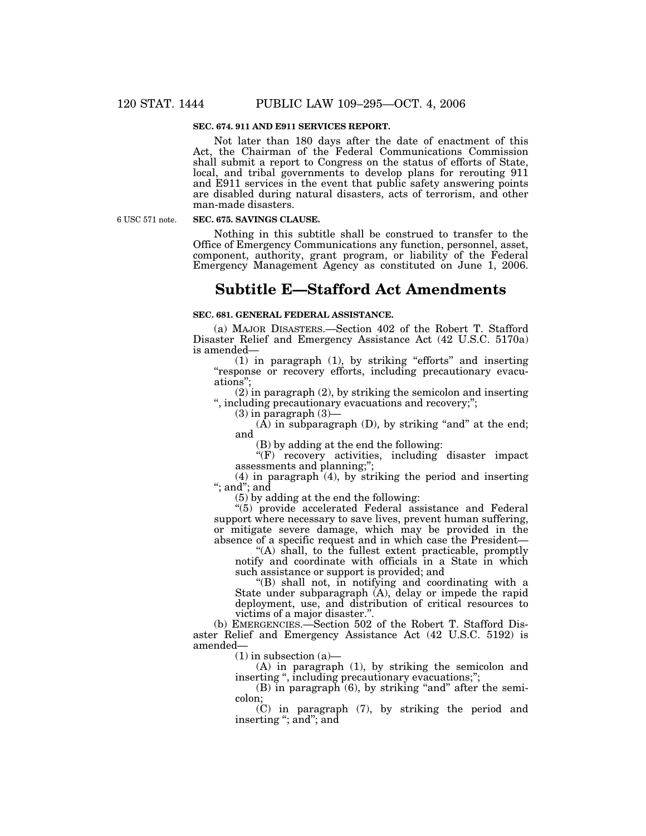## **SEC. 674. 911 AND E911 SERVICES REPORT.**

Not later than 180 days after the date of enactment of this Act, the Chairman of the Federal Communications Commission shall submit a report to Congress on the status of efforts of State, local, and tribal governments to develop plans for rerouting 911 and E911 services in the event that public safety answering points are disabled during natural disasters, acts of terrorism, and other man-made disasters.

6 USC 571 note.

## **SEC. 675. SAVINGS CLAUSE.**

Nothing in this subtitle shall be construed to transfer to the Office of Emergency Communications any function, personnel, asset, component, authority, grant program, or liability of the Federal Emergency Management Agency as constituted on June 1, 2006.

# **Subtitle E—Stafford Act Amendments**

## **SEC. 681. GENERAL FEDERAL ASSISTANCE.**

(a) MAJOR DISASTERS.—Section 402 of the Robert T. Stafford Disaster Relief and Emergency Assistance Act (42 U.S.C. 5170a) is amended—

 $(1)$  in paragraph  $(1)$ , by striking "efforts" and inserting ''response or recovery efforts, including precautionary evacuations'';

(2) in paragraph (2), by striking the semicolon and inserting '', including precautionary evacuations and recovery;'';

 $(3)$  in paragraph  $(3)$ —

 $(A)$  in subparagraph  $(D)$ , by striking "and" at the end; and

(B) by adding at the end the following:

"(F) recovery activities, including disaster impact assessments and planning;'';

 $(4)$  in paragraph  $(4)$ , by striking the period and inserting ''; and''; and

(5) by adding at the end the following:

"(5) provide accelerated Federal assistance and Federal support where necessary to save lives, prevent human suffering, or mitigate severe damage, which may be provided in the absence of a specific request and in which case the President—

''(A) shall, to the fullest extent practicable, promptly notify and coordinate with officials in a State in which such assistance or support is provided; and

''(B) shall not, in notifying and coordinating with a State under subparagraph (A), delay or impede the rapid deployment, use, and distribution of critical resources to victims of a major disaster.''.

(b) EMERGENCIES.—Section 502 of the Robert T. Stafford Disaster Relief and Emergency Assistance Act (42 U.S.C. 5192) is amended—

 $(1)$  in subsection  $(a)$ —

(A) in paragraph (1), by striking the semicolon and inserting ", including precautionary evacuations;";

 $(B)$  in paragraph  $(6)$ , by striking "and" after the semicolon;

(C) in paragraph (7), by striking the period and inserting "; and"; and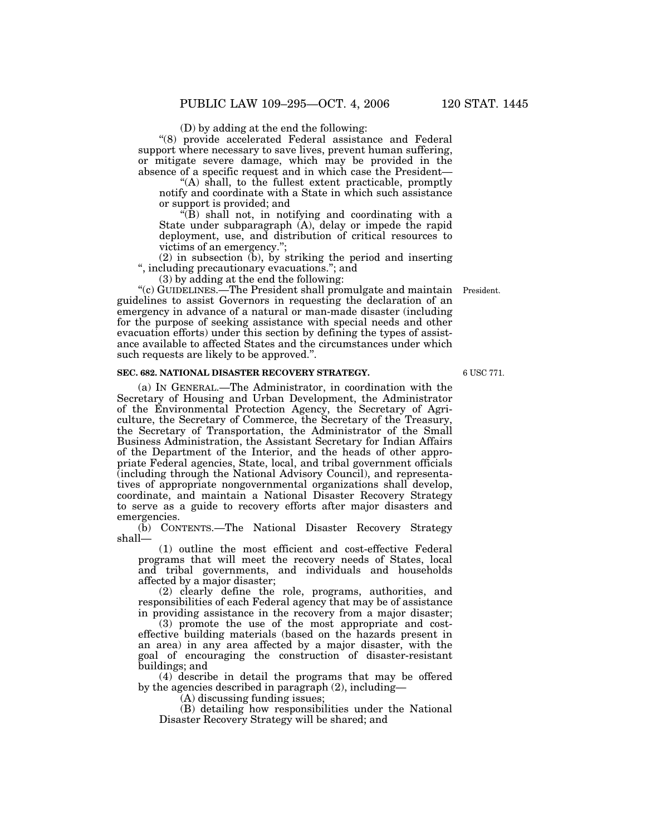(D) by adding at the end the following:

''(8) provide accelerated Federal assistance and Federal support where necessary to save lives, prevent human suffering, or mitigate severe damage, which may be provided in the absence of a specific request and in which case the President—

''(A) shall, to the fullest extent practicable, promptly notify and coordinate with a State in which such assistance or support is provided; and

 $\sqrt{\hat{B}}$  shall not, in notifying and coordinating with a State under subparagraph (A), delay or impede the rapid deployment, use, and distribution of critical resources to victims of an emergency.'';

(2) in subsection (b), by striking the period and inserting '', including precautionary evacuations.''; and

(3) by adding at the end the following:

''(c) GUIDELINES.—The President shall promulgate and maintain President. guidelines to assist Governors in requesting the declaration of an emergency in advance of a natural or man-made disaster (including for the purpose of seeking assistance with special needs and other evacuation efforts) under this section by defining the types of assistance available to affected States and the circumstances under which such requests are likely to be approved.''.

## **SEC. 682. NATIONAL DISASTER RECOVERY STRATEGY.**

(a) IN GENERAL.—The Administrator, in coordination with the Secretary of Housing and Urban Development, the Administrator of the Environmental Protection Agency, the Secretary of Agriculture, the Secretary of Commerce, the Secretary of the Treasury, the Secretary of Transportation, the Administrator of the Small Business Administration, the Assistant Secretary for Indian Affairs of the Department of the Interior, and the heads of other appropriate Federal agencies, State, local, and tribal government officials (including through the National Advisory Council), and representatives of appropriate nongovernmental organizations shall develop, coordinate, and maintain a National Disaster Recovery Strategy to serve as a guide to recovery efforts after major disasters and emergencies.

(b) CONTENTS.—The National Disaster Recovery Strategy shall—

(1) outline the most efficient and cost-effective Federal programs that will meet the recovery needs of States, local and tribal governments, and individuals and households affected by a major disaster;

(2) clearly define the role, programs, authorities, and responsibilities of each Federal agency that may be of assistance in providing assistance in the recovery from a major disaster;

(3) promote the use of the most appropriate and costeffective building materials (based on the hazards present in an area) in any area affected by a major disaster, with the goal of encouraging the construction of disaster-resistant buildings; and

(4) describe in detail the programs that may be offered by the agencies described in paragraph (2), including—

(A) discussing funding issues;

(B) detailing how responsibilities under the National Disaster Recovery Strategy will be shared; and

6 USC 771.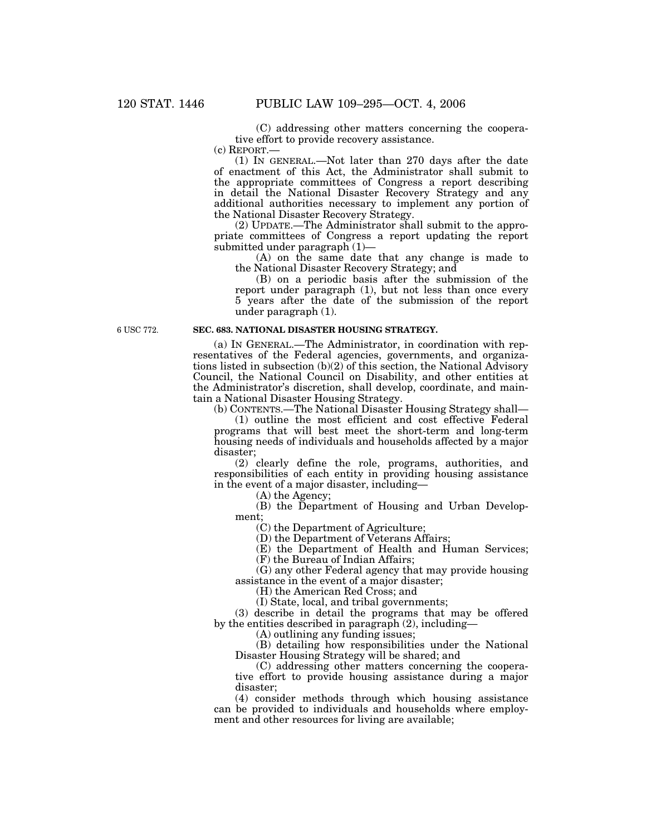(C) addressing other matters concerning the cooperative effort to provide recovery assistance.

(c) REPORT.—

(1) IN GENERAL.—Not later than 270 days after the date of enactment of this Act, the Administrator shall submit to the appropriate committees of Congress a report describing in detail the National Disaster Recovery Strategy and any additional authorities necessary to implement any portion of the National Disaster Recovery Strategy.

(2) UPDATE.—The Administrator shall submit to the appropriate committees of Congress a report updating the report submitted under paragraph (1)—

(A) on the same date that any change is made to the National Disaster Recovery Strategy; and

(B) on a periodic basis after the submission of the report under paragraph (1), but not less than once every 5 years after the date of the submission of the report under paragraph (1).

6 USC 772.

# **SEC. 683. NATIONAL DISASTER HOUSING STRATEGY.**

(a) IN GENERAL.—The Administrator, in coordination with representatives of the Federal agencies, governments, and organizations listed in subsection (b)(2) of this section, the National Advisory Council, the National Council on Disability, and other entities at the Administrator's discretion, shall develop, coordinate, and maintain a National Disaster Housing Strategy.

(b) CONTENTS.—The National Disaster Housing Strategy shall—

(1) outline the most efficient and cost effective Federal programs that will best meet the short-term and long-term housing needs of individuals and households affected by a major disaster;

(2) clearly define the role, programs, authorities, and responsibilities of each entity in providing housing assistance in the event of a major disaster, including—

(A) the Agency;

(B) the Department of Housing and Urban Development;

(C) the Department of Agriculture;

(D) the Department of Veterans Affairs;

(E) the Department of Health and Human Services; (F) the Bureau of Indian Affairs;

(G) any other Federal agency that may provide housing

assistance in the event of a major disaster;

(H) the American Red Cross; and

(I) State, local, and tribal governments;

(3) describe in detail the programs that may be offered by the entities described in paragraph (2), including—

(A) outlining any funding issues;

(B) detailing how responsibilities under the National Disaster Housing Strategy will be shared; and

(C) addressing other matters concerning the cooperative effort to provide housing assistance during a major disaster;

(4) consider methods through which housing assistance can be provided to individuals and households where employment and other resources for living are available;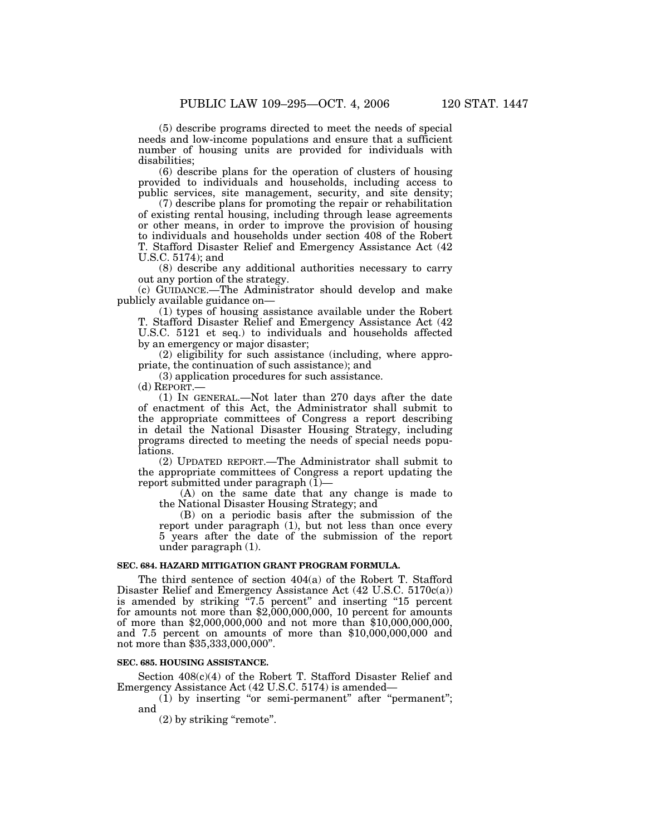(5) describe programs directed to meet the needs of special needs and low-income populations and ensure that a sufficient number of housing units are provided for individuals with disabilities;

(6) describe plans for the operation of clusters of housing provided to individuals and households, including access to public services, site management, security, and site density;

(7) describe plans for promoting the repair or rehabilitation of existing rental housing, including through lease agreements or other means, in order to improve the provision of housing to individuals and households under section 408 of the Robert T. Stafford Disaster Relief and Emergency Assistance Act (42 U.S.C. 5174); and

(8) describe any additional authorities necessary to carry out any portion of the strategy.

(c) GUIDANCE.—The Administrator should develop and make publicly available guidance on—

(1) types of housing assistance available under the Robert T. Stafford Disaster Relief and Emergency Assistance Act (42 U.S.C. 5121 et seq.) to individuals and households affected by an emergency or major disaster;

(2) eligibility for such assistance (including, where appropriate, the continuation of such assistance); and

(3) application procedures for such assistance.

(d) REPORT.—

(1) IN GENERAL.—Not later than 270 days after the date of enactment of this Act, the Administrator shall submit to the appropriate committees of Congress a report describing in detail the National Disaster Housing Strategy, including programs directed to meeting the needs of special needs populations.

(2) UPDATED REPORT.—The Administrator shall submit to the appropriate committees of Congress a report updating the report submitted under paragraph  $(I)$ —

(A) on the same date that any change is made to the National Disaster Housing Strategy; and

(B) on a periodic basis after the submission of the report under paragraph (1), but not less than once every 5 years after the date of the submission of the report under paragraph (1).

#### **SEC. 684. HAZARD MITIGATION GRANT PROGRAM FORMULA.**

The third sentence of section 404(a) of the Robert T. Stafford Disaster Relief and Emergency Assistance Act (42 U.S.C. 5170c(a)) is amended by striking "7.5 percent" and inserting "15 percent for amounts not more than \$2,000,000,000, 10 percent for amounts of more than \$2,000,000,000 and not more than \$10,000,000,000, and 7.5 percent on amounts of more than \$10,000,000,000 and not more than \$35,333,000,000''.

#### **SEC. 685. HOUSING ASSISTANCE.**

Section  $408(c)(4)$  of the Robert T. Stafford Disaster Relief and Emergency Assistance Act (42 U.S.C. 5174) is amended—

 $(i)$  by inserting "or semi-permanent" after "permanent"; and

(2) by striking "remote".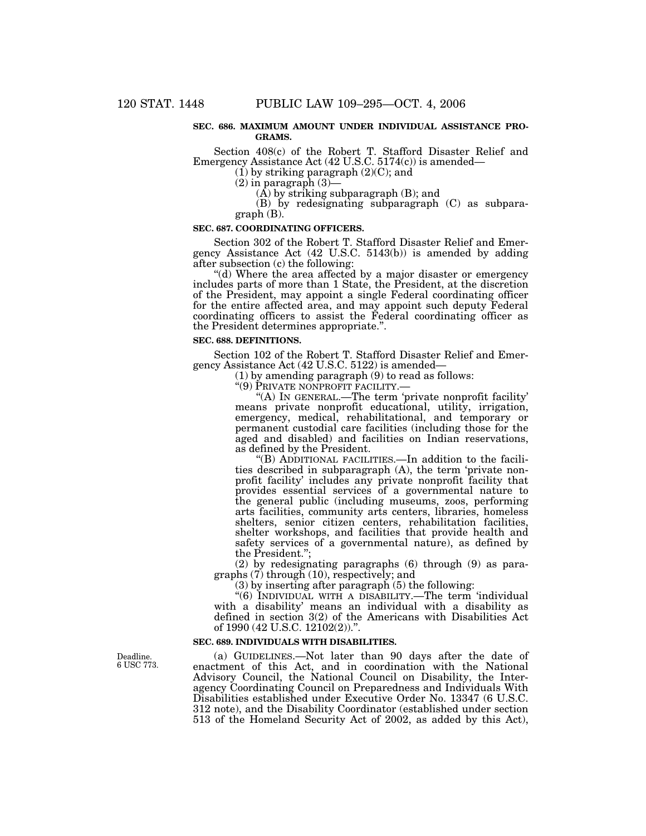#### **SEC. 686. MAXIMUM AMOUNT UNDER INDIVIDUAL ASSISTANCE PRO-GRAMS.**

Section 408(c) of the Robert T. Stafford Disaster Relief and Emergency Assistance Act (42 U.S.C. 5174(c)) is amended—

 $(1)$  by striking paragraph  $(2)(C)$ ; and

(2) in paragraph (3)—

 $(A)$  by striking subparagraph  $(B)$ ; and

(B) by redesignating subparagraph (C) as subparagraph (B).

#### **SEC. 687. COORDINATING OFFICERS.**

Section 302 of the Robert T. Stafford Disaster Relief and Emergency Assistance Act (42 U.S.C. 5143(b)) is amended by adding after subsection (c) the following:

"(d) Where the area affected by a major disaster or emergency includes parts of more than 1 State, the President, at the discretion of the President, may appoint a single Federal coordinating officer for the entire affected area, and may appoint such deputy Federal coordinating officers to assist the Federal coordinating officer as the President determines appropriate.''.

#### **SEC. 688. DEFINITIONS.**

Section 102 of the Robert T. Stafford Disaster Relief and Emergency Assistance Act (42 U.S.C. 5122) is amended—

(1) by amending paragraph (9) to read as follows:<br>"(9) PRIVATE NONPROFIT FACILITY.—

"(A) In GENERAL.—The term 'private nonprofit facility' means private nonprofit educational, utility, irrigation, emergency, medical, rehabilitational, and temporary or permanent custodial care facilities (including those for the aged and disabled) and facilities on Indian reservations, as defined by the President.

''(B) ADDITIONAL FACILITIES.—In addition to the facilities described in subparagraph (A), the term 'private nonprofit facility' includes any private nonprofit facility that provides essential services of a governmental nature to the general public (including museums, zoos, performing arts facilities, community arts centers, libraries, homeless shelters, senior citizen centers, rehabilitation facilities, shelter workshops, and facilities that provide health and safety services of a governmental nature), as defined by the President.'';

(2) by redesignating paragraphs (6) through (9) as paragraphs (7) through (10), respectively; and

(3) by inserting after paragraph (5) the following:

''(6) INDIVIDUAL WITH A DISABILITY.—The term 'individual with a disability' means an individual with a disability as defined in section 3(2) of the Americans with Disabilities Act of 1990 (42 U.S.C. 12102(2))."

# **SEC. 689. INDIVIDUALS WITH DISABILITIES.**

(a) GUIDELINES.—Not later than 90 days after the date of enactment of this Act, and in coordination with the National Advisory Council, the National Council on Disability, the Interagency Coordinating Council on Preparedness and Individuals With Disabilities established under Executive Order No. 13347 (6 U.S.C. 312 note), and the Disability Coordinator (established under section 513 of the Homeland Security Act of 2002, as added by this Act),

Deadline. 6 USC 773.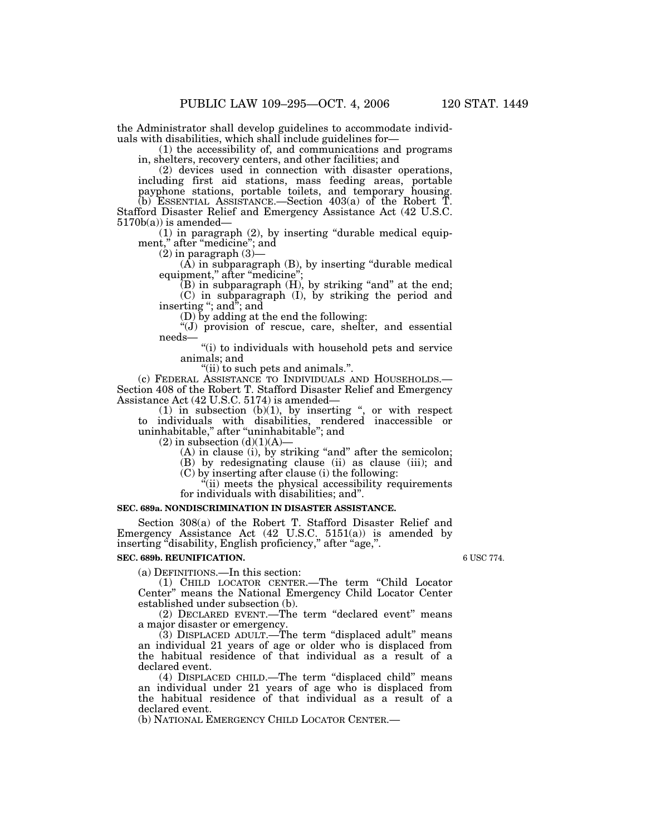the Administrator shall develop guidelines to accommodate individuals with disabilities, which shall include guidelines for—

(1) the accessibility of, and communications and programs in, shelters, recovery centers, and other facilities; and

(2) devices used in connection with disaster operations, including first aid stations, mass feeding areas, portable payphone stations, portable toilets, and temporary housing. (b) ESSENTIAL ASSISTANCE.—Section 403(a) of the Robert T. Stafford Disaster Relief and Emergency Assistance Act (42 U.S.C.  $5170b(a)$  is amended-

 $(1)$  in paragraph  $(2)$ , by inserting "durable medical equipment," after "medicine"; and

 $(2)$  in paragraph  $(3)$ —

(A) in subparagraph (B), by inserting ''durable medical equipment," after "medicine";

 $(B)$  in subparagraph  $(H)$ , by striking "and" at the end; (C) in subparagraph (I), by striking the period and inserting ''; and''; and

(D) by adding at the end the following:

 $\mathring{\mathcal{F}}(J)$  provision of rescue, care, shelter, and essential needs—

''(i) to individuals with household pets and service animals; and

"(ii) to such pets and animals.".<br>(c) FEDERAL ASSISTANCE TO INDIVIDUALS AND HOUSEHOLDS.— (c) FEDERAL ASSISTANCE TO INDIVIDUALS AND HOUSEHOLDS.— Section 408 of the Robert T. Stafford Disaster Relief and Emergency Assistance Act (42 U.S.C. 5174) is amended—

(1) in subsection  $(b)(1)$ , by inserting ", or with respect to individuals with disabilities, rendered inaccessible or uninhabitable,'' after ''uninhabitable''; and

 $(2)$  in subsection  $(d)(1)(A)$ —

(A) in clause (i), by striking "and" after the semicolon;

(B) by redesignating clause (ii) as clause (iii); and

(C) by inserting after clause (i) the following:

''(ii) meets the physical accessibility requirements for individuals with disabilities; and''.

## **SEC. 689a. NONDISCRIMINATION IN DISASTER ASSISTANCE.**

Section 308(a) of the Robert T. Stafford Disaster Relief and Emergency Assistance Act (42 U.S.C. 5151(a)) is amended by inserting ''disability, English proficiency,'' after ''age,''.

## **SEC. 689b. REUNIFICATION.**

(a) DEFINITIONS.—In this section:

(1) CHILD LOCATOR CENTER.—The term ''Child Locator Center'' means the National Emergency Child Locator Center established under subsection (b).

(2) DECLARED EVENT.—The term ''declared event'' means a major disaster or emergency.

(3) DISPLACED ADULT.—The term ''displaced adult'' means an individual 21 years of age or older who is displaced from the habitual residence of that individual as a result of a declared event.

(4) DISPLACED CHILD.—The term ''displaced child'' means an individual under 21 years of age who is displaced from the habitual residence of that individual as a result of a declared event.

(b) NATIONAL EMERGENCY CHILD LOCATOR CENTER.—

6 USC 774.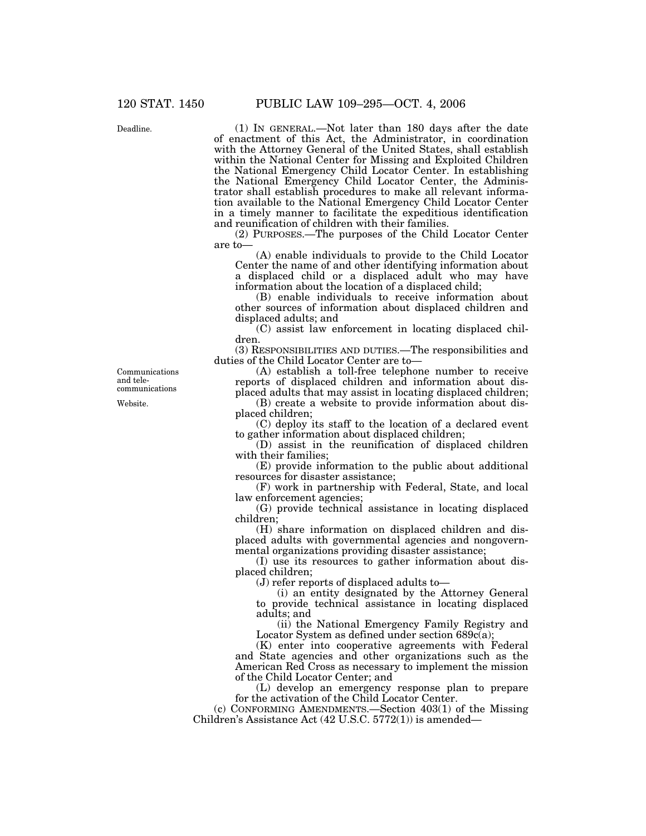Deadline.

(1) IN GENERAL.—Not later than 180 days after the date of enactment of this Act, the Administrator, in coordination with the Attorney General of the United States, shall establish within the National Center for Missing and Exploited Children the National Emergency Child Locator Center. In establishing the National Emergency Child Locator Center, the Administrator shall establish procedures to make all relevant information available to the National Emergency Child Locator Center in a timely manner to facilitate the expeditious identification and reunification of children with their families.

(2) PURPOSES.—The purposes of the Child Locator Center are to—

(A) enable individuals to provide to the Child Locator Center the name of and other identifying information about a displaced child or a displaced adult who may have information about the location of a displaced child;

(B) enable individuals to receive information about other sources of information about displaced children and displaced adults; and

(C) assist law enforcement in locating displaced children.

(3) RESPONSIBILITIES AND DUTIES.—The responsibilities and duties of the Child Locator Center are to—

(A) establish a toll-free telephone number to receive reports of displaced children and information about displaced adults that may assist in locating displaced children;

(B) create a website to provide information about displaced children;

(C) deploy its staff to the location of a declared event to gather information about displaced children;

(D) assist in the reunification of displaced children with their families;

(E) provide information to the public about additional resources for disaster assistance;

(F) work in partnership with Federal, State, and local law enforcement agencies;

(G) provide technical assistance in locating displaced children;

(H) share information on displaced children and displaced adults with governmental agencies and nongovernmental organizations providing disaster assistance;

(I) use its resources to gather information about displaced children;

(J) refer reports of displaced adults to—

(i) an entity designated by the Attorney General to provide technical assistance in locating displaced adults; and

(ii) the National Emergency Family Registry and Locator System as defined under section  $689c(a)$ ;

(K) enter into cooperative agreements with Federal and State agencies and other organizations such as the American Red Cross as necessary to implement the mission of the Child Locator Center; and

(L) develop an emergency response plan to prepare for the activation of the Child Locator Center.

(c) CONFORMING AMENDMENTS.—Section 403(1) of the Missing Children's Assistance Act (42 U.S.C. 5772(1)) is amended—

Website. Communications and telecommunications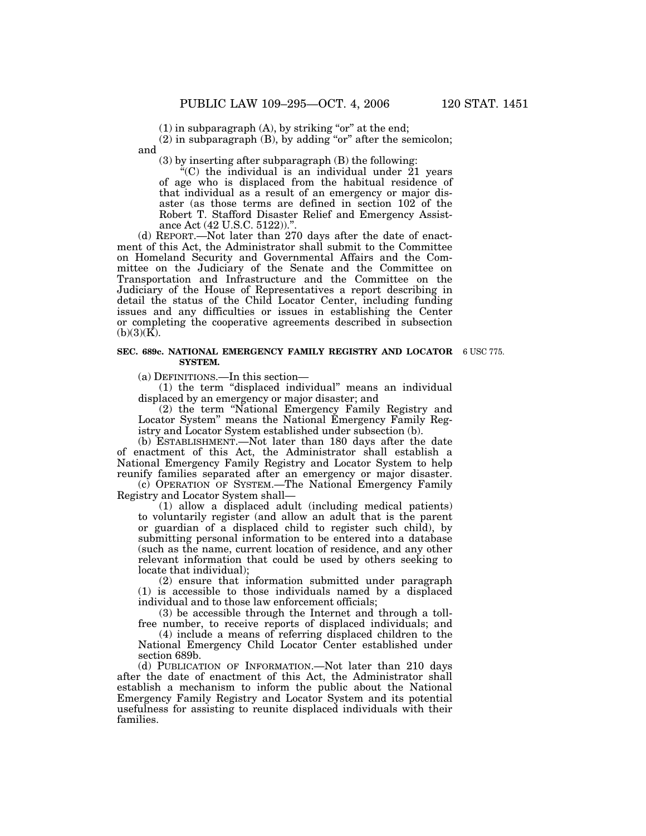$(1)$  in subparagraph  $(A)$ , by striking "or" at the end;

(2) in subparagraph (B), by adding "or" after the semicolon; and

(3) by inserting after subparagraph (B) the following:

"(C) the individual is an individual under  $21$  years of age who is displaced from the habitual residence of that individual as a result of an emergency or major disaster (as those terms are defined in section 102 of the Robert T. Stafford Disaster Relief and Emergency Assistance Act (42 U.S.C. 5122))."

(d) REPORT.—Not later than 270 days after the date of enactment of this Act, the Administrator shall submit to the Committee on Homeland Security and Governmental Affairs and the Committee on the Judiciary of the Senate and the Committee on Transportation and Infrastructure and the Committee on the Judiciary of the House of Representatives a report describing in detail the status of the Child Locator Center, including funding issues and any difficulties or issues in establishing the Center or completing the cooperative agreements described in subsection  $(b)(3)(K)$ .

#### **SEC. 689c. NATIONAL EMERGENCY FAMILY REGISTRY AND LOCATOR** 6 USC 775. **SYSTEM.**

(a) DEFINITIONS.—In this section—

(1) the term ''displaced individual'' means an individual displaced by an emergency or major disaster; and

(2) the term ''National Emergency Family Registry and Locator System'' means the National Emergency Family Registry and Locator System established under subsection (b).

(b) ESTABLISHMENT.—Not later than 180 days after the date of enactment of this Act, the Administrator shall establish a National Emergency Family Registry and Locator System to help reunify families separated after an emergency or major disaster.

(c) OPERATION OF SYSTEM.—The National Emergency Family Registry and Locator System shall—

(1) allow a displaced adult (including medical patients) to voluntarily register (and allow an adult that is the parent or guardian of a displaced child to register such child), by submitting personal information to be entered into a database (such as the name, current location of residence, and any other relevant information that could be used by others seeking to locate that individual);

(2) ensure that information submitted under paragraph (1) is accessible to those individuals named by a displaced individual and to those law enforcement officials;

(3) be accessible through the Internet and through a tollfree number, to receive reports of displaced individuals; and

(4) include a means of referring displaced children to the National Emergency Child Locator Center established under section 689b.

(d) PUBLICATION OF INFORMATION.—Not later than 210 days after the date of enactment of this Act, the Administrator shall establish a mechanism to inform the public about the National Emergency Family Registry and Locator System and its potential usefulness for assisting to reunite displaced individuals with their families.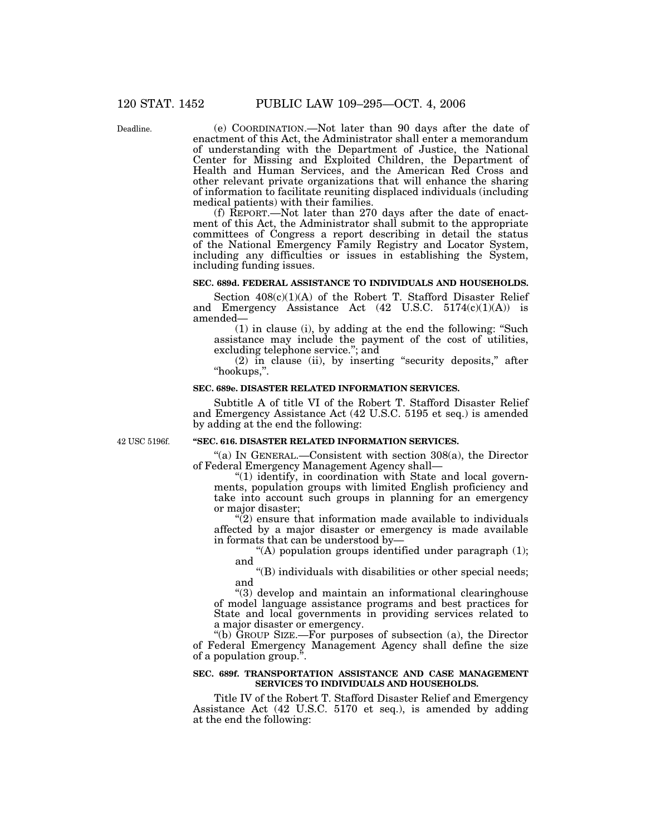Deadline.

(e) COORDINATION.—Not later than 90 days after the date of enactment of this Act, the Administrator shall enter a memorandum of understanding with the Department of Justice, the National Center for Missing and Exploited Children, the Department of Health and Human Services, and the American Red Cross and other relevant private organizations that will enhance the sharing of information to facilitate reuniting displaced individuals (including medical patients) with their families.

(f) REPORT.—Not later than 270 days after the date of enactment of this Act, the Administrator shall submit to the appropriate committees of Congress a report describing in detail the status of the National Emergency Family Registry and Locator System, including any difficulties or issues in establishing the System, including funding issues.

# **SEC. 689d. FEDERAL ASSISTANCE TO INDIVIDUALS AND HOUSEHOLDS.**

Section  $408(c)(1)(A)$  of the Robert T. Stafford Disaster Relief and Emergency Assistance Act  $(42 \text{ U.S.C. } 5174(c)(1)(\text{A}))$  is amended—

(1) in clause (i), by adding at the end the following: ''Such assistance may include the payment of the cost of utilities, excluding telephone service.''; and

(2) in clause (ii), by inserting "security deposits," after ''hookups,''.

## **SEC. 689e. DISASTER RELATED INFORMATION SERVICES.**

Subtitle A of title VI of the Robert T. Stafford Disaster Relief and Emergency Assistance Act (42 U.S.C. 5195 et seq.) is amended by adding at the end the following:

42 USC 5196f.

## **''SEC. 616. DISASTER RELATED INFORMATION SERVICES.**

''(a) IN GENERAL.—Consistent with section 308(a), the Director of Federal Emergency Management Agency shall—

" $(1)$  identify, in coordination with State and local governments, population groups with limited English proficiency and take into account such groups in planning for an emergency or major disaster;

 $\tilde{Q}$ ) ensure that information made available to individuals affected by a major disaster or emergency is made available in formats that can be understood by—

"(A) population groups identified under paragraph  $(1)$ ; and

''(B) individuals with disabilities or other special needs; and

''(3) develop and maintain an informational clearinghouse of model language assistance programs and best practices for State and local governments in providing services related to a major disaster or emergency.

''(b) GROUP SIZE.—For purposes of subsection (a), the Director of Federal Emergency Management Agency shall define the size of a population group.

## **SEC. 689f. TRANSPORTATION ASSISTANCE AND CASE MANAGEMENT SERVICES TO INDIVIDUALS AND HOUSEHOLDS.**

Title IV of the Robert T. Stafford Disaster Relief and Emergency Assistance Act (42 U.S.C. 5170 et seq.), is amended by adding at the end the following: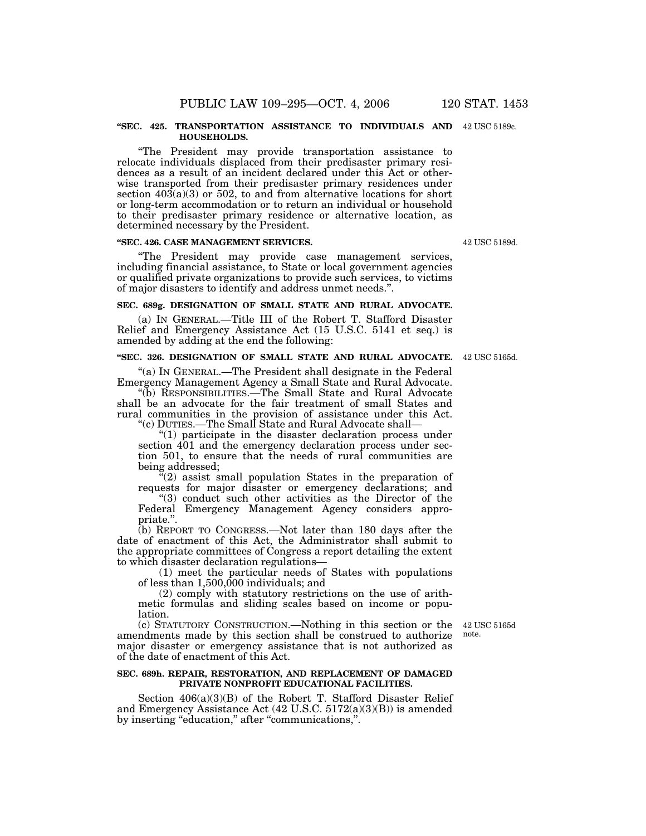#### **''SEC. 425. TRANSPORTATION ASSISTANCE TO INDIVIDUALS AND** 42 USC 5189c. **HOUSEHOLDS.**

''The President may provide transportation assistance to relocate individuals displaced from their predisaster primary residences as a result of an incident declared under this Act or otherwise transported from their predisaster primary residences under section  $40\dot{3}(a)(3)$  or 502, to and from alternative locations for short or long-term accommodation or to return an individual or household to their predisaster primary residence or alternative location, as determined necessary by the President.

## **''SEC. 426. CASE MANAGEMENT SERVICES.**

''The President may provide case management services, including financial assistance, to State or local government agencies or qualified private organizations to provide such services, to victims of major disasters to identify and address unmet needs.''.

#### **SEC. 689g. DESIGNATION OF SMALL STATE AND RURAL ADVOCATE.**

(a) IN GENERAL.—Title III of the Robert T. Stafford Disaster Relief and Emergency Assistance Act (15 U.S.C. 5141 et seq.) is amended by adding at the end the following:

#### **''SEC. 326. DESIGNATION OF SMALL STATE AND RURAL ADVOCATE.** 42 USC 5165d.

"(a) IN GENERAL.—The President shall designate in the Federal Emergency Management Agency a Small State and Rural Advocate.

''(b) RESPONSIBILITIES.—The Small State and Rural Advocate shall be an advocate for the fair treatment of small States and rural communities in the provision of assistance under this Act. ''(c) DUTIES.—The Small State and Rural Advocate shall—

''(1) participate in the disaster declaration process under section 401 and the emergency declaration process under section 501, to ensure that the needs of rural communities are being addressed;

 $\mathbb{I}(2)$  assist small population States in the preparation of requests for major disaster or emergency declarations; and

''(3) conduct such other activities as the Director of the Federal Emergency Management Agency considers appropriate.''.

(b) REPORT TO CONGRESS.—Not later than 180 days after the date of enactment of this Act, the Administrator shall submit to the appropriate committees of Congress a report detailing the extent to which disaster declaration regulations—

(1) meet the particular needs of States with populations of less than 1,500,000 individuals; and

(2) comply with statutory restrictions on the use of arithmetic formulas and sliding scales based on income or population.

note.

(c) STATUTORY CONSTRUCTION.—Nothing in this section or the 42 USC 5165d amendments made by this section shall be construed to authorize major disaster or emergency assistance that is not authorized as of the date of enactment of this Act.

#### **SEC. 689h. REPAIR, RESTORATION, AND REPLACEMENT OF DAMAGED PRIVATE NONPROFIT EDUCATIONAL FACILITIES.**

Section 406(a)(3)(B) of the Robert T. Stafford Disaster Relief and Emergency Assistance Act (42 U.S.C. 5172(a)(3)(B)) is amended by inserting "education," after "communications,".

42 USC 5189d.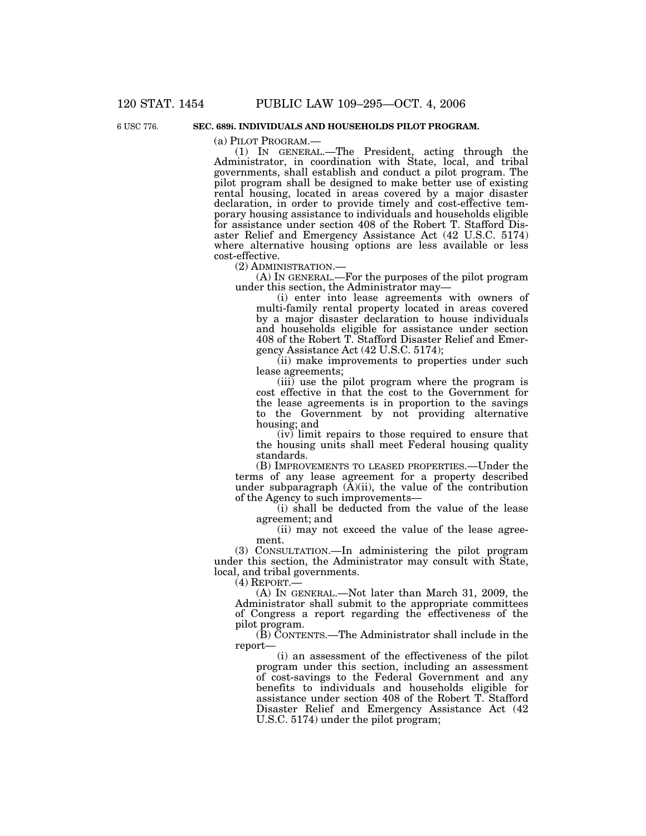6 USC 776.

### **SEC. 689i. INDIVIDUALS AND HOUSEHOLDS PILOT PROGRAM.**

(a) PILOT PROGRAM.—<br>(1) IN GENERAL.—The President, acting through the Administrator, in coordination with State, local, and tribal governments, shall establish and conduct a pilot program. The pilot program shall be designed to make better use of existing rental housing, located in areas covered by a major disaster declaration, in order to provide timely and cost-effective temporary housing assistance to individuals and households eligible for assistance under section 408 of the Robert T. Stafford Disaster Relief and Emergency Assistance Act (42 U.S.C. 5174) where alternative housing options are less available or less cost-effective.

(2) ADMINISTRATION.— (A) IN GENERAL.—For the purposes of the pilot program under this section, the Administrator may—

(i) enter into lease agreements with owners of multi-family rental property located in areas covered by a major disaster declaration to house individuals and households eligible for assistance under section 408 of the Robert T. Stafford Disaster Relief and Emergency Assistance Act (42 U.S.C. 5174);

(ii) make improvements to properties under such lease agreements;

(iii) use the pilot program where the program is cost effective in that the cost to the Government for the lease agreements is in proportion to the savings to the Government by not providing alternative housing; and

(iv) limit repairs to those required to ensure that the housing units shall meet Federal housing quality standards.

(B) IMPROVEMENTS TO LEASED PROPERTIES.—Under the terms of any lease agreement for a property described under subparagraph  $(\overline{A})(ii)$ , the value of the contribution of the Agency to such improvements—

(i) shall be deducted from the value of the lease agreement; and

(ii) may not exceed the value of the lease agreement.

(3) CONSULTATION.—In administering the pilot program under this section, the Administrator may consult with State, local, and tribal governments.

 $(4)$  REPORT. $-$ 

(A) IN GENERAL.—Not later than March 31, 2009, the Administrator shall submit to the appropriate committees of Congress a report regarding the effectiveness of the pilot program.

(B) CONTENTS.—The Administrator shall include in the report—

(i) an assessment of the effectiveness of the pilot program under this section, including an assessment of cost-savings to the Federal Government and any benefits to individuals and households eligible for assistance under section 408 of the Robert T. Stafford Disaster Relief and Emergency Assistance Act (42 U.S.C. 5174) under the pilot program;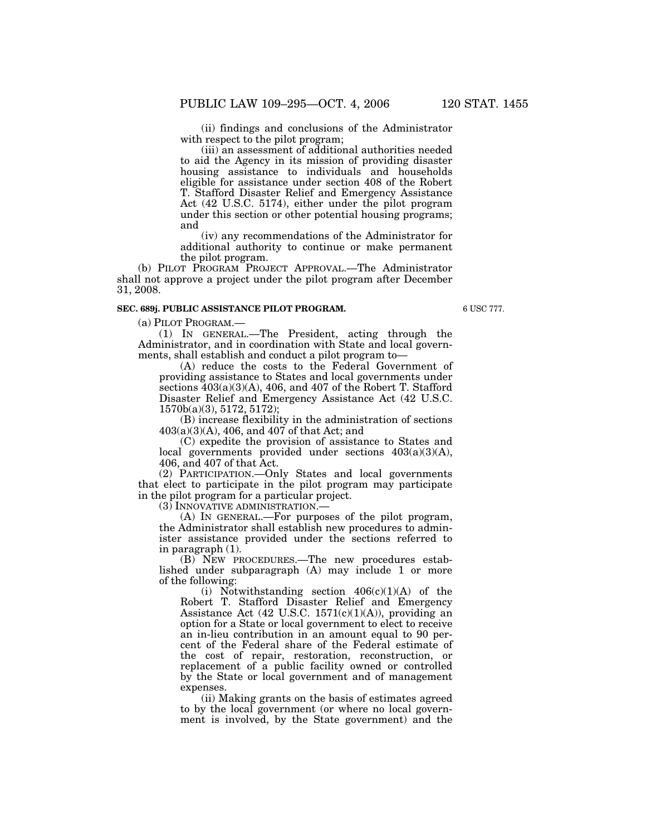(ii) findings and conclusions of the Administrator with respect to the pilot program;

(iii) an assessment of additional authorities needed to aid the Agency in its mission of providing disaster housing assistance to individuals and households eligible for assistance under section 408 of the Robert T. Stafford Disaster Relief and Emergency Assistance Act (42 U.S.C. 5174), either under the pilot program under this section or other potential housing programs; and

(iv) any recommendations of the Administrator for additional authority to continue or make permanent the pilot program.

(b) PILOT PROGRAM PROJECT APPROVAL.—The Administrator shall not approve a project under the pilot program after December 31, 2008.

## **SEC. 689j. PUBLIC ASSISTANCE PILOT PROGRAM.**

6 USC 777.

(a) PILOT PROGRAM.—

(1) IN GENERAL.—The President, acting through the Administrator, and in coordination with State and local governments, shall establish and conduct a pilot program to—

(A) reduce the costs to the Federal Government of providing assistance to States and local governments under sections  $403(a)(3)(A)$ , 406, and 407 of the Robert T. Stafford Disaster Relief and Emergency Assistance Act (42 U.S.C. 1570b(a)(3), 5172, 5172);

(B) increase flexibility in the administration of sections 403(a)(3)(A), 406, and 407 of that Act; and

(C) expedite the provision of assistance to States and local governments provided under sections 403(a)(3)(A), 406, and 407 of that Act.

(2) PARTICIPATION.—Only States and local governments that elect to participate in the pilot program may participate in the pilot program for a particular project.

(3) INNOVATIVE ADMINISTRATION.—

(A) IN GENERAL.—For purposes of the pilot program, the Administrator shall establish new procedures to administer assistance provided under the sections referred to in paragraph (1).

(B) NEW PROCEDURES.—The new procedures established under subparagraph (A) may include 1 or more of the following:

(i) Notwithstanding section  $406(c)(1)(A)$  of the Robert T. Stafford Disaster Relief and Emergency Assistance Act  $(42 \text{ U.S.C. } 1571(c)(1)(\text{A}))$ , providing an option for a State or local government to elect to receive an in-lieu contribution in an amount equal to 90 percent of the Federal share of the Federal estimate of the cost of repair, restoration, reconstruction, or replacement of a public facility owned or controlled by the State or local government and of management expenses.

(ii) Making grants on the basis of estimates agreed to by the local government (or where no local government is involved, by the State government) and the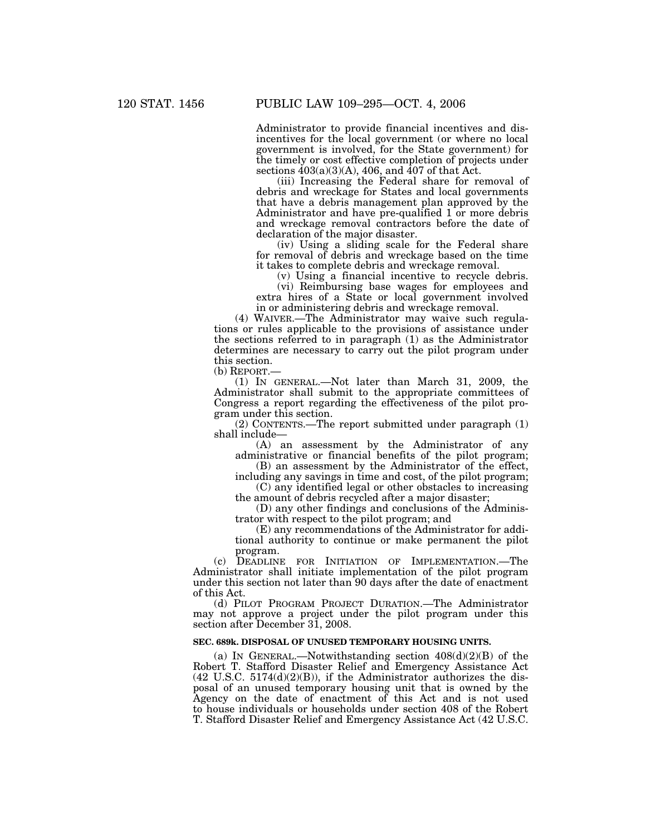Administrator to provide financial incentives and disincentives for the local government (or where no local government is involved, for the State government) for the timely or cost effective completion of projects under sections  $403(a)(3)(A)$ , 406, and  $407$  of that Act.

(iii) Increasing the Federal share for removal of debris and wreckage for States and local governments that have a debris management plan approved by the Administrator and have pre-qualified 1 or more debris and wreckage removal contractors before the date of declaration of the major disaster.

(iv) Using a sliding scale for the Federal share for removal of debris and wreckage based on the time it takes to complete debris and wreckage removal.

(v) Using a financial incentive to recycle debris.

(vi) Reimbursing base wages for employees and extra hires of a State or local government involved in or administering debris and wreckage removal.

(4) WAIVER.—The Administrator may waive such regulations or rules applicable to the provisions of assistance under the sections referred to in paragraph (1) as the Administrator determines are necessary to carry out the pilot program under this section.

(b) REPORT.—

(1) IN GENERAL.—Not later than March 31, 2009, the Administrator shall submit to the appropriate committees of Congress a report regarding the effectiveness of the pilot program under this section.

(2) CONTENTS.—The report submitted under paragraph (1) shall include—

(A) an assessment by the Administrator of any administrative or financial benefits of the pilot program; (B) an assessment by the Administrator of the effect,

including any savings in time and cost, of the pilot program; (C) any identified legal or other obstacles to increasing

the amount of debris recycled after a major disaster;

(D) any other findings and conclusions of the Administrator with respect to the pilot program; and

(E) any recommendations of the Administrator for additional authority to continue or make permanent the pilot program.

(c) DEADLINE FOR INITIATION OF IMPLEMENTATION.—The Administrator shall initiate implementation of the pilot program under this section not later than 90 days after the date of enactment of this Act.

(d) PILOT PROGRAM PROJECT DURATION.—The Administrator may not approve a project under the pilot program under this section after December 31, 2008.

# **SEC. 689k. DISPOSAL OF UNUSED TEMPORARY HOUSING UNITS.**

(a) IN GENERAL.—Notwithstanding section  $408(d)(2)(B)$  of the Robert T. Stafford Disaster Relief and Emergency Assistance Act  $(42 \text{ U.S.C. } 5174\text{ (d)}\text{ (2)}\text{ (B)}),$  if the Administrator authorizes the disposal of an unused temporary housing unit that is owned by the Agency on the date of enactment of this Act and is not used to house individuals or households under section 408 of the Robert T. Stafford Disaster Relief and Emergency Assistance Act (42 U.S.C.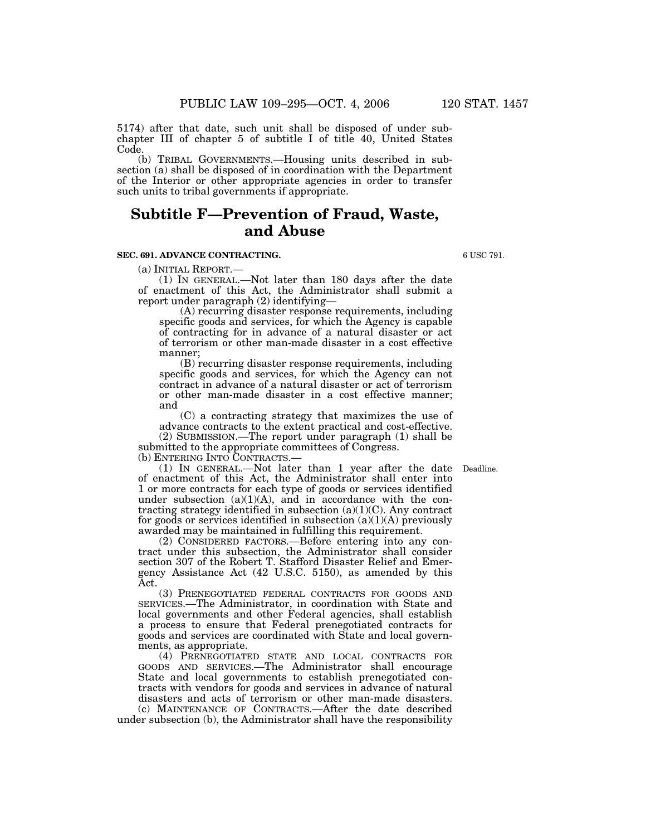5174) after that date, such unit shall be disposed of under subchapter III of chapter 5 of subtitle I of title 40, United States Code.

(b) TRIBAL GOVERNMENTS.—Housing units described in subsection (a) shall be disposed of in coordination with the Department of the Interior or other appropriate agencies in order to transfer such units to tribal governments if appropriate.

# **Subtitle F—Prevention of Fraud, Waste, and Abuse**

## **SEC. 691. ADVANCE CONTRACTING.**

(a) INITIAL REPORT.—<br>(1) IN GENERAL.—Not later than 180 days after the date of enactment of this Act, the Administrator shall submit a report under paragraph (2) identifying—

(A) recurring disaster response requirements, including specific goods and services, for which the Agency is capable of contracting for in advance of a natural disaster or act of terrorism or other man-made disaster in a cost effective manner;

(B) recurring disaster response requirements, including specific goods and services, for which the Agency can not contract in advance of a natural disaster or act of terrorism or other man-made disaster in a cost effective manner; and

(C) a contracting strategy that maximizes the use of advance contracts to the extent practical and cost-effective.

(2) SUBMISSION.—The report under paragraph (1) shall be submitted to the appropriate committees of Congress.<br>(b) ENTERING INTO CONTRACTS.—

(b) ENTERING INTO CONTRACTS.— (1) IN GENERAL.—Not later than 1 year after the date Deadline. of enactment of this Act, the Administrator shall enter into 1 or more contracts for each type of goods or services identified under subsection (a)(1)(A), and in accordance with the contracting strategy identified in subsection  $(a)(1)(C)$ . Any contract for goods or services identified in subsection  $(a)(1)(A)$  previously awarded may be maintained in fulfilling this requirement.

(2) CONSIDERED FACTORS.—Before entering into any contract under this subsection, the Administrator shall consider section 307 of the Robert T. Stafford Disaster Relief and Emergency Assistance Act (42 U.S.C. 5150), as amended by this Act.

(3) PRENEGOTIATED FEDERAL CONTRACTS FOR GOODS AND SERVICES.—The Administrator, in coordination with State and local governments and other Federal agencies, shall establish a process to ensure that Federal prenegotiated contracts for goods and services are coordinated with State and local governments, as appropriate.

(4) PRENEGOTIATED STATE AND LOCAL CONTRACTS FOR GOODS AND SERVICES.—The Administrator shall encourage State and local governments to establish prenegotiated contracts with vendors for goods and services in advance of natural disasters and acts of terrorism or other man-made disasters.

(c) MAINTENANCE OF CONTRACTS.—After the date described under subsection (b), the Administrator shall have the responsibility

6 USC 791.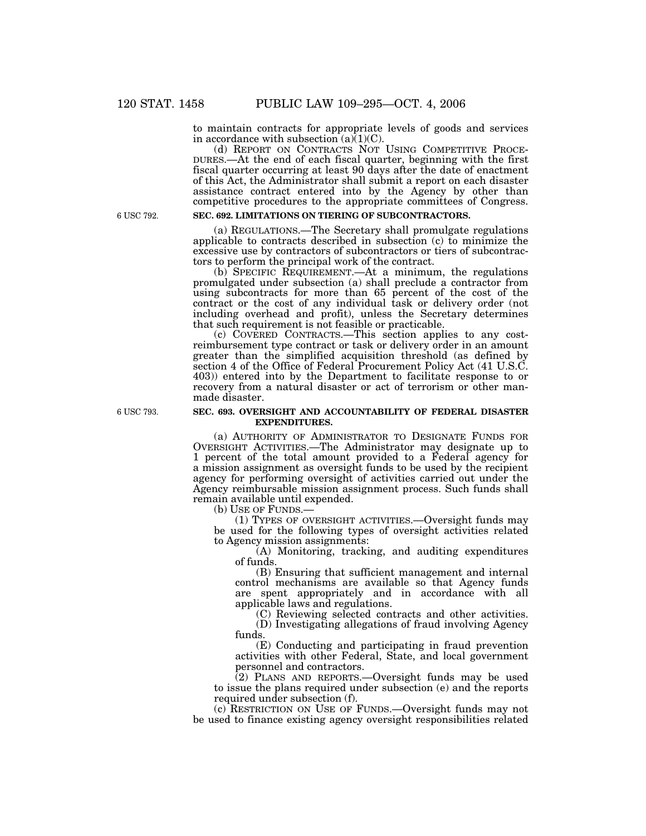to maintain contracts for appropriate levels of goods and services in accordance with subsection  $(a)(1)(C)$ .<br>(d) REPORT ON CONTRACTS NOT USING COMPETITIVE PROCE-

DURES.—At the end of each fiscal quarter, beginning with the first fiscal quarter occurring at least 90 days after the date of enactment of this Act, the Administrator shall submit a report on each disaster assistance contract entered into by the Agency by other than competitive procedures to the appropriate committees of Congress.

6 USC 792.

# **SEC. 692. LIMITATIONS ON TIERING OF SUBCONTRACTORS.**

(a) REGULATIONS.—The Secretary shall promulgate regulations applicable to contracts described in subsection (c) to minimize the excessive use by contractors of subcontractors or tiers of subcontractors to perform the principal work of the contract.

(b) SPECIFIC REQUIREMENT.—At a minimum, the regulations promulgated under subsection (a) shall preclude a contractor from using subcontracts for more than 65 percent of the cost of the contract or the cost of any individual task or delivery order (not including overhead and profit), unless the Secretary determines that such requirement is not feasible or practicable.

(c) COVERED CONTRACTS.—This section applies to any costreimbursement type contract or task or delivery order in an amount greater than the simplified acquisition threshold (as defined by section 4 of the Office of Federal Procurement Policy Act (41 U.S.C. 403)) entered into by the Department to facilitate response to or recovery from a natural disaster or act of terrorism or other manmade disaster.

#### **SEC. 693. OVERSIGHT AND ACCOUNTABILITY OF FEDERAL DISASTER EXPENDITURES.**

(a) AUTHORITY OF ADMINISTRATOR TO DESIGNATE FUNDS FOR OVERSIGHT ACTIVITIES.—The Administrator may designate up to 1 percent of the total amount provided to a Federal agency for a mission assignment as oversight funds to be used by the recipient agency for performing oversight of activities carried out under the Agency reimbursable mission assignment process. Such funds shall remain available until expended.<br>(b) USE OF FUNDS.—

(1) TYPES OF OVERSIGHT ACTIVITIES.—Oversight funds may be used for the following types of oversight activities related to Agency mission assignments:

(A) Monitoring, tracking, and auditing expenditures of funds.

(B) Ensuring that sufficient management and internal control mechanisms are available so that Agency funds are spent appropriately and in accordance with all applicable laws and regulations.

(C) Reviewing selected contracts and other activities. (D) Investigating allegations of fraud involving Agency funds.

(E) Conducting and participating in fraud prevention activities with other Federal, State, and local government personnel and contractors.

(2) PLANS AND REPORTS.—Oversight funds may be used to issue the plans required under subsection (e) and the reports required under subsection (f).

(c) RESTRICTION ON USE OF FUNDS.—Oversight funds may not be used to finance existing agency oversight responsibilities related

6 USC 793.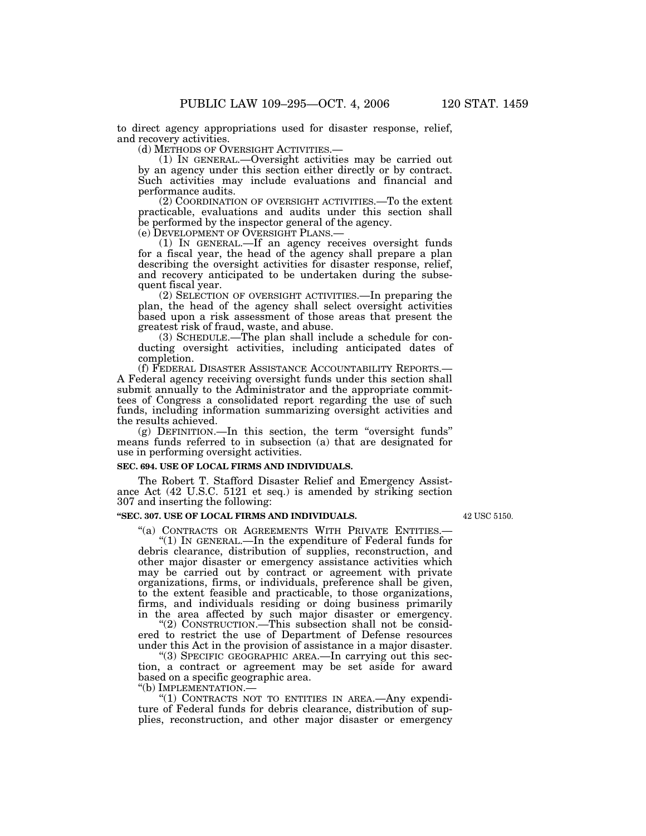42 USC 5150.

to direct agency appropriations used for disaster response, relief, and recovery activities.<br>(d) METHODS OF OVERSIGHT ACTIVITIES.

 $(1)$  In GENERAL.—Oversight activities may be carried out by an agency under this section either directly or by contract. Such activities may include evaluations and financial and performance audits.

(2) COORDINATION OF OVERSIGHT ACTIVITIES.—To the extent practicable, evaluations and audits under this section shall be performed by the inspector general of the agency.

(e) DEVELOPMENT OF OVERSIGHT PLANS.— (1) IN GENERAL.—If an agency receives oversight funds for a fiscal year, the head of the agency shall prepare a plan describing the oversight activities for disaster response, relief, and recovery anticipated to be undertaken during the subsequent fiscal year.

(2) SELECTION OF OVERSIGHT ACTIVITIES.—In preparing the plan, the head of the agency shall select oversight activities based upon a risk assessment of those areas that present the greatest risk of fraud, waste, and abuse.

(3) SCHEDULE.—The plan shall include a schedule for conducting oversight activities, including anticipated dates of completion.<br>(f) Federal Disaster Assistance Accountability Reports.–

A Federal agency receiving oversight funds under this section shall submit annually to the Administrator and the appropriate committees of Congress a consolidated report regarding the use of such funds, including information summarizing oversight activities and the results achieved.

 $(g)$  DEFINITION.—In this section, the term "oversight funds" means funds referred to in subsection (a) that are designated for use in performing oversight activities.

## **SEC. 694. USE OF LOCAL FIRMS AND INDIVIDUALS.**

The Robert T. Stafford Disaster Relief and Emergency Assistance Act (42 U.S.C. 5121 et seq.) is amended by striking section 307 and inserting the following:

## **''SEC. 307. USE OF LOCAL FIRMS AND INDIVIDUALS.**

''(a) CONTRACTS OR AGREEMENTS WITH PRIVATE ENTITIES.— ''(1) IN GENERAL.—In the expenditure of Federal funds for debris clearance, distribution of supplies, reconstruction, and other major disaster or emergency assistance activities which may be carried out by contract or agreement with private organizations, firms, or individuals, preference shall be given, to the extent feasible and practicable, to those organizations, firms, and individuals residing or doing business primarily in the area affected by such major disaster or emergency.

''(2) CONSTRUCTION.—This subsection shall not be considered to restrict the use of Department of Defense resources under this Act in the provision of assistance in a major disaster.

"(3) SPECIFIC GEOGRAPHIC AREA.—In carrying out this section, a contract or agreement may be set aside for award based on a specific geographic area.

''(b) IMPLEMENTATION.—

"(1) CONTRACTS NOT TO ENTITIES IN AREA.—Any expenditure of Federal funds for debris clearance, distribution of supplies, reconstruction, and other major disaster or emergency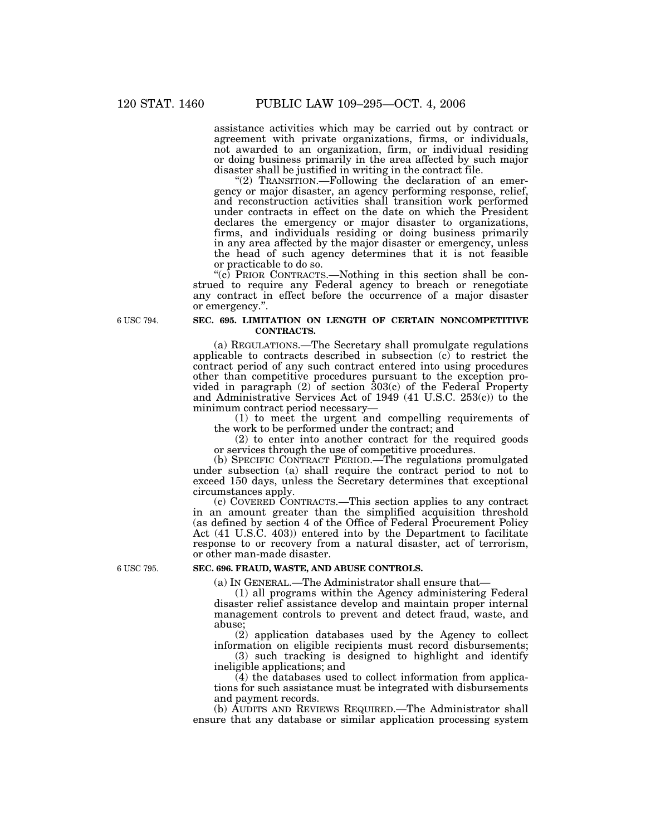assistance activities which may be carried out by contract or agreement with private organizations, firms, or individuals, not awarded to an organization, firm, or individual residing or doing business primarily in the area affected by such major disaster shall be justified in writing in the contract file.

"(2) TRANSITION.—Following the declaration of an emergency or major disaster, an agency performing response, relief, and reconstruction activities shall transition work performed under contracts in effect on the date on which the President declares the emergency or major disaster to organizations, firms, and individuals residing or doing business primarily in any area affected by the major disaster or emergency, unless the head of such agency determines that it is not feasible or practicable to do so.

" $(c)$  PRIOR CONTRACTS.—Nothing in this section shall be construed to require any Federal agency to breach or renegotiate any contract in effect before the occurrence of a major disaster or emergency.''.

6 USC 794.

## **SEC. 695. LIMITATION ON LENGTH OF CERTAIN NONCOMPETITIVE CONTRACTS.**

(a) REGULATIONS.—The Secretary shall promulgate regulations applicable to contracts described in subsection (c) to restrict the contract period of any such contract entered into using procedures other than competitive procedures pursuant to the exception provided in paragraph  $(2)$  of section  $303(c)$  of the Federal Property and Administrative Services Act of 1949 (41 U.S.C. 253(c)) to the minimum contract period necessary—

(1) to meet the urgent and compelling requirements of the work to be performed under the contract; and

(2) to enter into another contract for the required goods or services through the use of competitive procedures.

(b) SPECIFIC CONTRACT PERIOD.—The regulations promulgated under subsection (a) shall require the contract period to not to exceed 150 days, unless the Secretary determines that exceptional circumstances apply.

(c) COVERED CONTRACTS.—This section applies to any contract in an amount greater than the simplified acquisition threshold (as defined by section 4 of the Office of Federal Procurement Policy Act (41 U.S.C. 403)) entered into by the Department to facilitate response to or recovery from a natural disaster, act of terrorism, or other man-made disaster.

6 USC 795.

## **SEC. 696. FRAUD, WASTE, AND ABUSE CONTROLS.**

(a) IN GENERAL.—The Administrator shall ensure that—

(1) all programs within the Agency administering Federal disaster relief assistance develop and maintain proper internal management controls to prevent and detect fraud, waste, and abuse;

(2) application databases used by the Agency to collect information on eligible recipients must record disbursements;

(3) such tracking is designed to highlight and identify ineligible applications; and

(4) the databases used to collect information from applications for such assistance must be integrated with disbursements and payment records.

(b) AUDITS AND REVIEWS REQUIRED.—The Administrator shall ensure that any database or similar application processing system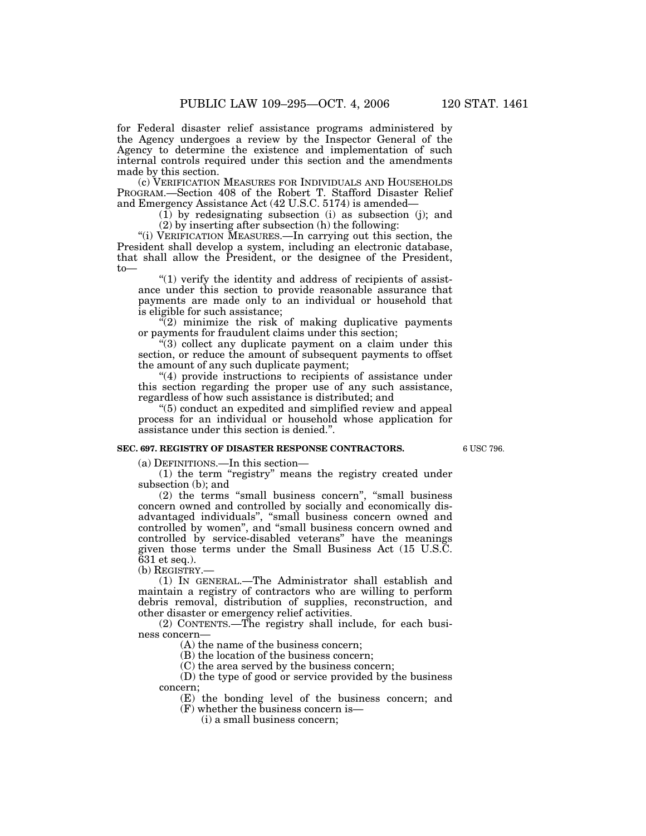for Federal disaster relief assistance programs administered by the Agency undergoes a review by the Inspector General of the Agency to determine the existence and implementation of such internal controls required under this section and the amendments made by this section.

(c) VERIFICATION MEASURES FOR INDIVIDUALS AND HOUSEHOLDS PROGRAM.—Section 408 of the Robert T. Stafford Disaster Relief and Emergency Assistance Act (42 U.S.C. 5174) is amended—

 $(1)$  by redesignating subsection (i) as subsection (j); and

(2) by inserting after subsection (h) the following:

"(i) VERIFICATION MEASURES.—In carrying out this section, the President shall develop a system, including an electronic database, that shall allow the President, or the designee of the President,  $t_0$ —

" $(1)$  verify the identity and address of recipients of assistance under this section to provide reasonable assurance that payments are made only to an individual or household that is eligible for such assistance;

"(2) minimize the risk of making duplicative payments or payments for fraudulent claims under this section;

 $\cdot$ (3) collect any duplicate payment on a claim under this section, or reduce the amount of subsequent payments to offset the amount of any such duplicate payment;

''(4) provide instructions to recipients of assistance under this section regarding the proper use of any such assistance, regardless of how such assistance is distributed; and

''(5) conduct an expedited and simplified review and appeal process for an individual or household whose application for assistance under this section is denied.''.

#### **SEC. 697. REGISTRY OF DISASTER RESPONSE CONTRACTORS.**

6 USC 796.

(a) DEFINITIONS.—In this section—

(1) the term ''registry'' means the registry created under subsection (b); and

(2) the terms ''small business concern'', ''small business concern owned and controlled by socially and economically disadvantaged individuals'', ''small business concern owned and controlled by women'', and ''small business concern owned and controlled by service-disabled veterans'' have the meanings given those terms under the Small Business Act (15 U.S.C. 631 et seq.).

(b) REGISTRY.—

(1) IN GENERAL.—The Administrator shall establish and maintain a registry of contractors who are willing to perform debris removal, distribution of supplies, reconstruction, and other disaster or emergency relief activities.

(2) CONTENTS.—The registry shall include, for each business concern—

(A) the name of the business concern;

(B) the location of the business concern;

(C) the area served by the business concern;

(D) the type of good or service provided by the business concern;

(E) the bonding level of the business concern; and

(F) whether the business concern is—

(i) a small business concern;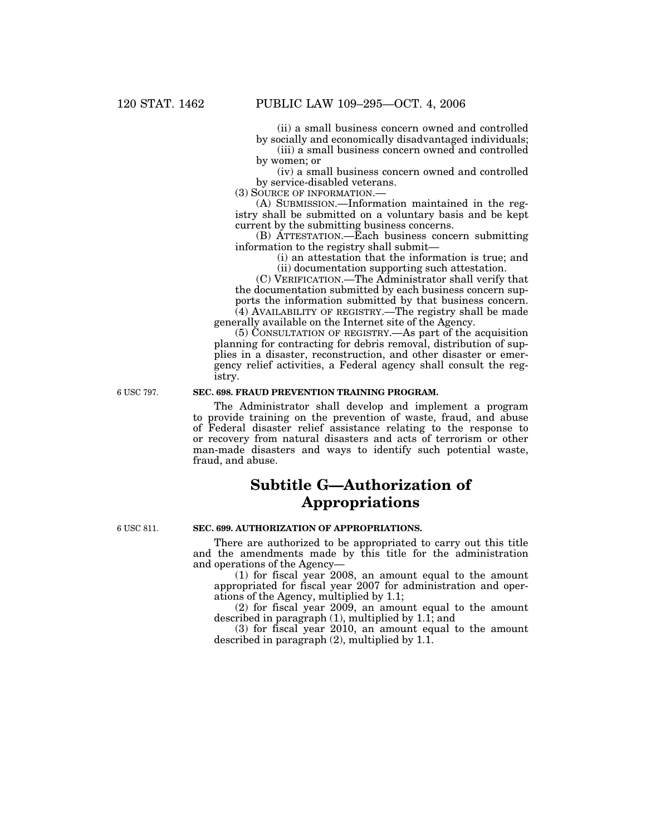(ii) a small business concern owned and controlled by socially and economically disadvantaged individuals;

(iii) a small business concern owned and controlled by women; or

(iv) a small business concern owned and controlled by service-disabled veterans.

(3) SOURCE OF INFORMATION.—

(A) SUBMISSION.—Information maintained in the registry shall be submitted on a voluntary basis and be kept current by the submitting business concerns.

(B) ATTESTATION.—Each business concern submitting information to the registry shall submit—

(i) an attestation that the information is true; and (ii) documentation supporting such attestation.

(C) VERIFICATION.—The Administrator shall verify that the documentation submitted by each business concern supports the information submitted by that business concern. (4) AVAILABILITY OF REGISTRY.—The registry shall be made generally available on the Internet site of the Agency.

(5) CONSULTATION OF REGISTRY.—As part of the acquisition planning for contracting for debris removal, distribution of supplies in a disaster, reconstruction, and other disaster or emergency relief activities, a Federal agency shall consult the registry.

6 USC 797.

## **SEC. 698. FRAUD PREVENTION TRAINING PROGRAM.**

The Administrator shall develop and implement a program to provide training on the prevention of waste, fraud, and abuse of Federal disaster relief assistance relating to the response to or recovery from natural disasters and acts of terrorism or other man-made disasters and ways to identify such potential waste, fraud, and abuse.

# **Subtitle G—Authorization of Appropriations**

6 USC 811.

# **SEC. 699. AUTHORIZATION OF APPROPRIATIONS.**

There are authorized to be appropriated to carry out this title and the amendments made by this title for the administration and operations of the Agency—

(1) for fiscal year 2008, an amount equal to the amount appropriated for fiscal year 2007 for administration and operations of the Agency, multiplied by 1.1;

(2) for fiscal year 2009, an amount equal to the amount described in paragraph (1), multiplied by 1.1; and

(3) for fiscal year 2010, an amount equal to the amount described in paragraph (2), multiplied by 1.1.